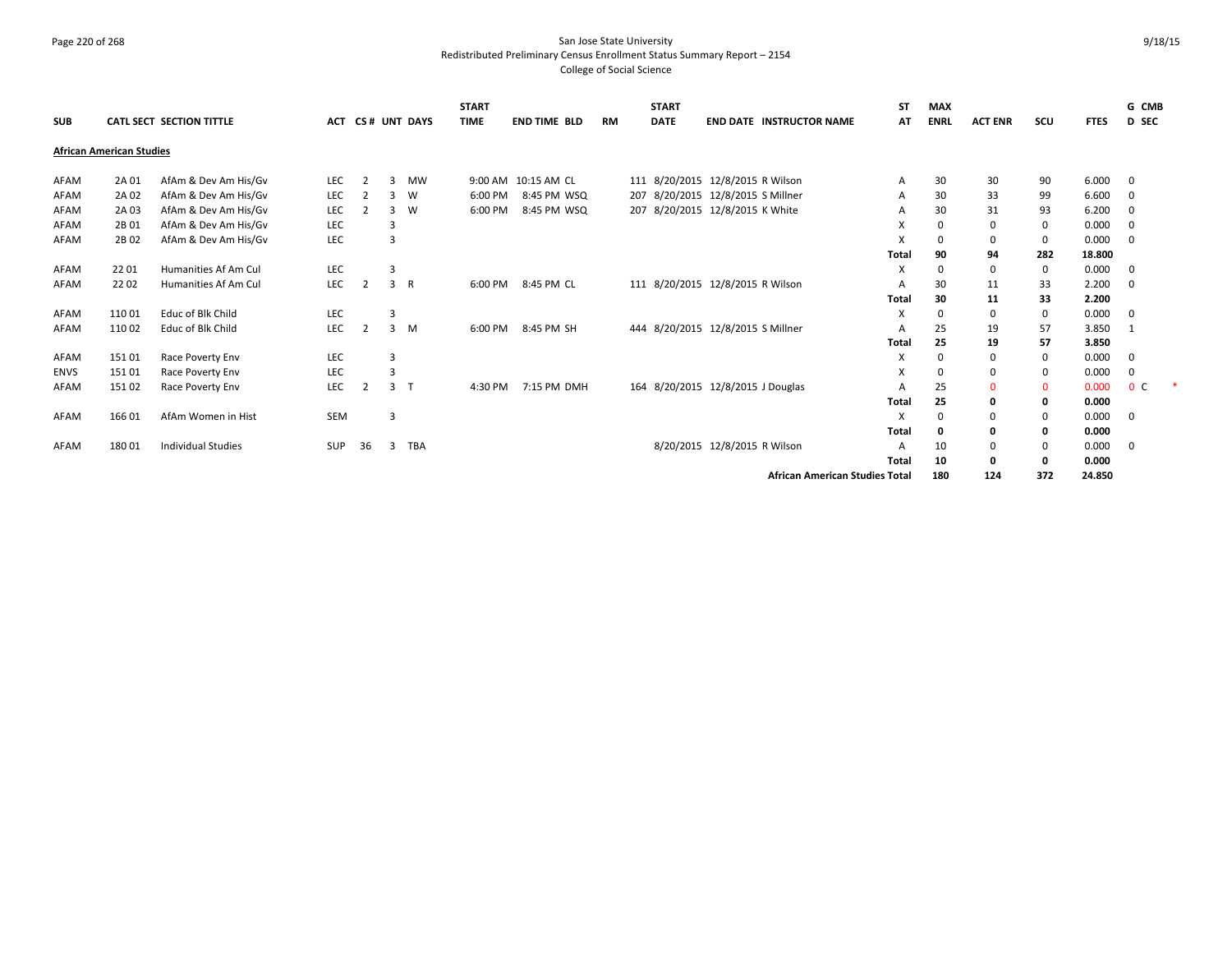# Page 220 of 268 San Jose State University Redistributed Preliminary Census Enrollment Status Summary Report – 2154 College of Social Science

| <b>SUB</b>  |                                 | <b>CATL SECT SECTION TITTLE</b> | <b>ACT</b> |                |                | <b>CS# UNT DAYS</b> | <b>START</b><br><b>TIME</b> | <b>END TIME BLD</b> | RM | <b>START</b><br><b>DATE</b> | <b>END DATE INSTRUCTOR NAME</b>       | SΤ<br>AT | <b>MAX</b><br><b>ENRL</b> | <b>ACT ENR</b> | scu         | <b>FTES</b> | G CMB<br><b>D</b> SEC   |  |
|-------------|---------------------------------|---------------------------------|------------|----------------|----------------|---------------------|-----------------------------|---------------------|----|-----------------------------|---------------------------------------|----------|---------------------------|----------------|-------------|-------------|-------------------------|--|
|             | <b>African American Studies</b> |                                 |            |                |                |                     |                             |                     |    |                             |                                       |          |                           |                |             |             |                         |  |
| AFAM        | 2A 01                           | AfAm & Dev Am His/Gv            | <b>LEC</b> | $\overline{2}$ | 3              | <b>MW</b>           |                             | 9:00 AM 10:15 AM CL |    |                             | 111 8/20/2015 12/8/2015 R Wilson      | A        | 30                        | 30             | 90          | 6.000       | $\overline{\mathbf{0}}$ |  |
| AFAM        | 2A 02                           | AfAm & Dev Am His/Gv            | <b>LEC</b> |                |                | W                   | 6:00 PM                     | 8:45 PM WSQ         |    |                             | 207 8/20/2015 12/8/2015 S Millner     | A        | 30                        | 33             | 99          | 6.600       | $\mathbf 0$             |  |
| AFAM        | 2A 03                           | AfAm & Dev Am His/Gv            | LEC        | $\overline{2}$ | 3              | W                   | 6:00 PM                     | 8:45 PM WSQ         |    |                             | 207 8/20/2015 12/8/2015 K White       | A        | 30                        | 31             | 93          | 6.200       | $\mathbf{0}$            |  |
| AFAM        | 2B 01                           | AfAm & Dev Am His/Gv            | LEC        |                | 3              |                     |                             |                     |    |                             |                                       | X        |                           | 0              | 0           | 0.000       | $\mathbf{0}$            |  |
| AFAM        | 2B 02                           | AfAm & Dev Am His/Gv            | LEC        |                | 3              |                     |                             |                     |    |                             |                                       | X        |                           | $\mathbf 0$    | 0           | 0.000       | $\overline{0}$          |  |
|             |                                 |                                 |            |                |                |                     |                             |                     |    |                             |                                       | Total    | 90                        | 94             | 282         | 18.800      |                         |  |
| AFAM        | 2201                            | Humanities Af Am Cul            | LEC        |                | 3              |                     |                             |                     |    |                             |                                       | Х        | $\Omega$                  | 0              | 0           | 0.000       | $\overline{0}$          |  |
| AFAM        | 2202                            | Humanities Af Am Cul            | LEC        | $\overline{2}$ |                | 3 R                 | 6:00 PM                     | 8:45 PM CL          |    |                             | 111 8/20/2015 12/8/2015 R Wilson      | A        | 30                        | 11             | 33          | 2.200       | $\overline{0}$          |  |
|             |                                 |                                 |            |                |                |                     |                             |                     |    |                             |                                       | Total    | 30                        | 11             | 33          | 2.200       |                         |  |
| AFAM        | 110 01                          | Educ of Blk Child               | LEC        |                | 3              |                     |                             |                     |    |                             |                                       | х        | $\Omega$                  | 0              | 0           | 0.000       | 0                       |  |
| AFAM        | 110 02                          | Educ of Blk Child               | LEC        | $\overline{2}$ |                | $3 \, M$            | 6:00 PM                     | 8:45 PM SH          |    |                             | 444 8/20/2015 12/8/2015 S Millner     | A        | 25                        | 19             | 57          | 3.850       | $\overline{1}$          |  |
|             |                                 |                                 |            |                |                |                     |                             |                     |    |                             |                                       | Total    | 25                        | 19             | 57          | 3.850       |                         |  |
| AFAM        | 15101                           | Race Poverty Env                | LEC        |                | $\overline{3}$ |                     |                             |                     |    |                             |                                       | х        | $\Omega$                  | 0              | 0           | 0.000       | $\overline{0}$          |  |
| <b>ENVS</b> | 151 01                          | Race Poverty Env                | LEC        |                | 3              |                     |                             |                     |    |                             |                                       | Х        | $\Omega$                  | 0              | 0           | 0.000       | $\mathbf 0$             |  |
| AFAM        | 151 02                          | Race Poverty Env                | LEC        | $\overline{2}$ | 3 <sub>1</sub> |                     | 4:30 PM                     | 7:15 PM DMH         |    |                             | 164 8/20/2015 12/8/2015 J Douglas     | A        | 25                        | $\mathbf 0$    | $\mathbf 0$ | 0.000       | 0 <sup>C</sup>          |  |
|             |                                 |                                 |            |                |                |                     |                             |                     |    |                             |                                       | Total    | 25                        | 0              | 0           | 0.000       |                         |  |
| AFAM        | 166 01                          | AfAm Women in Hist              | <b>SEM</b> |                | $\overline{3}$ |                     |                             |                     |    |                             |                                       | X        |                           | $\mathbf 0$    | 0           | 0.000       | $\overline{0}$          |  |
|             |                                 |                                 |            |                |                |                     |                             |                     |    |                             |                                       | Total    |                           | 0              | 0           | 0.000       |                         |  |
| AFAM        | 18001                           | <b>Individual Studies</b>       | <b>SUP</b> | 36             | 3              | <b>TBA</b>          |                             |                     |    |                             | 8/20/2015 12/8/2015 R Wilson          | A        | 10                        | 0              | $\mathbf 0$ | 0.000       | $\mathbf{0}$            |  |
|             |                                 |                                 |            |                |                |                     |                             |                     |    |                             |                                       | Total    | 10                        | 0              | 0           | 0.000       |                         |  |
|             |                                 |                                 |            |                |                |                     |                             |                     |    |                             | <b>African American Studies Total</b> |          | 180                       | 124            | 372         | 24.850      |                         |  |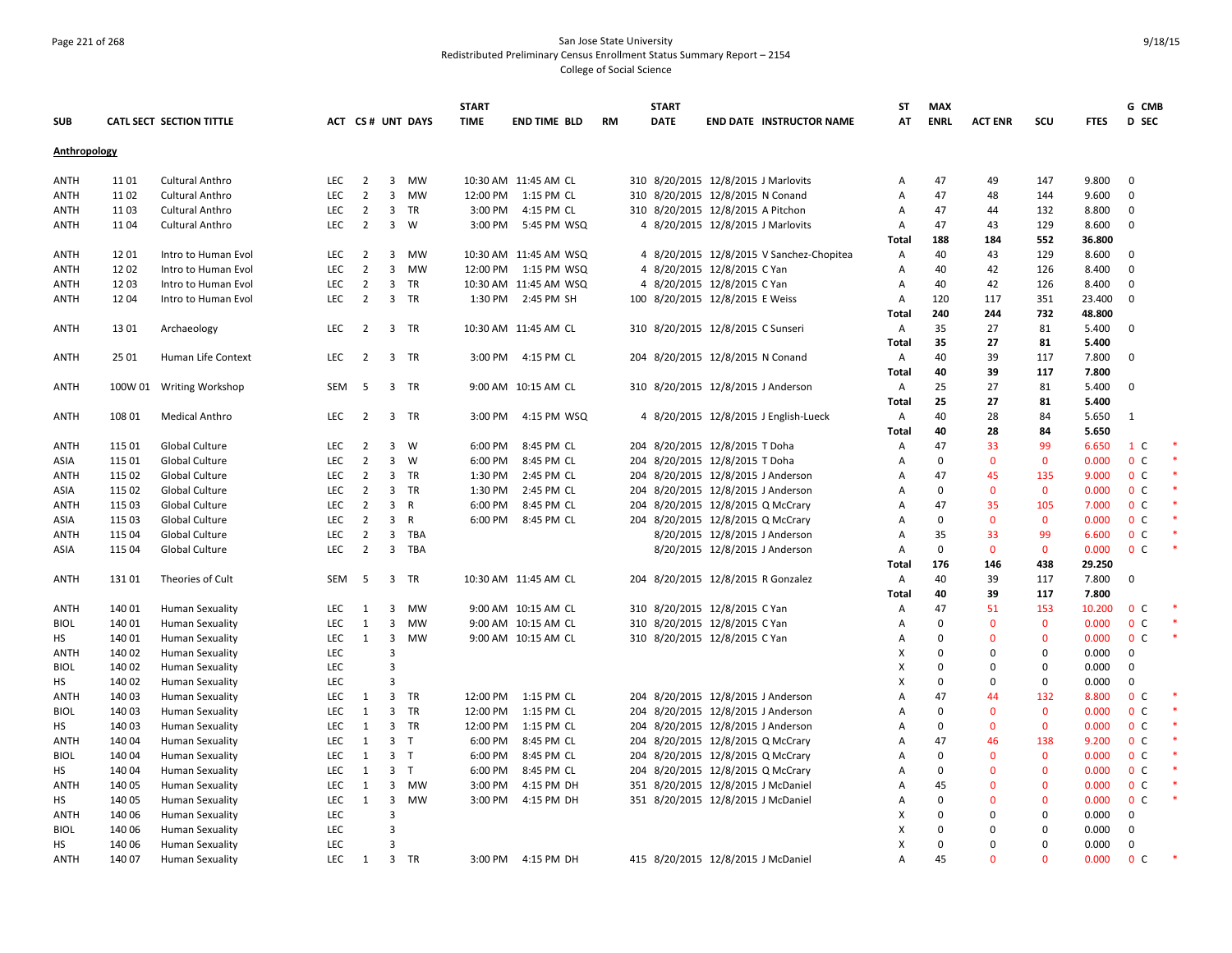### Page 221 of 268 San Jose State University Redistributed Preliminary Census Enrollment Status Summary Report – 2154 College of Social Science

|                   |                  |                                                  |            |                |                         |                  | <b>START</b> |                          |           | <b>START</b> |                                                                          | ST           | <b>MAX</b>  |                |              |             | G CMB               |  |
|-------------------|------------------|--------------------------------------------------|------------|----------------|-------------------------|------------------|--------------|--------------------------|-----------|--------------|--------------------------------------------------------------------------|--------------|-------------|----------------|--------------|-------------|---------------------|--|
| <b>SUB</b>        |                  | CATL SECT SECTION TITTLE                         |            |                |                         | ACT CS# UNT DAYS | <b>TIME</b>  | <b>END TIME BLD</b>      | <b>RM</b> | <b>DATE</b>  | <b>END DATE INSTRUCTOR NAME</b>                                          | AT           | <b>ENRL</b> | <b>ACT ENR</b> | scu          | <b>FTES</b> | D SEC               |  |
| Anthropology      |                  |                                                  |            |                |                         |                  |              |                          |           |              |                                                                          |              |             |                |              |             |                     |  |
| ANTH              | 11 01            | <b>Cultural Anthro</b>                           | <b>LEC</b> | $\overline{2}$ | $\overline{\mathbf{3}}$ | MW               |              | 10:30 AM 11:45 AM CL     |           |              | 310 8/20/2015 12/8/2015 J Marlovits                                      | Α            | 47          | 49             | 147          | 9.800       | $\overline{0}$      |  |
| ANTH              | 11 02            | <b>Cultural Anthro</b>                           | <b>LEC</b> | $\overline{2}$ | 3                       | MW               |              | 12:00 PM 1:15 PM CL      |           |              | 310 8/20/2015 12/8/2015 N Conand                                         | A            | 47          | 48             | 144          | 9.600       | $\mathbf{0}$        |  |
| ANTH              | 11 03            | Cultural Anthro                                  | LEC        | $\overline{2}$ | $\overline{\mathbf{3}}$ | TR               | 3:00 PM      | 4:15 PM CL               |           |              | 310 8/20/2015 12/8/2015 A Pitchon                                        | Α            | 47          | 44             | 132          | 8.800       | $\mathbf 0$         |  |
| ANTH              | 11 04            | <b>Cultural Anthro</b>                           | <b>LEC</b> | $\overline{2}$ | $\overline{3}$          | W                |              | 3:00 PM 5:45 PM WSQ      |           |              | 4 8/20/2015 12/8/2015 J Marlovits                                        | Α            | 47          | 43             | 129          | 8.600       | $\mathbf 0$         |  |
|                   |                  |                                                  |            |                |                         |                  |              |                          |           |              |                                                                          | Total        | 188         | 184            | 552          | 36.800      |                     |  |
| <b>ANTH</b>       | 1201             | Intro to Human Evol                              | LEC        | $\overline{2}$ | 3                       | MW               |              | 10:30 AM 11:45 AM WSQ    |           |              | 4 8/20/2015 12/8/2015 V Sanchez-Chopitea                                 | Α            | 40          | 43             | 129          | 8.600       | $\overline{0}$      |  |
| ANTH              | 1202             | Intro to Human Evol                              | <b>LEC</b> | $\overline{2}$ | $\overline{3}$          | <b>MW</b>        |              | 12:00 PM   1:15 PM   WSQ |           |              | 4 8/20/2015 12/8/2015 C Yan                                              | Α            | 40          | 42             | 126          | 8.400       | $\mathbf{0}$        |  |
| <b>ANTH</b>       | 1203             | Intro to Human Evol                              | <b>LEC</b> | $\overline{2}$ | $\overline{\mathbf{3}}$ | <b>TR</b>        |              | 10:30 AM 11:45 AM WSQ    |           |              | 4 8/20/2015 12/8/2015 C Yan                                              | Α            | 40          | 42             | 126          | 8.400       | $\mathbf{0}$        |  |
| ANTH              | 1204             | Intro to Human Evol                              | LEC        | $\overline{2}$ | $\overline{3}$          | TR               |              | 1:30 PM 2:45 PM SH       |           |              | 100 8/20/2015 12/8/2015 E Weiss                                          | Α            | 120         | 117            | 351          | 23.400      | $\mathbf 0$         |  |
|                   |                  |                                                  |            |                |                         |                  |              |                          |           |              |                                                                          | Total        | 240         | 244            | 732          | 48.800      |                     |  |
| ANTH              | 13 01            | Archaeology                                      | LEC        | $\overline{2}$ |                         | 3 TR             |              | 10:30 AM 11:45 AM CL     |           |              | 310 8/20/2015 12/8/2015 C Sunseri                                        | Α            | 35          | 27             | 81           | 5.400       | 0                   |  |
|                   |                  |                                                  |            |                |                         |                  |              |                          |           |              |                                                                          | Total        | 35          | 27             | 81           | 5.400       |                     |  |
| <b>ANTH</b>       | 25 01            | Human Life Context                               | LEC        | $\overline{2}$ |                         | 3 TR             |              | 3:00 PM 4:15 PM CL       |           |              | 204 8/20/2015 12/8/2015 N Conand                                         | Α            | 40          | 39             | 117          | 7.800       | $\overline{0}$      |  |
|                   |                  |                                                  |            |                |                         |                  |              |                          |           |              |                                                                          | <b>Total</b> | 40          | 39             | 117          | 7.800       |                     |  |
| <b>ANTH</b>       |                  | 100W 01 Writing Workshop                         | SEM        | - 5            |                         | 3 TR             |              | 9:00 AM 10:15 AM CL      |           |              | 310 8/20/2015 12/8/2015 J Anderson                                       | Α            | 25          | 27             | 81           | 5.400       | $\mathbf{0}$        |  |
|                   |                  |                                                  |            |                |                         |                  |              |                          |           |              |                                                                          | Total        | 25          | 27             | 81           | 5.400       |                     |  |
| <b>ANTH</b>       | 108 01           | <b>Medical Anthro</b>                            | LEC        | $\overline{2}$ |                         | 3 TR             | 3:00 PM      | 4:15 PM WSQ              |           |              | 4 8/20/2015 12/8/2015 J English-Lueck                                    | Α            | 40          | 28             | 84           | 5.650       | 1                   |  |
|                   |                  |                                                  |            |                |                         |                  |              |                          |           |              |                                                                          | Total        | 40          | 28             | 84           | 5.650       |                     |  |
| <b>ANTH</b>       | 115 01           | Global Culture                                   | <b>LEC</b> | 2              | $\overline{3}$          | W                | 6:00 PM      | 8:45 PM CL               |           |              | 204 8/20/2015 12/8/2015 T Doha                                           | Α            | 47          | 33             | 99           | 6.650       | $1\,c$              |  |
| ASIA              | 115 01           | Global Culture                                   | LEC        | $\overline{2}$ | $\overline{\mathbf{3}}$ | W                | 6:00 PM      | 8:45 PM CL               |           |              | 204 8/20/2015 12/8/2015 T Doha                                           | Α            | $\mathbf 0$ | $\mathbf 0$    | $\mathbf 0$  | 0.000       | 0 <sup>c</sup>      |  |
| <b>ANTH</b>       | 115 02           | Global Culture                                   | LEC        | $\overline{2}$ | $\overline{3}$          | <b>TR</b>        | 1:30 PM      | 2:45 PM CL               |           |              | 204 8/20/2015 12/8/2015 J Anderson                                       | Α            | 47          | 45             | 135          | 9.000       | 0 <sup>c</sup>      |  |
| ASIA              | 115 02           | Global Culture                                   | LEC        | $\overline{2}$ | $\overline{\mathbf{3}}$ | <b>TR</b>        | 1:30 PM      | 2:45 PM CL               |           |              | 204 8/20/2015 12/8/2015 J Anderson                                       | Α            | $\Omega$    | $\mathbf{0}$   | $\mathbf 0$  | 0.000       | 0 <sup>c</sup>      |  |
| <b>ANTH</b>       | 115 03           | Global Culture                                   | LEC        | $\overline{2}$ | $\overline{3}$          | R                | 6:00 PM      | 8:45 PM CL               |           |              | 204 8/20/2015 12/8/2015 Q McCrary                                        | Α            | 47          | 35             | 105          | 7.000       | 0 <sup>c</sup>      |  |
| ASIA              | 115 03           | Global Culture                                   | LEC        | $\overline{2}$ | $\overline{\mathbf{3}}$ | R                | 6:00 PM      | 8:45 PM CL               |           |              | 204 8/20/2015 12/8/2015 Q McCrary                                        | A            | $\mathbf 0$ | $\mathbf 0$    | $\mathbf 0$  | 0.000       | 0 <sup>c</sup>      |  |
| <b>ANTH</b>       | 115 04           | Global Culture                                   | LEC        | $\overline{2}$ | $\overline{\mathbf{3}}$ | TBA              |              |                          |           |              | 8/20/2015 12/8/2015 J Anderson                                           | A            | 35          | 33             | 99           | 6.600       | 0 <sup>c</sup>      |  |
| ASIA              | 115 04           | Global Culture                                   | LEC        | $\overline{2}$ |                         | 3 TBA            |              |                          |           |              | 8/20/2015 12/8/2015 J Anderson                                           | Α            | $\mathbf 0$ | $\mathbf{0}$   | $\mathbf 0$  | 0.000       | 0 <sup>C</sup>      |  |
|                   |                  |                                                  |            |                |                         |                  |              |                          |           |              |                                                                          | Total        | 176         | 146            | 438          | 29.250      |                     |  |
| <b>ANTH</b>       | 13101            | Theories of Cult                                 | SEM        | 5              |                         | 3 TR             |              | 10:30 AM 11:45 AM CL     |           |              | 204 8/20/2015 12/8/2015 R Gonzalez                                       | Α            | 40          | 39             | 117          | 7.800       | $\mathbf 0$         |  |
|                   |                  |                                                  |            |                |                         |                  |              |                          |           |              |                                                                          | <b>Total</b> | 40          | 39             | 117          | 7.800       |                     |  |
| ANTH              | 14001            | <b>Human Sexuality</b>                           | <b>LEC</b> | 1              | 3                       | MW               |              | 9:00 AM 10:15 AM CL      |           |              | 310 8/20/2015 12/8/2015 C Yan                                            | Α            | 47          | 51             | 153          | 10.200      | 0 <sup>o</sup>      |  |
| <b>BIOL</b>       | 140 01           | <b>Human Sexuality</b>                           | LEC        | 1              | $\overline{3}$          | <b>MW</b>        |              | 9:00 AM 10:15 AM CL      |           |              | 310 8/20/2015 12/8/2015 C Yan                                            | Α            | $\Omega$    | $\mathbf 0$    | $\mathbf 0$  | 0.000       | 0 <sup>c</sup>      |  |
| HS                | 140 01           | <b>Human Sexuality</b>                           | LEC        | 1              | $\overline{3}$          | MW               |              | 9:00 AM 10:15 AM CL      |           |              | 310 8/20/2015 12/8/2015 C Yan                                            | А            | $\Omega$    | $\overline{0}$ | $\mathbf 0$  | 0.000       | 0 <sup>c</sup>      |  |
| <b>ANTH</b>       | 140 02           | <b>Human Sexuality</b>                           | <b>LEC</b> |                | 3                       |                  |              |                          |           |              |                                                                          | X            | $\Omega$    | $\mathbf 0$    | $\mathbf 0$  | 0.000       | $\mathbf{0}$        |  |
| <b>BIOL</b>       | 140 02           | <b>Human Sexuality</b>                           | LEC        |                | $\overline{3}$          |                  |              |                          |           |              |                                                                          | X            | $\Omega$    | $\Omega$       | $\pmb{0}$    | 0.000       | 0                   |  |
| HS                | 140 02           | <b>Human Sexuality</b>                           | LEC        |                | 3                       |                  |              |                          |           |              |                                                                          | X            | $\Omega$    | $\mathbf 0$    | $\mathbf 0$  | 0.000       | $\mathbf 0$         |  |
| <b>ANTH</b>       | 140 03           | <b>Human Sexuality</b>                           | LEC        | 1              |                         | 3 TR             |              | 12:00 PM 1:15 PM CL      |           |              | 204 8/20/2015 12/8/2015 J Anderson                                       | A            | 47          | 44             | 132          | 8.800       | 0 <sup>C</sup>      |  |
| <b>BIOL</b>       | 140 03           | <b>Human Sexuality</b>                           | LEC        | 1              | 3                       | <b>TR</b>        | 12:00 PM     | 1:15 PM CL               |           |              | 204 8/20/2015 12/8/2015 J Anderson                                       | Α            | $\Omega$    | $\Omega$       | $\mathbf 0$  | 0.000       | 0 <sup>c</sup>      |  |
| нs                | 140 03           | Human Sexuality                                  | LEC        | 1              |                         | 3 TR             | 12:00 PM     | 1:15 PM CL               |           |              | 204 8/20/2015 12/8/2015 J Anderson                                       | Α            | $\Omega$    | $\mathbf 0$    | $\mathbf 0$  | 0.000       | 0 <sup>c</sup>      |  |
| <b>ANTH</b>       | 140 04           | <b>Human Sexuality</b>                           | <b>LEC</b> | 1              | $\overline{3}$          | $\mathsf{T}$     | 6:00 PM      | 8:45 PM CL               |           |              | 204 8/20/2015 12/8/2015 Q McCrary                                        | А            | 47          | 46             | 138          | 9.200       | 0 <sup>o</sup>      |  |
| <b>BIOL</b>       | 140 04           | <b>Human Sexuality</b>                           | LEC        | 1              | 3 <sub>T</sub>          |                  | 6:00 PM      | 8:45 PM CL               |           |              | 204 8/20/2015 12/8/2015 Q McCrary                                        | А            | $\Omega$    | $\mathbf 0$    | $\mathbf 0$  | 0.000       | 0 <sup>c</sup>      |  |
| нs                | 140 04           |                                                  | <b>LEC</b> | 1              | $\overline{\mathbf{3}}$ | T                | 6:00 PM      | 8:45 PM CL               |           |              | 204 8/20/2015 12/8/2015 Q McCrary                                        | Α            | $\Omega$    | $\mathbf{0}$   | $\mathbf{0}$ | 0.000       | 0 <sup>C</sup>      |  |
|                   |                  | Human Sexuality                                  | <b>LEC</b> | 1              |                         | 3 MW             | 3:00 PM      | 4:15 PM DH               |           |              |                                                                          |              | 45          | $\mathbf{0}$   | $\mathbf{0}$ | 0.000       | 0 <sup>c</sup>      |  |
| <b>ANTH</b><br>HS | 140 05<br>140 05 | <b>Human Sexuality</b>                           | LEC        | 1              | $\overline{3}$          | MW               | 3:00 PM      | 4:15 PM DH               |           |              | 351 8/20/2015 12/8/2015 J McDaniel<br>351 8/20/2015 12/8/2015 J McDaniel | Α            | $\Omega$    | $\mathbf{0}$   | $\mathbf 0$  | 0.000       | 0 <sup>c</sup>      |  |
| <b>ANTH</b>       | 140 06           | <b>Human Sexuality</b><br><b>Human Sexuality</b> | <b>LEC</b> |                | 3                       |                  |              |                          |           |              |                                                                          | Α<br>X       | $\Omega$    | $\Omega$       | $\mathbf 0$  | 0.000       | $\mathbf 0$         |  |
| <b>BIOL</b>       | 140 06           |                                                  | <b>LEC</b> |                | $\overline{3}$          |                  |              |                          |           |              |                                                                          | X            | $\Omega$    | $\Omega$       | $\mathbf 0$  | 0.000       | $\mathbf 0$         |  |
|                   |                  | <b>Human Sexuality</b>                           |            |                | $\overline{3}$          |                  |              |                          |           |              |                                                                          | X            | $\Omega$    | $\Omega$       | $\mathbf 0$  |             |                     |  |
| НS                | 140 06           | <b>Human Sexuality</b>                           | LEC<br>LEC |                |                         | 3 TR             |              | 3:00 PM 4:15 PM DH       |           |              |                                                                          | A            | 45          | $\Omega$       | $\Omega$     | 0.000       | 0<br>0 <sup>c</sup> |  |
| <b>ANTH</b>       | 140 07           | Human Sexuality                                  |            | $\overline{1}$ |                         |                  |              |                          |           |              | 415 8/20/2015 12/8/2015 J McDaniel                                       |              |             |                |              | 0.000       |                     |  |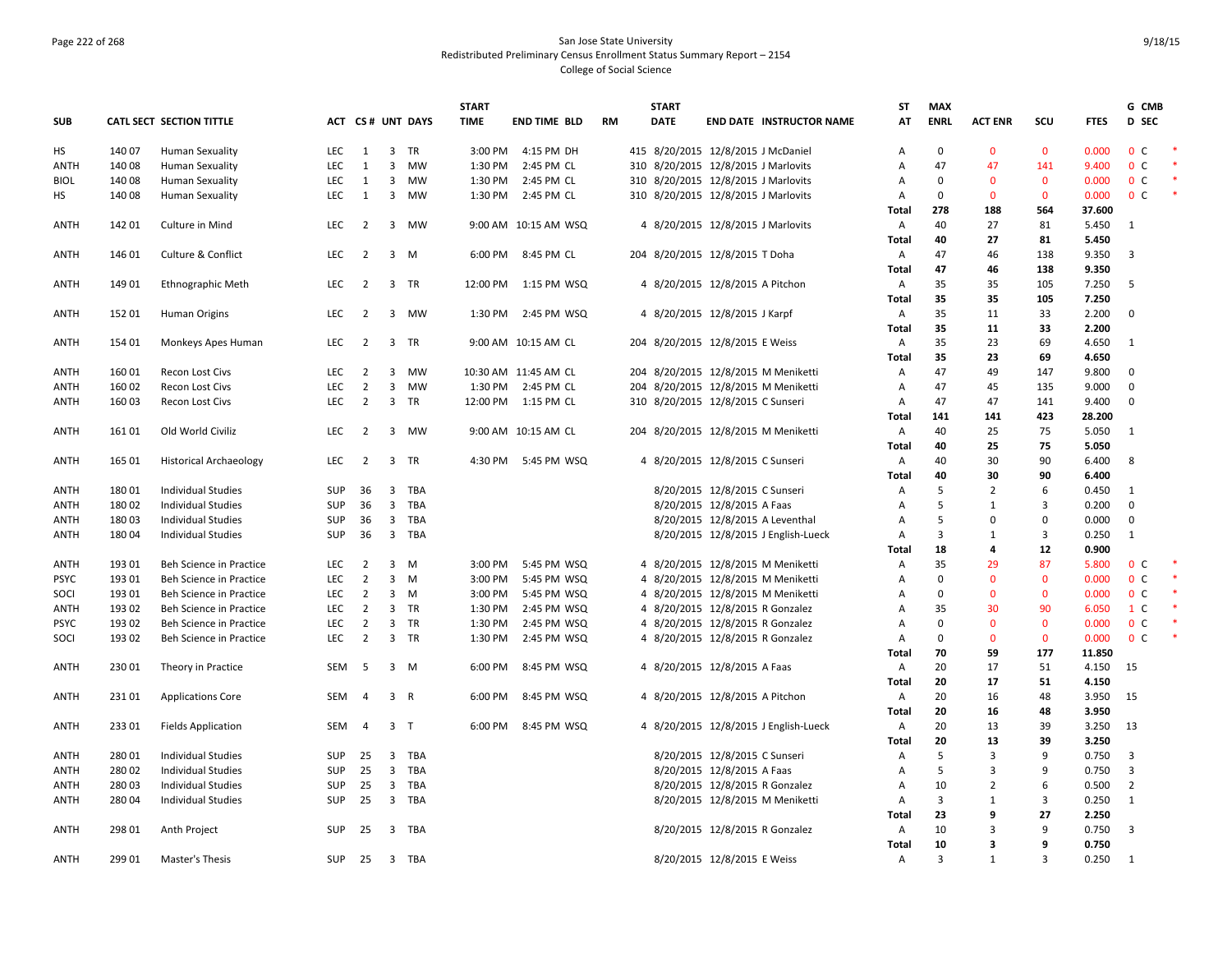# Page 222 of 268 San Jose State University Redistributed Preliminary Census Enrollment Status Summary Report – 2154 College of Social Science

|             |        |                               |            |                |                              |                   | <b>START</b> |                      |           | <b>START</b> |                                       | ST             | <b>MAX</b>  |                |                |                | G CMB          |        |
|-------------|--------|-------------------------------|------------|----------------|------------------------------|-------------------|--------------|----------------------|-----------|--------------|---------------------------------------|----------------|-------------|----------------|----------------|----------------|----------------|--------|
| <b>SUB</b>  |        | CATL SECT SECTION TITTLE      |            |                |                              | ACT CS # UNT DAYS | <b>TIME</b>  | <b>END TIME BLD</b>  | <b>RM</b> | <b>DATE</b>  | <b>END DATE INSTRUCTOR NAME</b>       | AT             | <b>ENRL</b> | <b>ACT ENR</b> | SCU            | <b>FTES</b>    | D SEC          |        |
| HS          | 140 07 | <b>Human Sexuality</b>        | LEC        | 1              |                              | 3 TR              | 3:00 PM      | 4:15 PM DH           |           |              | 415 8/20/2015 12/8/2015 J McDaniel    | А              | 0           | $\mathbf{0}$   | $\mathbf 0$    | 0.000          | 0 <sup>C</sup> |        |
| <b>ANTH</b> | 14008  | <b>Human Sexuality</b>        | <b>LEC</b> | 1              | 3                            | MW                | 1:30 PM      | 2:45 PM CL           |           |              | 310 8/20/2015 12/8/2015 J Marlovits   | Α              | 47          | 47             | 141            | 9.400          | 0 <sup>C</sup> |        |
| <b>BIOL</b> | 14008  | <b>Human Sexuality</b>        | <b>LEC</b> | 1              | 3                            | MW                | 1:30 PM      | 2:45 PM CL           |           |              | 310 8/20/2015 12/8/2015 J Marlovits   | $\overline{A}$ | $\Omega$    | $\mathbf{0}$   | $\mathbf 0$    | 0.000          | 0 <sup>C</sup> |        |
| HS          | 140 08 | <b>Human Sexuality</b>        | LEC        | 1              |                              | 3 MW              | 1:30 PM      | 2:45 PM CL           |           |              | 310 8/20/2015 12/8/2015 J Marlovits   | Α              | 0           | $\mathbf 0$    | $\mathbf 0$    | 0.000          | 0 <sup>C</sup> | $\ast$ |
|             |        |                               |            |                |                              |                   |              |                      |           |              |                                       | Total          | 278         | 188            | 564            | 37.600         |                |        |
| ANTH        | 14201  | Culture in Mind               | LEC        | $\overline{2}$ |                              | 3 MW              |              | 9:00 AM 10:15 AM WSQ |           |              | 4 8/20/2015 12/8/2015 J Marlovits     | A              | 40          | 27             | 81             | 5.450          | 1              |        |
|             |        |                               |            |                |                              |                   |              |                      |           |              |                                       | Total          | 40          | 27             | 81             | 5.450          |                |        |
| <b>ANTH</b> | 146 01 | <b>Culture &amp; Conflict</b> | LEC        | $\overline{2}$ |                              | $3 \quad M$       | 6:00 PM      | 8:45 PM CL           |           |              | 204 8/20/2015 12/8/2015 T Doha        | A              | 47          | 46             | 138            | 9.350          | 3              |        |
|             |        |                               |            |                |                              |                   |              |                      |           |              |                                       | Total          | 47          | 46             | 138            | 9.350          |                |        |
| ANTH        | 14901  | Ethnographic Meth             | <b>LEC</b> | $\overline{2}$ |                              | 3 TR              | 12:00 PM     | 1:15 PM WSQ          |           |              | 4 8/20/2015 12/8/2015 A Pitchon       | A              | 35          | 35             | 105            | 7.250          | 5              |        |
|             |        |                               |            |                |                              |                   |              |                      |           |              |                                       | Total          | 35          | 35             | 105            | 7.250          |                |        |
| <b>ANTH</b> | 152 01 | Human Origins                 | LEC        | 2              |                              | 3 MW              | 1:30 PM      | 2:45 PM WSQ          |           |              | 4 8/20/2015 12/8/2015 J Karpf         | A              | 35          | 11             | 33             | 2.200          | $\Omega$       |        |
|             |        |                               |            |                |                              |                   |              |                      |           |              |                                       | Total          | 35          | 11             | 33             | 2.200          |                |        |
| <b>ANTH</b> | 154 01 | Monkeys Apes Human            | LEC        | $\overline{2}$ | 3                            | <b>TR</b>         |              | 9:00 AM 10:15 AM CL  |           |              | 204 8/20/2015 12/8/2015 E Weiss       | A              | 35          | 23             | 69             | 4.650          | $\overline{1}$ |        |
|             |        |                               |            |                |                              |                   |              |                      |           |              |                                       | Total          | 35          | 23             | 69             | 4.650          |                |        |
| ANTH        | 160 01 | Recon Lost Civs               | LEC        | $\overline{2}$ | $\overline{3}$               | <b>MW</b>         |              | 10:30 AM 11:45 AM CL |           |              | 204 8/20/2015 12/8/2015 M Meniketti   | A              | 47          | 49             | 147            | 9.800          | $\Omega$       |        |
| ANTH        | 160 02 | Recon Lost Civs               | LEC        | $\overline{2}$ | $\mathbf{3}$                 | MW                |              | 1:30 PM 2:45 PM CL   |           |              | 204 8/20/2015 12/8/2015 M Meniketti   | Α              | 47          | 45             | 135            | 9.000          | $\Omega$       |        |
| <b>ANTH</b> | 16003  | <b>Recon Lost Civs</b>        | <b>LEC</b> | $\overline{2}$ | $\overline{3}$               | TR                | 12:00 PM     | 1:15 PM CL           |           |              | 310 8/20/2015 12/8/2015 C Sunseri     | A              | 47          | 47             | 141            | 9.400          | $\mathbf 0$    |        |
|             |        |                               |            |                |                              |                   |              |                      |           |              |                                       | Total          | 141         | 141            | 423            | 28.200         |                |        |
| <b>ANTH</b> | 16101  | Old World Civiliz             | <b>LEC</b> | 2              |                              | 3 MW              |              | 9:00 AM 10:15 AM CL  |           |              | 204 8/20/2015 12/8/2015 M Meniketti   | Α              | 40          | 25             | 75             | 5.050          | $\overline{1}$ |        |
|             |        |                               |            |                |                              |                   |              |                      |           |              |                                       | Total          | 40          | 25             | 75             | 5.050          |                |        |
| <b>ANTH</b> | 165 01 | <b>Historical Archaeology</b> | <b>LEC</b> | $\overline{2}$ |                              | 3 TR              | 4:30 PM      | 5:45 PM WSQ          |           |              | 4 8/20/2015 12/8/2015 C Sunseri       | A              | 40          | 30             | 90             | 6.400          | 8              |        |
|             |        |                               |            |                |                              |                   |              |                      |           |              |                                       | Total          | 40          | 30             | 90             | 6.400          |                |        |
| ANTH        | 18001  | <b>Individual Studies</b>     | SUP        | 36             | $\overline{\mathbf{3}}$      | TBA               |              |                      |           |              | 8/20/2015 12/8/2015 C Sunseri         | А              | 5           | $\overline{2}$ | 6              | 0.450          | 1              |        |
| ANTH        | 18002  | <b>Individual Studies</b>     | SUP        | 36             | $\overline{\mathbf{3}}$      | TBA               |              |                      |           |              | 8/20/2015 12/8/2015 A Faas            | Α              | 5           | 1              | 3              | 0.200          | $\Omega$       |        |
| <b>ANTH</b> | 18003  | <b>Individual Studies</b>     | SUP        | 36             | $\overline{\mathbf{3}}$      | TBA               |              |                      |           |              | 8/20/2015 12/8/2015 A Leventhal       | Α              | 5           | 0              | 0              | 0.000          | $\mathbf 0$    |        |
| <b>ANTH</b> | 18004  | <b>Individual Studies</b>     | SUP        | 36             | $\overline{3}$               | TBA               |              |                      |           |              | 8/20/2015 12/8/2015 J English-Lueck   | A              | 3           | $\mathbf{1}$   | $\overline{3}$ | 0.250          | $\mathbf{1}$   |        |
|             |        |                               |            |                |                              |                   |              |                      |           |              |                                       | Total          | 18          | 4              | 12             | 0.900          |                |        |
| <b>ANTH</b> | 193 01 | Beh Science in Practice       | <b>LEC</b> | $\overline{2}$ |                              | $3 \, M$          | 3:00 PM      | 5:45 PM WSQ          |           |              | 4 8/20/2015 12/8/2015 M Meniketti     | A              | 35          | 29             | 87             | 5.800          | 0 <sup>C</sup> |        |
| <b>PSYC</b> | 19301  | Beh Science in Practice       | <b>LEC</b> | $\overline{2}$ | $\overline{3}$               | M                 | 3:00 PM      | 5:45 PM WSQ          |           |              | 4 8/20/2015 12/8/2015 M Meniketti     | A              | $\Omega$    | $\mathbf{0}$   | $\mathbf{0}$   | 0.000          | 0 <sup>c</sup> |        |
| SOCI        | 193 01 | Beh Science in Practice       | LEC        | $\overline{2}$ |                              | $3 \quad M$       | 3:00 PM      | 5:45 PM WSQ          |           |              | 4 8/20/2015 12/8/2015 M Meniketti     | Α              | $\mathbf 0$ | $\mathbf 0$    | $\mathbf 0$    | 0.000          | 0 <sup>C</sup> |        |
| ANTH        | 193 02 | Beh Science in Practice       | LEC        | $\overline{2}$ | $\overline{\mathbf{3}}$      | TR                | 1:30 PM      | 2:45 PM WSQ          |           |              | 4 8/20/2015 12/8/2015 R Gonzalez      | Α              | 35          | 30             | 90             | 6.050          | $1\,c$         |        |
| <b>PSYC</b> | 193 02 | Beh Science in Practice       | <b>LEC</b> | $\overline{2}$ | $\overline{\mathbf{3}}$      | TR                | 1:30 PM      | 2:45 PM WSQ          |           |              | 4 8/20/2015 12/8/2015 R Gonzalez      | Α              | 0           | $\mathbf 0$    | $\mathbf 0$    | 0.000          | 0 <sup>C</sup> |        |
| SOCI        | 193 02 | Beh Science in Practice       | LEC        | $\overline{2}$ | $\overline{3}$               | TR                | 1:30 PM      | 2:45 PM WSQ          |           |              | 4 8/20/2015 12/8/2015 R Gonzalez      | A              | 0           | $\mathbf{0}$   | $\mathbf 0$    | 0.000          | 0 <sup>c</sup> | *      |
|             |        |                               |            |                |                              |                   |              |                      |           |              |                                       | Total          | 70          | 59             | 177            | 11.850         |                |        |
| ANTH        | 230 01 | Theory in Practice            | SEM        | 5              |                              | $3 \, M$          | 6:00 PM      | 8:45 PM WSQ          |           |              | 4 8/20/2015 12/8/2015 A Faas          | A              | 20          | 17             | 51             | 4.150          | 15             |        |
|             |        |                               |            |                |                              |                   |              |                      |           |              |                                       | Total          | 20          | 17             | 51             | 4.150          |                |        |
| <b>ANTH</b> | 23101  | <b>Applications Core</b>      | SEM        | $\overline{4}$ |                              | 3 R               | 6:00 PM      | 8:45 PM WSQ          |           |              | 4 8/20/2015 12/8/2015 A Pitchon       | Α              | 20          | 16             | 48             | 3.950          | 15             |        |
|             |        |                               |            |                |                              |                   |              |                      |           |              |                                       | Total          | 20          | 16             | 48             | 3.950          |                |        |
| <b>ANTH</b> | 23301  |                               | SEM        | $\overline{4}$ |                              | 3 <sub>T</sub>    | 6:00 PM      | 8:45 PM WSQ          |           |              | 4 8/20/2015 12/8/2015 J English-Lueck | A              | 20          | 13             | 39             | 3.250          | 13             |        |
|             |        | <b>Fields Application</b>     |            |                |                              |                   |              |                      |           |              |                                       |                |             |                |                |                |                |        |
|             |        |                               |            |                |                              |                   |              |                      |           |              |                                       | <b>Total</b>   | 20<br>5     | 13<br>3        | 39<br>9        | 3.250          |                |        |
| ANTH        | 280 01 | <b>Individual Studies</b>     | SUP<br>SUP | 25             | 3<br>$\overline{\mathbf{3}}$ | TBA               |              |                      |           |              | 8/20/2015 12/8/2015 C Sunseri         | A              | 5           |                | 9              | 0.750<br>0.750 | 3              |        |
| ANTH        | 280 02 | <b>Individual Studies</b>     |            | 25             |                              | TBA               |              |                      |           |              | 8/20/2015 12/8/2015 A Faas            | A              |             | 3              |                |                | 3              |        |
| ANTH        | 28003  | <b>Individual Studies</b>     | SUP        | 25             | $\overline{\mathbf{3}}$      | TBA               |              |                      |           |              | 8/20/2015 12/8/2015 R Gonzalez        | A              | 10          | $\overline{2}$ | 6              | 0.500          | $\overline{2}$ |        |
| <b>ANTH</b> | 280 04 | <b>Individual Studies</b>     | <b>SUP</b> | 25             |                              | 3 TBA             |              |                      |           |              | 8/20/2015 12/8/2015 M Meniketti       | A              | 3           | 1              | 3              | 0.250          | 1              |        |
|             |        |                               |            |                |                              |                   |              |                      |           |              |                                       | Total          | 23          | 9              | 27             | 2.250          |                |        |
| <b>ANTH</b> | 298 01 | Anth Project                  | SUP        | 25             |                              | 3 TBA             |              |                      |           |              | 8/20/2015 12/8/2015 R Gonzalez        | Α              | 10          | 3              | 9              | 0.750          | $\overline{3}$ |        |
|             |        |                               |            |                |                              |                   |              |                      |           |              |                                       | Total          | 10          | 3              | 9              | 0.750          |                |        |
| <b>ANTH</b> | 299 01 | Master's Thesis               |            | SUP 25         |                              | 3 TBA             |              |                      |           |              | 8/20/2015 12/8/2015 E Weiss           | A              | 3           | 1              | $\overline{3}$ | 0.250          | 1              |        |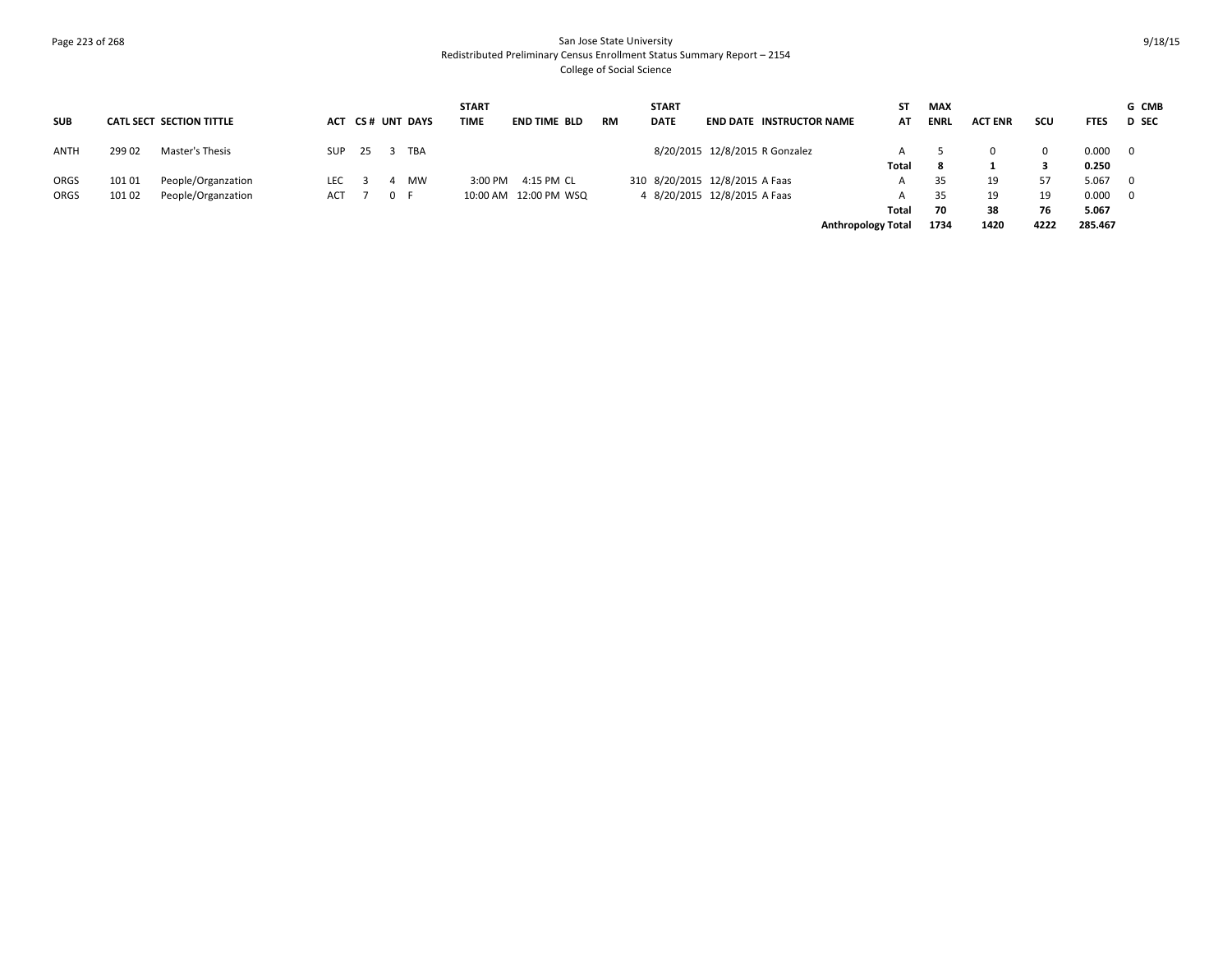# Page 223 of 268 San Jose State University Redistributed Preliminary Census Enrollment Status Summary Report – 2154 College of Social Science

|             |        |                          |     |      |                  | <b>START</b> |                         |           | <b>START</b> |                                 | ST                        | <b>MAX</b> |                |      |             | G CMB                   |
|-------------|--------|--------------------------|-----|------|------------------|--------------|-------------------------|-----------|--------------|---------------------------------|---------------------------|------------|----------------|------|-------------|-------------------------|
| <b>SUB</b>  |        | CATL SECT SECTION TITTLE |     |      | ACT CS# UNT DAYS | TIME         | END TIME BLD            | <b>RM</b> | <b>DATE</b>  | <b>END DATE INSTRUCTOR NAME</b> | AT                        | ENRL       | <b>ACT ENR</b> | scu  | <b>FTES</b> | <b>D</b> SEC            |
| <b>ANTH</b> | 299 02 | Master's Thesis          | SUP | - 25 | ` TBA            |              |                         |           |              | 8/20/2015 12/8/2015 R Gonzalez  |                           |            |                |      | 0.000       | $\overline{\mathbf{0}}$ |
|             |        |                          |     |      |                  |              |                         |           |              |                                 | Total                     | -8         |                |      | 0.250       |                         |
| ORGS        | 101 01 | People/Organzation       | LEC |      | MW               | 3:00 PM      | 4:15 PM CL              |           |              | 310 8/20/2015 12/8/2015 A Faas  |                           | 35         | 19             | 57   | 5.067       | $\overline{0}$          |
| ORGS        | 10102  | People/Organzation       | ACT |      | 0 F              |              | 10:00 AM  12:00 PM  WSQ |           |              | 4 8/20/2015 12/8/2015 A Faas    |                           | 35         | 19             | 19   | 0.000       | $\overline{\mathbf{0}}$ |
|             |        |                          |     |      |                  |              |                         |           |              |                                 | Total                     | 70         | 38             | 76   | 5.067       |                         |
|             |        |                          |     |      |                  |              |                         |           |              |                                 | <b>Anthropology Total</b> | 1734       | 1420           | 4222 | 285.467     |                         |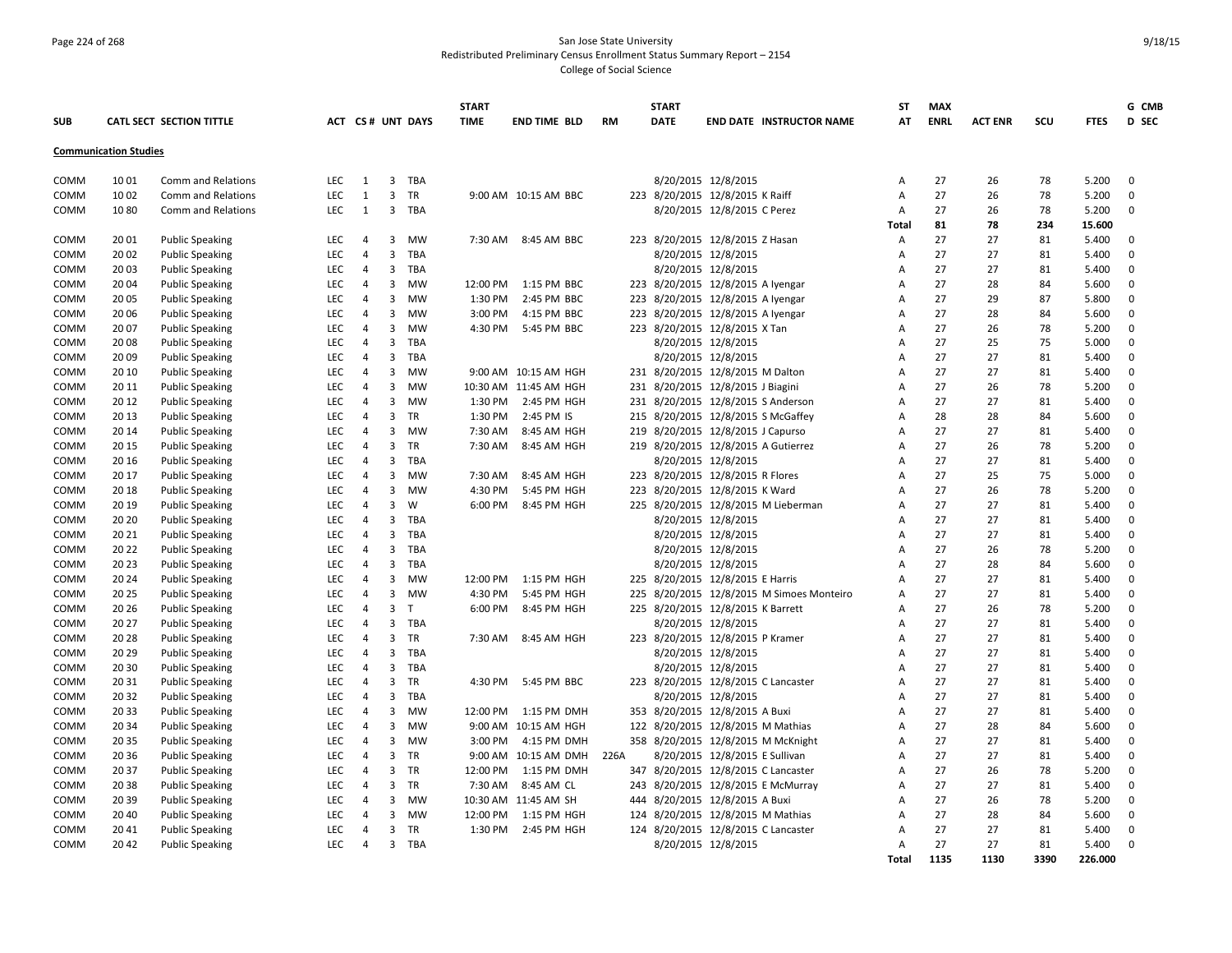# Page 224 of 268 San Jose State University Redistributed Preliminary Census Enrollment Status Summary Report – 2154

College of Social Science

|              |                              |                                                  |                          |                                  |                         |                  | <b>START</b> |                       |           |     | <b>START</b>        |                                       | <b>ST</b>           | <b>MAX</b>  |                |          |                | G CMB                      |
|--------------|------------------------------|--------------------------------------------------|--------------------------|----------------------------------|-------------------------|------------------|--------------|-----------------------|-----------|-----|---------------------|---------------------------------------|---------------------|-------------|----------------|----------|----------------|----------------------------|
| <b>SUB</b>   |                              | CATL SECT SECTION TITTLE                         |                          |                                  |                         | ACT CS# UNT DAYS | <b>TIME</b>  | <b>END TIME BLD</b>   | <b>RM</b> |     | <b>DATE</b>         | <b>END DATE INSTRUCTOR NAME</b>       | AT                  | <b>ENRL</b> | <b>ACT ENR</b> | scu      | <b>FTES</b>    | D SEC                      |
|              | <b>Communication Studies</b> |                                                  |                          |                                  |                         |                  |              |                       |           |     |                     |                                       |                     |             |                |          |                |                            |
| COMM         | 1001                         | Comm and Relations                               | <b>LEC</b>               | 1                                | $\overline{3}$          | TBA              |              |                       |           |     |                     | 8/20/2015 12/8/2015                   | Α                   | 27          | 26             | 78       | 5.200          | $\mathbf 0$                |
| COMM         | 1002                         | Comm and Relations                               | <b>LEC</b>               | 1                                | $\overline{3}$          | TR               |              | 9:00 AM 10:15 AM BBC  |           |     |                     | 223 8/20/2015 12/8/2015 K Raiff       | Α                   | 27          | 26             | 78       | 5.200          | $\mathbf 0$                |
| COMM         | 1080                         | Comm and Relations                               | <b>LEC</b>               | 1                                | $\overline{\mathbf{3}}$ | TBA              |              |                       |           |     |                     | 8/20/2015 12/8/2015 C Perez           | A                   | 27          | 26             | 78       | 5.200          | $\mathbf 0$                |
|              |                              |                                                  |                          |                                  |                         |                  |              |                       |           |     |                     |                                       | Total               | 81          | 78             | 234      | 15.600         |                            |
| COMM         | 20 01                        | <b>Public Speaking</b>                           | <b>LEC</b>               | $\overline{4}$                   | $\overline{3}$          | <b>MW</b>        |              | 7:30 AM 8:45 AM BBC   |           |     |                     | 223 8/20/2015 12/8/2015 Z Hasan       | Α                   | 27          | 27             | 81       | 5.400          | $\mathbf 0$                |
| COMM         | 20 02                        | <b>Public Speaking</b>                           | LEC                      | $\overline{4}$                   | 3                       | TBA              |              |                       |           |     |                     | 8/20/2015 12/8/2015                   | А                   | 27          | 27             | 81       | 5.400          | 0                          |
| COMM         | 20 03                        | <b>Public Speaking</b>                           | LEC                      | $\overline{4}$                   | 3                       | TBA              |              |                       |           |     |                     | 8/20/2015 12/8/2015                   | Α                   | 27          | 27             | 81       | 5.400          | 0                          |
| <b>COMM</b>  | 2004                         | <b>Public Speaking</b>                           | <b>LEC</b>               | $\overline{4}$                   | 3                       | <b>MW</b>        | 12:00 PM     | 1:15 PM BBC           |           |     |                     | 223 8/20/2015 12/8/2015 A Iyengar     | A                   | 27          | 28             | 84       | 5.600          | $\mathbf 0$                |
| COMM         | 20 05                        | <b>Public Speaking</b>                           | <b>LEC</b>               | $\overline{4}$                   | $\overline{3}$          | <b>MW</b>        | 1:30 PM      | 2:45 PM BBC           |           |     |                     | 223 8/20/2015 12/8/2015 A Iyengar     | $\overline{A}$      | 27          | 29             | 87       | 5.800          | $\mathbf 0$                |
| COMM         | 20 06                        | <b>Public Speaking</b>                           | <b>LEC</b>               | $\overline{4}$                   | $\overline{3}$          | MW               | 3:00 PM      | 4:15 PM BBC           |           |     |                     | 223 8/20/2015 12/8/2015 A Iyengar     | А                   | 27          | 28             | 84       | 5.600          | $\mathbf 0$                |
| COMM         | 20 07                        | <b>Public Speaking</b>                           | LEC                      | $\overline{4}$                   | $\overline{3}$          | MW               | 4:30 PM      | 5:45 PM BBC           |           |     |                     | 223 8/20/2015 12/8/2015 X Tan         | Α                   | 27          | 26             | 78       | 5.200          | $\mathbf 0$                |
| COMM         | 2008                         | <b>Public Speaking</b>                           | LEC                      | $\overline{4}$                   | 3                       | TBA              |              |                       |           |     |                     | 8/20/2015 12/8/2015                   | A                   | 27          | 25             | 75       | 5.000          | $\mathbf 0$                |
| COMM         | 2009                         | <b>Public Speaking</b>                           | LEC                      | $\overline{4}$                   | $\overline{3}$          | TBA              |              |                       |           |     | 8/20/2015 12/8/2015 |                                       | A                   | 27          | 27             | 81       | 5.400          | $\mathbf 0$                |
| COMM         | 20 10                        | <b>Public Speaking</b>                           | <b>LEC</b>               | $\overline{4}$                   | $\overline{3}$          | MW               |              | 9:00 AM 10:15 AM HGH  |           |     |                     | 231 8/20/2015 12/8/2015 M Dalton      | A                   | 27          | 27             | 81       | 5.400          | $\mathbf 0$                |
| COMM         | 20 11                        | <b>Public Speaking</b>                           | LEC                      | $\overline{4}$                   | 3                       | <b>MW</b>        |              | 10:30 AM 11:45 AM HGH |           |     |                     | 231 8/20/2015 12/8/2015 J Biagini     | А                   | 27          | 26             | 78       | 5.200          | $\mathbf 0$                |
| COMM         | 20 12                        | <b>Public Speaking</b>                           | <b>LEC</b>               | $\overline{4}$                   | $\mathbf{3}$            | <b>MW</b>        | 1:30 PM      | 2:45 PM HGH           |           |     |                     | 231 8/20/2015 12/8/2015 S Anderson    | Α                   | 27          | 27             | 81       | 5.400          | 0                          |
| COMM         | 20 13                        | <b>Public Speaking</b>                           | <b>LEC</b>               | $\overline{4}$                   | 3                       | TR               | 1:30 PM      | 2:45 PM IS            |           |     |                     | 215 8/20/2015 12/8/2015 S McGaffey    | Α                   | 28          | 28             | 84       | 5.600          | $\mathbf{0}$               |
| COMM         | 20 14                        | <b>Public Speaking</b>                           | <b>LEC</b>               | $\overline{4}$                   | $\overline{3}$          | <b>MW</b>        | 7:30 AM      | 8:45 AM HGH           |           | 219 |                     | 8/20/2015 12/8/2015 J Capurso         | A                   | 27          | 27             | 81       | 5.400          | $\mathbf 0$                |
| COMM         | 20 15                        | <b>Public Speaking</b>                           | LEC                      | $\overline{4}$                   | $\overline{3}$          | <b>TR</b>        | 7:30 AM      | 8:45 AM HGH           |           |     |                     | 219 8/20/2015 12/8/2015 A Gutierrez   | А                   | 27          | 26             | 78       | 5.200          | $\mathbf 0$                |
| COMM         | 20 16                        | <b>Public Speaking</b>                           | LEC                      | $\overline{4}$                   | 3                       | TBA              |              |                       |           |     |                     | 8/20/2015 12/8/2015                   | A                   | 27          | 27             | 81       | 5.400          | $\mathbf{0}$               |
| COMM         | 20 17                        | <b>Public Speaking</b>                           | <b>LEC</b>               | $\overline{4}$                   | 3                       | <b>MW</b>        | 7:30 AM      | 8:45 AM HGH           |           |     |                     | 223 8/20/2015 12/8/2015 R Flores      | A                   | 27          | 25             | 75       | 5.000          | $\mathbf 0$                |
| COMM         | 20 18                        | <b>Public Speaking</b>                           | <b>LEC</b>               | $\overline{4}$                   | 3                       | <b>MW</b>        | 4:30 PM      | 5:45 PM HGH           |           |     |                     | 223 8/20/2015 12/8/2015 K Ward        | Α                   | 27          | 26             | 78       | 5.200          | 0                          |
| COMM         | 20 19                        | <b>Public Speaking</b>                           | <b>LEC</b>               | $\overline{4}$                   | 3                       | W                | 6:00 PM      | 8:45 PM HGH           |           | 225 |                     | 8/20/2015 12/8/2015 M Lieberman       | А                   | 27          | 27             | 81       | 5.400          | 0                          |
| COMM         | 20 20                        | <b>Public Speaking</b>                           | LEC                      | $\overline{4}$                   | 3                       | TBA              |              |                       |           |     |                     | 8/20/2015 12/8/2015                   | А                   | 27          | 27             | 81       | 5.400          | $\mathbf 0$                |
| COMM         | 20 21                        | <b>Public Speaking</b>                           | <b>LEC</b>               | $\overline{4}$                   | $\mathbf{3}$            | TBA              |              |                       |           |     | 8/20/2015 12/8/2015 |                                       | A                   | 27          | 27             | 81       | 5.400          | 0                          |
| COMM         | 20 22                        | <b>Public Speaking</b>                           | <b>LEC</b>               | $\overline{4}$                   | 3                       | TBA              |              |                       |           |     | 8/20/2015 12/8/2015 |                                       | Α                   | 27          | 26             | 78       | 5.200          | $\mathbf 0$                |
| COMM         | 20 23                        | <b>Public Speaking</b>                           | <b>LEC</b>               | $\overline{4}$                   | 3                       | TBA              |              |                       |           |     |                     | 8/20/2015 12/8/2015                   | Α                   | 27          | 28             | 84       | 5.600          | $\mathbf 0$                |
| COMM         | 20 24                        | <b>Public Speaking</b>                           | LEC                      | $\overline{4}$                   | $\overline{3}$          | <b>MW</b>        | 12:00 PM     | 1:15 PM HGH           |           |     |                     | 225 8/20/2015 12/8/2015 E Harris      | А                   | 27          | 27             | 81       | 5.400          | $\mathbf 0$                |
| COMM         | 20 25                        | <b>Public Speaking</b>                           | LEC                      | $\overline{4}$                   | $\overline{3}$          | <b>MW</b>        | 4:30 PM      | 5:45 PM HGH           |           | 225 |                     | 8/20/2015 12/8/2015 M Simoes Monteiro | А                   | 27          | 27             | 81       | 5.400          | $\Omega$                   |
| COMM         | 20 26                        | <b>Public Speaking</b>                           | <b>LEC</b>               | $\overline{4}$                   | $\overline{3}$          | т                | 6:00 PM      | 8:45 PM HGH           |           |     |                     | 225 8/20/2015 12/8/2015 K Barrett     | А                   | 27          | 26             | 78       | 5.200          | $\mathsf 0$                |
| COMM         | 20 27                        | <b>Public Speaking</b>                           | LEC                      | $\overline{4}$                   | $\overline{3}$          | TBA              |              |                       |           |     |                     | 8/20/2015 12/8/2015                   | Α                   | 27          | 27             | 81       | 5.400          | 0                          |
| COMM         | 2028                         | <b>Public Speaking</b>                           | LEC                      | $\overline{4}$                   | 3                       | TR               | 7:30 AM      | 8:45 AM HGH           |           |     |                     | 223 8/20/2015 12/8/2015 P Kramer      | А                   | 27          | 27             | 81       | 5.400          | 0                          |
| COMM         | 20 29                        | <b>Public Speaking</b>                           | <b>LEC</b>               | $\overline{4}$                   | 3                       | <b>TBA</b>       |              |                       |           |     |                     | 8/20/2015 12/8/2015                   | A<br>$\overline{A}$ | 27<br>27    | 27             | 81<br>81 | 5.400          | $\mathbf 0$                |
| COMM         | 20 30                        | <b>Public Speaking</b>                           | LEC                      | $\overline{4}$                   | $\mathbf{3}$            | TBA              |              |                       |           |     |                     | 8/20/2015 12/8/2015                   |                     |             | 27             |          | 5.400          | 0                          |
| COMM<br>COMM | 20 31<br>20 32               | <b>Public Speaking</b>                           | <b>LEC</b><br><b>LEC</b> | $\overline{4}$<br>$\overline{4}$ | 3<br>$\overline{3}$     | TR<br>TBA        | 4:30 PM      | 5:45 PM BBC           |           |     | 8/20/2015 12/8/2015 | 223 8/20/2015 12/8/2015 C Lancaster   | Α<br>Α              | 27<br>27    | 27<br>27       | 81<br>81 | 5.400<br>5.400 | $\mathbf 0$<br>$\mathbf 0$ |
| COMM         | 20 33                        | <b>Public Speaking</b><br><b>Public Speaking</b> | <b>LEC</b>               | $\overline{4}$                   | 3                       | <b>MW</b>        | 12:00 PM     | 1:15 PM DMH           |           |     |                     | 353 8/20/2015 12/8/2015 A Buxi        | A                   | 27          | 27             | 81       | 5.400          | $\mathbf{0}$               |
| COMM         | 20 34                        | <b>Public Speaking</b>                           | <b>LEC</b>               | 4                                | 3                       | <b>MW</b>        |              | 9:00 AM 10:15 AM HGH  |           |     |                     | 122 8/20/2015 12/8/2015 M Mathias     | A                   | 27          | 28             | 84       | 5.600          | $\mathbf{0}$               |
| COMM         | 20 35                        | <b>Public Speaking</b>                           | LEC                      | 4                                | 3                       | MW               | 3:00 PM      | 4:15 PM DMH           |           |     |                     | 358 8/20/2015 12/8/2015 M McKnight    | А                   | 27          | 27             | 81       | 5.400          | 0                          |
| COMM         | 20 36                        | <b>Public Speaking</b>                           | LEC                      | $\overline{4}$                   | 3                       | <b>TR</b>        |              | 9:00 AM 10:15 AM DMH  | 226A      |     |                     | 8/20/2015 12/8/2015 E Sullivan        | Α                   | 27          | 27             | 81       | 5.400          | 0                          |
| COMM         | 20 37                        | <b>Public Speaking</b>                           | <b>LEC</b>               | $\overline{4}$                   | 3                       | <b>TR</b>        | 12:00 PM     | 1:15 PM DMH           |           |     |                     | 347 8/20/2015 12/8/2015 C Lancaster   | Α                   | 27          | 26             | 78       | 5.200          | 0                          |
| COMM         | 2038                         | <b>Public Speaking</b>                           | LEC.                     | $\overline{4}$                   | 3                       | <b>TR</b>        | 7:30 AM      | 8:45 AM CL            |           | 243 |                     | 8/20/2015 12/8/2015 E McMurray        | A                   | 27          | 27             | 81       | 5.400          | $\mathbf 0$                |
| <b>COMM</b>  | 20 39                        | <b>Public Speaking</b>                           | <b>LEC</b>               | $\overline{4}$                   | $\overline{3}$          | <b>MW</b>        |              | 10:30 AM 11:45 AM SH  |           | 444 |                     | 8/20/2015 12/8/2015 A Buxi            | $\overline{A}$      | 27          | 26             | 78       | 5.200          | $\mathbf 0$                |
| COMM         | 20 40                        | <b>Public Speaking</b>                           | <b>LEC</b>               | $\overline{4}$                   | $\overline{3}$          | <b>MW</b>        | 12:00 PM     | 1:15 PM HGH           |           |     |                     | 124 8/20/2015 12/8/2015 M Mathias     | А                   | 27          | 28             | 84       | 5.600          | $\mathbf 0$                |
| COMM         | 2041                         | <b>Public Speaking</b>                           | <b>LEC</b>               | $\overline{4}$                   | 3                       | TR               | 1:30 PM      | 2:45 PM HGH           |           |     |                     | 124 8/20/2015 12/8/2015 C Lancaster   | $\overline{A}$      | 27          | 27             | 81       | 5.400          | $\mathbf 0$                |
| <b>COMM</b>  | 2042                         | <b>Public Speaking</b>                           | LEC                      | $\overline{4}$                   | $\overline{\mathbf{3}}$ | TBA              |              |                       |           |     |                     | 8/20/2015 12/8/2015                   | A                   | 27          | 27             | 81       | 5.400          | $\mathbf{0}$               |
|              |                              |                                                  |                          |                                  |                         |                  |              |                       |           |     |                     |                                       | <b>Total</b>        | 1135        | 1130           | 3390     | 226.000        |                            |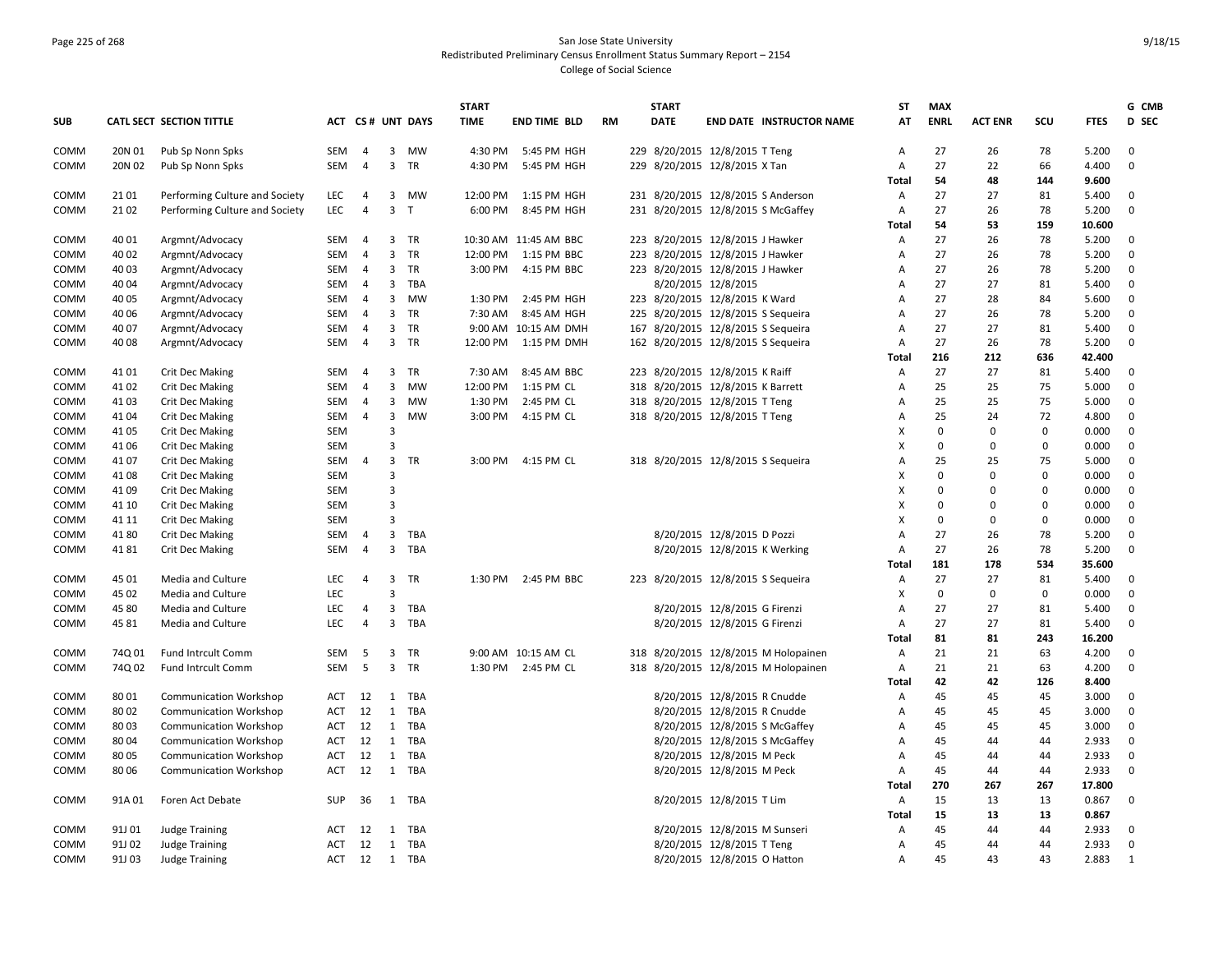# Page 225 of 268 San Jose State University Redistributed Preliminary Census Enrollment Status Summary Report – 2154 College of Social Science

|             |        |                                |            |                                  |                         |                  | <b>START</b>        |                             |    |     | <b>START</b>                       |                               |                                      | <b>ST</b>           | <b>MAX</b>  |                |              |                | G CMB                      |
|-------------|--------|--------------------------------|------------|----------------------------------|-------------------------|------------------|---------------------|-----------------------------|----|-----|------------------------------------|-------------------------------|--------------------------------------|---------------------|-------------|----------------|--------------|----------------|----------------------------|
| <b>SUB</b>  |        | CATL SECT SECTION TITTLE       |            |                                  |                         | ACT CS# UNT DAYS | <b>TIME</b>         | <b>END TIME BLD</b>         | RM |     | <b>DATE</b>                        |                               | <b>END DATE INSTRUCTOR NAME</b>      | AT                  | <b>ENRL</b> | <b>ACT ENR</b> | scu          | <b>FTES</b>    | D SEC                      |
| COMM        | 20N 01 | Pub Sp Nonn Spks               | <b>SEM</b> | $\overline{4}$                   | $\overline{3}$          | <b>MW</b>        | 4:30 PM             | 5:45 PM HGH                 |    |     | 229 8/20/2015 12/8/2015 T Teng     |                               |                                      | Α                   | 27          | 26             | 78           | 5.200          | $\mathbf 0$                |
| COMM        | 20N 02 | Pub Sp Nonn Spks               | SEM        | $\overline{4}$                   | $\overline{3}$          | TR               | 4:30 PM             | 5:45 PM HGH                 |    |     | 229 8/20/2015 12/8/2015 X Tan      |                               |                                      | А                   | 27          | 22             | 66           | 4.400          | $\mathbf 0$                |
|             |        |                                |            |                                  |                         |                  |                     |                             |    |     |                                    |                               |                                      | Total               | 54          | 48             | 144          | 9.600          |                            |
| COMM        | 21 01  | Performing Culture and Society | LEC        | $\overline{4}$                   | 3                       | <b>MW</b>        | 12:00 PM            | 1:15 PM HGH                 |    |     |                                    |                               | 231 8/20/2015 12/8/2015 S Anderson   | Α                   | 27          | 27             | 81           | 5.400          | $\mathbf 0$                |
| COMM        | 21 02  | Performing Culture and Society | <b>LEC</b> | $\overline{4}$                   | $\overline{3}$          | $\mathsf T$      | 6:00 PM             | 8:45 PM HGH                 |    |     |                                    |                               | 231 8/20/2015 12/8/2015 S McGaffey   | Α                   | 27          | 26             | 78           | 5.200          | $\mathbf 0$                |
|             |        |                                |            |                                  |                         |                  |                     |                             |    |     |                                    |                               |                                      | Total               | 54          | 53             | 159          | 10.600         |                            |
| COMM        | 40 01  | Argmnt/Advocacy                | SEM        | $\overline{4}$                   | 3                       | <b>TR</b>        | 10:30 AM            | 11:45 AM BBC                |    |     | 223 8/20/2015 12/8/2015 J Hawker   |                               |                                      | Α                   | 27          | 26             | 78           | 5.200          | 0                          |
| COMM        | 40 02  | Argmnt/Advocacy                | <b>SEM</b> | $\overline{4}$                   | $\overline{\mathbf{3}}$ | TR               | 12:00 PM            | 1:15 PM BBC                 |    |     | 223 8/20/2015 12/8/2015 J Hawker   |                               |                                      | A                   | 27          | 26             | 78           | 5.200          | $\mathbf 0$                |
| <b>COMM</b> | 40 03  | Argmnt/Advocacy                | <b>SEM</b> | 4                                | $\overline{3}$          | TR               | 3:00 PM             | 4:15 PM BBC                 |    |     | 223 8/20/2015 12/8/2015 J Hawker   |                               |                                      | Α                   | 27          | 26             | 78           | 5.200          | 0                          |
| <b>COMM</b> | 40 04  | Argmnt/Advocacy                | SEM        | $\overline{4}$<br>$\overline{4}$ | 3<br>3                  | TBA              |                     |                             |    |     |                                    | 8/20/2015 12/8/2015           |                                      | Α<br>$\overline{A}$ | 27<br>27    | 27<br>28       | 81<br>84     | 5.400          | $\mathbf 0$<br>$\mathbf 0$ |
| COMM        | 40 05  | Argmnt/Advocacy                | <b>SEM</b> |                                  |                         | <b>MW</b>        | 1:30 PM             | 2:45 PM HGH                 |    |     | 223 8/20/2015 12/8/2015 K Ward     |                               |                                      |                     |             |                |              | 5.600          |                            |
| COMM        | 40 06  | Argmnt/Advocacy                | SEM        | 4                                | $\overline{3}$          | TR<br><b>TR</b>  | 7:30 AM             | 8:45 AM HGH                 |    |     | 225 8/20/2015 12/8/2015 S Sequeira |                               |                                      | A                   | 27          | 26             | 78           | 5.200          | $\mathbf 0$<br>$\mathbf 0$ |
| COMM        | 40 07  | Argmnt/Advocacy                | SEM<br>SEM | $\overline{4}$<br>$\overline{4}$ | 3                       | TR               | 9:00 AM<br>12:00 PM | 10:15 AM DMH<br>1:15 PM DMH |    |     | 167 8/20/2015 12/8/2015 S Sequeira |                               |                                      | A                   | 27<br>27    | 27<br>26       | 81           | 5.400<br>5.200 | $\mathbf 0$                |
| <b>COMM</b> | 40 08  | Argmnt/Advocacy                |            |                                  | $\overline{\mathbf{3}}$ |                  |                     |                             |    |     | 162 8/20/2015 12/8/2015 S Sequeira |                               |                                      | Α<br>Total          | 216         | 212            | 78<br>636    | 42.400         |                            |
| COMM        | 41 01  | <b>Crit Dec Making</b>         | <b>SEM</b> | 4                                | $\overline{\mathbf{3}}$ | TR               | 7:30 AM             | 8:45 AM BBC                 |    |     | 223 8/20/2015 12/8/2015 K Raiff    |                               |                                      | A                   | 27          | 27             | 81           | 5.400          | $\mathbf 0$                |
| <b>COMM</b> | 4102   | <b>Crit Dec Making</b>         | SEM        | $\overline{4}$                   | 3                       | MW               | 12:00 PM            | 1:15 PM CL                  |    |     | 318 8/20/2015 12/8/2015 K Barrett  |                               |                                      | А                   | 25          | 25             | 75           | 5.000          | 0                          |
| COMM        | 41 03  | Crit Dec Making                | <b>SEM</b> | $\overline{4}$                   | 3                       | <b>MW</b>        | 1:30 PM             | 2:45 PM CL                  |    |     | 318 8/20/2015 12/8/2015 T Teng     |                               |                                      | A                   | 25          | 25             | 75           | 5.000          | $\mathbf 0$                |
| COMM        | 41 04  | Crit Dec Making                | SEM        | $\overline{4}$                   | 3                       | MW               | 3:00 PM             | 4:15 PM CL                  |    |     | 318 8/20/2015 12/8/2015 T Teng     |                               |                                      | Α                   | 25          | 24             | 72           | 4.800          | $\mathbf 0$                |
| COMM        | 41 05  | <b>Crit Dec Making</b>         | <b>SEM</b> |                                  | 3                       |                  |                     |                             |    |     |                                    |                               |                                      | X                   | $\mathbf 0$ | $\mathbf 0$    | $\mathbf{0}$ | 0.000          | $\mathbf 0$                |
| COMM        | 41 06  | <b>Crit Dec Making</b>         | <b>SEM</b> |                                  | 3                       |                  |                     |                             |    |     |                                    |                               |                                      | X                   | $\Omega$    | $\Omega$       | $\mathbf{0}$ | 0.000          | $\mathbf 0$                |
| COMM        | 4107   | Crit Dec Making                | SEM        | $\overline{4}$                   | $\overline{3}$          | TR               |                     | 3:00 PM 4:15 PM CL          |    |     | 318 8/20/2015 12/8/2015 S Sequeira |                               |                                      | A                   | 25          | 25             | 75           | 5.000          | 0                          |
| COMM        | 41 08  | Crit Dec Making                | <b>SEM</b> |                                  | 3                       |                  |                     |                             |    |     |                                    |                               |                                      | X                   | $\Omega$    | $\Omega$       | $\mathbf 0$  | 0.000          | $\mathbf 0$                |
| <b>COMM</b> | 41 09  | <b>Crit Dec Making</b>         | <b>SEM</b> |                                  | 3                       |                  |                     |                             |    |     |                                    |                               |                                      | X                   | $\Omega$    | $\Omega$       | $\mathbf 0$  | 0.000          | $\mathbf 0$                |
| COMM        | 41 10  | Crit Dec Making                | <b>SEM</b> |                                  | 3                       |                  |                     |                             |    |     |                                    |                               |                                      | X                   | $\Omega$    | $\Omega$       | $\mathbf 0$  | 0.000          | $\mathbf 0$                |
| COMM        | 41 11  | <b>Crit Dec Making</b>         | <b>SEM</b> |                                  | $\overline{3}$          |                  |                     |                             |    |     |                                    |                               |                                      | X                   | $\Omega$    | $\Omega$       | $\mathbf{0}$ | 0.000          | $\mathbf 0$                |
| <b>COMM</b> | 4180   | <b>Crit Dec Making</b>         | <b>SEM</b> | 4                                | $\overline{\mathbf{3}}$ | TBA              |                     |                             |    |     |                                    | 8/20/2015 12/8/2015 D Pozzi   |                                      | $\overline{A}$      | 27          | 26             | 78           | 5.200          | $\mathbf 0$                |
| <b>COMM</b> | 4181   | Crit Dec Making                | <b>SEM</b> | $\overline{4}$                   | 3                       | TBA              |                     |                             |    |     |                                    | 8/20/2015 12/8/2015 K Werking |                                      | A                   | 27          | 26             | 78           | 5.200          | $\mathbf 0$                |
|             |        |                                |            |                                  |                         |                  |                     |                             |    |     |                                    |                               |                                      | Total               | 181         | 178            | 534          | 35.600         |                            |
| COMM        | 45 01  | Media and Culture              | <b>LEC</b> | 4                                | $\overline{\mathbf{3}}$ | TR               | 1:30 PM             | 2:45 PM BBC                 |    |     | 223 8/20/2015 12/8/2015 S Sequeira |                               |                                      | Α                   | 27          | 27             | 81           | 5.400          | $\mathbf 0$                |
| <b>COMM</b> | 45 02  | Media and Culture              | <b>LEC</b> |                                  | 3                       |                  |                     |                             |    |     |                                    |                               |                                      | X                   | $\mathbf 0$ | $\mathbf 0$    | $\mathbf 0$  | 0.000          | $\mathbf 0$                |
| COMM        | 45 80  | Media and Culture              | <b>LEC</b> | 4                                | $\overline{\mathbf{3}}$ | TBA              |                     |                             |    |     |                                    | 8/20/2015 12/8/2015 G Firenzi |                                      | А                   | 27          | 27             | 81           | 5.400          | $\mathbf 0$                |
| COMM        | 45 81  | Media and Culture              | <b>LEC</b> | $\overline{4}$                   | $\overline{3}$          | TBA              |                     |                             |    |     |                                    | 8/20/2015 12/8/2015 G Firenzi |                                      | Α                   | 27          | 27             | 81           | 5.400          | $\mathbf 0$                |
|             |        |                                |            |                                  |                         |                  |                     |                             |    |     |                                    |                               |                                      | Total               | 81          | 81             | 243          | 16.200         |                            |
| COMM        | 74Q 01 | Fund Intrcult Comm             | <b>SEM</b> | 5                                | 3                       | TR               |                     | 9:00 AM 10:15 AM CL         |    | 318 |                                    |                               | 8/20/2015 12/8/2015 M Holopainen     | Α                   | 21          | 21             | 63           | 4.200          | 0                          |
| COMM        | 74Q 02 | <b>Fund Intrcult Comm</b>      | SEM        | 5                                | $\overline{3}$          | <b>TR</b>        | 1:30 PM             | 2:45 PM CL                  |    |     |                                    |                               | 318 8/20/2015 12/8/2015 M Holopainen | А                   | 21          | 21             | 63           | 4.200          | $\mathbf 0$                |
|             |        |                                |            |                                  |                         |                  |                     |                             |    |     |                                    |                               |                                      | Total               | 42          | 42             | 126          | 8.400          |                            |
| COMM        | 8001   | <b>Communication Workshop</b>  | ACT        | 12                               | 1                       | TBA              |                     |                             |    |     |                                    | 8/20/2015 12/8/2015 R Cnudde  |                                      | Α                   | 45          | 45             | 45           | 3.000          | $\mathbf 0$                |
| COMM        | 8002   | <b>Communication Workshop</b>  | ACT        | 12                               | 1                       | TBA              |                     |                             |    |     |                                    | 8/20/2015 12/8/2015 R Cnudde  |                                      | Α                   | 45          | 45             | 45           | 3.000          | 0                          |
| COMM        | 8003   | <b>Communication Workshop</b>  | ACT        | 12                               | 1                       | TBA              |                     |                             |    |     |                                    |                               | 8/20/2015 12/8/2015 S McGaffey       | Α                   | 45          | 45             | 45           | 3.000          | $\mathbf 0$                |
| COMM        | 80 04  | <b>Communication Workshop</b>  | ACT        | 12                               | 1                       | TBA              |                     |                             |    |     |                                    |                               | 8/20/2015 12/8/2015 S McGaffey       | A                   | 45          | 44             | 44           | 2.933          | $\mathbf 0$                |
| COMM        | 80 05  | <b>Communication Workshop</b>  | ACT        | 12                               | 1                       | TBA              |                     |                             |    |     |                                    | 8/20/2015 12/8/2015 M Peck    |                                      | А                   | 45          | 44             | 44           | 2.933          | $\mathbf 0$                |
| COMM        | 80 06  | <b>Communication Workshop</b>  | <b>ACT</b> | 12                               |                         | 1 TBA            |                     |                             |    |     |                                    | 8/20/2015 12/8/2015 M Peck    |                                      | A                   | 45          | 44             | 44           | 2.933          | $\mathbf 0$                |
|             |        |                                |            |                                  |                         |                  |                     |                             |    |     |                                    |                               |                                      | Total               | 270         | 267            | 267          | 17.800         |                            |
| COMM        | 91A 01 | Foren Act Debate               | <b>SUP</b> | 36                               |                         | 1 TBA            |                     |                             |    |     |                                    | 8/20/2015 12/8/2015 T Lim     |                                      | Α                   | 15          | 13             | 13           | 0.867          | $\mathbf 0$                |
|             |        |                                |            |                                  |                         |                  |                     |                             |    |     |                                    |                               |                                      | Total               | 15          | 13             | 13           | 0.867          |                            |
| <b>COMM</b> | 91J 01 | <b>Judge Training</b>          | ACT        | 12                               | 1                       | TBA              |                     |                             |    |     |                                    | 8/20/2015 12/8/2015 M Sunseri |                                      | A                   | 45          | 44             | 44           | 2.933          | 0                          |
| COMM        | 91J 02 | <b>Judge Training</b>          | <b>ACT</b> | 12                               | 1                       | TBA              |                     |                             |    |     |                                    | 8/20/2015 12/8/2015 T Teng    |                                      | $\overline{A}$      | 45          | 44             | 44           | 2.933          | $\mathbf 0$                |
| COMM        | 91J 03 | <b>Judge Training</b>          |            | ACT 12                           |                         | 1 TBA            |                     |                             |    |     |                                    | 8/20/2015 12/8/2015 O Hatton  |                                      | А                   | 45          | 43             | 43           | 2.883          | 1                          |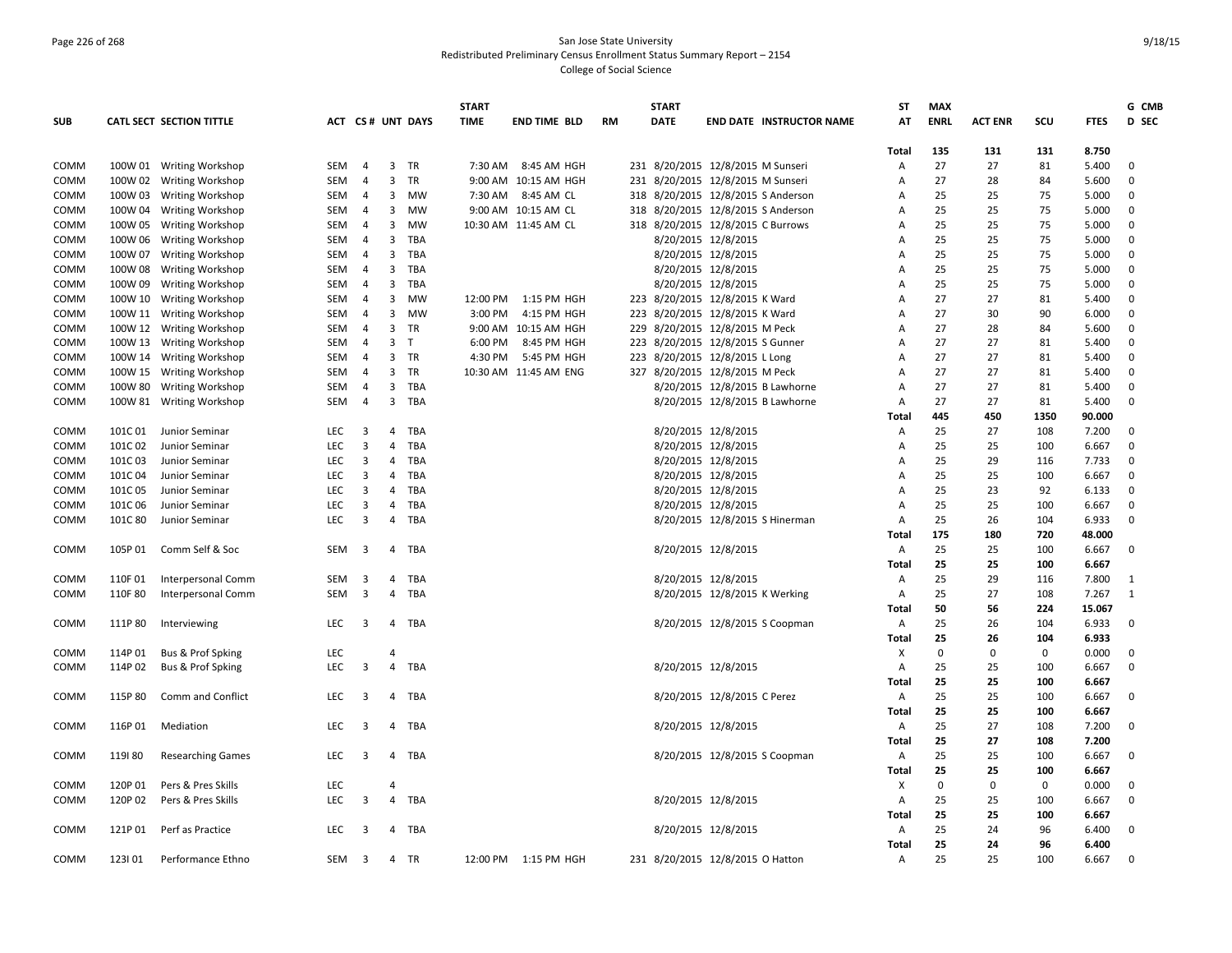# Page 226 of 268 San Jose State University Redistributed Preliminary Census Enrollment Status Summary Report – 2154 College of Social Science

| <b>SUB</b>  |         | CATL SECT SECTION TITTLE     |            |                         |                         |                  | <b>START</b> |                       |    |     | <b>START</b>        |                                    |                                 | <b>ST</b> | <b>MAX</b>  |                |             |             | G CMB        |
|-------------|---------|------------------------------|------------|-------------------------|-------------------------|------------------|--------------|-----------------------|----|-----|---------------------|------------------------------------|---------------------------------|-----------|-------------|----------------|-------------|-------------|--------------|
|             |         |                              |            |                         |                         | ACT CS# UNT DAYS | <b>TIME</b>  | <b>END TIME BLD</b>   | RM |     | <b>DATE</b>         |                                    | <b>END DATE INSTRUCTOR NAME</b> | AT        | <b>ENRL</b> | <b>ACT ENR</b> | SCU         | <b>FTES</b> | D SEC        |
|             |         |                              |            |                         |                         |                  |              |                       |    |     |                     |                                    |                                 | Total     | 135         | 131            | 131         | 8.750       |              |
| COMM        |         | 100W 01 Writing Workshop     | <b>SEM</b> | $\overline{4}$          | $\overline{3}$          | <b>TR</b>        | 7:30 AM      | 8:45 AM HGH           |    |     |                     | 231 8/20/2015 12/8/2015 M Sunseri  |                                 | A         | 27          | 27             | 81          | 5.400       | $\mathbf 0$  |
| COMM        |         | 100W 02 Writing Workshop     | SEM        | $\overline{4}$          | 3                       | TR               |              | 9:00 AM 10:15 AM HGH  |    |     |                     | 231 8/20/2015 12/8/2015 M Sunseri  |                                 | A         | 27          | 28             | 84          | 5.600       | 0            |
| COMM        |         | 100W 03 Writing Workshop     | <b>SEM</b> | $\overline{4}$          | 3                       | <b>MW</b>        | 7:30 AM      | 8:45 AM CL            |    |     |                     | 318 8/20/2015 12/8/2015 S Anderson |                                 | Α         | 25          | 25             | 75          | 5.000       | 0            |
| COMM        |         | 100W 04 Writing Workshop     | <b>SEM</b> | $\overline{4}$          | $\overline{3}$          | <b>MW</b>        |              | 9:00 AM 10:15 AM CL   |    |     |                     | 318 8/20/2015 12/8/2015 S Anderson |                                 | A         | 25          | 25             | 75          | 5.000       | $\mathbf{0}$ |
| <b>COMM</b> |         | 100W 05 Writing Workshop     | <b>SEM</b> | $\overline{4}$          | $\overline{3}$          | MW               |              | 10:30 AM 11:45 AM CL  |    | 318 |                     | 8/20/2015 12/8/2015 C Burrows      |                                 | A         | 25          | 25             | 75          | 5.000       | $\mathbf 0$  |
| COMM        |         | 100W 06 Writing Workshop     | SEM        | $\overline{4}$          | $\overline{\mathbf{3}}$ | TBA              |              |                       |    |     | 8/20/2015 12/8/2015 |                                    |                                 | A         | 25          | 25             | 75          | 5.000       | $\mathbf 0$  |
| COMM        |         | 100W 07 Writing Workshop     | SEM        | $\overline{4}$          | $\overline{\mathbf{3}}$ | TBA              |              |                       |    |     | 8/20/2015 12/8/2015 |                                    |                                 | A         | 25          | 25             | 75          | 5.000       | $\mathbf{0}$ |
| COMM        |         | 100W 08 Writing Workshop     | SEM        | 4                       | $\overline{3}$          | <b>TBA</b>       |              |                       |    |     | 8/20/2015 12/8/2015 |                                    |                                 | А         | 25          | 25             | 75          | 5.000       | 0            |
| COMM        |         | 100W 09 Writing Workshop     | SEM        | $\overline{4}$          | $\overline{3}$          | TBA              |              |                       |    |     | 8/20/2015 12/8/2015 |                                    |                                 | Α         | 25          | 25             | 75          | 5.000       | $\mathbf 0$  |
| COMM        |         | 100W 10 Writing Workshop     | <b>SEM</b> | $\overline{4}$          | 3                       | <b>MW</b>        | 12:00 PM     | 1:15 PM HGH           |    |     |                     | 223 8/20/2015 12/8/2015 K Ward     |                                 | A         | 27          | 27             | 81          | 5.400       | 0            |
| <b>COMM</b> |         | 100W 11 Writing Workshop     | SEM        | $\overline{4}$          | 3                       | <b>MW</b>        | 3:00 PM      | 4:15 PM HGH           |    |     |                     | 223 8/20/2015 12/8/2015 K Ward     |                                 | А         | 27          | 30             | 90          | 6.000       | $\mathbf 0$  |
| COMM        |         | 100W 12 Writing Workshop     | <b>SEM</b> | $\overline{4}$          | 3                       | TR               |              | 9:00 AM 10:15 AM HGH  |    | 229 |                     | 8/20/2015 12/8/2015 M Peck         |                                 | A         | 27          | 28             | 84          | 5.600       | $\mathbf 0$  |
| COMM        |         | 100W 13 Writing Workshop     | <b>SEM</b> | $\overline{4}$          | $\overline{3}$          | $\mathsf{T}$     | 6:00 PM      | 8:45 PM HGH           |    |     |                     | 223 8/20/2015 12/8/2015 S Gunner   |                                 | А         | 27          | 27             | 81          | 5.400       | $\mathbf{0}$ |
| <b>COMM</b> |         | 100W 14 Writing Workshop     | SEM        | $\overline{4}$          | $\overline{3}$          | TR               | 4:30 PM      | 5:45 PM HGH           |    |     |                     | 223 8/20/2015 12/8/2015 L Long     |                                 | Α         | 27          | 27             | 81          | 5.400       | $\mathbf 0$  |
| COMM        |         | 100W 15 Writing Workshop     | <b>SEM</b> | $\overline{4}$          | $\overline{3}$          | <b>TR</b>        |              | 10:30 AM 11:45 AM ENG |    | 327 |                     | 8/20/2015 12/8/2015 M Peck         |                                 | A         | 27          | 27             | 81          | 5.400       | $\mathbf{0}$ |
| COMM        |         | 100W 80 Writing Workshop     | SEM        | $\overline{4}$          | $\overline{\mathbf{3}}$ | TBA              |              |                       |    |     |                     |                                    | 8/20/2015 12/8/2015 B Lawhorne  | A         | 27          | 27             | 81          | 5.400       | $\mathbf 0$  |
| COMM        |         | 100W 81 Writing Workshop     | SEM        | $\overline{4}$          | $\mathbf{3}$            | TBA              |              |                       |    |     |                     |                                    | 8/20/2015 12/8/2015 B Lawhorne  | А         | 27          | 27             | 81          | 5.400       | $\mathbf 0$  |
|             |         |                              |            |                         |                         |                  |              |                       |    |     |                     |                                    |                                 | Total     | 445         | 450            | 1350        | 90.000      |              |
| COMM        | 101C 01 | Junior Seminar               | <b>LEC</b> | 3                       | $\overline{4}$          | TBA              |              |                       |    |     | 8/20/2015 12/8/2015 |                                    |                                 | A         | 25          | 27             | 108         | 7.200       | $\mathbf{0}$ |
| <b>COMM</b> | 101C02  | Junior Seminar               | LEC        | $\overline{\mathbf{3}}$ | 4                       | TBA              |              |                       |    |     | 8/20/2015 12/8/2015 |                                    |                                 | А         | 25          | 25             | 100         | 6.667       | $\mathbf 0$  |
| COMM        | 101C03  | Junior Seminar               | LEC        | 3                       | 4                       | TBA              |              |                       |    |     | 8/20/2015 12/8/2015 |                                    |                                 | A         | 25          | 29             | 116         | 7.733       | 0            |
| COMM        | 101C 04 | Junior Seminar               | <b>LEC</b> | 3                       | $\overline{4}$          | <b>TBA</b>       |              |                       |    |     | 8/20/2015 12/8/2015 |                                    |                                 | A         | 25          | 25             | 100         | 6.667       | $\mathbf 0$  |
| COMM        | 101C 05 | Junior Seminar               | LEC        | 3                       | $\overline{4}$          | TBA              |              |                       |    |     | 8/20/2015 12/8/2015 |                                    |                                 | Α         | 25          | 23             | 92          | 6.133       | 0            |
| COMM        | 101C06  | Junior Seminar               | <b>LEC</b> | 3                       | 4                       | TBA              |              |                       |    |     | 8/20/2015 12/8/2015 |                                    |                                 | А         | 25          | 25             | 100         | 6.667       | 0            |
| COMM        | 101C 80 | Junior Seminar               | <b>LEC</b> | $\overline{\mathbf{3}}$ | $\overline{4}$          | TBA              |              |                       |    |     |                     | 8/20/2015 12/8/2015 S Hinerman     |                                 | A         | 25          | 26             | 104         | 6.933       | $\mathbf 0$  |
|             |         |                              |            |                         |                         |                  |              |                       |    |     |                     |                                    |                                 | Total     | 175         | 180            | 720         | 48.000      |              |
| COMM        | 105P 01 | Comm Self & Soc              | SEM        | 3                       | 4                       | TBA              |              |                       |    |     | 8/20/2015 12/8/2015 |                                    |                                 | Α         | 25          | 25             | 100         | 6.667       | $\mathbf 0$  |
|             |         |                              |            |                         |                         |                  |              |                       |    |     |                     |                                    |                                 | Total     | 25          | 25             | 100         | 6.667       |              |
| COMM        | 110F01  | <b>Interpersonal Comm</b>    | SEM        | 3                       | 4                       | TBA              |              |                       |    |     | 8/20/2015 12/8/2015 |                                    |                                 | A         | 25          | 29             | 116         | 7.800       | 1            |
| COMM        | 110F 80 | Interpersonal Comm           | SEM        | $\overline{\mathbf{3}}$ | $\overline{4}$          | TBA              |              |                       |    |     |                     | 8/20/2015 12/8/2015 K Werking      |                                 | Α         | 25          | 27             | 108         | 7.267       | 1            |
|             |         |                              |            |                         |                         |                  |              |                       |    |     |                     |                                    |                                 | Total     | 50          | 56             | 224         | 15.067      |              |
| COMM        | 111P 80 | Interviewing                 | LEC        | 3                       |                         | 4 TBA            |              |                       |    |     |                     | 8/20/2015 12/8/2015 S Coopman      |                                 | A         | 25          | 26             | 104         | 6.933       | $\mathbf 0$  |
|             |         |                              |            |                         |                         |                  |              |                       |    |     |                     |                                    |                                 | Total     | 25          | 26             | 104         | 6.933       |              |
| COMM        | 114P 01 | <b>Bus &amp; Prof Spking</b> | <b>LEC</b> |                         | 4                       |                  |              |                       |    |     |                     |                                    |                                 | X         | $\mathbf 0$ | $\mathbf 0$    | $\mathbf 0$ | 0.000       | $\mathbf{0}$ |
| COMM        | 114P 02 | Bus & Prof Spking            | LEC        | $\overline{3}$          | $\overline{4}$          | TBA              |              |                       |    |     | 8/20/2015 12/8/2015 |                                    |                                 | А         | 25          | 25             | 100         | 6.667       | $\mathbf 0$  |
|             |         |                              |            |                         |                         |                  |              |                       |    |     |                     |                                    |                                 | Total     | 25          | 25             | 100         | 6.667       |              |
| COMM        | 115P80  | Comm and Conflict            | LEC        | 3                       | $\overline{4}$          | TBA              |              |                       |    |     |                     | 8/20/2015 12/8/2015 C Perez        |                                 | Α         | 25          | 25             | 100         | 6.667       | $\mathbf 0$  |
|             |         |                              |            |                         |                         |                  |              |                       |    |     |                     |                                    |                                 | Total     | 25          | 25             | 100         | 6.667       |              |
| <b>COMM</b> | 116P 01 | Mediation                    | LEC        | 3                       | $\overline{4}$          | TBA              |              |                       |    |     | 8/20/2015 12/8/2015 |                                    |                                 | Α         | 25          | 27             | 108         | 7.200       | $\mathbf 0$  |
|             |         |                              |            |                         |                         |                  |              |                       |    |     |                     |                                    |                                 | Total     | 25          | 27             | 108         | 7.200       |              |
| COMM        | 119180  | <b>Researching Games</b>     | LEC        | 3                       | 4                       | TBA              |              |                       |    |     |                     | 8/20/2015 12/8/2015 S Coopman      |                                 | Α         | 25          | 25             | 100         | 6.667       | 0            |
|             |         |                              |            |                         |                         |                  |              |                       |    |     |                     |                                    |                                 | Total     | 25          | 25             | 100         | 6.667       |              |
| COMM        | 120P 01 | Pers & Pres Skills           | LEC        |                         | 4                       |                  |              |                       |    |     |                     |                                    |                                 | х         | $\mathbf 0$ | 0              | $\mathbf 0$ | 0.000       | $\mathbf 0$  |
| COMM        | 120P 02 | Pers & Pres Skills           | LEC        | $\overline{3}$          | $\overline{4}$          | TBA              |              |                       |    |     | 8/20/2015 12/8/2015 |                                    |                                 | А         | 25          | 25             | 100         | 6.667       | $\mathbf 0$  |
|             |         |                              |            |                         |                         |                  |              |                       |    |     |                     |                                    |                                 | Total     | 25          | 25             | 100         | 6.667       |              |
| COMM        | 121P 01 | Perf as Practice             | LEC        | 3                       | 4                       | TBA              |              |                       |    |     | 8/20/2015 12/8/2015 |                                    |                                 | Α         | 25          | 24             | 96          | 6.400       | $\mathbf 0$  |
|             |         |                              |            |                         |                         |                  |              |                       |    |     |                     |                                    |                                 | Total     | 25          | 24             | 96          | 6.400       |              |
| COMM        | 123101  | Performance Ethno            | SEM        | 3                       |                         | 4 TR             | 12:00 PM     | 1:15 PM HGH           |    |     |                     | 231 8/20/2015 12/8/2015 O Hatton   |                                 | A         | 25          | 25             | 100         | 6.667       | $\Omega$     |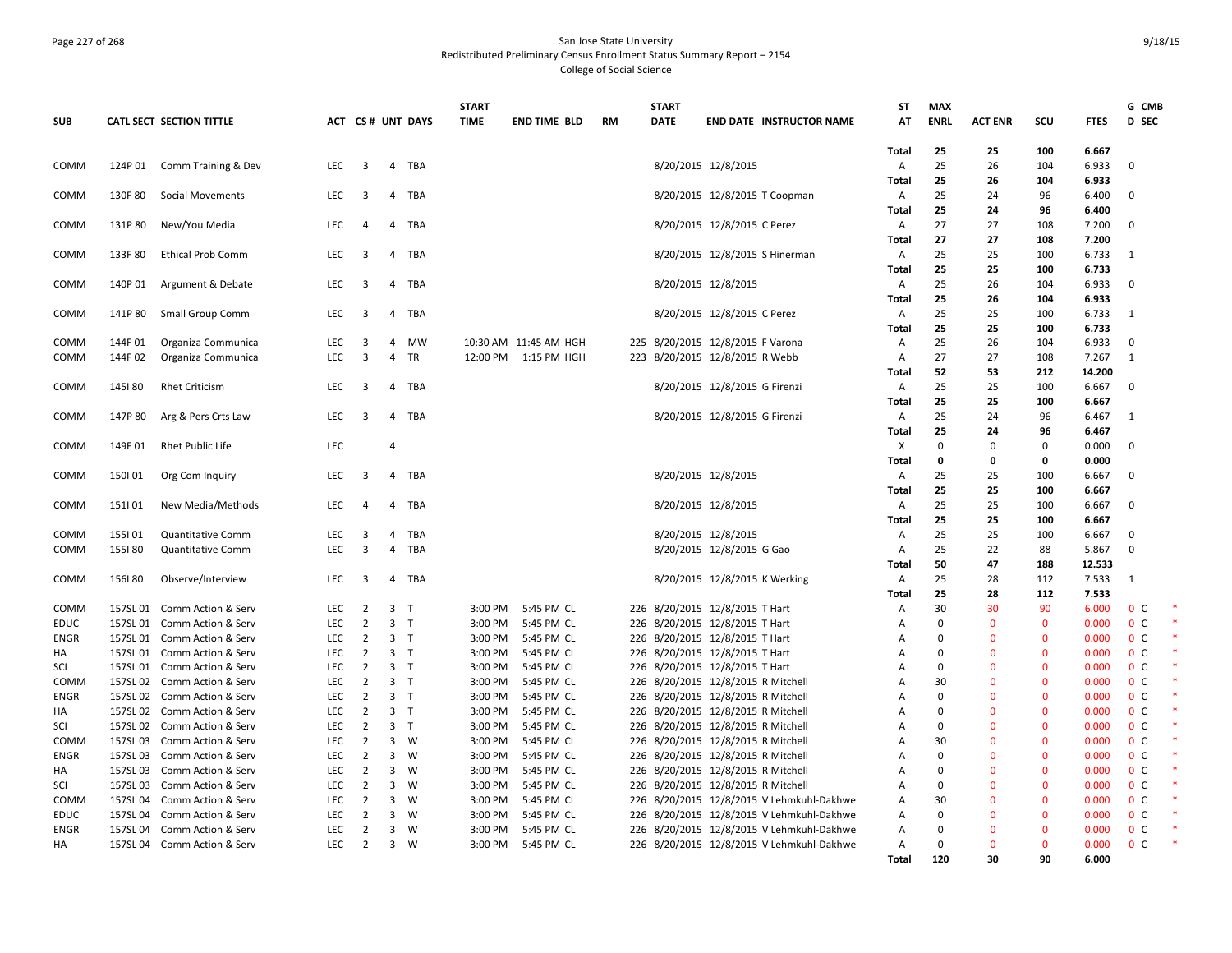### Page 227 of 268 San Jose State University Redistributed Preliminary Census Enrollment Status Summary Report – 2154 College of Social Science

|             |          |                             |            |                         |                         |                  | <b>START</b> |                       |           | <b>START</b> |                                           | <b>ST</b>    | <b>MAX</b>  |                |              |             | G CMB          |  |
|-------------|----------|-----------------------------|------------|-------------------------|-------------------------|------------------|--------------|-----------------------|-----------|--------------|-------------------------------------------|--------------|-------------|----------------|--------------|-------------|----------------|--|
| <b>SUB</b>  |          | CATL SECT SECTION TITTLE    |            |                         |                         | ACT CS# UNT DAYS | <b>TIME</b>  | <b>END TIME BLD</b>   | <b>RM</b> | <b>DATE</b>  | <b>END DATE INSTRUCTOR NAME</b>           | AT           | <b>ENRL</b> | <b>ACT ENR</b> | SCU          | <b>FTES</b> | <b>D</b> SEC   |  |
|             |          |                             |            |                         |                         |                  |              |                       |           |              |                                           |              |             |                |              |             |                |  |
|             |          |                             |            |                         |                         |                  |              |                       |           |              |                                           | <b>Total</b> | 25          | 25             | 100          | 6.667       |                |  |
| COMM        | 124P 01  | Comm Training & Dev         | <b>LEC</b> | $\overline{\mathbf{3}}$ | $\overline{4}$          | TBA              |              |                       |           |              | 8/20/2015 12/8/2015                       | A            | 25          | 26             | 104          | 6.933       | $\Omega$       |  |
|             |          |                             |            |                         |                         |                  |              |                       |           |              |                                           | Total        | 25          | 26             | 104          | 6.933       |                |  |
| COMM        | 130F 80  | <b>Social Movements</b>     | LEC.       | $\overline{\mathbf{3}}$ | $\overline{4}$          | TBA              |              |                       |           |              | 8/20/2015 12/8/2015 T Coopman             | Α            | 25          | 24             | 96           | 6.400       | $\mathbf 0$    |  |
|             |          |                             |            |                         |                         |                  |              |                       |           |              |                                           | Total        | 25          | 24             | 96           | 6.400       |                |  |
| COMM        | 131P 80  | New/You Media               | <b>LEC</b> | 4                       | 4                       | TBA              |              |                       |           |              | 8/20/2015 12/8/2015 C Perez               | A            | 27          | 27             | 108          | 7.200       | $\overline{0}$ |  |
|             |          |                             |            |                         |                         |                  |              |                       |           |              |                                           | Total        | 27          | 27             | 108          | 7.200       |                |  |
| COMM        | 133F80   | <b>Ethical Prob Comm</b>    | <b>LEC</b> | $\overline{\mathbf{3}}$ |                         | 4 TBA            |              |                       |           |              | 8/20/2015 12/8/2015 S Hinerman            | Α            | 25          | 25             | 100          | 6.733       | -1             |  |
|             |          |                             |            |                         |                         |                  |              |                       |           |              |                                           | <b>Total</b> | 25          | 25             | 100          | 6.733       |                |  |
| COMM        | 140P 01  | Argument & Debate           | LEC        | 3                       |                         | 4 TBA            |              |                       |           |              | 8/20/2015 12/8/2015                       | Α            | 25          | 26             | 104          | 6.933       | $\mathbf{0}$   |  |
|             |          |                             |            |                         |                         |                  |              |                       |           |              |                                           | <b>Total</b> | 25          | 26             | 104          | 6.933       |                |  |
| COMM        | 141P 80  | Small Group Comm            | <b>LEC</b> | $\overline{\mathbf{3}}$ |                         | 4 TBA            |              |                       |           |              | 8/20/2015 12/8/2015 C Perez               | Α            | 25          | 25             | 100          | 6.733       | -1             |  |
|             |          |                             |            |                         |                         |                  |              |                       |           |              |                                           | <b>Total</b> | 25          | 25             | 100          | 6.733       |                |  |
| COMM        | 144F 01  | Organiza Communica          | <b>LEC</b> | 3                       | $\overline{4}$          | <b>MW</b>        |              | 10:30 AM 11:45 AM HGH |           |              | 225 8/20/2015 12/8/2015 F Varona          | Α            | 25          | 26             | 104          | 6.933       | $\overline{0}$ |  |
| COMM        | 144F 02  | Organiza Communica          | <b>LEC</b> | $\overline{3}$          | $\overline{4}$          | TR               |              | 12:00 PM 1:15 PM HGH  |           |              | 223 8/20/2015 12/8/2015 R Webb            | Α            | 27          | 27             | 108          | 7.267       | 1              |  |
|             |          |                             |            |                         |                         |                  |              |                       |           |              |                                           | Total        | 52          | 53             | 212          | 14.200      |                |  |
| COMM        | 145180   | <b>Rhet Criticism</b>       | <b>LEC</b> | 3                       | $\overline{4}$          | TBA              |              |                       |           |              | 8/20/2015 12/8/2015 G Firenzi             | Α            | 25          | 25             | 100          | 6.667       | $\overline{0}$ |  |
|             |          |                             |            |                         |                         |                  |              |                       |           |              |                                           | <b>Total</b> | 25          | 25             | 100          | 6.667       |                |  |
| COMM        | 147P 80  | Arg & Pers Crts Law         | LEC        | $\overline{\mathbf{3}}$ |                         | 4 TBA            |              |                       |           |              | 8/20/2015 12/8/2015 G Firenzi             | Α            | 25          | 24             | 96           | 6.467       | -1             |  |
|             |          |                             |            |                         |                         |                  |              |                       |           |              |                                           | <b>Total</b> | 25          | 24             | 96           | 6.467       |                |  |
| COMM        | 149F 01  | <b>Rhet Public Life</b>     | <b>LEC</b> |                         | $\overline{4}$          |                  |              |                       |           |              |                                           | X            | $\Omega$    | $\mathbf 0$    | 0            | 0.000       | $\mathbf 0$    |  |
|             |          |                             |            |                         |                         |                  |              |                       |           |              |                                           | Total        | $\mathbf 0$ | $\mathbf{0}$   | 0            | 0.000       |                |  |
| <b>COMM</b> | 150101   | Org Com Inquiry             | <b>LEC</b> | $\overline{\mathbf{3}}$ | $\overline{4}$          | TBA              |              |                       |           |              | 8/20/2015 12/8/2015                       | Α            | 25          | 25             | 100          | 6.667       | $\Omega$       |  |
|             |          |                             |            |                         |                         |                  |              |                       |           |              |                                           | <b>Total</b> | 25          | 25             | 100          | 6.667       |                |  |
| COMM        | 151  01  | New Media/Methods           | <b>LEC</b> | 4                       | 4                       | TBA              |              |                       |           |              | 8/20/2015 12/8/2015                       | Α            | 25          | 25             | 100          | 6.667       | $\mathbf 0$    |  |
|             |          |                             |            |                         |                         |                  |              |                       |           |              |                                           | <b>Total</b> | 25          | 25             | 100          | 6.667       |                |  |
| COMM        | 155101   | Quantitative Comm           | LEC        | 3                       | 4                       | TBA              |              |                       |           |              | 8/20/2015 12/8/2015                       | Α            | 25          | 25             | 100          | 6.667       | $\mathbf 0$    |  |
| COMM        | 155180   | <b>Quantitative Comm</b>    | <b>LEC</b> | $\overline{3}$          | 4                       | TBA              |              |                       |           |              | 8/20/2015 12/8/2015 G Gao                 | Α            | 25          | 22             | 88           | 5.867       | $\mathbf{0}$   |  |
|             |          |                             |            |                         |                         |                  |              |                       |           |              |                                           | <b>Total</b> | 50          | 47             | 188          | 12.533      |                |  |
| <b>COMM</b> | 156180   | Observe/Interview           | LEC        | $\overline{\mathbf{3}}$ | $\overline{4}$          | TBA              |              |                       |           |              | 8/20/2015 12/8/2015 K Werking             | Α            | 25          | 28             | 112          | 7.533       | 1              |  |
|             |          |                             |            |                         |                         |                  |              |                       |           |              |                                           | Total        | 25          | 28             | 112          | 7.533       |                |  |
| COMM        |          | 157SL 01 Comm Action & Serv | <b>LEC</b> | 2                       | $\overline{3}$          | $\top$           | 3:00 PM      | 5:45 PM CL            |           |              | 226 8/20/2015 12/8/2015 T Hart            | A            | 30          | 30             | 90           | 6.000       | 0 <sup>o</sup> |  |
| <b>EDUC</b> |          | 157SL 01 Comm Action & Serv | LEC        | $\overline{2}$          | 3 <sub>T</sub>          |                  | 3:00 PM      | 5:45 PM CL            |           |              | 226 8/20/2015 12/8/2015 T Hart            | Α            | $\Omega$    | $\mathbf 0$    | $\mathbf 0$  | 0.000       | 0 <sup>C</sup> |  |
| <b>ENGR</b> |          | 157SL 01 Comm Action & Serv | LEC        | $\overline{2}$          | 3 <sub>T</sub>          |                  | 3:00 PM      | 5:45 PM CL            |           |              | 226 8/20/2015 12/8/2015 T Hart            | А            | $\Omega$    | $\Omega$       | $\mathbf 0$  | 0.000       | 0 <sup>c</sup> |  |
| НA          |          | 157SL 01 Comm Action & Serv | <b>LEC</b> | 2                       | 3 <sub>1</sub>          |                  | 3:00 PM      | 5:45 PM CL            |           |              | 226 8/20/2015 12/8/2015 T Hart            | Α            | $\Omega$    | $\Omega$       | $\mathbf{0}$ | 0.000       | 0 <sup>c</sup> |  |
| SCI         |          | 157SL 01 Comm Action & Serv | LEC        | $\overline{2}$          | 3 <sub>T</sub>          |                  | 3:00 PM      | 5:45 PM CL            |           |              | 226 8/20/2015 12/8/2015 T Hart            | А            | $\Omega$    | $\Omega$       | $\mathbf{0}$ | 0.000       | 0 <sup>c</sup> |  |
| COMM        |          | 157SL 02 Comm Action & Serv | <b>LEC</b> | 2                       | 3 <sub>T</sub>          |                  | 3:00 PM      | 5:45 PM CL            |           |              | 226 8/20/2015 12/8/2015 R Mitchell        | Α            | 30          | $\Omega$       | $\mathbf{0}$ | 0.000       | 0 <sup>c</sup> |  |
| <b>ENGR</b> |          | 157SL 02 Comm Action & Serv | <b>LEC</b> | $\overline{2}$          | 3 <sub>1</sub>          |                  | 3:00 PM      | 5:45 PM CL            |           |              | 226 8/20/2015 12/8/2015 R Mitchell        | A            | $\Omega$    | $\Omega$       | $\mathbf{0}$ | 0.000       | 0 <sup>o</sup> |  |
| НA          |          | 157SL 02 Comm Action & Serv | <b>LEC</b> | $\overline{2}$          | 3 <sub>T</sub>          |                  | 3:00 PM      | 5:45 PM CL            |           |              | 226 8/20/2015 12/8/2015 R Mitchell        | Α            | $\Omega$    | $\Omega$       | $\Omega$     | 0.000       | 0 <sup>C</sup> |  |
| SCI         |          | 157SL 02 Comm Action & Serv | <b>LEC</b> | $\overline{2}$          | 3 <sub>7</sub>          |                  | 3:00 PM      | 5:45 PM CL            |           |              | 226 8/20/2015 12/8/2015 R Mitchell        | Α            | $\Omega$    | $\Omega$       | $\mathbf{0}$ | 0.000       | 0 <sup>c</sup> |  |
| COMM        |          | 157SL 03 Comm Action & Serv | <b>LEC</b> | $\overline{2}$          | $\overline{3}$          | W                | 3:00 PM      | 5:45 PM CL            |           |              | 226 8/20/2015 12/8/2015 R Mitchell        | А            | 30          | $\Omega$       | $\mathbf{0}$ | 0.000       | 0 <sup>o</sup> |  |
| ENGR        |          | 157SL 03 Comm Action & Serv | <b>LEC</b> | $\overline{2}$          | $\mathbf{3}$            | W                | 3:00 PM      | 5:45 PM CL            |           |              | 226 8/20/2015 12/8/2015 R Mitchell        | Α            | $\Omega$    | $\mathbf{0}$   | $\mathbf 0$  | 0.000       | 0 <sup>c</sup> |  |
| HA          |          | 157SL 03 Comm Action & Serv | <b>LEC</b> | $\overline{2}$          | $\overline{3}$          | W                | 3:00 PM      | 5:45 PM CL            |           |              | 226 8/20/2015 12/8/2015 R Mitchell        | Α            | $\Omega$    | $\Omega$       | $\mathbf{0}$ | 0.000       | 0 <sup>C</sup> |  |
| SCI         |          | 157SL 03 Comm Action & Serv | <b>LEC</b> | $\overline{2}$          | 3                       | W                | 3:00 PM      | 5:45 PM CL            |           |              | 226 8/20/2015 12/8/2015 R Mitchell        | Α            | $\Omega$    | $\Omega$       | $\mathbf 0$  | 0.000       | 0 <sup>c</sup> |  |
| COMM        |          | 157SL 04 Comm Action & Serv | <b>LEC</b> | $\overline{2}$          | $\overline{\mathbf{3}}$ | W                | 3:00 PM      | 5:45 PM CL            |           |              | 226 8/20/2015 12/8/2015 V Lehmkuhl-Dakhwe | Α            | 30          | $\mathbf 0$    | $\mathbf 0$  | 0.000       | 0 <sup>c</sup> |  |
| <b>EDUC</b> |          | 157SL 04 Comm Action & Serv | <b>LEC</b> | $\overline{2}$          | $\overline{3}$          | W                | 3:00 PM      | 5:45 PM CL            |           |              | 226 8/20/2015 12/8/2015 V Lehmkuhl-Dakhwe | Α            | $\Omega$    | $\Omega$       | $\mathbf{0}$ | 0.000       | 0 <sup>c</sup> |  |
| <b>ENGR</b> | 157SL 04 | Comm Action & Serv          | <b>LEC</b> | $\overline{2}$          | $\mathbf{3}$            | W                | 3:00 PM      | 5:45 PM CL            |           |              | 226 8/20/2015 12/8/2015 V Lehmkuhl-Dakhwe | Α            | $\Omega$    | $\Omega$       | $\mathbf{0}$ | 0.000       | 0 <sup>o</sup> |  |
| HA          |          | 157SL 04 Comm Action & Serv | <b>LEC</b> | $\overline{2}$          | $\overline{3}$          | W                | 3:00 PM      | 5:45 PM CL            |           |              | 226 8/20/2015 12/8/2015 V Lehmkuhl-Dakhwe | Α            | $\Omega$    | $\Omega$       | $\mathbf{0}$ | 0.000       | 0 <sup>c</sup> |  |
|             |          |                             |            |                         |                         |                  |              |                       |           |              |                                           | Total        | 120         | 30             | 90           | 6.000       |                |  |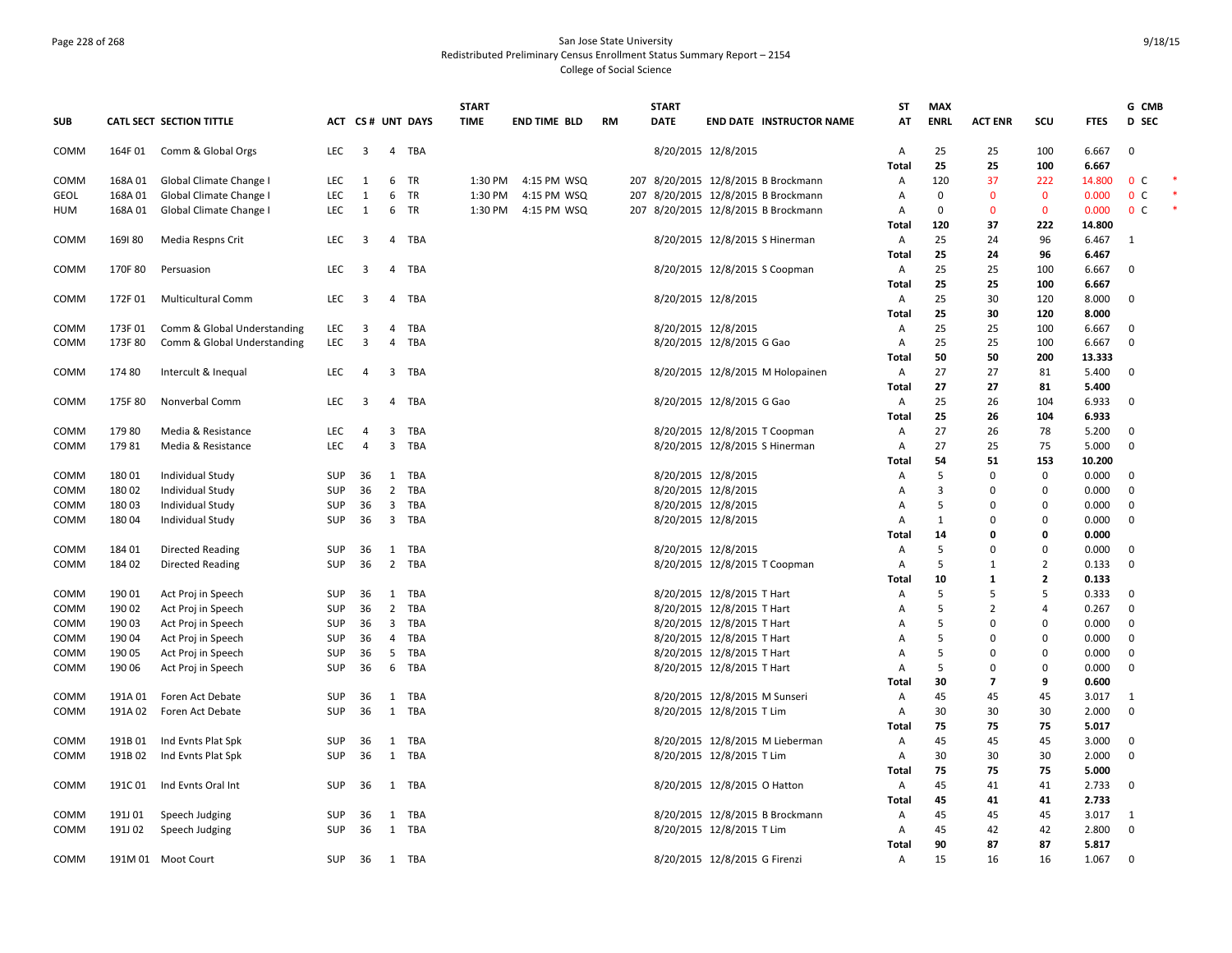# Page 228 of 268 San Jose State University Redistributed Preliminary Census Enrollment Status Summary Report – 2154 College of Social Science

|             |         |                             |            |                         |                         |                  | <b>START</b> |                     |           | <b>START</b> |                                     | ST             | <b>MAX</b>  |                |                |             | G CMB          |  |
|-------------|---------|-----------------------------|------------|-------------------------|-------------------------|------------------|--------------|---------------------|-----------|--------------|-------------------------------------|----------------|-------------|----------------|----------------|-------------|----------------|--|
| <b>SUB</b>  |         | CATL SECT SECTION TITTLE    |            |                         |                         | ACT CS# UNT DAYS | <b>TIME</b>  | <b>END TIME BLD</b> | <b>RM</b> | <b>DATE</b>  | <b>END DATE INSTRUCTOR NAME</b>     | AT             | <b>ENRL</b> | <b>ACT ENR</b> | scu            | <b>FTES</b> | <b>D</b> SEC   |  |
| COMM        | 164F 01 | Comm & Global Orgs          | <b>LEC</b> | $\overline{\mathbf{3}}$ |                         | 4 TBA            |              |                     |           |              | 8/20/2015 12/8/2015                 | Α              | 25          | 25             | 100            | 6.667       | $\mathbf 0$    |  |
|             |         |                             |            |                         |                         |                  |              |                     |           |              |                                     | <b>Total</b>   | 25          | 25             | 100            | 6.667       |                |  |
| COMM        | 168A 01 | Global Climate Change I     | <b>LEC</b> | 1                       | 6                       | <b>TR</b>        | 1:30 PM      | 4:15 PM WSQ         |           |              | 207 8/20/2015 12/8/2015 B Brockmann | A              | 120         | 37             | 222            | 14.800      | 0 <sup>c</sup> |  |
| GEOL        | 168A01  | Global Climate Change I     | <b>LEC</b> | 1                       | 6                       | TR               | 1:30 PM      | 4:15 PM WSQ         |           |              | 207 8/20/2015 12/8/2015 B Brockmann | Α              | $\mathbf 0$ | $\mathbf{0}$   | $\mathbf{0}$   | 0.000       | 0 <sup>c</sup> |  |
| ним         | 168A 01 | Global Climate Change I     | LEC        | 1                       | 6                       | TR               | 1:30 PM      | 4:15 PM WSQ         |           |              | 207 8/20/2015 12/8/2015 B Brockmann | A              | $\Omega$    | $\mathbf 0$    | $\mathbf 0$    | 0.000       | 0 <sup>c</sup> |  |
|             |         |                             |            |                         |                         |                  |              |                     |           |              |                                     | <b>Total</b>   | 120         | 37             | 222            | 14.800      |                |  |
| COMM        | 169180  | Media Respns Crit           | <b>LEC</b> | 3                       | $\overline{4}$          | TBA              |              |                     |           |              | 8/20/2015 12/8/2015 S Hinerman      | $\overline{A}$ | 25          | 24             | 96             | 6.467       | 1              |  |
|             |         |                             |            |                         |                         |                  |              |                     |           |              |                                     | Total          | 25          | 24             | 96             | 6.467       |                |  |
| COMM        | 170F 80 | Persuasion                  | LEC        | $\overline{\mathbf{3}}$ | $\overline{4}$          | TBA              |              |                     |           |              | 8/20/2015 12/8/2015 S Coopman       | A              | 25          | 25             | 100            | 6.667       | $\mathbf{0}$   |  |
|             |         |                             |            |                         |                         |                  |              |                     |           |              |                                     | Total          | 25          | 25             | 100            | 6.667       |                |  |
| COMM        | 172F01  | <b>Multicultural Comm</b>   | <b>LEC</b> | $\overline{\mathbf{3}}$ | 4                       | TBA              |              |                     |           |              | 8/20/2015 12/8/2015                 | A              | 25          | 30             | 120            | 8.000       | $\mathbf{0}$   |  |
|             |         |                             |            |                         |                         |                  |              |                     |           |              |                                     | Total          | 25          | 30             | 120            | 8.000       |                |  |
| COMM        | 173F 01 | Comm & Global Understanding | LEC        | 3                       | $\overline{4}$          | TBA              |              |                     |           |              | 8/20/2015 12/8/2015                 | A              | 25          | 25             | 100            | 6.667       | $\mathbf 0$    |  |
| COMM        | 173F 80 | Comm & Global Understanding | <b>LEC</b> | 3                       | $\overline{4}$          | TBA              |              |                     |           |              | 8/20/2015 12/8/2015 G Gao           | $\overline{A}$ | 25          | 25             | 100            | 6.667       | $\mathbf 0$    |  |
|             |         |                             |            |                         |                         |                  |              |                     |           |              |                                     | <b>Total</b>   | 50          | 50             | 200            | 13.333      |                |  |
| COMM        | 174 80  | Intercult & Inequal         | LEC        | 4                       | 3                       | TBA              |              |                     |           |              | 8/20/2015 12/8/2015 M Holopainen    | Α              | 27          | 27             | 81             | 5.400       | 0              |  |
|             |         |                             |            |                         |                         |                  |              |                     |           |              |                                     | Total          | 27          | 27             | 81             | 5.400       |                |  |
| COMM        | 175F 80 | Nonverbal Comm              | <b>LEC</b> | 3                       | 4                       | TBA              |              |                     |           |              | 8/20/2015 12/8/2015 G Gao           | A              | 25          | 26             | 104            | 6.933       | $\mathbf 0$    |  |
|             |         |                             |            |                         |                         |                  |              |                     |           |              |                                     | Total          | 25          | 26             | 104            | 6.933       |                |  |
| COMM        | 17980   | Media & Resistance          | LEC        | $\overline{4}$          |                         | 3 TBA            |              |                     |           |              | 8/20/2015 12/8/2015 T Coopman       | Α              | 27          | 26             | 78             | 5.200       | $\mathbf 0$    |  |
| COMM        | 17981   | Media & Resistance          | <b>LEC</b> | $\overline{4}$          | 3                       | TBA              |              |                     |           |              | 8/20/2015 12/8/2015 S Hinerman      | A              | 27          | 25             | 75             | 5.000       | $\mathbf{0}$   |  |
|             |         |                             |            |                         |                         |                  |              |                     |           |              |                                     | Total          | 54          | 51             | 153            | 10.200      |                |  |
| COMM        | 18001   | Individual Study            | SUP        | 36                      | 1                       | TBA              |              |                     |           |              | 8/20/2015 12/8/2015                 | Α              | 5           | 0              | 0              | 0.000       | $\mathbf 0$    |  |
| COMM        | 18002   | Individual Study            | <b>SUP</b> | 36                      | $\overline{2}$          | TBA              |              |                     |           |              | 8/20/2015 12/8/2015                 | А              | 3           | 0              | 0              | 0.000       | $\mathbf 0$    |  |
| COMM        | 18003   | Individual Study            | <b>SUP</b> | 36                      | 3                       | TBA              |              |                     |           |              | 8/20/2015 12/8/2015                 | A              | 5           | 0              | $\mathbf 0$    | 0.000       | $\mathbf 0$    |  |
| сомм        | 18004   | Individual Study            | <b>SUP</b> | 36                      |                         | 3 TBA            |              |                     |           |              | 8/20/2015 12/8/2015                 | Α              | 1           | 0              | 0              | 0.000       | 0              |  |
|             |         |                             |            |                         |                         |                  |              |                     |           |              |                                     | Total          | 14          | 0              | 0              | 0.000       |                |  |
| COMM        | 184 01  | <b>Directed Reading</b>     | <b>SUP</b> | 36                      | 1                       | TBA              |              |                     |           |              | 8/20/2015 12/8/2015                 | Α              | 5           | $\Omega$       | 0              | 0.000       | 0              |  |
| COMM        | 184 02  | <b>Directed Reading</b>     | <b>SUP</b> | 36                      |                         | 2 TBA            |              |                     |           |              | 8/20/2015 12/8/2015 T Coopman       | A              | 5           | 1              | $\overline{2}$ | 0.133       | $\mathbf 0$    |  |
|             |         |                             |            |                         |                         |                  |              |                     |           |              |                                     | Total          | 10          | $\mathbf{1}$   | $\overline{2}$ | 0.133       |                |  |
| COMM        | 190 01  | Act Proj in Speech          | SUP        | 36                      |                         | 1 TBA            |              |                     |           |              | 8/20/2015 12/8/2015 T Hart          | Α              | 5           | 5              | 5              | 0.333       | $\mathbf 0$    |  |
| COMM        | 190 02  | Act Proj in Speech          | <b>SUP</b> | 36                      | $\overline{2}$          | TBA              |              |                     |           |              | 8/20/2015 12/8/2015 T Hart          | A              | 5           | $\overline{2}$ | 4              | 0.267       | $\mathbf 0$    |  |
| COMM        | 190 03  | Act Proj in Speech          | SUP        | 36                      | $\overline{\mathbf{3}}$ | TBA              |              |                     |           |              | 8/20/2015 12/8/2015 T Hart          | A              | 5           | 0              | $\mathbf 0$    | 0.000       | $\mathbf 0$    |  |
| COMM        | 190 04  | Act Proj in Speech          | <b>SUP</b> | 36                      | $\overline{4}$          | <b>TBA</b>       |              |                     |           |              | 8/20/2015 12/8/2015 T Hart          | А              | 5           | 0              | 0              | 0.000       | 0              |  |
| COMM        | 190 05  | Act Proj in Speech          | <b>SUP</b> | 36                      | 5                       | TBA              |              |                     |           |              | 8/20/2015 12/8/2015 T Hart          | A              | 5           | $\Omega$       | $\Omega$       | 0.000       | $\mathbf{0}$   |  |
| <b>COMM</b> | 190 06  | Act Proj in Speech          | <b>SUP</b> | 36                      |                         | 6 TBA            |              |                     |           |              | 8/20/2015 12/8/2015 T Hart          | Α              | 5           | 0              | $\mathbf 0$    | 0.000       | $\mathbf 0$    |  |
|             |         |                             |            |                         |                         |                  |              |                     |           |              |                                     | Total          | 30          | 7              | 9              | 0.600       |                |  |
| COMM        | 191A 01 | Foren Act Debate            | SUP        | 36                      | 1                       | TBA              |              |                     |           |              | 8/20/2015 12/8/2015 M Sunseri       | Α              | 45          | 45             | 45             | 3.017       | 1              |  |
| COMM        | 191A 02 | Foren Act Debate            | SUP        | 36                      | 1                       | TBA              |              |                     |           |              | 8/20/2015 12/8/2015 T Lim           | Α              | 30          | 30             | 30             | 2.000       | $\mathbf 0$    |  |
|             |         |                             |            |                         |                         |                  |              |                     |           |              |                                     | Total          | 75          | 75             | 75             | 5.017       |                |  |
| COMM        | 191B 01 | Ind Evnts Plat Spk          | SUP        | 36                      |                         | 1 TBA            |              |                     |           |              | 8/20/2015 12/8/2015 M Lieberman     | Α              | 45          | 45             | 45             | 3.000       | $\mathbf 0$    |  |
| COMM        | 191B 02 | Ind Evnts Plat Spk          | <b>SUP</b> | 36                      | 1                       | TBA              |              |                     |           |              | 8/20/2015 12/8/2015 T Lim           | A              | 30          | 30             | 30             | 2.000       | 0              |  |
|             |         |                             |            |                         |                         |                  |              |                     |           |              |                                     | Total          | 75          | 75             | 75             | 5.000       |                |  |
| COMM        | 191C 01 | Ind Evnts Oral Int          | SUP        | 36                      | 1                       | TBA              |              |                     |           |              | 8/20/2015 12/8/2015 O Hatton        | A              | 45          | 41             | 41             | 2.733       | $\mathbf 0$    |  |
|             |         |                             |            |                         |                         |                  |              |                     |           |              |                                     | Total          | 45          | 41             | 41             | 2.733       |                |  |
| COMM        | 191J 01 | Speech Judging              | SUP        | 36                      | 1                       | TBA              |              |                     |           |              | 8/20/2015 12/8/2015 B Brockmann     | Α              | 45          | 45             | 45             | 3.017       | 1              |  |
| сомм        | 191J 02 | Speech Judging              | <b>SUP</b> | 36                      |                         | 1 TBA            |              |                     |           |              | 8/20/2015 12/8/2015 T Lim           | A              | 45          | 42             | 42             | 2.800       | 0              |  |
|             |         |                             |            |                         |                         |                  |              |                     |           |              |                                     | Total          | 90          | 87             | 87             | 5.817       |                |  |
| COMM        |         | 191M 01 Moot Court          | SUP        | 36                      |                         | 1 TBA            |              |                     |           |              | 8/20/2015 12/8/2015 G Firenzi       | A              | 15          | 16             | 16             | 1.067       | $\mathbf 0$    |  |
|             |         |                             |            |                         |                         |                  |              |                     |           |              |                                     |                |             |                |                |             |                |  |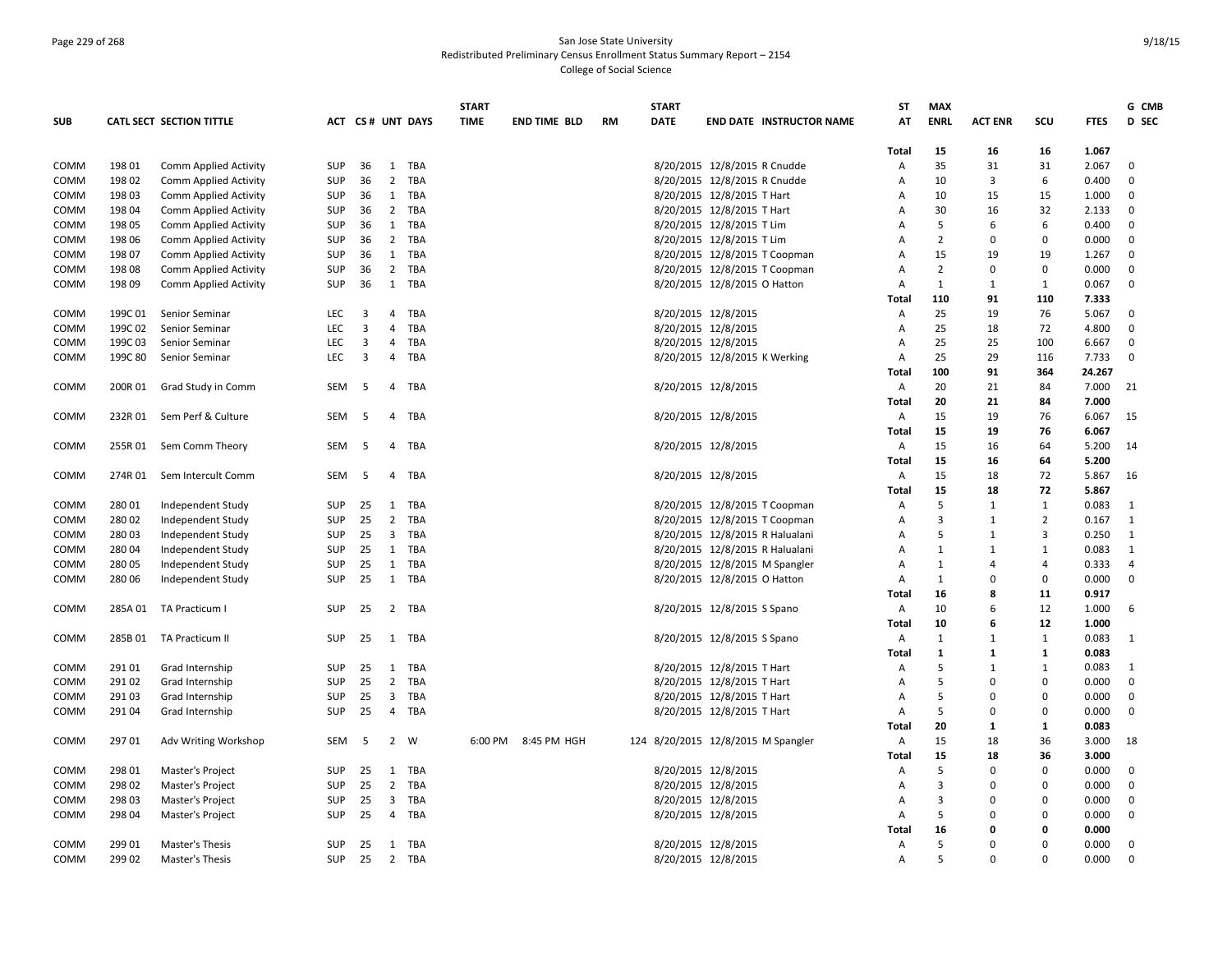# Page 229 of 268 San Jose State University Redistributed Preliminary Census Enrollment Status Summary Report – 2154 College of Social Science

|             |         |                              |            |                         |                         |                  | <b>START</b> |                     |           | <b>START</b>                       |                                 |                                 | <b>ST</b>      | <b>MAX</b>     |                |                |             | G CMB          |
|-------------|---------|------------------------------|------------|-------------------------|-------------------------|------------------|--------------|---------------------|-----------|------------------------------------|---------------------------------|---------------------------------|----------------|----------------|----------------|----------------|-------------|----------------|
| <b>SUB</b>  |         | CATL SECT SECTION TITTLE     |            |                         |                         | ACT CS# UNT DAYS | <b>TIME</b>  | <b>END TIME BLD</b> | <b>RM</b> | DATE                               |                                 | <b>END DATE INSTRUCTOR NAME</b> | AT             | <b>ENRL</b>    | <b>ACT ENR</b> | scu            | <b>FTES</b> | D SEC          |
|             |         |                              |            |                         |                         |                  |              |                     |           |                                    |                                 |                                 | Total          | 15             | 16             | 16             | 1.067       |                |
| COMM        | 198 01  | <b>Comm Applied Activity</b> | <b>SUP</b> | 36                      | 1                       | TBA              |              |                     |           |                                    | 8/20/2015 12/8/2015 R Cnudde    |                                 | А              | 35             | 31             | 31             | 2.067       | 0              |
| COMM        | 198 02  | Comm Applied Activity        | <b>SUP</b> | 36                      |                         | 2 TBA            |              |                     |           |                                    | 8/20/2015 12/8/2015 R Cnudde    |                                 | Α              | 10             | 3              | 6              | 0.400       | 0              |
| COMM        | 198 03  | Comm Applied Activity        | <b>SUP</b> | 36                      |                         | 1 TBA            |              |                     |           |                                    | 8/20/2015 12/8/2015 T Hart      |                                 | $\overline{A}$ | 10             | 15             | 15             | 1.000       | 0              |
| COMM        | 198 04  | <b>Comm Applied Activity</b> | <b>SUP</b> | 36                      | $2^{\circ}$             | TBA              |              |                     |           |                                    | 8/20/2015 12/8/2015 T Hart      |                                 | Α              | 30             | 16             | 32             | 2.133       | $\mathbf 0$    |
| COMM        | 198 05  | <b>Comm Applied Activity</b> | <b>SUP</b> | 36                      |                         | 1 TBA            |              |                     |           |                                    | 8/20/2015 12/8/2015 T Lim       |                                 | A              | 5              | 6              | 6              | 0.400       | $\mathbf 0$    |
| COMM        | 198 06  | Comm Applied Activity        | SUP        | 36                      |                         | 2 TBA            |              |                     |           |                                    | 8/20/2015 12/8/2015 T Lim       |                                 | A              | $\overline{2}$ | $\Omega$       | $\mathbf 0$    | 0.000       | $\mathbf 0$    |
| COMM        | 198 07  | Comm Applied Activity        | SUP        | 36                      | $\mathbf{1}$            | TBA              |              |                     |           |                                    | 8/20/2015 12/8/2015 T Coopman   |                                 | А              | 15             | 19             | 19             | 1.267       | $\mathbf 0$    |
| COMM        | 198 08  | Comm Applied Activity        | <b>SUP</b> | 36                      | $\overline{2}$          | TBA              |              |                     |           |                                    | 8/20/2015 12/8/2015 T Coopman   |                                 | Α              | $\overline{2}$ | $\Omega$       | $\mathbf 0$    | 0.000       | $\mathbf 0$    |
| <b>COMM</b> | 198 09  | Comm Applied Activity        | SUP        | 36                      |                         | 1 TBA            |              |                     |           |                                    | 8/20/2015 12/8/2015 O Hatton    |                                 | A              | $\mathbf{1}$   | 1              | $\mathbf{1}$   | 0.067       | $\mathbf 0$    |
|             |         |                              |            |                         |                         |                  |              |                     |           |                                    |                                 |                                 | Total          | 110            | 91             | 110            | 7.333       |                |
| COMM        | 199C 01 | <b>Senior Seminar</b>        | <b>LEC</b> | 3                       | 4                       | TBA              |              |                     |           |                                    | 8/20/2015 12/8/2015             |                                 | Α              | 25             | 19             | 76             | 5.067       | $\mathbf{0}$   |
| COMM        | 199C 02 | Senior Seminar               | LEC        | 3                       | $\overline{4}$          | TBA              |              |                     |           |                                    | 8/20/2015 12/8/2015             |                                 | A              | 25             | 18             | 72             | 4.800       | 0              |
| COMM        | 199C 03 | Senior Seminar               | <b>LEC</b> | 3                       | $\overline{4}$          | TBA              |              |                     |           |                                    | 8/20/2015 12/8/2015             |                                 | Α              | 25             | 25             | 100            | 6.667       | $\mathbf 0$    |
| COMM        | 199C 80 | Senior Seminar               | <b>LEC</b> | $\overline{\mathbf{3}}$ | $\overline{4}$          | TBA              |              |                     |           |                                    | 8/20/2015 12/8/2015 K Werking   |                                 | A              | 25             | 29             | 116            | 7.733       | $\mathbf{0}$   |
|             |         |                              |            |                         |                         |                  |              |                     |           |                                    |                                 |                                 | Total          | 100            | 91             | 364            | 24.267      |                |
| <b>COMM</b> | 200R 01 | Grad Study in Comm           | SEM        | -5                      | $\overline{4}$          | TBA              |              |                     |           |                                    | 8/20/2015 12/8/2015             |                                 | Α              | 20             | 21             | 84             | 7.000       | 21             |
|             |         |                              |            |                         |                         |                  |              |                     |           |                                    |                                 |                                 | Total          | 20             | 21             | 84             | 7.000       |                |
| COMM        | 232R 01 | Sem Perf & Culture           | SEM        | -5                      | 4                       | TBA              |              |                     |           |                                    | 8/20/2015 12/8/2015             |                                 | Α              | 15             | 19             | 76             | 6.067       | 15             |
|             |         |                              |            |                         |                         |                  |              |                     |           |                                    |                                 |                                 | Total          | 15             | 19             | 76             | 6.067       |                |
| <b>COMM</b> | 255R 01 | Sem Comm Theory              | SEM        | -5                      | 4                       | TBA              |              |                     |           |                                    | 8/20/2015 12/8/2015             |                                 | Α              | 15             | 16             | 64             | 5.200       | 14             |
|             |         |                              |            |                         |                         |                  |              |                     |           |                                    |                                 |                                 | Total          | 15             | 16             | 64             | 5.200       |                |
| COMM        | 274R 01 | Sem Intercult Comm           | <b>SEM</b> | -5                      | $\overline{4}$          | TBA              |              |                     |           |                                    | 8/20/2015 12/8/2015             |                                 | A              | 15             | 18             | 72             | 5.867       | 16             |
|             |         |                              |            |                         |                         |                  |              |                     |           |                                    |                                 |                                 | Total          | 15             | 18             | 72             | 5.867       |                |
| COMM        | 28001   | Independent Study            | <b>SUP</b> | 25                      | 1                       | TBA              |              |                     |           |                                    | 8/20/2015 12/8/2015 T Coopman   |                                 | Α              | 5              | 1              | $\mathbf{1}$   | 0.083       | 1              |
| <b>COMM</b> | 28002   | Independent Study            | SUP        | 25                      | $\overline{2}$          | TBA              |              |                     |           |                                    | 8/20/2015 12/8/2015 T Coopman   |                                 | A              | $\overline{3}$ | 1              | $\overline{2}$ | 0.167       | 1              |
| COMM        | 28003   | Independent Study            | SUP        | 25                      | $\overline{\mathbf{3}}$ | TBA              |              |                     |           |                                    | 8/20/2015 12/8/2015 R Halualani |                                 | A              | 5              | 1              | 3              | 0.250       | $\mathbf{1}$   |
| COMM        | 28004   | Independent Study            | <b>SUP</b> | 25                      | 1                       | TBA              |              |                     |           |                                    | 8/20/2015 12/8/2015 R Halualani |                                 | Α              | 1              | 1              | 1              | 0.083       | 1              |
| COMM        | 280 05  | Independent Study            | <b>SUP</b> | 25                      |                         | 1 TBA            |              |                     |           |                                    | 8/20/2015 12/8/2015 M Spangler  |                                 | A              | 1              | $\overline{4}$ | $\overline{4}$ | 0.333       | $\overline{4}$ |
| <b>COMM</b> | 280 06  | Independent Study            | <b>SUP</b> | 25                      | 1                       | TBA              |              |                     |           |                                    | 8/20/2015 12/8/2015 O Hatton    |                                 | Α              | 1              | 0              | $\mathbf 0$    | 0.000       | $\mathbf 0$    |
|             |         |                              |            |                         |                         |                  |              |                     |           |                                    |                                 |                                 | Total          | 16             | 8              | 11             | 0.917       |                |
| COMM        | 285A 01 | TA Practicum I               | <b>SUP</b> | 25                      |                         | 2 TBA            |              |                     |           |                                    | 8/20/2015 12/8/2015 S Spano     |                                 | A              | 10             | 6              | 12             | 1.000       | -6             |
|             |         |                              |            |                         |                         |                  |              |                     |           |                                    |                                 |                                 | Total          | 10             | -6             | 12             | 1.000       |                |
| COMM        | 285B 01 | <b>TA Practicum II</b>       | <b>SUP</b> | 25                      |                         | 1 TBA            |              |                     |           |                                    | 8/20/2015 12/8/2015 S Spano     |                                 | Α              | $\mathbf{1}$   | $\mathbf{1}$   | $\mathbf{1}$   | 0.083       | 1              |
|             |         |                              |            |                         |                         |                  |              |                     |           |                                    |                                 |                                 | Total          | $\mathbf{1}$   | -1             | $\mathbf{1}$   | 0.083       |                |
| COMM        | 29101   | Grad Internship              | <b>SUP</b> | 25                      |                         | 1 TBA            |              |                     |           |                                    | 8/20/2015 12/8/2015 T Hart      |                                 | Α              | 5              | 1              | 1              | 0.083       | 1              |
| <b>COMM</b> | 291 02  | Grad Internship              | SUP        | 25                      | $\overline{2}$          | TBA              |              |                     |           |                                    | 8/20/2015 12/8/2015 T Hart      |                                 | A              | 5              | $\Omega$       | $\mathbf 0$    | 0.000       | $\mathbf{0}$   |
| COMM        | 291 03  | Grad Internship              | <b>SUP</b> | 25                      | $\overline{3}$          | TBA              |              |                     |           |                                    | 8/20/2015 12/8/2015 T Hart      |                                 | А              | 5              | $\Omega$       | $\mathbf 0$    | 0.000       | $\mathbf 0$    |
| COMM        | 291 04  | Grad Internship              | <b>SUP</b> | 25                      | $\overline{4}$          | TBA              |              |                     |           |                                    | 8/20/2015 12/8/2015 T Hart      |                                 | Α              | 5              | $\Omega$       | $\mathbf 0$    | 0.000       | $\mathbf 0$    |
|             |         |                              |            |                         |                         |                  |              |                     |           |                                    |                                 |                                 | Total          | 20             | 1              | 1              | 0.083       |                |
| COMM        | 29701   | Adv Writing Workshop         | SEM        | -5                      | $\overline{2}$          | W                | 6:00 PM      | 8:45 PM HGH         |           | 124 8/20/2015 12/8/2015 M Spangler |                                 |                                 | Α              | 15             | 18             | 36             | 3.000       | 18             |
|             |         |                              |            |                         |                         |                  |              |                     |           |                                    |                                 |                                 | Total          | 15             | 18             | 36             | 3.000       |                |
| COMM        | 298 01  | Master's Project             | SUP        | 25                      |                         | 1 TBA            |              |                     |           |                                    | 8/20/2015 12/8/2015             |                                 | Α              | 5              | $\Omega$       | $\mathbf 0$    | 0.000       | $\mathbf 0$    |
| COMM        | 298 02  | Master's Project             | <b>SUP</b> | 25                      | $\overline{2}$          | TBA              |              |                     |           |                                    | 8/20/2015 12/8/2015             |                                 | Α              | $\overline{3}$ | O              | 0              | 0.000       | $\mathbf 0$    |
| COMM        | 298 03  | Master's Project             | <b>SUP</b> | 25                      | $\overline{3}$          | TBA              |              |                     |           |                                    | 8/20/2015 12/8/2015             |                                 | A              | $\overline{3}$ | $\Omega$       | $\mathbf 0$    | 0.000       | $\mathbf 0$    |
| <b>COMM</b> | 298 04  | Master's Project             | <b>SUP</b> | 25                      | $\overline{4}$          | TBA              |              |                     |           |                                    | 8/20/2015 12/8/2015             |                                 | А              | 5              | $\Omega$       | $\overline{0}$ | 0.000       | $\mathbf 0$    |
|             |         |                              |            |                         |                         |                  |              |                     |           |                                    |                                 |                                 | Total          | 16             | 0              | $\mathbf 0$    | 0.000       |                |
| COMM        | 299 01  | Master's Thesis              | <b>SUP</b> | 25                      |                         | 1 TBA            |              |                     |           |                                    | 8/20/2015 12/8/2015             |                                 | Α              | 5              | $\Omega$       | $\Omega$       | 0.000       | 0              |
| COMM        | 299 02  | Master's Thesis              | <b>SUP</b> | 25                      |                         | 2 TBA            |              |                     |           |                                    | 8/20/2015 12/8/2015             |                                 | $\overline{A}$ | 5              | $\Omega$       | $\Omega$       | 0.000       | $\mathbf 0$    |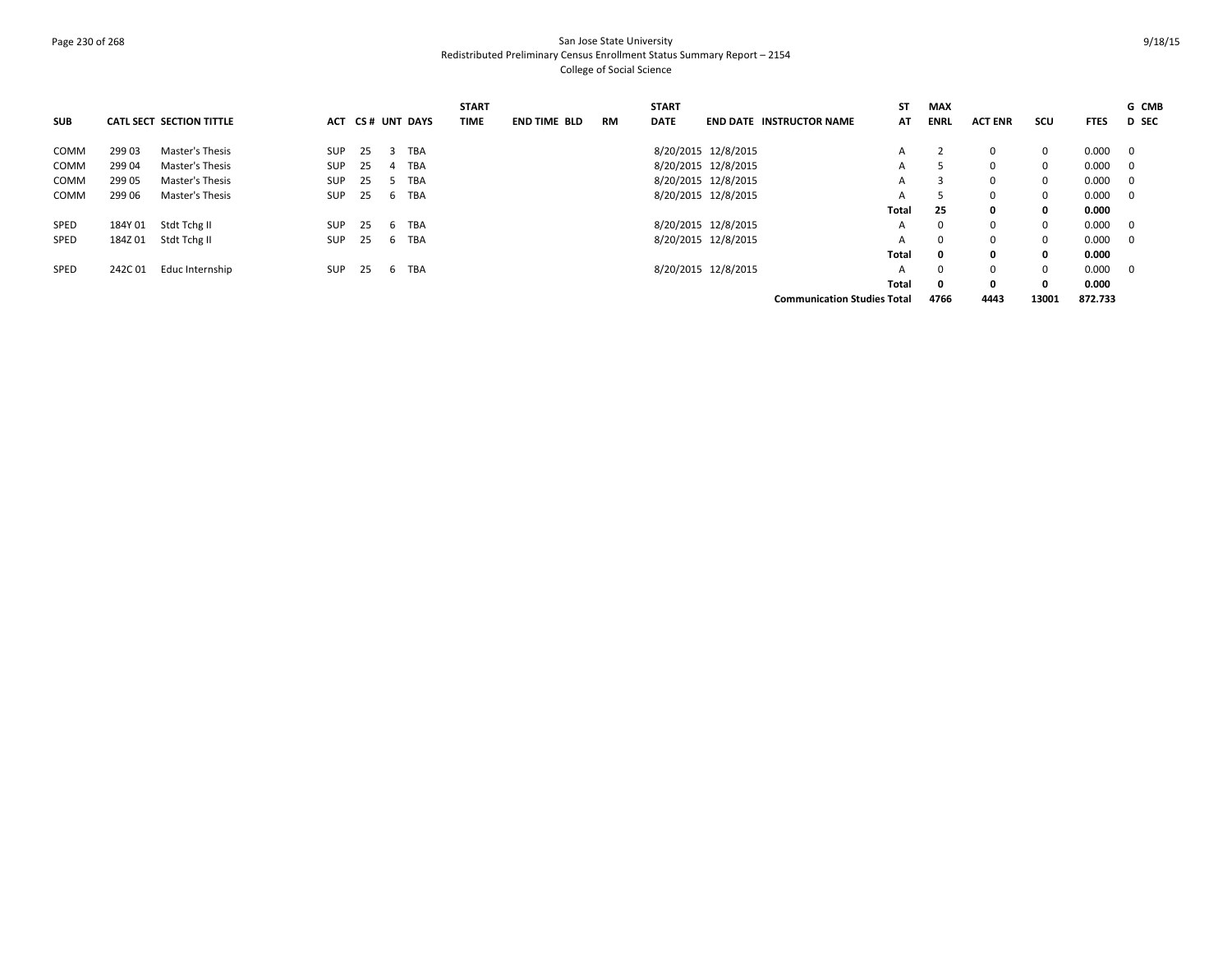# Page 230 of 268 San Jose State University Redistributed Preliminary Census Enrollment Status Summary Report – 2154 College of Social Science

|             |         |                          |            |    |   |                  | <b>START</b> |                     |           | <b>START</b> |                     |                                    | <b>ST</b> | <b>MAX</b>   |                |              |             | G CMB        |
|-------------|---------|--------------------------|------------|----|---|------------------|--------------|---------------------|-----------|--------------|---------------------|------------------------------------|-----------|--------------|----------------|--------------|-------------|--------------|
| <b>SUB</b>  |         | CATL SECT SECTION TITTLE |            |    |   | ACT CS# UNT DAYS | <b>TIME</b>  | <b>END TIME BLD</b> | <b>RM</b> | <b>DATE</b>  |                     | <b>END DATE INSTRUCTOR NAME</b>    | AT        | <b>ENRL</b>  | <b>ACT ENR</b> | scu          | <b>FTES</b> | <b>D</b> SEC |
| <b>COMM</b> | 29903   | Master's Thesis          | <b>SUP</b> | 25 | 3 | TBA              |              |                     |           |              | 8/20/2015 12/8/2015 |                                    | A         |              | $\Omega$       | $\mathbf{0}$ | 0.000       | - 0          |
| COMM        | 299 04  | Master's Thesis          | <b>SUP</b> | 25 |   | 4 TBA            |              |                     |           |              | 8/20/2015 12/8/2015 |                                    | A         |              | $\Omega$       | $\mathbf 0$  | 0.000       | $\mathbf{0}$ |
| COMM        | 299 05  | Master's Thesis          | SUP        | 25 |   | 5 TBA            |              |                     |           |              | 8/20/2015 12/8/2015 |                                    | А         | 3            | $\Omega$       | 0            | 0.000       | $\mathbf{0}$ |
| COMM        | 299 06  | Master's Thesis          | <b>SUP</b> | 25 | 6 | TBA              |              |                     |           |              | 8/20/2015 12/8/2015 |                                    | A         | 5            | $\Omega$       | $\mathbf 0$  | 0.000       | - 0          |
|             |         |                          |            |    |   |                  |              |                     |           |              |                     |                                    | Total     | 25           | 0              | 0            | 0.000       |              |
| SPED        | 184Y 01 | Stdt Tchg II             | SUP        | 25 |   | 6 TBA            |              |                     |           |              | 8/20/2015 12/8/2015 |                                    | A         | $\Omega$     | $\Omega$       | $\Omega$     | 0.000       | - 0          |
| SPED        | 184Z 01 | Stdt Tchg II             | <b>SUP</b> | 25 | 6 | TBA              |              |                     |           |              | 8/20/2015 12/8/2015 |                                    | A         | $\mathbf{0}$ | $\mathbf 0$    | $\mathbf 0$  | 0.000       | $\mathbf{0}$ |
|             |         |                          |            |    |   |                  |              |                     |           |              |                     |                                    | Total     | 0            | 0              | $\mathbf{0}$ | 0.000       |              |
| SPED        | 242C01  | Educ Internship          | SUP        | 25 |   | 6 TBA            |              |                     |           |              | 8/20/2015 12/8/2015 |                                    | A         | $\Omega$     | $\Omega$       | $\Omega$     | 0.000       | - 0          |
|             |         |                          |            |    |   |                  |              |                     |           |              |                     |                                    | Total     | 0            | 0              | $\mathbf{0}$ | 0.000       |              |
|             |         |                          |            |    |   |                  |              |                     |           |              |                     | <b>Communication Studies Total</b> |           | 4766         | 4443           | 13001        | 872.733     |              |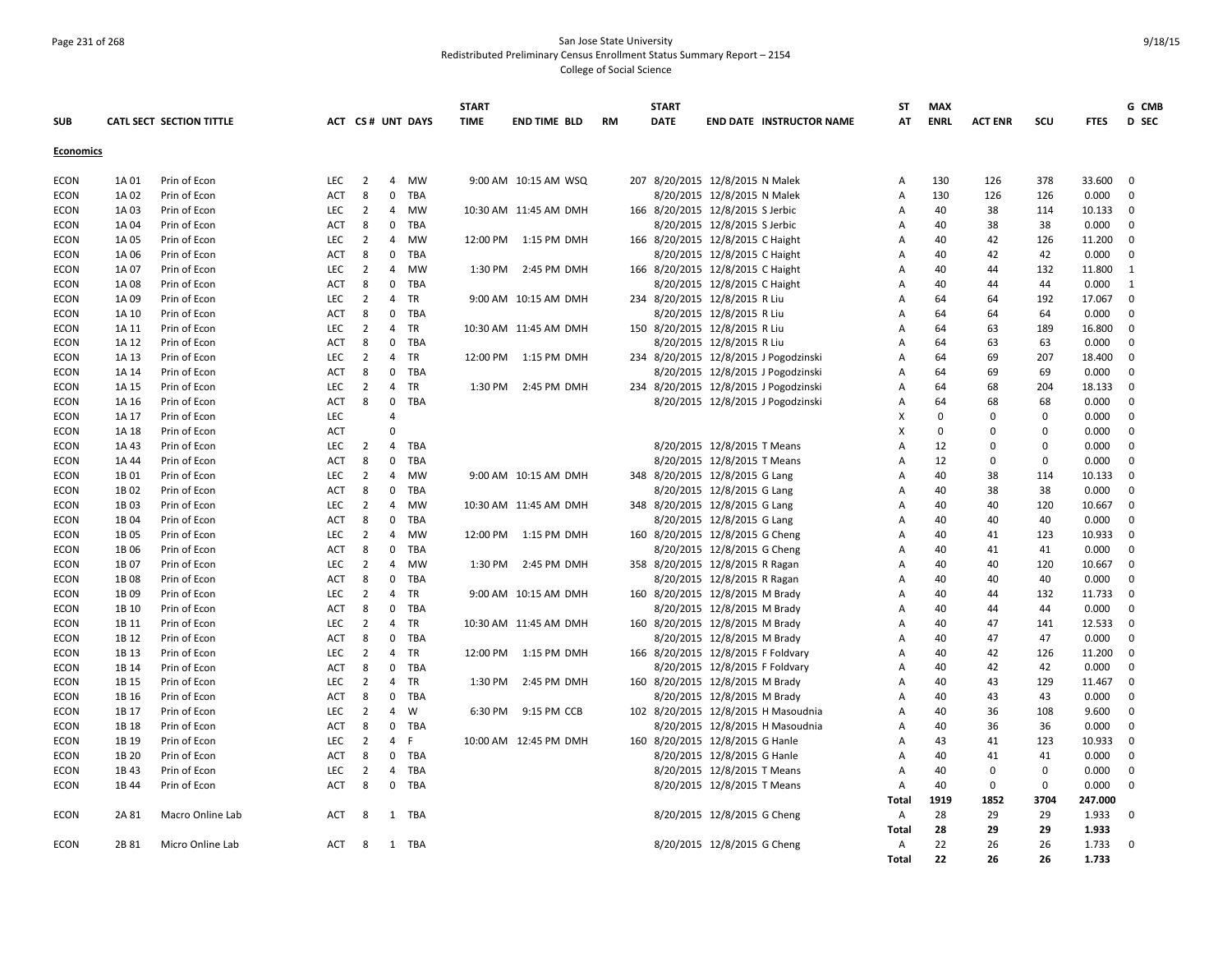### Page 231 of 268 San Jose State University Redistributed Preliminary Census Enrollment Status Summary Report – 2154 College of Social Science

|                  |                  |                          |            |                |                |                  | <b>START</b> |                       |           | <b>START</b>                       |                                |                                       | ST             | <b>MAX</b>  |                |              |             | G CMB        |
|------------------|------------------|--------------------------|------------|----------------|----------------|------------------|--------------|-----------------------|-----------|------------------------------------|--------------------------------|---------------------------------------|----------------|-------------|----------------|--------------|-------------|--------------|
| <b>SUB</b>       |                  | CATL SECT SECTION TITTLE |            |                |                | ACT CS# UNT DAYS | <b>TIME</b>  | <b>END TIME BLD</b>   | <b>RM</b> | <b>DATE</b>                        |                                | END DATE INSTRUCTOR NAME              | AT             | <b>ENRL</b> | <b>ACT ENR</b> | SCU          | <b>FTES</b> | D SEC        |
|                  |                  |                          |            |                |                |                  |              |                       |           |                                    |                                |                                       |                |             |                |              |             |              |
| <b>Economics</b> |                  |                          |            |                |                |                  |              |                       |           |                                    |                                |                                       |                |             |                |              |             |              |
| <b>ECON</b>      | 1A 01            | Prin of Econ             | <b>LEC</b> | $\overline{2}$ | $\overline{4}$ | <b>MW</b>        |              | 9:00 AM 10:15 AM WSQ  |           | 207 8/20/2015 12/8/2015 N Malek    |                                |                                       | Α              | 130         | 126            | 378          | 33.600      | $\mathbf{0}$ |
| <b>ECON</b>      | 1A 02            | Prin of Econ             | ACT        | 8              | $\mathbf 0$    | TBA              |              |                       |           |                                    | 8/20/2015 12/8/2015 N Malek    |                                       | А              | 130         | 126            | 126          | 0.000       | $\mathbf 0$  |
| <b>ECON</b>      | 1A 03            | Prin of Econ             | <b>LEC</b> | $\overline{2}$ | $\overline{4}$ | <b>MW</b>        |              | 10:30 AM 11:45 AM DMH |           | 166 8/20/2015 12/8/2015 S Jerbic   |                                |                                       | Α              | 40          | 38             | 114          | 10.133      | $\mathbf 0$  |
| <b>ECON</b>      | 1A 04            | Prin of Econ             | <b>ACT</b> | 8              | $\mathbf{0}$   | TBA              |              |                       |           |                                    | 8/20/2015 12/8/2015 S Jerbic   |                                       | A              | 40          | 38             | 38           | 0.000       | $\mathbf{0}$ |
| <b>ECON</b>      | 1A 05            | Prin of Econ             | LEC        | $\overline{2}$ | $\overline{4}$ | MW               | 12:00 PM     | 1:15 PM DMH           |           | 166 8/20/2015 12/8/2015 C Haight   |                                |                                       | А              | 40          | 42             | 126          | 11.200      | $\mathbf 0$  |
| <b>ECON</b>      | 1A 06            | Prin of Econ             | <b>ACT</b> | 8              | $\mathbf 0$    | TBA              |              |                       |           |                                    | 8/20/2015 12/8/2015 C Haight   |                                       | A              | 40          | 42             | 42           | 0.000       | $\mathbf{0}$ |
| <b>ECON</b>      | 1A 07            | Prin of Econ             | <b>LEC</b> | $\overline{2}$ | 4              | MW               | 1:30 PM      | 2:45 PM DMH           |           | 166 8/20/2015 12/8/2015 C Haight   |                                |                                       | A              | 40          | 44             | 132          | 11.800      | 1            |
| <b>ECON</b>      | 1A 08            | Prin of Econ             | <b>ACT</b> | 8              | $\mathbf{0}$   | TBA              |              |                       |           |                                    | 8/20/2015 12/8/2015 C Haight   |                                       | A              | 40          | 44             | 44           | 0.000       | 1            |
| <b>ECON</b>      | 1A 09            | Prin of Econ             | LEC        | $\overline{2}$ | $\overline{4}$ | TR               |              | 9:00 AM 10:15 AM DMH  |           | 234 8/20/2015 12/8/2015 R Liu      |                                |                                       | Α              | 64          | 64             | 192          | 17.067      | $\mathbf 0$  |
| <b>ECON</b>      | 1A 10            | Prin of Econ             | <b>ACT</b> | 8              | $\mathbf 0$    | TBA              |              |                       |           |                                    | 8/20/2015 12/8/2015 R Liu      |                                       | Α              | 64          | 64             | 64           | 0.000       | $\mathbf 0$  |
| <b>ECON</b>      | 1A 11            | Prin of Econ             | <b>LEC</b> | $\overline{2}$ | $\overline{4}$ | TR               |              | 10:30 AM 11:45 AM DMH |           | 150 8/20/2015 12/8/2015 R Liu      |                                |                                       | A              | 64          | 63             | 189          | 16.800      | $\mathbf{0}$ |
| <b>ECON</b>      | 1A 12            | Prin of Econ             | <b>ACT</b> | 8              | $\mathbf 0$    | TBA              |              |                       |           |                                    | 8/20/2015 12/8/2015 R Liu      |                                       | A              | 64          | 63             | 63           | 0.000       | $\mathbf{0}$ |
| <b>ECON</b>      | 1A 13            | Prin of Econ             | LEC        | $\overline{2}$ | $\overline{4}$ | TR               | 12:00 PM     | 1:15 PM DMH           |           |                                    |                                | 234 8/20/2015 12/8/2015 J Pogodzinski | $\overline{A}$ | 64          | 69             | 207          | 18.400      | $\mathbf 0$  |
| <b>ECON</b>      | 1A 14            | Prin of Econ             | <b>ACT</b> | 8              | $\mathbf{0}$   | TBA              |              |                       |           |                                    |                                | 8/20/2015 12/8/2015 J Pogodzinski     | Α              | 64          | 69             | 69           | 0.000       | $\mathbf{0}$ |
| <b>ECON</b>      | 1A 15            | Prin of Econ             | <b>LEC</b> | $\overline{2}$ | $\overline{4}$ | <b>TR</b>        | 1:30 PM      | 2:45 PM DMH           |           |                                    |                                | 234 8/20/2015 12/8/2015 J Pogodzinski | A              | 64          | 68             | 204          | 18.133      | $\mathbf{0}$ |
| <b>ECON</b>      | 1A 16            | Prin of Econ             | ACT        | 8              | $\mathbf 0$    | TBA              |              |                       |           |                                    |                                | 8/20/2015 12/8/2015 J Pogodzinski     | А              | 64          | 68             | 68           | 0.000       | $\mathbf 0$  |
| <b>ECON</b>      | 1A 17            | Prin of Econ             | LEC        |                | $\overline{4}$ |                  |              |                       |           |                                    |                                |                                       | X              | $\mathbf 0$ | $\mathbf 0$    | 0            | 0.000       | $\mathbf 0$  |
| <b>ECON</b>      | 1A 18            | Prin of Econ             | <b>ACT</b> |                | $\Omega$       |                  |              |                       |           |                                    |                                |                                       | X              | $\Omega$    | $\Omega$       | $\mathbf 0$  | 0.000       | $\mathbf 0$  |
| <b>ECON</b>      | 1A 43            | Prin of Econ             | <b>LEC</b> | $\overline{2}$ | $\overline{4}$ | <b>TBA</b>       |              |                       |           |                                    | 8/20/2015 12/8/2015 T Means    |                                       | A              | 12          | $\Omega$       | $\mathbf{0}$ | 0.000       | $\mathbf{0}$ |
| <b>ECON</b>      | 1A 44            | Prin of Econ             | <b>ACT</b> | 8              | $\mathbf 0$    | <b>TBA</b>       |              |                       |           |                                    | 8/20/2015 12/8/2015 T Means    |                                       | Α              | 12          | $\Omega$       | $\mathbf{0}$ | 0.000       | $\mathbf 0$  |
| <b>ECON</b>      | 1B 01            | Prin of Econ             | LEC        | $\overline{2}$ | 4              | <b>MW</b>        |              | 9:00 AM 10:15 AM DMH  |           | 348 8/20/2015 12/8/2015 G Lang     |                                |                                       | Α              | 40          | 38             | 114          | 10.133      | $\mathbf{0}$ |
| <b>ECON</b>      | 1B <sub>02</sub> | Prin of Econ             | <b>ACT</b> | 8              | $\mathbf{0}$   | TBA              |              |                       |           |                                    | 8/20/2015 12/8/2015 G Lang     |                                       | A              | 40          | 38             | 38           | 0.000       | $\mathbf 0$  |
| <b>ECON</b>      | 1B03             | Prin of Econ             | LEC        | $\overline{2}$ | 4              | <b>MW</b>        |              | 10:30 AM 11:45 AM DMH |           | 348 8/20/2015 12/8/2015 G Lang     |                                |                                       | Α              | 40          | 40             | 120          | 10.667      | $\mathbf 0$  |
| <b>ECON</b>      | 1B 04            | Prin of Econ             | ACT        | 8              | 0              | TBA              |              |                       |           |                                    | 8/20/2015 12/8/2015 G Lang     |                                       | Α              | 40          | 40             | 40           | 0.000       | 0            |
| <b>ECON</b>      | 1B05             | Prin of Econ             | <b>LEC</b> | $\overline{2}$ | $\overline{4}$ | MW               | 12:00 PM     | 1:15 PM DMH           |           | 160 8/20/2015 12/8/2015 G Cheng    |                                |                                       | Α              | 40          | 41             | 123          | 10.933      | $\mathbf 0$  |
| <b>ECON</b>      | 1B 06            | Prin of Econ             | <b>ACT</b> | 8              | $\mathbf{0}$   | TBA              |              |                       |           |                                    | 8/20/2015 12/8/2015 G Cheng    |                                       | A              | 40          | 41             | 41           | 0.000       | $\mathbf 0$  |
| <b>ECON</b>      | 1B 07            | Prin of Econ             | LEC        | $\overline{2}$ | 4              | MW               | 1:30 PM      | 2:45 PM DMH           |           | 358 8/20/2015 12/8/2015 R Ragan    |                                |                                       | A              | 40          | 40             | 120          | 10.667      | $\mathbf 0$  |
| <b>ECON</b>      | 1B 08            | Prin of Econ             | ACT        | 8              | $\mathbf{0}$   | TBA              |              |                       |           |                                    | 8/20/2015 12/8/2015 R Ragan    |                                       | Α              | 40          | 40             | 40           | 0.000       | $\mathbf{0}$ |
| <b>ECON</b>      | 1B09             | Prin of Econ             | <b>LEC</b> | $\overline{2}$ | $\overline{4}$ | <b>TR</b>        |              | 9:00 AM 10:15 AM DMH  |           | 160 8/20/2015 12/8/2015 M Brady    |                                |                                       | A              | 40          | 44             | 132          | 11.733      | $\mathbf{0}$ |
| <b>ECON</b>      | 1B 10            | Prin of Econ             | <b>ACT</b> | 8              | $\Omega$       | TBA              |              |                       |           |                                    | 8/20/2015 12/8/2015 M Brady    |                                       | Α              | 40          | 44             | 44           | 0.000       | $\mathbf 0$  |
| <b>ECON</b>      | 1B 11            | Prin of Econ             | <b>LEC</b> | $\overline{2}$ | $\overline{4}$ | TR               |              | 10:30 AM 11:45 AM DMH |           | 160 8/20/2015 12/8/2015 M Brady    |                                |                                       | Α              | 40          | 47             | 141          | 12.533      | 0            |
| <b>ECON</b>      | 1B 12            | Prin of Econ             | <b>ACT</b> | 8              | $\mathbf{0}$   | TBA              |              |                       |           |                                    | 8/20/2015 12/8/2015 M Brady    |                                       | Α              | 40          | 47             | 47           | 0.000       | $\mathbf{0}$ |
| <b>ECON</b>      | 1B 13            | Prin of Econ             | LEC        | $\overline{2}$ | $\overline{4}$ | TR               | 12:00 PM     | 1:15 PM DMH           |           | 166 8/20/2015 12/8/2015 F Foldvary |                                |                                       | Α              | 40          | 42             | 126          | 11.200      | $\mathbf{0}$ |
| <b>ECON</b>      | 1B 14            | Prin of Econ             | ACT        | 8              | $\mathbf 0$    | TBA              |              |                       |           |                                    | 8/20/2015 12/8/2015 F Foldvary |                                       | Α              | 40          | 42             | 42           | 0.000       | 0            |
| <b>ECON</b>      | 1B 15            | Prin of Econ             | <b>LEC</b> | $\overline{2}$ | 4              | TR               | 1:30 PM      | 2:45 PM DMH           |           | 160 8/20/2015 12/8/2015 M Brady    |                                |                                       | Α              | 40          | 43             | 129          | 11.467      | $\mathbf{0}$ |
| <b>ECON</b>      | 1B 16            | Prin of Econ             | <b>ACT</b> | 8              | $\mathbf 0$    | TBA              |              |                       |           |                                    | 8/20/2015 12/8/2015 M Brady    |                                       | $\overline{A}$ | 40          | 43             | 43           | 0.000       | $\mathbf{0}$ |
| <b>ECON</b>      | 1B 17            | Prin of Econ             | <b>LEC</b> | $\overline{2}$ | $\overline{4}$ | W                | 6:30 PM      | 9:15 PM CCB           |           |                                    |                                | 102 8/20/2015 12/8/2015 H Masoudnia   | Α              | 40          | 36             | 108          | 9.600       | $\mathbf{0}$ |
| <b>ECON</b>      | 1B 18            | Prin of Econ             | <b>ACT</b> | 8              | $\mathbf 0$    | TBA              |              |                       |           |                                    |                                | 8/20/2015 12/8/2015 H Masoudnia       | Α              | 40          | 36             | 36           | 0.000       | $\mathbf{0}$ |
| <b>ECON</b>      | 1B 19            | Prin of Econ             | <b>LEC</b> | $\overline{2}$ | $\overline{4}$ | F                |              | 10:00 AM 12:45 PM DMH |           | 160 8/20/2015 12/8/2015 G Hanle    |                                |                                       | A              | 43          | 41             | 123          | 10.933      | $\mathbf 0$  |
| <b>ECON</b>      | 1B 20            | Prin of Econ             | <b>ACT</b> | 8              | $\mathbf{0}$   | TBA              |              |                       |           |                                    | 8/20/2015 12/8/2015 G Hanle    |                                       | A              | 40          | 41             | 41           | 0.000       | $\mathbf{0}$ |
| <b>ECON</b>      | 1B 43            | Prin of Econ             | LEC        | $\overline{2}$ | $\overline{4}$ | TBA              |              |                       |           |                                    | 8/20/2015 12/8/2015 T Means    |                                       | A              | 40          | $\mathbf 0$    | $\mathbf 0$  | 0.000       | $\mathbf 0$  |
| <b>ECON</b>      | 1B 44            | Prin of Econ             | <b>ACT</b> | 8              |                | 0 TBA            |              |                       |           |                                    | 8/20/2015 12/8/2015 T Means    |                                       | Α              | 40          | $\Omega$       | $\mathbf 0$  | 0.000       | $\mathbf 0$  |
|                  |                  |                          |            |                |                |                  |              |                       |           |                                    |                                |                                       | Total          | 1919        | 1852           | 3704         | 247.000     |              |
| <b>ECON</b>      | 2A 81            | Macro Online Lab         | <b>ACT</b> | 8              |                | 1 TBA            |              |                       |           |                                    | 8/20/2015 12/8/2015 G Cheng    |                                       | Α              | 28          | 29             | 29           | 1.933       | $\mathbf 0$  |
|                  |                  |                          |            |                |                |                  |              |                       |           |                                    |                                |                                       | <b>Total</b>   | 28          | 29             | 29           | 1.933       |              |
| <b>ECON</b>      | 2B 81            | Micro Online Lab         | ACT        | - 8            |                | 1 TBA            |              |                       |           |                                    | 8/20/2015 12/8/2015 G Cheng    |                                       | Α              | 22          | 26             | 26           | 1.733       | $\mathbf{0}$ |
|                  |                  |                          |            |                |                |                  |              |                       |           |                                    |                                |                                       | Total          | 22          | 26             | 26           | 1.733       |              |
|                  |                  |                          |            |                |                |                  |              |                       |           |                                    |                                |                                       |                |             |                |              |             |              |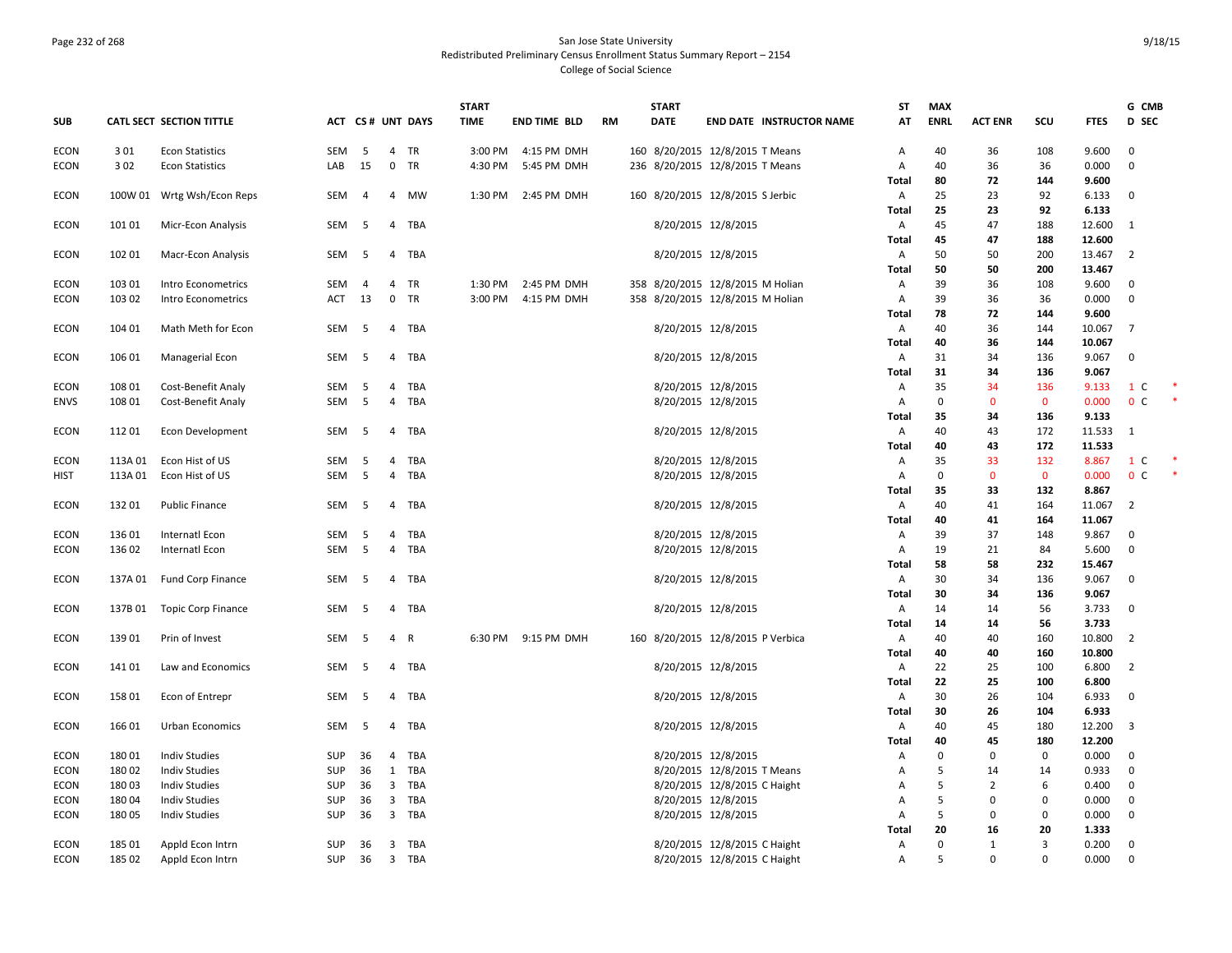# Page 232 of 268 San Jose State University Redistributed Preliminary Census Enrollment Status Summary Report – 2154 College of Social Science

|             |         |                            |            |                |                |                  | <b>START</b> |                     |    | <b>START</b> |                                   | ST           | <b>MAX</b>  |                |             |             | G CMB          |  |
|-------------|---------|----------------------------|------------|----------------|----------------|------------------|--------------|---------------------|----|--------------|-----------------------------------|--------------|-------------|----------------|-------------|-------------|----------------|--|
| <b>SUB</b>  |         | CATL SECT SECTION TITTLE   |            |                |                | ACT CS# UNT DAYS | <b>TIME</b>  | <b>END TIME BLD</b> | RM | <b>DATE</b>  | <b>END DATE INSTRUCTOR NAME</b>   | AT           | <b>ENRL</b> | <b>ACT ENR</b> | SCU         | <b>FTES</b> | <b>D</b> SEC   |  |
| <b>ECON</b> | 301     | <b>Econ Statistics</b>     | <b>SEM</b> | - 5            | $\overline{4}$ | <b>TR</b>        | 3:00 PM      | 4:15 PM DMH         |    |              | 160 8/20/2015 12/8/2015 T Means   | Α            | 40          | 36             | 108         | 9.600       | $\mathbf 0$    |  |
| <b>ECON</b> | 302     | <b>Econ Statistics</b>     | LAB        | 15             | $\mathbf 0$    | TR               | 4:30 PM      | 5:45 PM DMH         |    |              | 236 8/20/2015 12/8/2015 T Means   | А            | 40          | 36             | 36          | 0.000       | $\Omega$       |  |
|             |         |                            |            |                |                |                  |              |                     |    |              |                                   | Total        | 80          | 72             | 144         | 9.600       |                |  |
| <b>ECON</b> |         | 100W 01 Wrtg Wsh/Econ Reps | SEM        | $\overline{4}$ |                | 4 MW             |              | 1:30 PM 2:45 PM DMH |    |              | 160 8/20/2015 12/8/2015 S Jerbic  | Α            | 25          | 23             | 92          | 6.133       | $\overline{0}$ |  |
|             |         |                            |            |                |                |                  |              |                     |    |              |                                   | <b>Total</b> | 25          | 23             | 92          | 6.133       |                |  |
| <b>ECON</b> | 101 01  | Micr-Econ Analysis         | SEM        | - 5            |                | 4 TBA            |              |                     |    |              | 8/20/2015 12/8/2015               | Α            | 45          | 47             | 188         | 12.600 1    |                |  |
|             |         |                            |            |                |                |                  |              |                     |    |              |                                   | <b>Total</b> | 45          | 47             | 188         | 12.600      |                |  |
| ECON        | 102 01  | Macr-Econ Analysis         | SEM        | - 5            |                | 4 TBA            |              |                     |    |              | 8/20/2015 12/8/2015               | Α            | 50          | 50             | 200         | 13.467 2    |                |  |
|             |         |                            |            |                |                |                  |              |                     |    |              |                                   | <b>Total</b> | 50          | 50             | 200         | 13.467      |                |  |
| <b>ECON</b> | 103 01  | Intro Econometrics         | SEM        | 4              | 4              | TR               | 1:30 PM      | 2:45 PM DMH         |    |              | 358 8/20/2015 12/8/2015 M Holian  | Α            | 39          | 36             | 108         | 9.600       | $\mathbf 0$    |  |
| <b>ECON</b> | 103 02  | Intro Econometrics         | ACT        | 13             | $\mathbf 0$    | TR               | 3:00 PM      | 4:15 PM DMH         |    |              | 358 8/20/2015 12/8/2015 M Holian  | А            | 39          | 36             | 36          | 0.000       | $\overline{0}$ |  |
|             |         |                            |            |                |                |                  |              |                     |    |              |                                   | <b>Total</b> | 78          | 72             | 144         | 9.600       |                |  |
| <b>ECON</b> | 104 01  | Math Meth for Econ         | SEM        | - 5            |                | 4 TBA            |              |                     |    |              | 8/20/2015 12/8/2015               | Α            | 40          | 36             | 144         | 10.067      | $\overline{7}$ |  |
|             |         |                            |            |                |                |                  |              |                     |    |              |                                   | <b>Total</b> | 40          | 36             | 144         | 10.067      |                |  |
| <b>ECON</b> | 106 01  | Managerial Econ            | SEM        | 5              |                | 4 TBA            |              |                     |    |              | 8/20/2015 12/8/2015               | Α            | 31          | 34             | 136         | 9.067       | $\mathbf 0$    |  |
|             |         |                            |            |                |                |                  |              |                     |    |              |                                   | <b>Total</b> | 31          | 34             | 136         | 9.067       |                |  |
| <b>ECON</b> | 108 01  | Cost-Benefit Analy         | SEM        | - 5            | 4              | TBA              |              |                     |    |              | 8/20/2015 12/8/2015               | Α            | 35          | 34             | 136         | 9.133       | 1 C            |  |
| <b>ENVS</b> | 108 01  | Cost-Benefit Analy         | SEM        | 5              | $\overline{4}$ | TBA              |              |                     |    |              | 8/20/2015 12/8/2015               | Α            | $\mathbf 0$ | $\mathbf 0$    | $\mathbf 0$ | 0.000       | 0 <sup>c</sup> |  |
|             |         |                            |            |                |                |                  |              |                     |    |              |                                   | <b>Total</b> | 35          | 34             | 136         | 9.133       |                |  |
| <b>ECON</b> | 11201   | <b>Econ Development</b>    | SEM        | 5              |                | 4 TBA            |              |                     |    |              | 8/20/2015 12/8/2015               | Α            | 40          | 43             | 172         | 11.533      | $\overline{1}$ |  |
|             |         |                            |            |                |                |                  |              |                     |    |              |                                   | Total        | 40          | 43             | 172         | 11.533      |                |  |
| <b>ECON</b> | 113A 01 | Econ Hist of US            | SEM        | 5              | 4              | TBA              |              |                     |    |              | 8/20/2015 12/8/2015               | А            | 35          | 33             | 132         | 8.867       | 1 C            |  |
| <b>HIST</b> | 113A 01 | Econ Hist of US            | SEM        | 5              | 4              | TBA              |              |                     |    |              | 8/20/2015 12/8/2015               | Α            | $\Omega$    | $\mathbf{0}$   | $\mathbf 0$ | 0.000       | 0 <sup>C</sup> |  |
|             |         |                            |            |                |                |                  |              |                     |    |              |                                   | <b>Total</b> | 35          | 33             | 132         | 8.867       |                |  |
| <b>ECON</b> | 13201   | <b>Public Finance</b>      | SEM        | 5              |                | 4 TBA            |              |                     |    |              | 8/20/2015 12/8/2015               | Α            | 40          | 41             | 164         | 11.067      | $\overline{2}$ |  |
|             |         |                            |            |                |                |                  |              |                     |    |              |                                   | <b>Total</b> | 40          | 41             | 164         | 11.067      |                |  |
| <b>ECON</b> | 136 01  | Internatl Econ             | SEM        | - 5            | $\overline{4}$ | TBA              |              |                     |    |              | 8/20/2015 12/8/2015               | А            | 39          | 37             | 148         | 9.867       | $\mathbf 0$    |  |
| <b>ECON</b> | 136 02  | Internatl Econ             | SEM        | 5              | $\overline{4}$ | TBA              |              |                     |    |              | 8/20/2015 12/8/2015               | Α            | 19          | 21             | 84          | 5.600       | $\mathbf 0$    |  |
|             |         |                            |            |                |                |                  |              |                     |    |              |                                   | Total        | 58          | 58             | 232         | 15.467      |                |  |
| ECON        | 137A 01 | Fund Corp Finance          | SEM        | 5              | 4              | TBA              |              |                     |    |              | 8/20/2015 12/8/2015               | Α            | 30          | 34             | 136         | 9.067       | $\mathbf 0$    |  |
|             |         |                            |            |                |                |                  |              |                     |    |              |                                   | Total        | 30          | 34             | 136         | 9.067       |                |  |
| <b>ECON</b> | 137B 01 | <b>Topic Corp Finance</b>  | SEM        | 5              | $\overline{4}$ | TBA              |              |                     |    |              | 8/20/2015 12/8/2015               | Α            | 14          | 14             | 56          | 3.733       | $\mathbf 0$    |  |
|             |         |                            |            |                |                |                  |              |                     |    |              |                                   | <b>Total</b> | 14          | 14             | 56          | 3.733       |                |  |
| <b>ECON</b> | 13901   | Prin of Invest             | SEM        | -5             | 4 R            |                  |              | 6:30 PM 9:15 PM DMH |    |              | 160 8/20/2015 12/8/2015 P Verbica | Α            | 40          | 40             | 160         | 10.800      | $\overline{2}$ |  |
|             |         |                            |            |                |                |                  |              |                     |    |              |                                   | Total        | 40          | 40             | 160         | 10.800      |                |  |
| <b>ECON</b> | 14101   | Law and Economics          | SEM        | - 5            |                | 4 TBA            |              |                     |    |              | 8/20/2015 12/8/2015               | Α            | 22          | 25             | 100         | 6.800       | $\overline{2}$ |  |
|             |         |                            |            |                |                |                  |              |                     |    |              |                                   | <b>Total</b> | 22          | 25             | 100         | 6.800       |                |  |
| ECON        | 158 01  | Econ of Entrepr            | SEM        | - 5            | 4              | TBA              |              |                     |    |              | 8/20/2015 12/8/2015               | Α            | 30          | 26             | 104         | 6.933       | $\mathbf 0$    |  |
|             |         |                            |            |                |                |                  |              |                     |    |              |                                   | <b>Total</b> | 30          | 26             | 104         | 6.933       |                |  |
| <b>ECON</b> | 166 01  | Urban Economics            | SEM        | 5              | $\overline{4}$ | TBA              |              |                     |    |              | 8/20/2015 12/8/2015               | Α            | 40          | 45             | 180         | 12.200 3    |                |  |
|             |         |                            |            |                |                |                  |              |                     |    |              |                                   | Total        | 40          | 45             | 180         | 12.200      |                |  |
| <b>ECON</b> | 18001   | <b>Indiv Studies</b>       | <b>SUP</b> | 36             | 4              | TBA              |              |                     |    |              | 8/20/2015 12/8/2015               | Α            | $\Omega$    | $\mathbf 0$    | $\pmb{0}$   | 0.000       | $\mathbf 0$    |  |
| <b>ECON</b> | 18002   | <b>Indiv Studies</b>       | SUP        | 36             | 1              | TBA              |              |                     |    |              | 8/20/2015 12/8/2015 T Means       | Α            | 5           | 14             | 14          | 0.933       | $\mathbf 0$    |  |
| <b>ECON</b> | 18003   | <b>Indiv Studies</b>       | SUP        | 36             | $\overline{3}$ | TBA              |              |                     |    |              | 8/20/2015 12/8/2015 C Haight      | A            | .5          | $\overline{2}$ | 6           | 0.400       | $\mathbf 0$    |  |
| <b>ECON</b> | 18004   | <b>Indiv Studies</b>       | SUP        | 36             | $\overline{3}$ | TBA              |              |                     |    |              | 8/20/2015 12/8/2015               | Α            | 5           | $\Omega$       | $\pmb{0}$   | 0.000       | 0              |  |
| <b>ECON</b> | 18005   | <b>Indiv Studies</b>       | SUP        | 36             |                | 3 TBA            |              |                     |    |              | 8/20/2015 12/8/2015               | Α            | 5           | $\Omega$       | $\mathbf 0$ | 0.000       | $\mathbf 0$    |  |
|             |         |                            |            |                |                |                  |              |                     |    |              |                                   | <b>Total</b> | 20          | 16             | 20          | 1.333       |                |  |
| <b>ECON</b> | 185 01  | Appld Econ Intrn           | <b>SUP</b> | 36             |                | 3 TBA            |              |                     |    |              | 8/20/2015 12/8/2015 C Haight      | Α            | $\Omega$    | 1              | 3           | 0.200       | $\mathbf 0$    |  |
| ECON        | 185 02  | Appld Econ Intrn           | SUP        | 36             |                | 3 TBA            |              |                     |    |              | 8/20/2015 12/8/2015 C Haight      | A            | 5           | $\Omega$       | $\Omega$    | 0.000       | $\mathbf 0$    |  |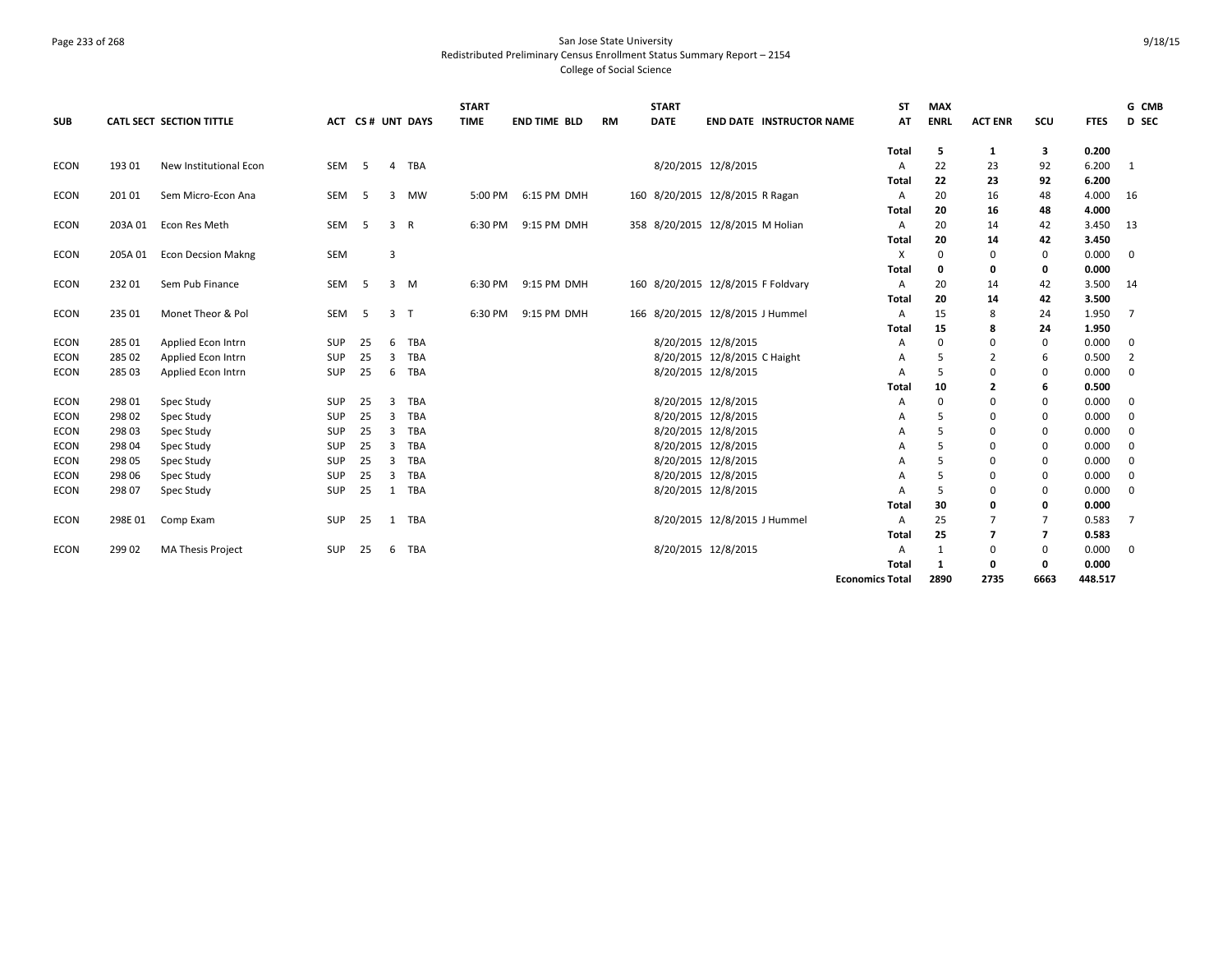# Page 233 of 268 San Jose State University Redistributed Preliminary Census Enrollment Status Summary Report – 2154 College of Social Science

| <b>SUB</b>  |         | CATL SECT SECTION TITTLE  |            |    |   | <b>ACT CS# UNT DAYS</b> | <b>START</b><br><b>TIME</b> | <b>END TIME BLD</b> | <b>RM</b> | <b>START</b><br><b>DATE</b> | <b>END DATE INSTRUCTOR NAME</b>    | ST<br>AT               | <b>MAX</b><br><b>ENRL</b> | <b>ACT ENR</b> | scu            | <b>FTES</b>    | G CMB<br>D SEC |
|-------------|---------|---------------------------|------------|----|---|-------------------------|-----------------------------|---------------------|-----------|-----------------------------|------------------------------------|------------------------|---------------------------|----------------|----------------|----------------|----------------|
|             |         |                           |            |    |   |                         |                             |                     |           |                             |                                    | Total                  | 5                         | 1              | 3              | 0.200          |                |
| <b>ECON</b> | 193 01  | New Institutional Econ    | SEM        | -5 | 4 | TBA                     |                             |                     |           |                             | 8/20/2015 12/8/2015                | A                      | 22                        | 23             | 92             | 6.200          | - 1            |
|             |         |                           |            |    |   |                         |                             |                     |           |                             |                                    | Total                  | 22                        | 23             | 92             | 6.200          |                |
| <b>ECON</b> | 201 01  | Sem Micro-Econ Ana        | SEM        | -5 | 3 | MW                      | 5:00 PM                     | 6:15 PM DMH         |           |                             | 160 8/20/2015 12/8/2015 R Ragan    | A                      | 20                        | 16             | 48             | 4.000          | 16             |
|             |         |                           |            |    |   |                         |                             |                     |           |                             |                                    | Total                  | 20                        | 16             | 48             | 4.000          |                |
| ECON        | 203A 01 | Econ Res Meth             | SEM        | -5 | 3 | R                       | 6:30 PM                     | 9:15 PM DMH         |           |                             | 358 8/20/2015 12/8/2015 M Holian   | A                      | 20                        | 14             | 42             | 3.450          | 13             |
|             |         |                           | SEM        |    |   |                         |                             |                     |           |                             |                                    | Total                  | 20<br>$\mathbf 0$         | 14<br>$\Omega$ | 42             | 3.450<br>0.000 |                |
| <b>ECON</b> | 205A 01 | <b>Econ Decsion Makng</b> |            |    | 3 |                         |                             |                     |           |                             |                                    | Х<br>Total             | 0                         | 0              | 0<br>0         | 0.000          | $\mathbf 0$    |
| ECON        | 23201   | Sem Pub Finance           | <b>SEM</b> | -5 | 3 | M                       | 6:30 PM                     | 9:15 PM DMH         |           |                             | 160 8/20/2015 12/8/2015 F Foldvary | A                      | 20                        | 14             | 42             | 3.500          | - 14           |
|             |         |                           |            |    |   |                         |                             |                     |           |                             |                                    | Total                  | 20                        | 14             | 42             | 3.500          |                |
| <b>ECON</b> | 235 01  | Monet Theor & Pol         | SEM        | -5 | 3 | $\top$                  | 6:30 PM                     | 9:15 PM DMH         |           |                             | 166 8/20/2015 12/8/2015 J Hummel   | A                      | 15                        | 8              | 24             | 1.950          | 7              |
|             |         |                           |            |    |   |                         |                             |                     |           |                             |                                    | Total                  | 15                        | 8              | 24             | 1.950          |                |
| <b>ECON</b> | 285 01  | Applied Econ Intrn        | SUP        | 25 | 6 | TBA                     |                             |                     |           |                             | 8/20/2015 12/8/2015                | A                      | $\Omega$                  | $\Omega$       | $\mathbf 0$    | 0.000          | $\mathbf 0$    |
| <b>ECON</b> | 285 02  | Applied Econ Intrn        | SUP        | 25 | 3 | TBA                     |                             |                     |           |                             | 8/20/2015 12/8/2015 C Haight       | A                      | 5                         | $\overline{2}$ | 6              | 0.500          | $\overline{2}$ |
| <b>ECON</b> | 285 03  | Applied Econ Intrn        | SUP        | 25 | 6 | TBA                     |                             |                     |           |                             | 8/20/2015 12/8/2015                | A                      | 5                         | 0              | 0              | 0.000          | $\mathbf 0$    |
|             |         |                           |            |    |   |                         |                             |                     |           |                             |                                    | Total                  | 10                        | $\overline{2}$ | 6              | 0.500          |                |
| <b>ECON</b> | 298 01  | Spec Study                | SUP        | 25 | 3 | TBA                     |                             |                     |           |                             | 8/20/2015 12/8/2015                | A                      | $\Omega$                  | $\Omega$       | 0              | 0.000          | $\mathbf 0$    |
| <b>ECON</b> | 298 02  | Spec Study                | SUP        | 25 | 3 | TBA                     |                             |                     |           |                             | 8/20/2015 12/8/2015                | A                      | 5                         | $\Omega$       | 0              | 0.000          | $\mathbf{0}$   |
| <b>ECON</b> | 298 03  | Spec Study                | SUP        | 25 | 3 | TBA                     |                             |                     |           |                             | 8/20/2015 12/8/2015                | A                      | 5                         | 0              | 0              | 0.000          | $\mathbf 0$    |
| <b>ECON</b> | 298 04  | Spec Study                | SUP        | 25 | 3 | TBA                     |                             |                     |           |                             | 8/20/2015 12/8/2015                | A                      | 5                         | $\Omega$       | $\mathbf 0$    | 0.000          | $\mathbf 0$    |
| <b>ECON</b> | 298 05  | Spec Study                | SUP        | 25 | 3 | TBA                     |                             |                     |           |                             | 8/20/2015 12/8/2015                | A                      | 5                         | $\Omega$       | $\mathbf 0$    | 0.000          | $\mathbf 0$    |
| <b>ECON</b> | 298 06  | Spec Study                | SUP        | 25 | 3 | TBA                     |                             |                     |           |                             | 8/20/2015 12/8/2015                | A                      | 5                         | $\Omega$       | 0              | 0.000          | $\mathbf 0$    |
| ECON        | 298 07  | Spec Study                | SUP        | 25 |   | 1 TBA                   |                             |                     |           |                             | 8/20/2015 12/8/2015                | A                      | 5                         | 0              | 0              | 0.000          | $\mathbf 0$    |
|             |         |                           |            |    |   |                         |                             |                     |           |                             |                                    | <b>Total</b>           | 30                        | Ω              | 0              | 0.000          |                |
| <b>ECON</b> | 298E 01 | Comp Exam                 | SUP        | 25 | 1 | TBA                     |                             |                     |           |                             | 8/20/2015 12/8/2015 J Hummel       | A                      | 25                        | 7              | 7              | 0.583          | 7              |
|             |         |                           |            |    |   |                         |                             |                     |           |                             |                                    | Total                  | 25                        | $\overline{7}$ | $\overline{7}$ | 0.583          |                |
| <b>ECON</b> | 299 02  | MA Thesis Project         | SUP        | 25 | 6 | TBA                     |                             |                     |           |                             | 8/20/2015 12/8/2015                | A                      | 1                         | 0              | $\mathbf 0$    | 0.000          | $\mathbf{0}$   |
|             |         |                           |            |    |   |                         |                             |                     |           |                             |                                    | Total                  | 1                         | 0              | 0              | 0.000          |                |
|             |         |                           |            |    |   |                         |                             |                     |           |                             |                                    | <b>Economics Total</b> | 2890                      | 2735           | 6663           | 448.517        |                |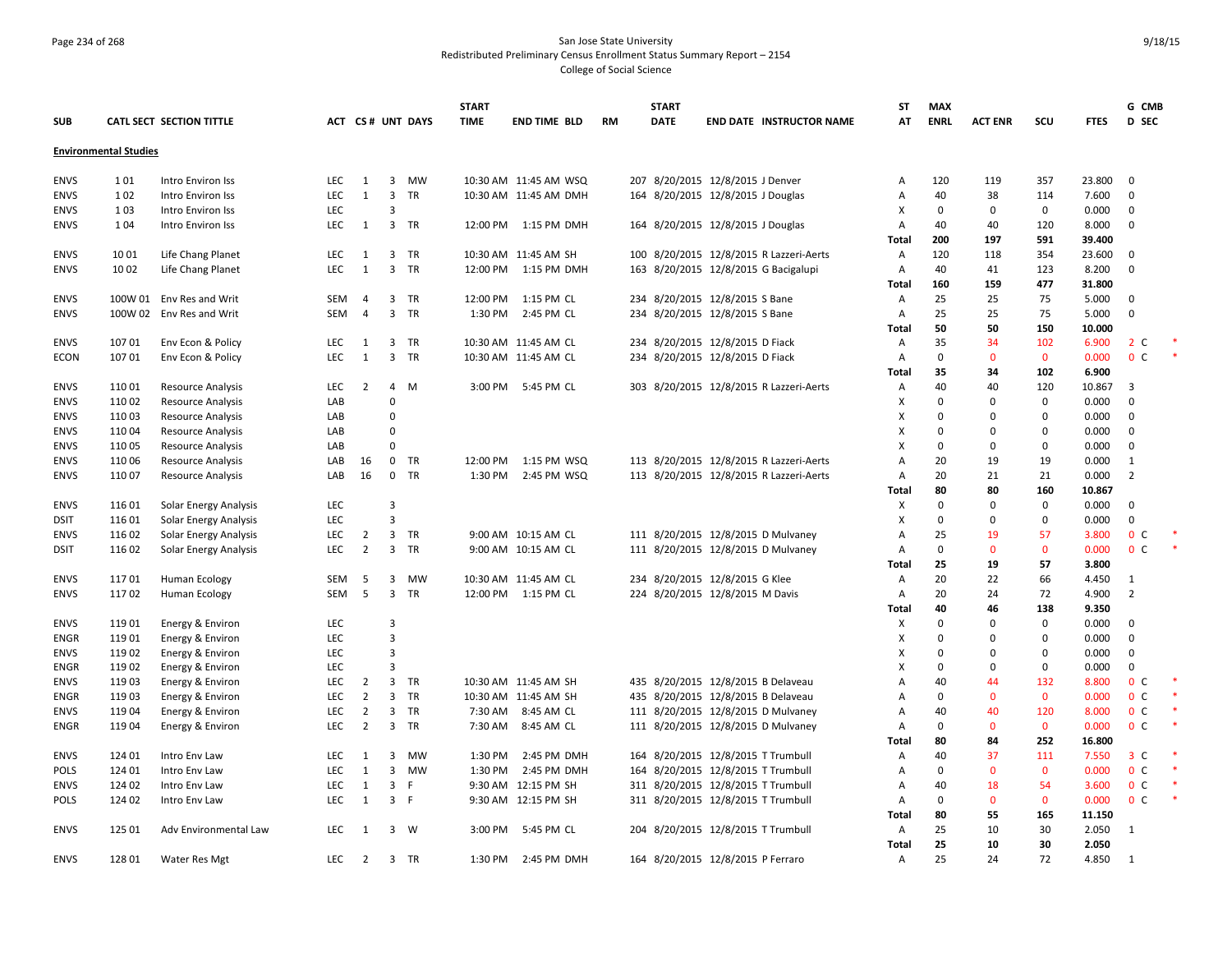# Page 234 of 268 San Jose State University Redistributed Preliminary Census Enrollment Status Summary Report – 2154 College of Social Science

|             |                              |                              |            |                |                         |                         | <b>START</b> |                       |           | <b>START</b> |                                         | <b>ST</b>      | <b>MAX</b>  |                |              |             | G CMB                   |   |
|-------------|------------------------------|------------------------------|------------|----------------|-------------------------|-------------------------|--------------|-----------------------|-----------|--------------|-----------------------------------------|----------------|-------------|----------------|--------------|-------------|-------------------------|---|
| <b>SUB</b>  |                              | CATL SECT SECTION TITTLE     |            |                |                         | <b>ACT CS# UNT DAYS</b> | <b>TIME</b>  | <b>END TIME BLD</b>   | <b>RM</b> | <b>DATE</b>  | <b>END DATE INSTRUCTOR NAME</b>         | AT             | <b>ENRL</b> | <b>ACT ENR</b> | scu          | <b>FTES</b> | <b>D</b> SEC            |   |
|             | <b>Environmental Studies</b> |                              |            |                |                         |                         |              |                       |           |              |                                         |                |             |                |              |             |                         |   |
|             |                              |                              |            |                |                         |                         |              |                       |           |              |                                         |                |             |                |              |             |                         |   |
| <b>ENVS</b> | 101                          | Intro Environ Iss            | LEC.       | 1              | $\overline{3}$          | MW                      |              | 10:30 AM 11:45 AM WSQ |           |              | 207 8/20/2015 12/8/2015 J Denver        | $\overline{A}$ | 120         | 119            | 357          | 23.800      | 0                       |   |
| <b>ENVS</b> | 102                          | Intro Environ Iss            | <b>LEC</b> | 1              | $\overline{3}$          | <b>TR</b>               |              | 10:30 AM 11:45 AM DMH |           |              | 164 8/20/2015 12/8/2015 J Douglas       | A              | 40          | 38             | 114          | 7.600       | $\Omega$                |   |
| <b>ENVS</b> | 103                          | Intro Environ Iss            | LEC        |                | $\overline{3}$          |                         |              |                       |           |              |                                         | х              | 0           | 0              | $\mathsf 0$  | 0.000       | $\mathbf{0}$            |   |
| <b>ENVS</b> | 104                          | Intro Environ Iss            | <b>LEC</b> | 1              |                         | 3 TR                    |              | 12:00 PM 1:15 PM DMH  |           |              | 164 8/20/2015 12/8/2015 J Douglas       | Α              | 40          | 40             | 120          | 8.000       | $\Omega$                |   |
|             |                              |                              |            |                |                         |                         |              |                       |           |              |                                         | <b>Total</b>   | 200         | 197            | 591          | 39.400      |                         |   |
| <b>ENVS</b> | 1001                         | Life Chang Planet            | LEC        | 1              |                         | 3 TR                    |              | 10:30 AM 11:45 AM SH  |           |              | 100 8/20/2015 12/8/2015 R Lazzeri-Aerts | Α              | 120         | 118            | 354          | 23.600      | $\Omega$                |   |
| <b>ENVS</b> | 1002                         | Life Chang Planet            | LEC        | $\mathbf{1}$   | $\overline{3}$          | TR                      |              | 12:00 PM 1:15 PM DMH  |           |              | 163 8/20/2015 12/8/2015 G Bacigalupi    | Α              | 40          | 41             | 123          | 8.200       | $\Omega$                |   |
|             |                              |                              |            |                |                         |                         |              |                       |           |              |                                         | Total          | 160         | 159            | 477          | 31.800      |                         |   |
| <b>ENVS</b> |                              | 100W 01 Env Res and Writ     | <b>SEM</b> | $\overline{4}$ | $\overline{\mathbf{3}}$ | <b>TR</b>               | 12:00 PM     | 1:15 PM CL            |           |              | 234 8/20/2015 12/8/2015 S Bane          | $\overline{A}$ | 25          | 25             | 75           | 5.000       | $\Omega$                |   |
| <b>ENVS</b> |                              | 100W 02 Env Res and Writ     | SEM        | $\overline{4}$ | $\overline{3}$          | TR                      | 1:30 PM      | 2:45 PM CL            |           |              | 234 8/20/2015 12/8/2015 S Bane          | A              | 25          | 25             | 75           | 5.000       | $\Omega$                |   |
|             |                              |                              |            |                |                         |                         |              |                       |           |              |                                         | <b>Total</b>   | 50          | 50             | 150          | 10.000      |                         |   |
| <b>ENVS</b> | 10701                        | Env Econ & Policy            | <b>LEC</b> | 1              | $\overline{\mathbf{3}}$ | <b>TR</b>               |              | 10:30 AM 11:45 AM CL  |           |              | 234 8/20/2015 12/8/2015 D Fiack         | $\overline{A}$ | 35          | 34             | 102          | 6.900       | 2 <sub>c</sub>          |   |
| ECON        | 10701                        | Env Econ & Policy            | LEC        | $\mathbf{1}$   | $\overline{3}$          | TR                      |              | 10:30 AM 11:45 AM CL  |           |              | 234 8/20/2015 12/8/2015 D Fiack         | Α              | $\Omega$    | $\mathbf 0$    | $\mathbf 0$  | 0.000       | 0 <sup>c</sup>          |   |
|             |                              |                              |            |                |                         |                         |              |                       |           |              |                                         | Total          | 35          | 34             | 102          | 6.900       |                         |   |
| <b>ENVS</b> | 11001                        | <b>Resource Analysis</b>     | LEC        | $\overline{2}$ | $\overline{4}$          | M                       | 3:00 PM      | 5:45 PM CL            |           |              | 303 8/20/2015 12/8/2015 R Lazzeri-Aerts | Α              | 40          | 40             | 120          | 10.867      | $\overline{\mathbf{3}}$ |   |
| <b>ENVS</b> | 11002                        | Resource Analysis            | LAB        |                | $\Omega$                |                         |              |                       |           |              |                                         | Χ              | $\Omega$    | $\Omega$       | $\mathbf 0$  | 0.000       | $\Omega$                |   |
| <b>ENVS</b> | 11003                        | <b>Resource Analysis</b>     | LAB        |                | $\mathbf 0$             |                         |              |                       |           |              |                                         | X              | $\Omega$    | $\mathbf 0$    | $\mathbf 0$  | 0.000       | $\Omega$                |   |
| <b>ENVS</b> | 11004                        | <b>Resource Analysis</b>     | LAB        |                | $\Omega$                |                         |              |                       |           |              |                                         | х              | $\Omega$    | 0              | $\mathbf 0$  | 0.000       | $\Omega$                |   |
| <b>ENVS</b> | 11005                        | <b>Resource Analysis</b>     | LAB        |                | $\Omega$                |                         |              |                       |           |              |                                         | X              | $\Omega$    | $\mathbf 0$    | $\mathbf 0$  | 0.000       | $\mathbf{0}$            |   |
| <b>ENVS</b> | 11006                        | Resource Analysis            | LAB        | 16             |                         | $0$ TR                  | 12:00 PM     | 1:15 PM WSQ           |           |              | 113 8/20/2015 12/8/2015 R Lazzeri-Aerts | Α              | 20          | 19             | 19           | 0.000       | 1                       |   |
| <b>ENVS</b> | 11007                        | <b>Resource Analysis</b>     | LAB        | 16             | $\mathbf{0}$            | <b>TR</b>               | 1:30 PM      | 2:45 PM WSQ           |           |              | 113 8/20/2015 12/8/2015 R Lazzeri-Aerts | A              | 20          | 21             | 21           | 0.000       | $\overline{2}$          |   |
|             |                              |                              |            |                |                         |                         |              |                       |           |              |                                         | Total          | 80          | 80             | 160          | 10.867      |                         |   |
| <b>ENVS</b> | 116 01                       | Solar Energy Analysis        | LEC        |                | $\overline{3}$          |                         |              |                       |           |              |                                         | X              | $\Omega$    | $\Omega$       | $\mathbf{0}$ | 0.000       | $\Omega$                |   |
| <b>DSIT</b> | 11601                        | <b>Solar Energy Analysis</b> | <b>LEC</b> |                | $\overline{3}$          |                         |              |                       |           |              |                                         | X              | $\Omega$    | 0              | $\mathbf 0$  | 0.000       | $\Omega$                |   |
| <b>ENVS</b> | 11602                        | Solar Energy Analysis        | <b>LEC</b> | $\overline{2}$ | $\overline{3}$          | TR                      |              | 9:00 AM 10:15 AM CL   |           |              | 111 8/20/2015 12/8/2015 D Mulvaney      | $\overline{A}$ | 25          | 19             | 57           | 3.800       | 0 <sup>c</sup>          |   |
| <b>DSIT</b> | 11602                        | Solar Energy Analysis        | <b>LEC</b> | $\overline{2}$ | $\overline{3}$          | <b>TR</b>               |              | 9:00 AM 10:15 AM CL   |           |              | 111 8/20/2015 12/8/2015 D Mulvaney      | A              | 0           | $\mathbf{0}$   | $\mathbf{0}$ | 0.000       | 0 <sup>C</sup>          |   |
|             |                              |                              |            |                |                         |                         |              |                       |           |              |                                         | <b>Total</b>   | 25          | 19             | 57           | 3.800       |                         |   |
| <b>ENVS</b> | 11701                        | Human Ecology                | SEM        | 5              | 3                       | MW                      |              | 10:30 AM 11:45 AM CL  |           |              | 234 8/20/2015 12/8/2015 G Klee          | Α              | 20          | 22             | 66           | 4.450       | 1                       |   |
| <b>ENVS</b> | 11702                        | Human Ecology                | <b>SEM</b> | 5              | $\overline{3}$          | <b>TR</b>               |              | 12:00 PM 1:15 PM CL   |           |              | 224 8/20/2015 12/8/2015 M Davis         | $\overline{A}$ | 20          | 24             | 72           | 4.900       | $\overline{2}$          |   |
|             |                              |                              |            |                |                         |                         |              |                       |           |              |                                         | Total          | 40          | 46             | 138          | 9.350       |                         |   |
| <b>ENVS</b> | 11901                        | Energy & Environ             | LEC        |                | $\overline{\mathbf{3}}$ |                         |              |                       |           |              |                                         | X              | $\Omega$    | $\mathbf 0$    | $\mathsf 0$  | 0.000       | $\mathbf 0$             |   |
| <b>ENGR</b> | 11901                        | Energy & Environ             | <b>LEC</b> |                | $\overline{\mathbf{3}}$ |                         |              |                       |           |              |                                         | х              | $\Omega$    | 0              | $\mathbf 0$  | 0.000       | $\Omega$                |   |
| <b>ENVS</b> | 11902                        | Energy & Environ             | <b>LEC</b> |                | $\overline{3}$          |                         |              |                       |           |              |                                         | X              | $\Omega$    | 0              | $\mathbf{0}$ | 0.000       | $\Omega$                |   |
| <b>ENGR</b> | 11902                        | Energy & Environ             | <b>LEC</b> |                | $\overline{3}$          |                         |              |                       |           |              |                                         | X              | 0           | $\mathbf 0$    | $\mathbf 0$  | 0.000       | $\mathbf 0$             |   |
| <b>ENVS</b> | 11903                        | Energy & Environ             | LEC        | $\overline{2}$ | $\overline{\mathbf{3}}$ | TR                      |              | 10:30 AM 11:45 AM SH  |           |              | 435 8/20/2015 12/8/2015 B Delaveau      | A              | 40          | 44             | 132          | 8.800       | 0 <sup>C</sup>          |   |
| <b>ENGR</b> | 11903                        | Energy & Environ             | <b>LEC</b> | $\overline{2}$ | $\overline{3}$          | <b>TR</b>               |              | 10:30 AM 11:45 AM SH  |           |              | 435 8/20/2015 12/8/2015 B Delaveau      | Α              | $\Omega$    | $\mathbf{0}$   | $\mathbf 0$  | 0.000       | 0 <sup>C</sup>          |   |
| <b>ENVS</b> | 11904                        | Energy & Environ             | <b>LEC</b> | $\overline{2}$ | $\overline{3}$          | TR                      | 7:30 AM      | 8:45 AM CL            |           |              | 111 8/20/2015 12/8/2015 D Mulvaney      | A              | 40          | 40             | 120          | 8.000       | 0 <sup>c</sup>          |   |
| <b>ENGR</b> | 11904                        | Energy & Environ             | LEC        | $\overline{2}$ |                         | 3 TR                    | 7:30 AM      | 8:45 AM CL            |           |              | 111 8/20/2015 12/8/2015 D Mulvaney      | А              | $\Omega$    | $\mathbf 0$    | $\mathbf 0$  | 0.000       | 0 <sup>C</sup>          |   |
|             |                              |                              |            |                |                         |                         |              |                       |           |              |                                         | Total          | 80          | 84             | 252          | 16.800      |                         |   |
| <b>ENVS</b> | 124 01                       | Intro Env Law                | <b>LEC</b> | 1              | 3                       | MW                      | 1:30 PM      | 2:45 PM DMH           |           |              | 164 8/20/2015 12/8/2015 T Trumbull      | Α              | 40          | 37             | 111          | 7.550       | 3 <sup>c</sup>          |   |
| <b>POLS</b> | 124 01                       | Intro Env Law                | LEC        | 1              | $\overline{3}$          | <b>MW</b>               | 1:30 PM      | 2:45 PM DMH           |           |              | 164 8/20/2015 12/8/2015 T Trumbull      | $\overline{A}$ | 0           | $\mathbf{0}$   | $\mathbf{0}$ | 0.000       | 0 <sup>C</sup>          |   |
| <b>ENVS</b> | 124 02                       | Intro Env Law                | <b>LEC</b> | 1              | $\overline{3}$          | - F                     |              | 9:30 AM 12:15 PM SH   |           |              | 311 8/20/2015 12/8/2015 T Trumbull      | A              | 40          | 18             | 54           | 3.600       | 0 <sup>c</sup>          | * |
| POLS        | 124 02                       | Intro Env Law                | <b>LEC</b> | 1              | 3 F                     |                         |              | 9:30 AM 12:15 PM SH   |           |              | 311 8/20/2015 12/8/2015 T Trumbull      | Α              | 0           | $\mathbf{0}$   | $\mathbf 0$  | 0.000       | 0 <sup>C</sup>          |   |
|             |                              |                              |            |                |                         |                         |              |                       |           |              |                                         | Total          | 80          | 55             | 165          | 11.150      |                         |   |
| <b>ENVS</b> | 125 01                       | Adv Environmental Law        | LEC        | 1              |                         | 3 W                     | 3:00 PM      | 5:45 PM CL            |           |              | 204 8/20/2015 12/8/2015 T Trumbull      | A              | 25          | 10             | 30           | 2.050       | 1                       |   |
|             |                              |                              |            | 2              |                         |                         |              |                       |           |              |                                         | Total          | 25          | 10<br>24       | 30<br>72     | 2.050       |                         |   |
| <b>ENVS</b> | 128 01                       | <b>Water Res Mgt</b>         | <b>LEC</b> |                |                         | 3 TR                    | 1:30 PM      | 2:45 PM DMH           |           |              | 164 8/20/2015 12/8/2015 P Ferraro       | A              | 25          |                |              | 4.850       | 1                       |   |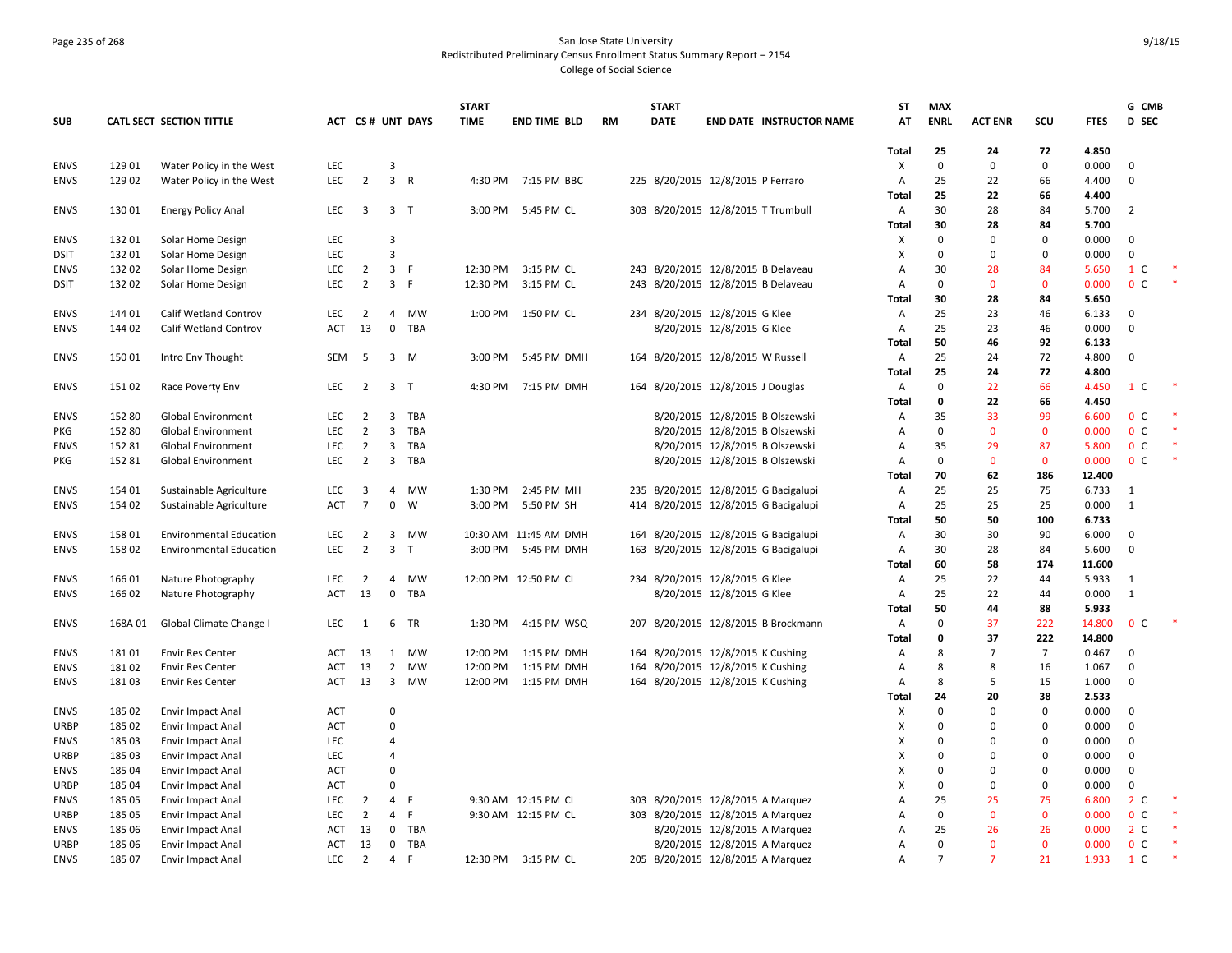# Page 235 of 268 San Jose State University Redistributed Preliminary Census Enrollment Status Summary Report – 2154 College of Social Science

|             |        |                                |            |                         |                         |                  | <b>START</b> |                       |           | <b>START</b> |                                      | ST           | MAX            |                |                |             | G CMB             |        |
|-------------|--------|--------------------------------|------------|-------------------------|-------------------------|------------------|--------------|-----------------------|-----------|--------------|--------------------------------------|--------------|----------------|----------------|----------------|-------------|-------------------|--------|
| <b>SUB</b>  |        | CATL SECT SECTION TITTLE       |            |                         |                         | ACT CS# UNT DAYS | <b>TIME</b>  | <b>END TIME BLD</b>   | <b>RM</b> | <b>DATE</b>  | <b>END DATE INSTRUCTOR NAME</b>      | AT           | <b>ENRL</b>    | <b>ACT ENR</b> | scu            | <b>FTES</b> | D SEC             |        |
|             |        |                                |            |                         |                         |                  |              |                       |           |              |                                      | Total        | 25             | 24             | 72             | 4.850       |                   |        |
| <b>ENVS</b> | 129 01 | Water Policy in the West       | <b>LEC</b> |                         | $\overline{3}$          |                  |              |                       |           |              |                                      | X            | $\Omega$       | $\mathbf 0$    | $\mathbf 0$    | 0.000       | $\Omega$          |        |
| <b>ENVS</b> | 129 02 | Water Policy in the West       | LEC        | $\overline{2}$          | 3 <sup>7</sup>          | $\mathsf{R}$     |              | 4:30 PM 7:15 PM BBC   |           |              | 225 8/20/2015 12/8/2015 P Ferraro    | Α            | 25             | 22             | 66             | 4.400       | $\Omega$          |        |
|             |        |                                |            |                         |                         |                  |              |                       |           |              |                                      | Total        | 25             | 22             | 66             | 4.400       |                   |        |
| <b>ENVS</b> | 13001  | <b>Energy Policy Anal</b>      | LEC        | $\overline{\mathbf{3}}$ | 3 <sub>T</sub>          |                  |              | 3:00 PM 5:45 PM CL    |           |              | 303 8/20/2015 12/8/2015 T Trumbull   | Α            | 30             | 28             | 84             | 5.700       | $\overline{2}$    |        |
|             |        |                                |            |                         |                         |                  |              |                       |           |              |                                      | Total        | 30             | 28             | 84             | 5.700       |                   |        |
| <b>ENVS</b> | 13201  | Solar Home Design              | LEC        |                         | $\overline{3}$          |                  |              |                       |           |              |                                      | х            | 0              | 0              | $\mathbf 0$    | 0.000       | $\Omega$          |        |
| <b>DSIT</b> | 13201  | Solar Home Design              | <b>LEC</b> |                         | $\overline{3}$          |                  |              |                       |           |              |                                      | X            | $\Omega$       | $\mathbf 0$    | $\mathbf{0}$   | 0.000       | $\mathbf 0$       |        |
| <b>ENVS</b> | 132 02 | Solar Home Design              | <b>LEC</b> | $\overline{2}$          | $\overline{3}$          | -F               | 12:30 PM     | 3:15 PM CL            |           |              | 243 8/20/2015 12/8/2015 B Delaveau   | Α            | 30             | 28             | 84             | 5.650       | 1 C               |        |
| <b>DSIT</b> | 13202  | Solar Home Design              | <b>LEC</b> | $\overline{2}$          | $\overline{3}$          | -F               | 12:30 PM     | 3:15 PM CL            |           |              | 243 8/20/2015 12/8/2015 B Delaveau   | Α            | $\Omega$       | $\mathbf{0}$   | $\mathbf 0$    | 0.000       | 0 <sup>c</sup>    |        |
|             |        |                                |            |                         |                         |                  |              |                       |           |              |                                      | Total        | 30             | 28             | 84             | 5.650       |                   |        |
| <b>ENVS</b> | 144 01 | <b>Calif Wetland Controv</b>   | <b>LEC</b> | $\overline{2}$          | 4                       | MW               |              | 1:00 PM 1:50 PM CL    |           |              | 234 8/20/2015 12/8/2015 G Klee       | Α            | 25             | 23             | 46             | 6.133       | $\mathbf 0$       |        |
| <b>ENVS</b> | 144 02 | <b>Calif Wetland Controv</b>   | <b>ACT</b> | 13                      | $\mathsf 0$             | TBA              |              |                       |           |              | 8/20/2015 12/8/2015 G Klee           | A            | 25             | 23             | 46             | 0.000       | $\Omega$          |        |
|             |        |                                |            |                         |                         |                  |              |                       |           |              |                                      | Total        | 50             | 46             | 92             | 6.133       |                   |        |
| <b>ENVS</b> | 15001  | Intro Env Thought              | SEM        | 5                       |                         | $3 \, M$         | 3:00 PM      | 5:45 PM DMH           |           |              | 164 8/20/2015 12/8/2015 W Russell    | Α            | 25             | 24             | 72             | 4.800       | $\Omega$          |        |
|             |        |                                |            |                         |                         |                  |              |                       |           |              |                                      | Total        | 25             | 24             | 72             | 4.800       |                   |        |
| <b>ENVS</b> | 15102  | Race Poverty Env               | <b>LEC</b> | $\overline{2}$          | 3 <sub>7</sub>          |                  | 4:30 PM      | 7:15 PM DMH           |           |              | 164 8/20/2015 12/8/2015 J Douglas    | Α            | $\Omega$       | 22             | 66             | 4.450       | C<br>$\mathbf{1}$ |        |
|             |        |                                |            |                         |                         |                  |              |                       |           |              |                                      | <b>Total</b> | 0              | 22             | 66             | 4.450       |                   |        |
| <b>ENVS</b> | 152 80 | <b>Global Environment</b>      | LEC        | $\overline{2}$          |                         | 3 TBA            |              |                       |           |              | 8/20/2015 12/8/2015 B Olszewski      | A            | 35             | 33             | 99             | 6.600       | 0 <sup>C</sup>    |        |
| PKG         | 152 80 | <b>Global Environment</b>      | <b>LEC</b> | $\overline{2}$          | $\mathbf{3}$            | TBA              |              |                       |           |              | 8/20/2015 12/8/2015 B Olszewski      | Α            | $\Omega$       | $\mathbf{0}$   | $\mathbf{0}$   | 0.000       | 0 <sup>C</sup>    |        |
| <b>ENVS</b> | 152 81 | <b>Global Environment</b>      | <b>LEC</b> | $\overline{2}$          | $\overline{3}$          | TBA              |              |                       |           |              | 8/20/2015 12/8/2015 B Olszewski      | A            | 35             | 29             | 87             | 5.800       | 0 <sup>C</sup>    |        |
| <b>PKG</b>  | 152 81 | Global Environment             | <b>LEC</b> | $\overline{2}$          |                         | 3 TBA            |              |                       |           |              | 8/20/2015 12/8/2015 B Olszewski      | Α            | 0              | $\mathbf{0}$   | $\mathbf 0$    | 0.000       | 0 <sup>C</sup>    | *      |
|             |        |                                |            |                         |                         |                  |              |                       |           |              |                                      | <b>Total</b> | 70             | 62             | 186            | 12.400      |                   |        |
| <b>ENVS</b> | 154 01 | Sustainable Agriculture        | <b>LEC</b> | 3                       | 4                       | MW               | 1:30 PM      | 2:45 PM MH            |           |              | 235 8/20/2015 12/8/2015 G Bacigalupi | Α            | 25             | 25             | 75             | 6.733       | 1                 |        |
| <b>ENVS</b> | 154 02 | Sustainable Agriculture        | <b>ACT</b> | $\overline{7}$          | $\mathbf 0$             | W                | 3:00 PM      | 5:50 PM SH            |           |              | 414 8/20/2015 12/8/2015 G Bacigalupi | A            | 25             | 25             | 25             | 0.000       | 1                 |        |
|             |        |                                |            |                         |                         |                  |              |                       |           |              |                                      | Total        | 50             | 50             | 100            | 6.733       |                   |        |
| <b>ENVS</b> | 15801  | <b>Environmental Education</b> | <b>LEC</b> | $\overline{2}$          | $\overline{\mathbf{3}}$ | MW               |              | 10:30 AM 11:45 AM DMH |           |              | 164 8/20/2015 12/8/2015 G Bacigalupi | Α            | 30             | 30             | 90             | 6.000       | $\Omega$          |        |
| <b>ENVS</b> | 15802  | <b>Environmental Education</b> | <b>LEC</b> | $\overline{2}$          | $\overline{3}$          | $\mathsf{T}$     | 3:00 PM      | 5:45 PM DMH           |           |              | 163 8/20/2015 12/8/2015 G Bacigalupi | A            | 30             | 28             | 84             | 5.600       | $\Omega$          |        |
|             |        |                                |            |                         |                         |                  |              |                       |           |              |                                      | Total        | 60             | 58             | 174            | 11.600      |                   |        |
| <b>ENVS</b> | 16601  | Nature Photography             | <b>LEC</b> | $\overline{2}$          | $\overline{4}$          | MW               |              | 12:00 PM 12:50 PM CL  |           |              | 234 8/20/2015 12/8/2015 G Klee       | A            | 25             | 22             | 44             | 5.933       | 1                 |        |
| <b>ENVS</b> | 166 02 | Nature Photography             | <b>ACT</b> | 13                      | $\mathbf 0$             | TBA              |              |                       |           |              | 8/20/2015 12/8/2015 G Klee           | A            | 25             | 22             | 44             | 0.000       | $\mathbf{1}$      |        |
|             |        |                                |            |                         |                         |                  |              |                       |           |              |                                      | <b>Total</b> | 50             | 44             | 88             | 5.933       |                   |        |
| <b>ENVS</b> | 168A01 | Global Climate Change I        | LEC        | 1                       |                         | 6 TR             | 1:30 PM      | 4:15 PM WSQ           |           |              | 207 8/20/2015 12/8/2015 B Brockmann  | Α            | $\Omega$       | 37             | 222            | 14.800      | 0 <sup>C</sup>    |        |
|             |        |                                |            |                         |                         |                  |              |                       |           |              |                                      | Total        | 0              | 37             | 222            | 14.800      |                   |        |
| <b>ENVS</b> | 18101  | <b>Envir Res Center</b>        | <b>ACT</b> | 13                      | 1                       | <b>MW</b>        | 12:00 PM     | 1:15 PM DMH           |           |              | 164 8/20/2015 12/8/2015 K Cushing    | Α            | 8              | $\overline{7}$ | $\overline{7}$ | 0.467       | $\Omega$          |        |
| ENVS        | 18102  | <b>Envir Res Center</b>        | <b>ACT</b> | 13                      | $\overline{2}$          | MW               | 12:00 PM     | 1:15 PM DMH           |           |              | 164 8/20/2015 12/8/2015 K Cushing    | A            | 8              | 8              | 16             | 1.067       | $\Omega$          |        |
| <b>ENVS</b> | 18103  | <b>Envir Res Center</b>        | <b>ACT</b> | 13                      | $\overline{\mathbf{3}}$ | <b>MW</b>        | 12:00 PM     | 1:15 PM DMH           |           |              | 164 8/20/2015 12/8/2015 K Cushing    | A            | 8              | 5              | 15             | 1.000       | $\Omega$          |        |
|             |        |                                |            |                         |                         |                  |              |                       |           |              |                                      | <b>Total</b> | 24             | 20             | 38             | 2.533       |                   |        |
| <b>ENVS</b> | 185 02 | Envir Impact Anal              | ACT        |                         | $\mathbf 0$             |                  |              |                       |           |              |                                      | X            | $\Omega$       | $\Omega$       | $\mathbf 0$    | 0.000       | $\Omega$          |        |
| <b>URBP</b> | 185 02 | Envir Impact Anal              | <b>ACT</b> |                         | $\mathbf 0$             |                  |              |                       |           |              |                                      | х            | $\Omega$       | 0              | $\mathbf 0$    | 0.000       | $\Omega$          |        |
| <b>ENVS</b> | 185 03 | Envir Impact Anal              | <b>LEC</b> |                         | $\overline{4}$          |                  |              |                       |           |              |                                      | X            | $\Omega$       | $\Omega$       | $\mathbf{0}$   | 0.000       | $\Omega$          |        |
| <b>URBP</b> | 185 03 | Envir Impact Anal              | <b>LEC</b> |                         | $\overline{4}$          |                  |              |                       |           |              |                                      | Χ            | $\Omega$       | $\mathbf 0$    | $\mathbf 0$    | 0.000       | $\Omega$          |        |
| <b>ENVS</b> | 185 04 | <b>Envir Impact Anal</b>       | <b>ACT</b> |                         | $\Omega$                |                  |              |                       |           |              |                                      | x            | $\Omega$       | $\Omega$       | $\mathbf 0$    | 0.000       | $\Omega$          |        |
| URBP        | 185 04 | Envir Impact Anal              | <b>ACT</b> |                         | $\Omega$                |                  |              |                       |           |              |                                      | х            | $\Omega$       | 0              | $\pmb{0}$      | 0.000       | $\Omega$          |        |
| <b>ENVS</b> | 185 05 | Envir Impact Anal              | LEC        | $\overline{2}$          | $\overline{4}$          | F                |              | 9:30 AM 12:15 PM CL   |           |              | 303 8/20/2015 12/8/2015 A Marquez    | Α            | 25             | 25             | 75             | 6.800       | 2 <sub>c</sub>    | $\ast$ |
| <b>URBP</b> | 185 05 | Envir Impact Anal              | <b>LEC</b> | $\overline{2}$          | $\overline{4}$          | F                |              | 9:30 AM 12:15 PM CL   |           |              | 303 8/20/2015 12/8/2015 A Marquez    | Α            | $\Omega$       | $\mathbf 0$    | $\mathbf 0$    | 0.000       | 0 <sup>c</sup>    |        |
| <b>ENVS</b> | 185 06 | Envir Impact Anal              | <b>ACT</b> | 13                      |                         | 0 TBA            |              |                       |           |              | 8/20/2015 12/8/2015 A Marquez        | A            | 25             | 26             | 26             | 0.000       | 2 <sub>c</sub>    |        |
| URBP        | 185 06 | Envir Impact Anal              | ACT        | 13                      | $\bf{0}$                | TBA              |              |                       |           |              | 8/20/2015 12/8/2015 A Marquez        | Α            | $\Omega$       | $\mathbf{0}$   | $\mathbf{0}$   | 0.000       | 0 <sup>c</sup>    |        |
| <b>ENVS</b> | 185 07 | Envir Impact Anal              | <b>LEC</b> | 2                       | $\overline{4}$          | -F               | 12:30 PM     | 3:15 PM CL            |           |              | 205 8/20/2015 12/8/2015 A Marquez    | A            | $\overline{7}$ | $\overline{7}$ | 21             | 1.933       | 1 C               |        |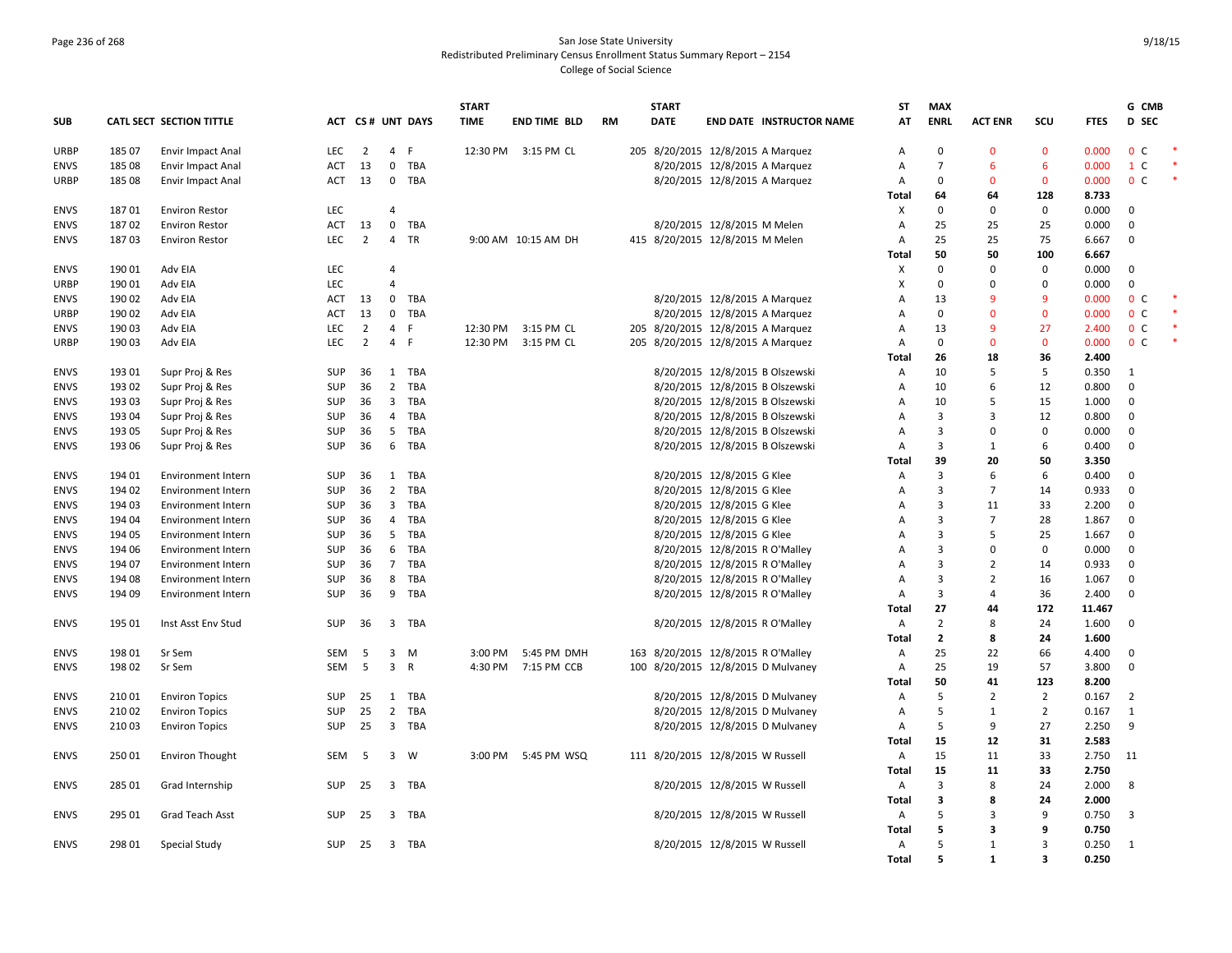# Page 236 of 268 San Jose State University Redistributed Preliminary Census Enrollment Status Summary Report – 2154 College of Social Science

|             |        |                           |            |                |                          |                  | <b>START</b> |                     |           | <b>START</b>                       |                                 |                                 | ST           | <b>MAX</b>     |                |                |             | G CMB                   |  |
|-------------|--------|---------------------------|------------|----------------|--------------------------|------------------|--------------|---------------------|-----------|------------------------------------|---------------------------------|---------------------------------|--------------|----------------|----------------|----------------|-------------|-------------------------|--|
| <b>SUB</b>  |        | CATL SECT SECTION TITTLE  |            |                |                          | ACT CS# UNT DAYS | <b>TIME</b>  | <b>END TIME BLD</b> | <b>RM</b> | <b>DATE</b>                        |                                 | <b>END DATE INSTRUCTOR NAME</b> | AT           | <b>ENRL</b>    | <b>ACT ENR</b> | SCU            | <b>FTES</b> | D SEC                   |  |
| <b>URBP</b> | 185 07 | Envir Impact Anal         | LEC        | $\overline{2}$ | $\overline{4}$           | F                |              | 12:30 PM 3:15 PM CL |           | 205 8/20/2015 12/8/2015 A Marquez  |                                 |                                 | Α            | $\mathbf 0$    | 0              | $\mathbf 0$    | 0.000       | 0 <sup>c</sup>          |  |
| <b>ENVS</b> | 18508  | Envir Impact Anal         | <b>ACT</b> | 13             | $\mathbf 0$              | TBA              |              |                     |           |                                    | 8/20/2015 12/8/2015 A Marquez   |                                 | А            | $\overline{7}$ | 6              | 6              | 0.000       | 1 C                     |  |
| URBP        | 18508  | Envir Impact Anal         | <b>ACT</b> | 13             | $\mathbf 0$              | TBA              |              |                     |           |                                    | 8/20/2015 12/8/2015 A Marquez   |                                 | Α            | $\mathbf 0$    | $\Omega$       | $\mathbf 0$    | 0.000       | 0 <sup>c</sup>          |  |
|             |        |                           |            |                |                          |                  |              |                     |           |                                    |                                 |                                 | <b>Total</b> | 64             | 64             | 128            | 8.733       |                         |  |
| <b>ENVS</b> | 18701  | <b>Environ Restor</b>     | <b>LEC</b> |                | $\overline{\mathcal{L}}$ |                  |              |                     |           |                                    |                                 |                                 | X            | $\mathbf 0$    | 0              | 0              | 0.000       | 0                       |  |
| <b>ENVS</b> | 18702  | <b>Environ Restor</b>     | ACT        | 13             | $\mathbf 0$              | TBA              |              |                     |           |                                    | 8/20/2015 12/8/2015 M Melen     |                                 | Α            | 25             | 25             | 25             | 0.000       | $\Omega$                |  |
| <b>ENVS</b> | 18703  | <b>Environ Restor</b>     | <b>LEC</b> | $\overline{2}$ | $\overline{4}$           | <b>TR</b>        |              | 9:00 AM 10:15 AM DH |           | 415 8/20/2015 12/8/2015 M Melen    |                                 |                                 | A            | 25             | 25             | 75             | 6.667       | $\mathbf{0}$            |  |
|             |        |                           |            |                |                          |                  |              |                     |           |                                    |                                 |                                 | Total        | 50             | 50             | 100            | 6.667       |                         |  |
| <b>ENVS</b> | 19001  | Adv EIA                   | <b>LEC</b> |                | $\overline{4}$           |                  |              |                     |           |                                    |                                 |                                 | X            | $\Omega$       | 0              | $\mathbf 0$    | 0.000       | $\mathbf 0$             |  |
| <b>URBP</b> | 190 01 | Adv EIA                   | LEC        |                | $\overline{4}$           |                  |              |                     |           |                                    |                                 |                                 | x            | $\mathbf 0$    | 0              | 0              | 0.000       | $\mathbf 0$             |  |
| <b>ENVS</b> | 190 02 | Adv EIA                   | <b>ACT</b> | 13             | $\mathbf 0$              | TBA              |              |                     |           |                                    | 8/20/2015 12/8/2015 A Marquez   |                                 | А            | 13             | 9              | 9              | 0.000       | 0 <sup>c</sup>          |  |
| <b>URBP</b> | 190 02 | Adv EIA                   | <b>ACT</b> | 13             | $\mathbf 0$              | TBA              |              |                     |           |                                    | 8/20/2015 12/8/2015 A Marquez   |                                 | Α            | $\mathbf 0$    | $\mathbf{0}$   | $\mathbf 0$    | 0.000       | 0 <sup>c</sup>          |  |
| <b>ENVS</b> | 19003  | Adv EIA                   | <b>LEC</b> | $\overline{2}$ | 4                        | E                | 12:30 PM     | 3:15 PM CL          |           | 205 8/20/2015 12/8/2015 A Marquez  |                                 |                                 | A            | 13             | 9              | 27             | 2.400       | 0 <sup>c</sup>          |  |
| URBP        | 190 03 | Adv EIA                   | <b>LEC</b> | $\overline{2}$ | $\overline{4}$           | -F               | 12:30 PM     | 3:15 PM CL          |           | 205 8/20/2015 12/8/2015 A Marquez  |                                 |                                 | Α            | $\mathbf 0$    | $\mathbf{0}$   | $\mathbf 0$    | 0.000       | 0 <sup>c</sup>          |  |
|             |        |                           |            |                |                          |                  |              |                     |           |                                    |                                 |                                 | <b>Total</b> | 26             | 18             | 36             | 2.400       |                         |  |
| <b>ENVS</b> | 193 01 | Supr Proj & Res           | SUP        | 36             | 1                        | TBA              |              |                     |           |                                    | 8/20/2015 12/8/2015 B Olszewski |                                 | Α            | 10             | 5              | 5              | 0.350       | 1                       |  |
| <b>ENVS</b> | 193 02 | Supr Proj & Res           | <b>SUP</b> | 36             | $\overline{2}$           | TBA              |              |                     |           |                                    | 8/20/2015 12/8/2015 B Olszewski |                                 | Α            | 10             | 6              | 12             | 0.800       | $\mathbf 0$             |  |
| <b>ENVS</b> | 19303  | Supr Proj & Res           | <b>SUP</b> | 36             | $\overline{\mathbf{3}}$  | TBA              |              |                     |           |                                    | 8/20/2015 12/8/2015 B Olszewski |                                 | А            | 10             | 5              | 15             | 1.000       | $\mathbf 0$             |  |
| <b>ENVS</b> | 193 04 | Supr Proj & Res           | SUP        | 36             | $\overline{4}$           | TBA              |              |                     |           |                                    | 8/20/2015 12/8/2015 B Olszewski |                                 | Α            | 3              | 3              | 12             | 0.800       | $\mathbf 0$             |  |
| <b>ENVS</b> | 193 05 | Supr Proj & Res           | <b>SUP</b> | 36             | 5                        | TBA              |              |                     |           |                                    | 8/20/2015 12/8/2015 B Olszewski |                                 | Α            | 3              | 0              | $\mathbf 0$    | 0.000       | $\mathbf 0$             |  |
| <b>ENVS</b> | 193 06 | Supr Proj & Res           | <b>SUP</b> | 36             | 6                        | TBA              |              |                     |           |                                    | 8/20/2015 12/8/2015 B Olszewski |                                 | A            | 3              | 1              | 6              | 0.400       | 0                       |  |
|             |        |                           |            |                |                          |                  |              |                     |           |                                    |                                 |                                 | Total        | 39             | 20             | 50             | 3.350       |                         |  |
| <b>ENVS</b> | 194 01 | Environment Intern        | SUP        | 36             |                          | 1 TBA            |              |                     |           |                                    | 8/20/2015 12/8/2015 G Klee      |                                 | Α            | $\mathbf{R}$   | 6              | 6              | 0.400       | $\Omega$                |  |
| <b>ENVS</b> | 194 02 | <b>Environment Intern</b> | SUP        | 36             | $\overline{2}$           | TBA              |              |                     |           |                                    | 8/20/2015 12/8/2015 G Klee      |                                 | Α            | 3              | $\overline{7}$ | 14             | 0.933       | $\mathbf 0$             |  |
| <b>ENVS</b> | 194 03 | Environment Intern        | <b>SUP</b> | 36             | $\overline{\mathbf{3}}$  | TBA              |              |                     |           |                                    | 8/20/2015 12/8/2015 G Klee      |                                 | Α            | $\overline{3}$ | 11             | 33             | 2.200       | $\mathbf 0$             |  |
| <b>ENVS</b> | 194 04 | Environment Intern        | SUP        | 36             | $\overline{4}$           | TBA              |              |                     |           |                                    | 8/20/2015 12/8/2015 G Klee      |                                 | А            | 3              | $\overline{7}$ | 28             | 1.867       | $\mathbf 0$             |  |
| <b>ENVS</b> | 194 05 | Environment Intern        | SUP        | 36             | 5                        | TBA              |              |                     |           |                                    | 8/20/2015 12/8/2015 G Klee      |                                 | Α            | 3              | 5              | 25             | 1.667       | $\mathbf 0$             |  |
| <b>ENVS</b> | 194 06 | Environment Intern        | <b>SUP</b> | 36             | 6                        | TBA              |              |                     |           |                                    | 8/20/2015 12/8/2015 R O'Malley  |                                 | А            | 3              | 0              | 0              | 0.000       | $\mathbf{0}$            |  |
| <b>ENVS</b> | 194 07 | Environment Intern        | <b>SUP</b> | 36             |                          | 7 TBA            |              |                     |           |                                    | 8/20/2015 12/8/2015 R O'Malley  |                                 | А            | 3              | $\overline{2}$ | 14             | 0.933       | $\mathbf 0$             |  |
| <b>ENVS</b> | 194 08 | <b>Environment Intern</b> | <b>SUP</b> | 36             | 8                        | TBA              |              |                     |           |                                    | 8/20/2015 12/8/2015 R O'Malley  |                                 | A            | 3              | $\overline{2}$ | 16             | 1.067       | $\mathbf 0$             |  |
| <b>ENVS</b> | 194 09 | Environment Intern        | SUP        | 36             |                          | 9 TBA            |              |                     |           |                                    | 8/20/2015 12/8/2015 R O'Malley  |                                 | Α            | 3              | 4              | 36             | 2.400       | $\Omega$                |  |
|             |        |                           |            |                |                          |                  |              |                     |           |                                    |                                 |                                 | <b>Total</b> | 27             | 44             | 172            | 11.467      |                         |  |
| <b>ENVS</b> | 195 01 | Inst Asst Env Stud        | <b>SUP</b> | 36             |                          | 3 TBA            |              |                     |           |                                    | 8/20/2015 12/8/2015 R O'Malley  |                                 | $\mathsf{A}$ | $\overline{2}$ | 8              | 24             | 1.600       | $\mathbf{0}$            |  |
|             |        |                           |            |                |                          |                  |              |                     |           |                                    |                                 |                                 | <b>Total</b> | $\overline{2}$ | 8              | 24             | 1.600       |                         |  |
| <b>ENVS</b> | 198 01 | Sr Sem                    | SEM        | 5              | 3                        | M                | 3:00 PM      | 5:45 PM DMH         |           | 163 8/20/2015 12/8/2015 R O'Malley |                                 |                                 | Α            | 25             | 22             | 66             | 4.400       | $\mathbf 0$             |  |
| <b>ENVS</b> | 19802  | Sr Sem                    | <b>SEM</b> | 5              | $\overline{\mathbf{3}}$  | $\mathsf{R}$     | 4:30 PM      | 7:15 PM CCB         |           | 100 8/20/2015 12/8/2015 D Mulvaney |                                 |                                 | Α            | 25             | 19             | 57             | 3.800       | $\mathbf{0}$            |  |
|             |        |                           |            |                |                          |                  |              |                     |           |                                    |                                 |                                 | Total        | 50             | 41             | 123            | 8.200       |                         |  |
| <b>ENVS</b> | 21001  | <b>Environ Topics</b>     | <b>SUP</b> | 25             |                          | 1 TBA            |              |                     |           |                                    | 8/20/2015 12/8/2015 D Mulvaney  |                                 | Α            | 5              | $\overline{2}$ | $\overline{2}$ | 0.167       | $\overline{2}$          |  |
| <b>ENVS</b> | 21002  | <b>Environ Topics</b>     | SUP        | 25             | $\overline{2}$           | TBA              |              |                     |           |                                    | 8/20/2015 12/8/2015 D Mulvaney  |                                 | Α            | 5              | $\mathbf{1}$   | $\overline{2}$ | 0.167       | 1                       |  |
| <b>ENVS</b> | 21003  | <b>Environ Topics</b>     | <b>SUP</b> | 25             |                          | 3 TBA            |              |                     |           |                                    | 8/20/2015 12/8/2015 D Mulvaney  |                                 | A            | 5              | 9              | 27             | 2.250       | 9                       |  |
|             |        |                           |            |                |                          |                  |              |                     |           |                                    |                                 |                                 | <b>Total</b> | 15             | 12             | 31             | 2.583       |                         |  |
| <b>ENVS</b> | 25001  | <b>Environ Thought</b>    | <b>SEM</b> | -5             |                          | 3 W              | 3:00 PM      | 5:45 PM WSQ         |           | 111 8/20/2015 12/8/2015 W Russell  |                                 |                                 | Α            | 15             | 11             | 33             | 2.750       | 11                      |  |
|             |        |                           |            |                |                          |                  |              |                     |           |                                    |                                 |                                 | Total        | 15             | 11             | 33             | 2.750       |                         |  |
| <b>ENVS</b> | 285 01 | Grad Internship           | <b>SUP</b> | 25             |                          | 3 TBA            |              |                     |           |                                    | 8/20/2015 12/8/2015 W Russell   |                                 | A            | 3              | 8              | 24             | 2.000       | 8                       |  |
|             |        |                           |            |                |                          |                  |              |                     |           |                                    |                                 |                                 | <b>Total</b> | 3              | 8              | 24             | 2.000       |                         |  |
| <b>ENVS</b> | 295 01 | Grad Teach Asst           | <b>SUP</b> | 25             | $\overline{3}$           | TBA              |              |                     |           |                                    | 8/20/2015 12/8/2015 W Russell   |                                 | Α            | 5              | 3              | 9              | 0.750       | $\overline{\mathbf{3}}$ |  |
|             |        |                           |            |                |                          |                  |              |                     |           |                                    |                                 |                                 | <b>Total</b> | 5              | 3              | 9              | 0.750       |                         |  |
| <b>ENVS</b> | 298 01 | <b>Special Study</b>      | <b>SUP</b> | 25             |                          | 3 TBA            |              |                     |           |                                    | 8/20/2015 12/8/2015 W Russell   |                                 | Α            | 5              | 1              | $\overline{3}$ | 0.250       | 1                       |  |
|             |        |                           |            |                |                          |                  |              |                     |           |                                    |                                 |                                 | <b>Total</b> | 5              | $\mathbf{1}$   | 3              | 0.250       |                         |  |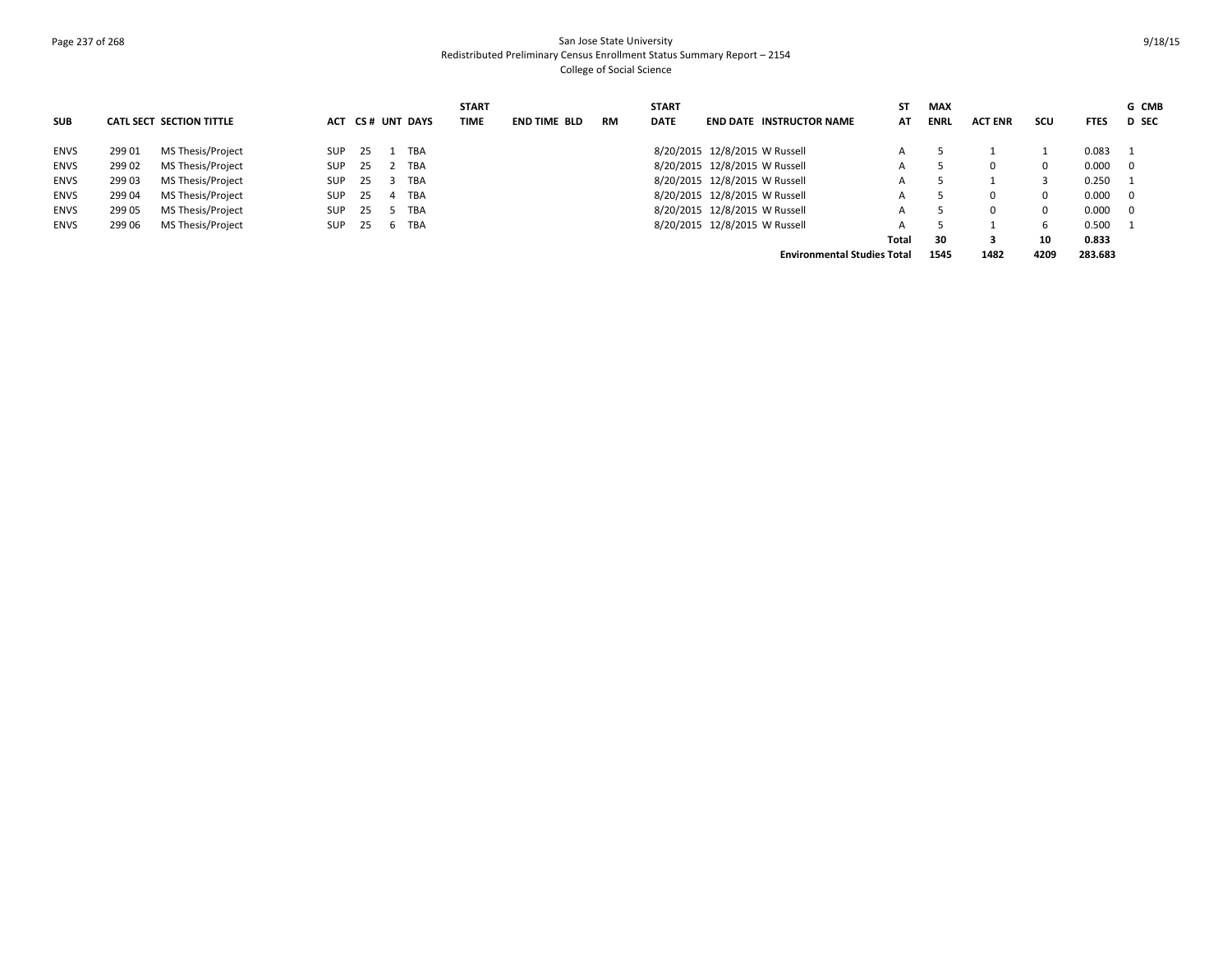### Page 237 of 268 San Jose State University Redistributed Preliminary Census Enrollment Status Summary Report – 2154 College of Social Science

|             |        |                          |            |    |                  | <b>START</b> |                     |           | <b>START</b> |                                    | SΤ    | <b>MAX</b>  |                |              |             | G CMB        |
|-------------|--------|--------------------------|------------|----|------------------|--------------|---------------------|-----------|--------------|------------------------------------|-------|-------------|----------------|--------------|-------------|--------------|
| <b>SUB</b>  |        | CATL SECT SECTION TITTLE |            |    | ACT CS# UNT DAYS | TIME         | <b>END TIME BLD</b> | <b>RM</b> | <b>DATE</b>  | <b>END DATE INSTRUCTOR NAME</b>    | AT    | <b>ENRL</b> | <b>ACT ENR</b> | scu          | <b>FTES</b> | <b>D</b> SEC |
| <b>ENVS</b> | 299 01 | MS Thesis/Project        | <b>SUP</b> | 25 | TBA              |              |                     |           |              | 8/20/2015 12/8/2015 W Russell      |       |             |                |              | 0.083       |              |
| <b>ENVS</b> | 299 02 | MS Thesis/Project        | <b>SUP</b> | 25 | 2 TBA            |              |                     |           |              | 8/20/2015 12/8/2015 W Russell      |       |             |                | $\Omega$     | 0.000       | - 0          |
| <b>ENVS</b> | 299 03 | MS Thesis/Project        | <b>SUP</b> | 25 | TBA              |              |                     |           |              | 8/20/2015 12/8/2015 W Russell      | А     |             |                |              | 0.250       |              |
| <b>ENVS</b> | 299 04 | MS Thesis/Project        | <b>SUP</b> | 25 | TBA              |              |                     |           |              | 8/20/2015 12/8/2015 W Russell      |       |             |                | $\Omega$     | 0.000       | - 0          |
| <b>ENVS</b> | 299 05 | MS Thesis/Project        | <b>SUP</b> | 25 | TBA              |              |                     |           |              | 8/20/2015 12/8/2015 W Russell      | А     |             | $\Omega$       | $\Omega$     | 0.000       | - 0          |
| <b>ENVS</b> | 299 06 | MS Thesis/Project        | <b>SUP</b> | 25 | 6 TBA            |              |                     |           |              | 8/20/2015 12/8/2015 W Russell      |       |             |                | <sub>b</sub> | 0.500       |              |
|             |        |                          |            |    |                  |              |                     |           |              |                                    | Total | 30          |                | 10           | 0.833       |              |
|             |        |                          |            |    |                  |              |                     |           |              | <b>Environmental Studies Total</b> |       | 1545        | 1482           | 4209         | 283.683     |              |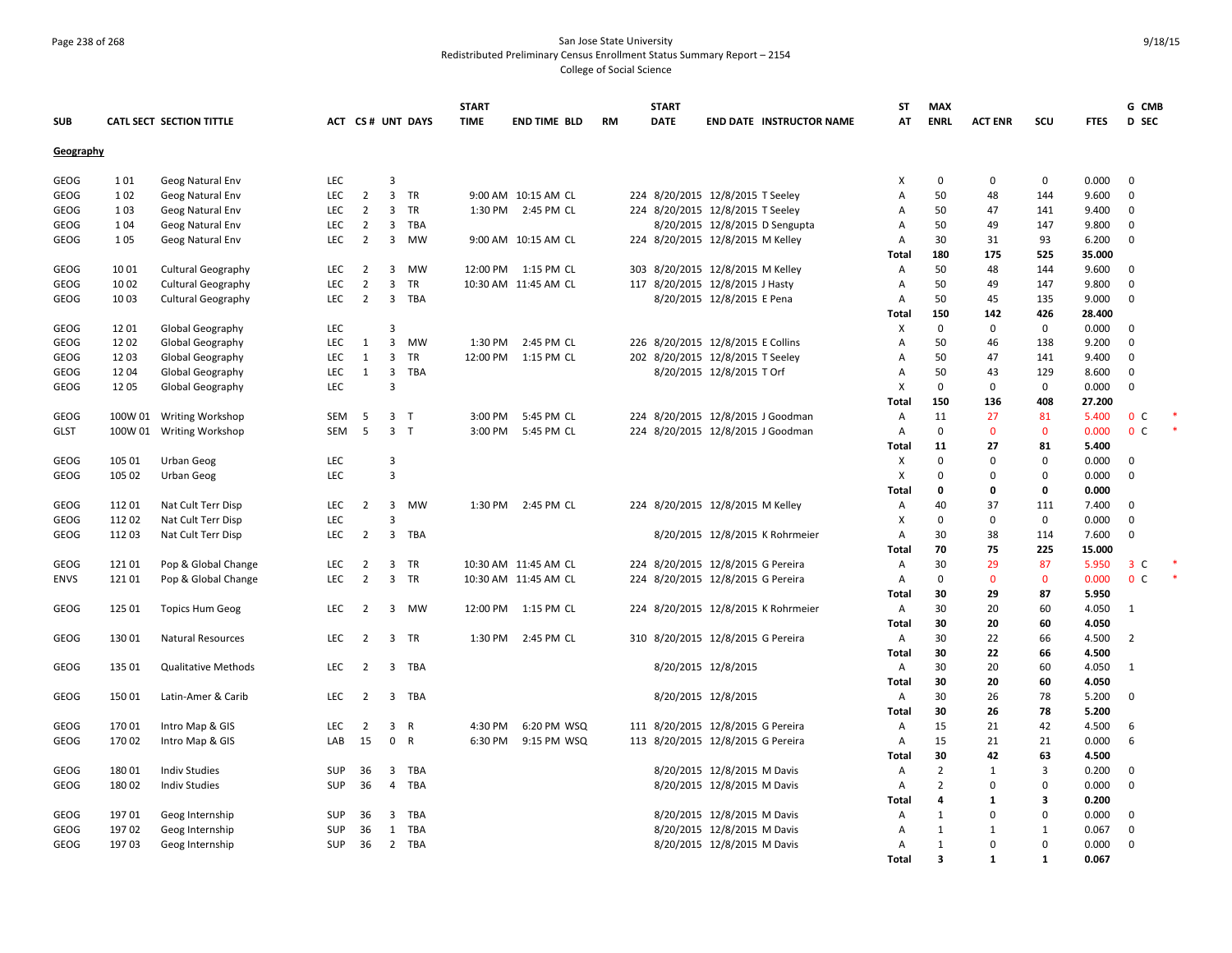# Page 238 of 268 San Jose State University Redistributed Preliminary Census Enrollment Status Summary Report – 2154

College of Social Science

|             |         |                            |            |                |                |                  | <b>START</b> |                      |           | <b>START</b> |                                     | ST           | <b>MAX</b>              |                |              |                | G CMB          |  |
|-------------|---------|----------------------------|------------|----------------|----------------|------------------|--------------|----------------------|-----------|--------------|-------------------------------------|--------------|-------------------------|----------------|--------------|----------------|----------------|--|
| <b>SUB</b>  |         | CATL SECT SECTION TITTLE   |            |                |                | ACT CS# UNT DAYS | <b>TIME</b>  | <b>END TIME BLD</b>  | <b>RM</b> | <b>DATE</b>  | <b>END DATE INSTRUCTOR NAME</b>     | AT           | <b>ENRL</b>             | <b>ACT ENR</b> | scu          | <b>FTES</b>    | <b>D</b> SEC   |  |
| Geography   |         |                            |            |                |                |                  |              |                      |           |              |                                     |              |                         |                |              |                |                |  |
| GEOG        | 101     | Geog Natural Env           | <b>LEC</b> |                | 3              |                  |              |                      |           |              |                                     | X            | 0                       | $\mathbf 0$    | $\mathbf 0$  | 0.000          | $\overline{0}$ |  |
| GEOG        | 102     | Geog Natural Env           | <b>LEC</b> | $\overline{2}$ | $\overline{3}$ | TR               |              | 9:00 AM 10:15 AM CL  |           |              | 224 8/20/2015 12/8/2015 T Seeley    | Α            | 50                      | 48             | 144          | 9.600          | $\mathbf 0$    |  |
| GEOG        | 103     | Geog Natural Env           | <b>LEC</b> | $\overline{2}$ | 3              | <b>TR</b>        |              | 1:30 PM 2:45 PM CL   |           |              | 224 8/20/2015 12/8/2015 T Seeley    | A            | 50                      | 47             | 141          | 9.400          | $\mathbf 0$    |  |
| GEOG        | 104     | Geog Natural Env           | <b>LEC</b> | $\overline{2}$ | $\overline{3}$ | TBA              |              |                      |           |              | 8/20/2015 12/8/2015 D Sengupta      | Α            | 50                      | 49             | 147          | 9.800          | $\mathbf{0}$   |  |
| GEOG        | 105     | Geog Natural Env           | LEC        | $\overline{2}$ | 3              | MW               |              | 9:00 AM 10:15 AM CL  |           |              | 224 8/20/2015 12/8/2015 M Kelley    | Α            | 30                      | 31             | 93           | 6.200          | $\mathbf 0$    |  |
|             |         |                            |            |                |                |                  |              |                      |           |              |                                     | Total        | 180                     | 175            | 525          | 35.000         |                |  |
| GEOG        | 1001    | <b>Cultural Geography</b>  | <b>LEC</b> | $\overline{2}$ | 3              | <b>MW</b>        |              | 12:00 PM 1:15 PM CL  |           |              | 303 8/20/2015 12/8/2015 M Kelley    | Α            | 50                      | 48             | 144          | 9.600          | $\mathbf{0}$   |  |
| GEOG        | 1002    | <b>Cultural Geography</b>  | <b>LEC</b> | $\overline{2}$ | $\overline{3}$ | TR               |              | 10:30 AM 11:45 AM CL |           |              | 117 8/20/2015 12/8/2015 J Hasty     | Α            | 50                      | 49             | 147          | 9.800          | $\mathbf 0$    |  |
| GEOG        | 1003    | <b>Cultural Geography</b>  | LEC        | $\overline{2}$ | 3              | TBA              |              |                      |           |              | 8/20/2015 12/8/2015 E Pena          | Α            | 50                      | 45             | 135          | 9.000          | $\mathbf 0$    |  |
|             |         |                            |            |                |                |                  |              |                      |           |              |                                     | Total        | 150                     | 142            | 426          | 28.400         |                |  |
| GEOG        | 12 01   | Global Geography           | <b>LEC</b> |                | 3              |                  |              |                      |           |              |                                     | х            | $\mathbf 0$             | $\mathbf 0$    | $\mathbf 0$  | 0.000          | $\overline{0}$ |  |
| GEOG        | 12 02   | Global Geography           | <b>LEC</b> | 1              | $\overline{3}$ | <b>MW</b>        | 1:30 PM      | 2:45 PM CL           |           |              | 226 8/20/2015 12/8/2015 E Collins   | A            | 50                      | 46             | 138          | 9.200          | $\mathbf{0}$   |  |
| GEOG        | 1203    | Global Geography           | LEC        | 1              | 3              | TR               | 12:00 PM     | 1:15 PM CL           |           |              | 202 8/20/2015 12/8/2015 T Seeley    | Α            | 50                      | 47             | 141          | 9.400          | $\mathbf{0}$   |  |
| GEOG        | 1204    | Global Geography           | <b>LEC</b> | 1              | 3              | TBA              |              |                      |           |              | 8/20/2015 12/8/2015 T Orf           | Α            | 50                      | 43             | 129          | 8.600          | $\mathbf 0$    |  |
| GEOG        | 1205    | Global Geography           | <b>LEC</b> |                | 3              |                  |              |                      |           |              |                                     | X            | $\mathbf 0$             | $\Omega$       | $\mathbf 0$  | 0.000          | $\mathbf 0$    |  |
|             |         |                            |            |                |                |                  |              |                      |           |              |                                     | Total        | 150                     | 136            | 408          | 27.200         |                |  |
| GEOG        | 100W 01 | <b>Writing Workshop</b>    | SEM        | -5             | 3 <sub>7</sub> |                  | 3:00 PM      | 5:45 PM CL           |           |              | 224 8/20/2015 12/8/2015 J Goodman   | Α            | 11                      | 27             | 81           | 5.400          | 0 <sup>c</sup> |  |
| <b>GLST</b> | 100W 01 | <b>Writing Workshop</b>    | <b>SEM</b> | -5             |                | 3 <sub>T</sub>   | 3:00 PM      | 5:45 PM CL           |           |              | 224 8/20/2015 12/8/2015 J Goodman   | Α            | $\mathbf 0$             | $\Omega$       | $\mathbf 0$  | 0.000          | 0 <sup>C</sup> |  |
|             |         |                            |            |                |                |                  |              |                      |           |              |                                     | Total        | 11                      | 27             | 81           | 5.400          |                |  |
| GEOG        | 105 01  | Urban Geog                 | LEC        |                | 3              |                  |              |                      |           |              |                                     | x            | $\mathbf 0$             | $\Omega$       | $\mathbf 0$  | 0.000          | $\mathbf 0$    |  |
| GEOG        | 105 02  | Urban Geog                 | LEC        |                | 3              |                  |              |                      |           |              |                                     | X            | $\Omega$                | $\Omega$       | $\mathbf 0$  | 0.000          | $\mathbf 0$    |  |
|             |         |                            |            |                |                |                  |              |                      |           |              |                                     | Total        | 0                       | $\Omega$       | 0            | 0.000          |                |  |
| GEOG        | 112 01  | Nat Cult Terr Disp         | <b>LEC</b> | $\overline{2}$ | 3              | MW               | 1:30 PM      | 2:45 PM CL           |           |              | 224 8/20/2015 12/8/2015 M Kelley    | Α            | 40                      | 37             | 111          | 7.400          | $\mathbf 0$    |  |
| GEOG        | 112 02  | Nat Cult Terr Disp         | LEC        |                | 3              |                  |              |                      |           |              |                                     | X            | $\mathbf 0$             | $\Omega$       | $\mathbf 0$  | 0.000          | $\mathbf 0$    |  |
| GEOG        | 112 03  | Nat Cult Terr Disp         | <b>LEC</b> | $\overline{2}$ | 3              | TBA              |              |                      |           |              | 8/20/2015 12/8/2015 K Rohrmeier     | Α            | 30                      | 38             | 114          | 7.600          | $\mathbf 0$    |  |
|             |         |                            |            |                |                |                  |              |                      |           |              |                                     | Total        | 70                      | 75             | 225          | 15.000         |                |  |
| GEOG        | 12101   | Pop & Global Change        | <b>LEC</b> | 2              | 3              | TR               |              | 10:30 AM 11:45 AM CL |           |              | 224 8/20/2015 12/8/2015 G Pereira   | Α            | 30                      | 29             | 87           | 5.950          | 3 <sup>c</sup> |  |
| ENVS        | 12101   | Pop & Global Change        | <b>LEC</b> | $\overline{2}$ | $\overline{3}$ | TR               |              | 10:30 AM 11:45 AM CL |           |              | 224 8/20/2015 12/8/2015 G Pereira   | Α            | $\mathbf 0$             | $\mathbf{0}$   | $\mathbf 0$  | 0.000          | 0 <sup>c</sup> |  |
|             |         |                            |            |                |                |                  |              |                      |           |              |                                     | Total        | 30                      | 29             | 87           | 5.950          |                |  |
| GEOG        | 125 01  | <b>Topics Hum Geog</b>     | LEC        | 2              | 3              | MW               | 12:00 PM     | 1:15 PM CL           |           |              | 224 8/20/2015 12/8/2015 K Rohrmeier | Α            | 30                      | 20             | 60           | 4.050          | $\overline{1}$ |  |
|             |         |                            |            |                |                |                  |              |                      |           |              |                                     | Total        | 30                      | 20             | 60           | 4.050          |                |  |
| GEOG        | 130 01  | <b>Natural Resources</b>   | LEC        | $\overline{2}$ | 3              | TR               | 1:30 PM      | 2:45 PM CL           |           |              | 310 8/20/2015 12/8/2015 G Pereira   | Α            | 30                      | 22             | 66           | 4.500          | $\overline{2}$ |  |
|             |         |                            |            |                |                |                  |              |                      |           |              |                                     | Total        | 30                      | 22             | 66           | 4.500          |                |  |
| GEOG        | 135 01  | <b>Qualitative Methods</b> | LEC        | $\overline{2}$ | 3              | TBA              |              |                      |           |              | 8/20/2015 12/8/2015                 | Α            | 30                      | 20             | 60           | 4.050          | $\overline{1}$ |  |
|             |         |                            |            |                |                |                  |              |                      |           |              |                                     | Total        | 30                      | 20             | 60           | 4.050          |                |  |
| GEOG        | 15001   | Latin-Amer & Carib         | <b>LEC</b> | $\overline{2}$ |                | 3 TBA            |              |                      |           |              | 8/20/2015 12/8/2015                 | Α            | 30<br>30                | 26             | 78<br>78     | 5.200          | $\mathbf 0$    |  |
| GEOG        | 17001   | Intro Map & GIS            | LEC        | $\overline{2}$ | $\overline{3}$ | R                | 4:30 PM      | 6:20 PM WSQ          |           |              | 111 8/20/2015 12/8/2015 G Pereira   | <b>Total</b> | 15                      | 26<br>21       | 42           | 5.200<br>4.500 | 6              |  |
|             |         |                            | LAB        | 15             | $\mathbf 0$    | R                | 6:30 PM      |                      |           |              |                                     | Α            | 15                      | 21             |              | 0.000          | 6              |  |
| GEOG        | 17002   | Intro Map & GIS            |            |                |                |                  |              | 9:15 PM WSQ          |           |              | 113 8/20/2015 12/8/2015 G Pereira   | Α            | 30                      | 42             | 21<br>63     | 4.500          |                |  |
| GEOG        | 18001   | <b>Indiv Studies</b>       | <b>SUP</b> | 36             | 3              | TBA              |              |                      |           |              | 8/20/2015 12/8/2015 M Davis         | Total<br>Α   | $\overline{2}$          | 1              | 3            | 0.200          | $\mathbf 0$    |  |
| GEOG        | 18002   | <b>Indiv Studies</b>       | <b>SUP</b> | 36             | 4              | TBA              |              |                      |           |              |                                     | Α            | $\overline{2}$          | $\mathbf 0$    | $\mathbf 0$  | 0.000          | $\mathbf 0$    |  |
|             |         |                            |            |                |                |                  |              |                      |           |              | 8/20/2015 12/8/2015 M Davis         | Total        | 4                       | 1              | 3            | 0.200          |                |  |
| GEOG        | 19701   | Geog Internship            | <b>SUP</b> | 36             | $\overline{3}$ | TBA              |              |                      |           |              | 8/20/2015 12/8/2015 M Davis         | Α            | $\mathbf{1}$            | $\Omega$       | $\mathbf 0$  | 0.000          | $\mathbf 0$    |  |
| GEOG        | 19702   | Geog Internship            | SUP        | 36             |                | 1 TBA            |              |                      |           |              | 8/20/2015 12/8/2015 M Davis         | Α            | $\mathbf{1}$            | 1              | $\mathbf{1}$ | 0.067          | $\mathbf 0$    |  |
| GEOG        | 19703   | Geog Internship            | <b>SUP</b> | 36             |                | 2 TBA            |              |                      |           |              | 8/20/2015 12/8/2015 M Davis         | A            | $\mathbf{1}$            | $\Omega$       | $\Omega$     | 0.000          | $\mathbf 0$    |  |
|             |         |                            |            |                |                |                  |              |                      |           |              |                                     | Total        | $\overline{\mathbf{3}}$ | 1              | $\mathbf{1}$ | 0.067          |                |  |
|             |         |                            |            |                |                |                  |              |                      |           |              |                                     |              |                         |                |              |                |                |  |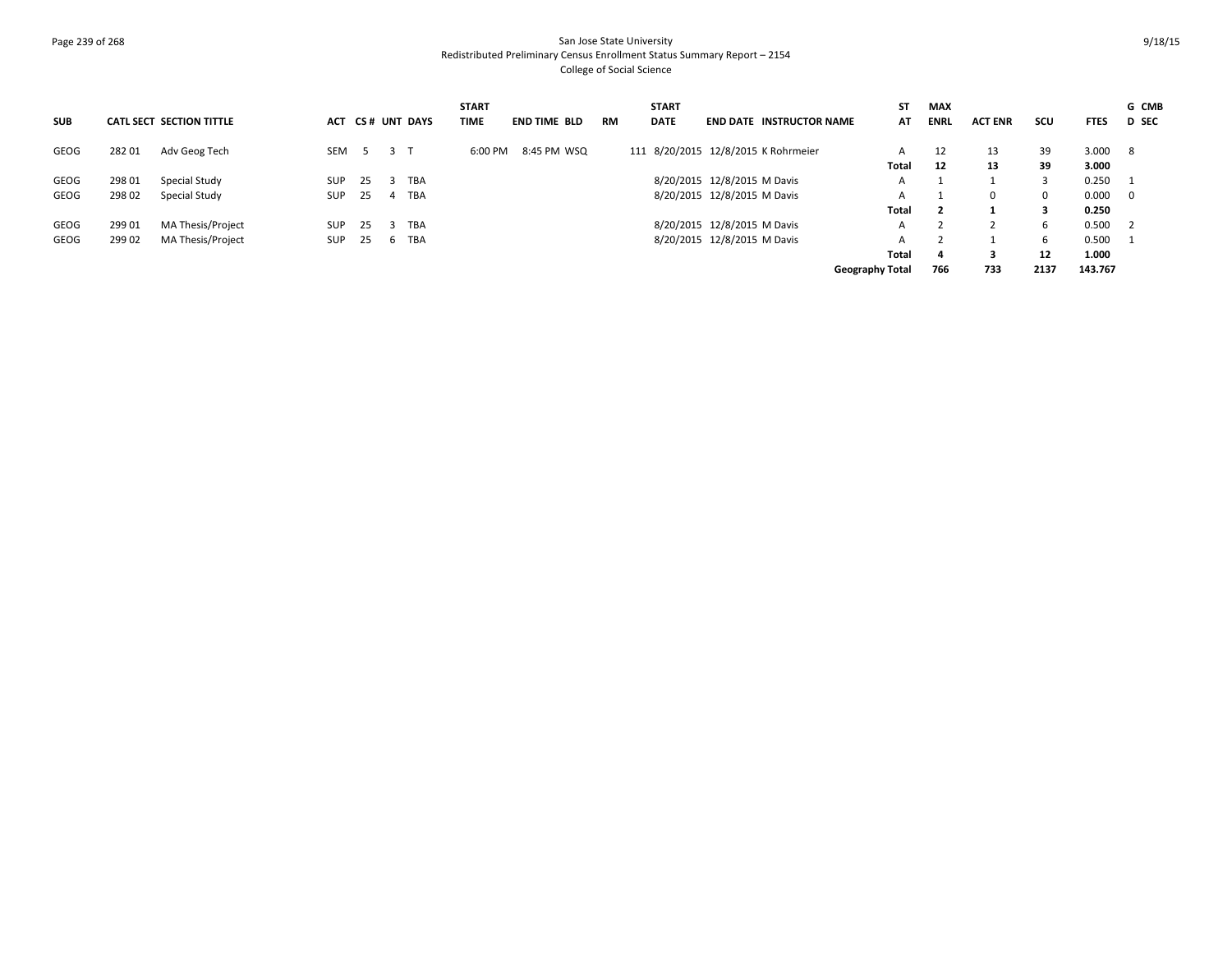# Page 239 of 268 San Jose State University Redistributed Preliminary Census Enrollment Status Summary Report – 2154 College of Social Science

|            |        |                          |            |             |    |                  | <b>START</b> |              |           | <b>START</b> |                                     | ST              | <b>MAX</b>  |                |      |             | G CMB                      |
|------------|--------|--------------------------|------------|-------------|----|------------------|--------------|--------------|-----------|--------------|-------------------------------------|-----------------|-------------|----------------|------|-------------|----------------------------|
| <b>SUB</b> |        | CATL SECT SECTION TITTLE |            |             |    | ACT CS# UNT DAYS | TIME         | END TIME BLD | <b>RM</b> | <b>DATE</b>  | <b>END DATE INSTRUCTOR NAME</b>     | AT              | <b>ENRL</b> | <b>ACT ENR</b> | scu  | <b>FTES</b> | <b>D</b> SEC               |
| GEOG       | 28201  | Adv Geog Tech            | SEM        | $5^{\circ}$ | -3 |                  | 6:00 PM      | 8:45 PM WSQ  |           |              | 111 8/20/2015 12/8/2015 K Rohrmeier | A               | 12          | 13             | 39   | 3.000       | - 8                        |
|            |        |                          |            |             |    |                  |              |              |           |              |                                     | Total           | 12          | 13             | 39   | 3.000       |                            |
| GEOG       | 298 01 | Special Study            | <b>SUP</b> | 25          |    | TBA              |              |              |           |              | 8/20/2015 12/8/2015 M Davis         | A               |             |                | 3    | 0.250       |                            |
| GEOG       | 298 02 | Special Study            | <b>SUP</b> | 25          |    | TBA              |              |              |           |              | 8/20/2015 12/8/2015 M Davis         | А               |             | $\Omega$       | 0    | 0.000       | $\mathbf{0}$               |
|            |        |                          |            |             |    |                  |              |              |           |              |                                     | Total           |             |                | 3    | 0.250       |                            |
| GEOG       | 299 01 | <b>MA Thesis/Project</b> | <b>SUP</b> | 25          |    | TBA              |              |              |           |              | 8/20/2015 12/8/2015 M Davis         | A               |             |                | 6.   | 0.500       | $\overline{\phantom{0}}^2$ |
| GEOG       | 299 02 | MA Thesis/Project        | <b>SUP</b> | 25          |    | TBA              |              |              |           |              | 8/20/2015 12/8/2015 M Davis         | А               |             |                | 6    | 0.500       | - 1                        |
|            |        |                          |            |             |    |                  |              |              |           |              |                                     | Total           | 4           | З              | 12   | 1.000       |                            |
|            |        |                          |            |             |    |                  |              |              |           |              |                                     | Geography Total | 766         | 733            | 2137 | 143.767     |                            |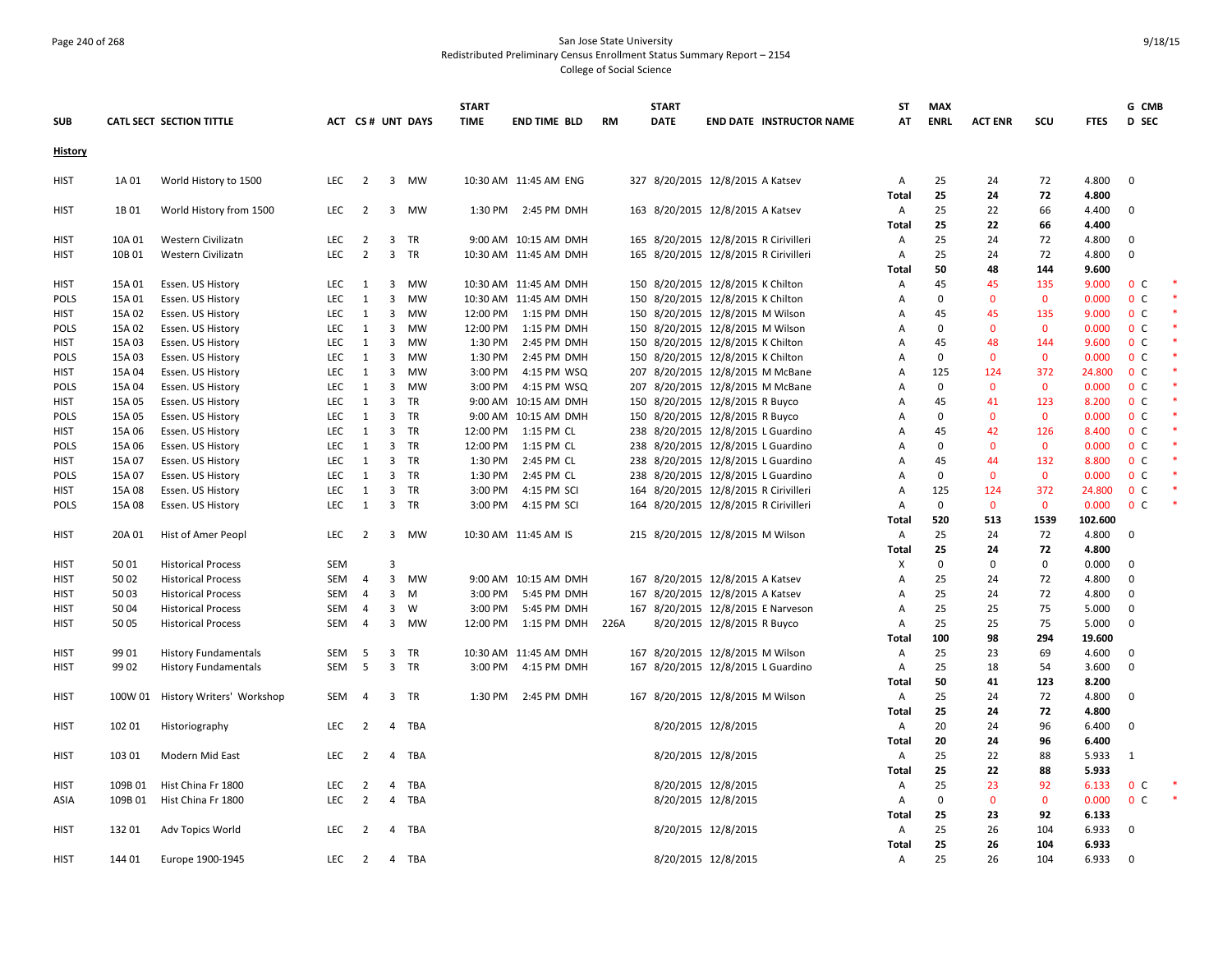### Page 240 of 268 San Jose State University Redistributed Preliminary Census Enrollment Status Summary Report – 2154 College of Social Science

|                |         |                             |            |                |                         |                  | <b>START</b> |                       |      | <b>START</b> |                                       | ST             | <b>MAX</b>  |                |              |             | G CMB          |  |
|----------------|---------|-----------------------------|------------|----------------|-------------------------|------------------|--------------|-----------------------|------|--------------|---------------------------------------|----------------|-------------|----------------|--------------|-------------|----------------|--|
| <b>SUB</b>     |         | CATL SECT SECTION TITTLE    |            |                |                         | ACT CS# UNT DAYS | <b>TIME</b>  | <b>END TIME BLD</b>   | RM   | DATE         | <b>END DATE INSTRUCTOR NAME</b>       | AT             | <b>ENRL</b> | <b>ACT ENR</b> | scu          | <b>FTES</b> | D SEC          |  |
| <b>History</b> |         |                             |            |                |                         |                  |              |                       |      |              |                                       |                |             |                |              |             |                |  |
| <b>HIST</b>    | 1A 01   | World History to 1500       | <b>LEC</b> | 2              |                         | 3 MW             |              | 10:30 AM 11:45 AM ENG |      |              | 327 8/20/2015 12/8/2015 A Katsev      | A              | 25          | 24             | 72           | 4.800       | $\mathbf{0}$   |  |
|                |         |                             |            |                |                         |                  |              |                       |      |              |                                       | Total          | 25          | 24             | 72           | 4.800       |                |  |
| <b>HIST</b>    | 1B 01   | World History from 1500     | LEC        | 2              |                         | 3 MW             |              | 1:30 PM 2:45 PM DMH   |      |              | 163 8/20/2015 12/8/2015 A Katsev      | A              | 25          | 22             | 66           | 4.400       | $\mathbf{0}$   |  |
|                |         |                             |            |                |                         |                  |              |                       |      |              |                                       | Total          | 25          | 22             | 66           | 4.400       |                |  |
| HIST           | 10A 01  | Western Civilizatn          | <b>LEC</b> | 2              |                         | 3 TR             |              | 9:00 AM 10:15 AM DMH  |      |              | 165 8/20/2015 12/8/2015 R Cirivilleri | A              | 25          | 24             | 72           | 4.800       | $\mathbf 0$    |  |
| <b>HIST</b>    | 10B 01  | Western Civilizatn          | <b>LEC</b> | $\overline{2}$ |                         | 3 TR             |              | 10:30 AM 11:45 AM DMH |      |              | 165 8/20/2015 12/8/2015 R Cirivilleri | A              | 25          | 24             | 72           | 4.800       | $\Omega$       |  |
|                |         |                             |            |                |                         |                  |              |                       |      |              |                                       | Total          | 50          | 48             | 144          | 9.600       |                |  |
| HIST           | 15A 01  | Essen. US History           | <b>LEC</b> | 1              | 3                       | MW               |              | 10:30 AM 11:45 AM DMH |      |              | 150 8/20/2015 12/8/2015 K Chilton     | Α              | 45          | 45             | 135          | 9.000       | 0 <sup>c</sup> |  |
| <b>POLS</b>    | 15A 01  | Essen. US History           | LEC        | 1              | 3                       | MW               |              | 10:30 AM 11:45 AM DMH |      |              | 150 8/20/2015 12/8/2015 K Chilton     | Α              | 0           | $\mathbf 0$    | $\mathbf 0$  | 0.000       | 0 <sup>c</sup> |  |
| HIST           | 15A 02  | Essen. US History           | LEC        | 1              | $\overline{3}$          | MW               |              | 12:00 PM 1:15 PM DMH  |      |              | 150 8/20/2015 12/8/2015 M Wilson      | Α              | 45          | 45             | 135          | 9.000       | 0 <sup>c</sup> |  |
| <b>POLS</b>    | 15A 02  | Essen. US History           | <b>LEC</b> | 1              | 3                       | MW               | 12:00 PM     | 1:15 PM DMH           |      |              | 150 8/20/2015 12/8/2015 M Wilson      | A              | 0           | $\mathbf{0}$   | $\mathbf{0}$ | 0.000       | 0 <sup>c</sup> |  |
| <b>HIST</b>    | 15A 03  | Essen. US History           | <b>LEC</b> | 1              | 3                       | <b>MW</b>        | 1:30 PM      | 2:45 PM DMH           |      |              | 150 8/20/2015 12/8/2015 K Chilton     | Α              | 45          | 48             | 144          | 9.600       | 0 <sup>c</sup> |  |
| POLS           | 15A 03  | Essen. US History           | LEC        | 1              | $\overline{3}$          | MW               | 1:30 PM      | 2:45 PM DMH           |      |              | 150 8/20/2015 12/8/2015 K Chilton     | Α              | $\mathbf 0$ | $\mathbf{0}$   | $\mathbf 0$  | 0.000       | 0 <sup>c</sup> |  |
| <b>HIST</b>    | 15A 04  | Essen. US History           | <b>LEC</b> | 1              | 3                       | <b>MW</b>        | 3:00 PM      | 4:15 PM WSQ           |      |              | 207 8/20/2015 12/8/2015 M McBane      | Α              | 125         | 124            | 372          | 24.800      | 0 <sup>o</sup> |  |
| <b>POLS</b>    | 15A 04  | Essen. US History           | LEC        | 1              | $\overline{3}$          | MW               | 3:00 PM      | 4:15 PM WSQ           |      |              | 207 8/20/2015 12/8/2015 M McBane      | А              | 0           | $\mathbf 0$    | $\mathbf 0$  | 0.000       | 0 <sup>c</sup> |  |
| <b>HIST</b>    | 15A 05  | Essen. US History           | LEC        | 1              | 3                       | TR               |              | 9:00 AM 10:15 AM DMH  |      |              | 150 8/20/2015 12/8/2015 R Buyco       | Α              | 45          | 41             | 123          | 8.200       | 0 <sup>c</sup> |  |
| <b>POLS</b>    | 15A 05  | Essen. US History           | LEC        | 1              |                         | 3 TR             |              | 9:00 AM 10:15 AM DMH  |      |              | 150 8/20/2015 12/8/2015 R Buyco       | Α              | $\mathbf 0$ | $\mathbf{0}$   | $\mathbf{0}$ | 0.000       | 0 <sup>c</sup> |  |
| HIST           | 15A 06  | Essen. US History           | <b>LEC</b> | 1              | 3                       | TR               | 12:00 PM     | 1:15 PM CL            |      |              | 238 8/20/2015 12/8/2015 L Guardino    | A              | 45          | 42             | 126          | 8.400       | 0 <sup>c</sup> |  |
| <b>POLS</b>    | 15A 06  | Essen. US History           | LEC        | 1              | 3                       | <b>TR</b>        | 12:00 PM     | 1:15 PM CL            |      |              | 238 8/20/2015 12/8/2015 L Guardino    | A              | $\mathbf 0$ | $\mathbf{0}$   | $\mathbf{0}$ | 0.000       | 0 <sup>c</sup> |  |
| <b>HIST</b>    | 15A 07  | Essen. US History           | LEC        | 1              |                         | 3 TR             | 1:30 PM      | 2:45 PM CL            |      |              | 238 8/20/2015 12/8/2015 L Guardino    | Α              | 45          | 44             | 132          | 8.800       | 0 <sup>c</sup> |  |
| <b>POLS</b>    | 15A 07  | Essen. US History           | <b>LEC</b> | 1              | 3                       | <b>TR</b>        | 1:30 PM      | 2:45 PM CL            |      |              | 238 8/20/2015 12/8/2015 L Guardino    | А              | 0           | $\mathbf{0}$   | $\mathbf 0$  | 0.000       | 0 <sup>c</sup> |  |
| <b>HIST</b>    | 15A 08  | Essen. US History           | <b>LEC</b> | 1              | $\overline{3}$          | <b>TR</b>        | 3:00 PM      | 4:15 PM SCI           |      |              | 164 8/20/2015 12/8/2015 R Cirivilleri | $\overline{A}$ | 125         | 124            | 372          | 24.800      | 0 <sup>c</sup> |  |
| POLS           | 15A 08  | Essen. US History           | <b>LEC</b> | 1              | $\overline{\mathbf{3}}$ | TR               | 3:00 PM      | 4:15 PM SCI           |      |              | 164 8/20/2015 12/8/2015 R Cirivilleri | Α              | 0           | $\mathbf 0$    | $\mathbf 0$  | 0.000       | 0 <sup>c</sup> |  |
|                |         |                             |            |                |                         |                  |              |                       |      |              |                                       | Total          | 520         | 513            | 1539         | 102.600     |                |  |
| <b>HIST</b>    | 20A 01  | Hist of Amer Peopl          | LEC        | $\overline{2}$ |                         | 3 MW             |              | 10:30 AM 11:45 AM IS  |      |              | 215 8/20/2015 12/8/2015 M Wilson      | A              | 25          | 24             | 72           | 4.800       | $\mathbf{0}$   |  |
|                |         |                             |            |                |                         |                  |              |                       |      |              |                                       | Total          | 25          | 24             | 72           | 4.800       |                |  |
| <b>HIST</b>    | 50 01   | <b>Historical Process</b>   | <b>SEM</b> |                | $\overline{3}$          |                  |              |                       |      |              |                                       | Х              | $\mathbf 0$ | $\mathbf 0$    | $\mathbf{0}$ | 0.000       | $\mathbf{0}$   |  |
| <b>HIST</b>    | 50 02   | <b>Historical Process</b>   | SEM        | $\overline{4}$ | $\overline{\mathbf{3}}$ | MW               |              | 9:00 AM 10:15 AM DMH  |      |              | 167 8/20/2015 12/8/2015 A Katsev      | Α              | 25          | 24             | 72           | 4.800       | $\mathbf 0$    |  |
| HIST           | 5003    | <b>Historical Process</b>   | SEM        | $\overline{4}$ | 3                       | M                | 3:00 PM      | 5:45 PM DMH           |      |              | 167 8/20/2015 12/8/2015 A Katsev      | $\overline{A}$ | 25          | 24             | 72           | 4.800       | $\mathbf{0}$   |  |
| <b>HIST</b>    | 5004    | <b>Historical Process</b>   | <b>SEM</b> | 4              | 3                       | W                | 3:00 PM      | 5:45 PM DMH           |      |              | 167 8/20/2015 12/8/2015 E Narveson    | Α              | 25          | 25             | 75           | 5.000       | $\mathbf 0$    |  |
| HIST           | 50 05   | <b>Historical Process</b>   | SEM        | -4             |                         | 3 MW             |              | 12:00 PM 1:15 PM DMH  | 226A |              | 8/20/2015 12/8/2015 R Buyco           | Α              | 25          | 25             | 75           | 5.000       | $\mathbf 0$    |  |
|                |         |                             |            |                |                         |                  |              |                       |      |              |                                       | Total          | 100         | 98             | 294          | 19.600      |                |  |
| <b>HIST</b>    | 99 01   | <b>History Fundamentals</b> | SEM        | 5              |                         | 3 TR             |              | 10:30 AM 11:45 AM DMH |      |              | 167 8/20/2015 12/8/2015 M Wilson      | Α              | 25          | 23             | 69           | 4.600       | 0              |  |
| <b>HIST</b>    | 99 02   | <b>History Fundamentals</b> | <b>SEM</b> | 5              |                         | 3 TR             | 3:00 PM      | 4:15 PM DMH           |      |              | 167 8/20/2015 12/8/2015 L Guardino    | A              | 25          | 18             | 54           | 3.600       | $\mathbf 0$    |  |
|                |         |                             |            |                |                         |                  |              |                       |      |              |                                       | Total          | 50          | 41             | 123          | 8.200       |                |  |
| HIST           | 100W 01 | History Writers' Workshop   | SEM        | $\overline{4}$ |                         | 3 TR             |              | 1:30 PM 2:45 PM DMH   |      |              | 167 8/20/2015 12/8/2015 M Wilson      | A              | 25          | 24             | 72           | 4.800       | $\mathbf{0}$   |  |
|                |         |                             |            |                |                         |                  |              |                       |      |              |                                       | Total          | 25          | 24             | 72           | 4.800       |                |  |
| <b>HIST</b>    | 102 01  | Historiography              | LEC        | 2              |                         | 4 TBA            |              |                       |      |              | 8/20/2015 12/8/2015                   | A              | 20          | 24             | 96           | 6.400       | $\mathbf{0}$   |  |
|                |         |                             |            |                |                         |                  |              |                       |      |              |                                       | Total          | 20          | 24             | 96           | 6.400       |                |  |
| <b>HIST</b>    | 103 01  | Modern Mid East             | <b>LEC</b> | $\overline{2}$ | $\overline{4}$          | TBA              |              |                       |      |              | 8/20/2015 12/8/2015                   | A              | 25          | 22             | 88           | 5.933       | 1              |  |
|                |         |                             |            |                |                         |                  |              |                       |      |              |                                       | Total          | 25          | 22             | 88           | 5.933       |                |  |
| HIST           | 109B 01 | Hist China Fr 1800          | <b>LEC</b> | 2              | 4                       | TBA              |              |                       |      |              | 8/20/2015 12/8/2015                   | A              | 25          | 23             | 92           | 6.133       | 0 <sup>c</sup> |  |
| ASIA           | 109B 01 | Hist China Fr 1800          | <b>LEC</b> | $\overline{2}$ | $\overline{4}$          | TBA              |              |                       |      |              | 8/20/2015 12/8/2015                   | A              | $\mathbf 0$ | $\mathbf{0}$   | $\mathbf{0}$ | 0.000       | 0 <sup>c</sup> |  |
|                |         |                             |            |                |                         |                  |              |                       |      |              |                                       | Total          | 25          | 23             | 92           | 6.133       |                |  |
| <b>HIST</b>    | 13201   | Adv Topics World            | LEC        | 2              |                         | 4 TBA            |              |                       |      |              | 8/20/2015 12/8/2015                   | A              | 25          | 26             | 104          | 6.933       | 0              |  |
|                |         |                             |            |                |                         |                  |              |                       |      |              |                                       | Total          | 25          | 26             | 104          | 6.933       |                |  |
| <b>HIST</b>    | 144 01  | Europe 1900-1945            | <b>LEC</b> | $\overline{2}$ |                         | 4 TBA            |              |                       |      |              | 8/20/2015 12/8/2015                   | $\overline{A}$ | 25          | 26             | 104          | 6.933       | $\mathbf{0}$   |  |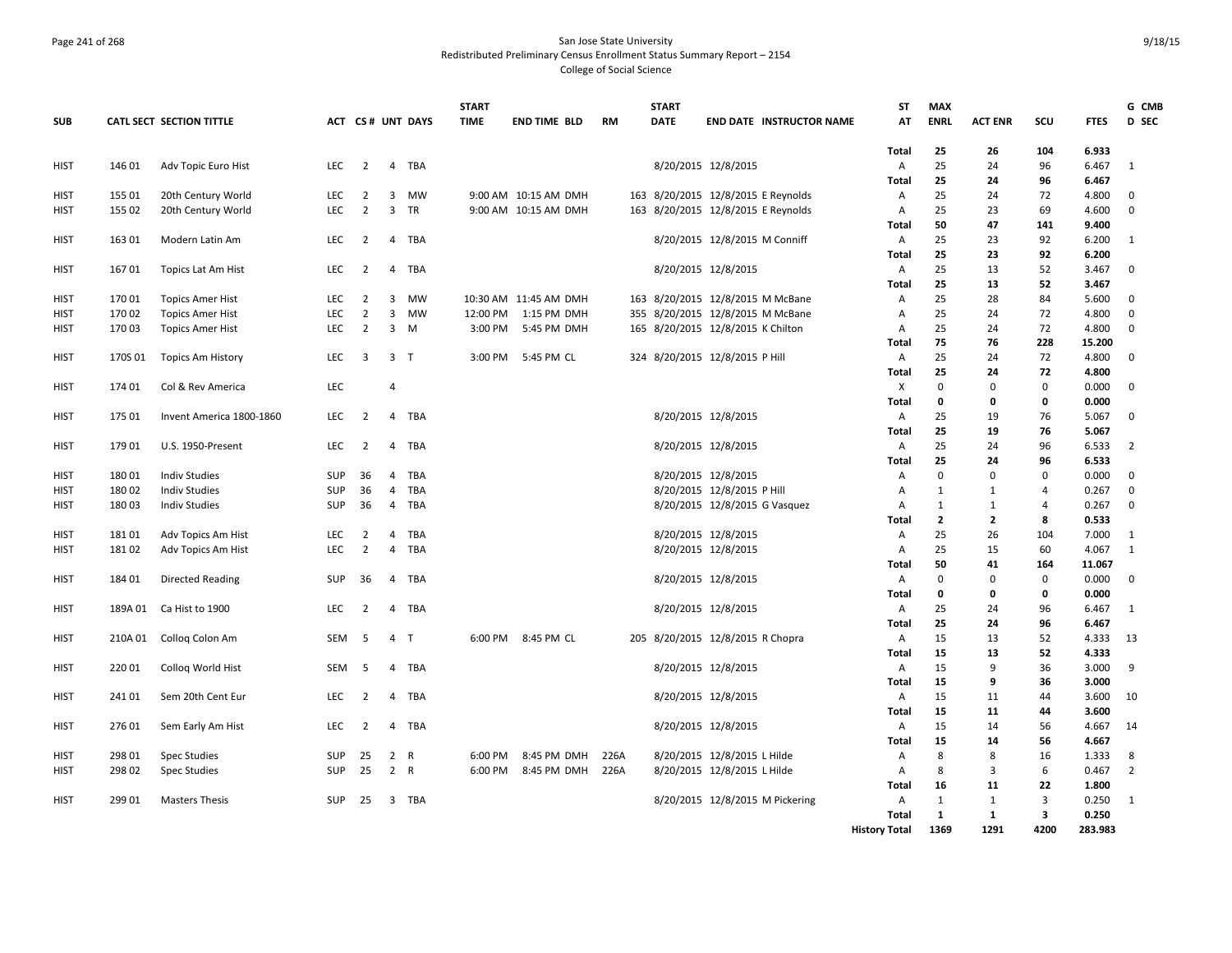# Page 241 of 268 San Jose State University Redistributed Preliminary Census Enrollment Status Summary Report – 2154 College of Social Science

|             |         |                          |            |                |                |                  | <b>START</b> |                       |           |     | <b>START</b> |                                    | <b>ST</b>            | <b>MAX</b>     |                |                |                 | G CMB          |
|-------------|---------|--------------------------|------------|----------------|----------------|------------------|--------------|-----------------------|-----------|-----|--------------|------------------------------------|----------------------|----------------|----------------|----------------|-----------------|----------------|
| <b>SUB</b>  |         | CATL SECT SECTION TITTLE |            |                |                | ACT CS# UNT DAYS | <b>TIME</b>  | <b>END TIME BLD</b>   | <b>RM</b> |     | DATE         | <b>END DATE INSTRUCTOR NAME</b>    | AT                   | <b>ENRL</b>    | <b>ACT ENR</b> | <b>SCU</b>     | <b>FTES</b>     | D SEC          |
|             |         |                          |            |                |                |                  |              |                       |           |     |              |                                    |                      |                |                |                |                 |                |
|             | 146 01  |                          | <b>LEC</b> | $\overline{2}$ | 4              | TBA              |              |                       |           |     |              |                                    | Total<br>Α           | 25<br>25       | 26<br>24       | 104<br>96      | 6.933<br>6.467  | 1              |
| <b>HIST</b> |         | Adv Topic Euro Hist      |            |                |                |                  |              |                       |           |     |              | 8/20/2015 12/8/2015                | Total                | 25             | 24             | 96             | 6.467           |                |
| <b>HIST</b> | 155 01  | 20th Century World       | <b>LEC</b> | $\overline{2}$ | 3              | <b>MW</b>        |              | 9:00 AM 10:15 AM DMH  |           |     |              | 163 8/20/2015 12/8/2015 E Reynolds | Α                    | 25             | 24             | 72             | 4.800           | $\mathbf{0}$   |
| HIST        | 155 02  | 20th Century World       | LEC        | $\overline{2}$ | $\mathbf{3}$   | TR               |              | 9:00 AM 10:15 AM DMH  |           |     |              | 163 8/20/2015 12/8/2015 E Reynolds | Α                    | 25             | 23             | 69             | 4.600           | $\mathbf 0$    |
|             |         |                          |            |                |                |                  |              |                       |           |     |              |                                    | Total                | 50             | 47             | 141            | 9.400           |                |
| <b>HIST</b> | 163 01  | Modern Latin Am          | LEC        | $\overline{2}$ |                | 4 TBA            |              |                       |           |     |              | 8/20/2015 12/8/2015 M Conniff      | Α                    | 25             | 23             | 92             | 6.200           | 1              |
|             |         |                          |            |                |                |                  |              |                       |           |     |              |                                    | <b>Total</b>         | 25             | 23             | 92             | 6.200           |                |
| <b>HIST</b> | 16701   | Topics Lat Am Hist       | LEC        | $\overline{2}$ |                | 4 TBA            |              |                       |           |     |              | 8/20/2015 12/8/2015                | Α                    | 25             | 13             | 52             | 3.467           | $\mathbf 0$    |
|             |         |                          |            |                |                |                  |              |                       |           |     |              |                                    | Total                | 25             | 13             | 52             | 3.467           |                |
| <b>HIST</b> | 17001   | <b>Topics Amer Hist</b>  | <b>LEC</b> | 2              | 3              | MW               |              | 10:30 AM 11:45 AM DMH |           |     |              | 163 8/20/2015 12/8/2015 M McBane   | Α                    | 25             | 28             | 84             | 5.600           | $\mathbf 0$    |
| HIST        | 170 02  | <b>Topics Amer Hist</b>  | <b>LEC</b> | $\overline{2}$ | $\overline{3}$ | <b>MW</b>        | 12:00 PM     | 1:15 PM DMH           |           | 355 |              | 8/20/2015 12/8/2015 M McBane       | А                    | 25             | 24             | 72             | 4.800           | $\mathbf 0$    |
| HIST        | 17003   | <b>Topics Amer Hist</b>  | LEC        | $\overline{2}$ |                | $3 \quad M$      | 3:00 PM      | 5:45 PM DMH           |           |     |              | 165 8/20/2015 12/8/2015 K Chilton  | Α                    | 25             | 24             | 72             | 4.800           | $\mathbf{0}$   |
|             |         |                          |            |                |                |                  |              |                       |           |     |              |                                    | Total                | 75             | 76             | 228            | 15.200          |                |
| <b>HIST</b> | 170S 01 | <b>Topics Am History</b> | <b>LEC</b> | 3              | 3 <sub>1</sub> |                  | 3:00 PM      | 5:45 PM CL            |           |     |              | 324 8/20/2015 12/8/2015 P Hill     | Α                    | 25             | 24             | 72             | 4.800           | $\mathbf{0}$   |
|             |         |                          |            |                |                |                  |              |                       |           |     |              |                                    | <b>Total</b>         | 25             | 24             | 72             | 4.800           |                |
| <b>HIST</b> | 174 01  | Col & Rev America        | LEC        |                | 4              |                  |              |                       |           |     |              |                                    | X                    | $\mathbf 0$    | $\Omega$       | $\mathbf 0$    | 0.000           | $\mathbf{0}$   |
|             |         |                          |            |                |                |                  |              |                       |           |     |              |                                    | Total                | $\mathbf 0$    | Ω              | 0              | 0.000           |                |
| <b>HIST</b> | 175 01  | Invent America 1800-1860 | <b>LEC</b> | 2              | 4              | TBA              |              |                       |           |     |              | 8/20/2015 12/8/2015                | Α                    | 25             | 19             | 76             | 5.067           | $\mathbf{0}$   |
|             |         |                          |            |                |                |                  |              |                       |           |     |              |                                    | Total                | 25             | 19             | 76             | 5.067           |                |
| <b>HIST</b> | 179 01  | <b>U.S. 1950-Present</b> | LEC        | $\overline{2}$ | $\overline{4}$ | TBA              |              |                       |           |     |              | 8/20/2015 12/8/2015                | Α                    | 25             | 24             | 96             | 6.533           | $\overline{2}$ |
|             |         |                          |            |                |                |                  |              |                       |           |     |              |                                    | Total                | 25             | 24             | 96             | 6.533           |                |
| <b>HIST</b> | 18001   | <b>Indiv Studies</b>     | SUP        | 36             | 4              | TBA              |              |                       |           |     |              | 8/20/2015 12/8/2015                | Α                    | $\mathbf 0$    | $\Omega$       | $\mathbf 0$    | 0.000           | $\mathbf 0$    |
| HIST        | 18002   | <b>Indiv Studies</b>     | <b>SUP</b> | 36             | 4              | TBA              |              |                       |           |     |              | 8/20/2015 12/8/2015 P Hill         | A                    | 1              | -1             | $\overline{4}$ | 0.267           | $\mathbf 0$    |
| <b>HIST</b> | 18003   | <b>Indiv Studies</b>     | SUP        | 36             | 4              | TBA              |              |                       |           |     |              | 8/20/2015 12/8/2015 G Vasquez      | А                    | $\mathbf{1}$   | 1              | 4              | 0.267           | $\mathbf 0$    |
|             |         |                          |            |                |                |                  |              |                       |           |     |              |                                    | Total                | $\overline{2}$ | $\overline{2}$ | 8              | 0.533           |                |
| <b>HIST</b> | 18101   | Adv Topics Am Hist       | LEC        | $\overline{2}$ | 4              | TBA              |              |                       |           |     |              | 8/20/2015 12/8/2015                | Α                    | 25<br>25       | 26             | 104            | 7.000           | 1              |
| <b>HIST</b> | 18102   | Adv Topics Am Hist       | LEC        | $\overline{2}$ | 4              | TBA              |              |                       |           |     |              | 8/20/2015 12/8/2015                | Α<br>Total           | 50             | 15<br>41       | 60<br>164      | 4.067           | 1              |
| <b>HIST</b> | 184 01  |                          | <b>SUP</b> | 36             | 4              | TBA              |              |                       |           |     |              |                                    | Α                    | $\mathbf 0$    | $\Omega$       | $\mathbf 0$    | 11.067<br>0.000 | $\mathbf{0}$   |
|             |         | <b>Directed Reading</b>  |            |                |                |                  |              |                       |           |     |              | 8/20/2015 12/8/2015                | Total                | 0              | 0              | $\mathbf 0$    | 0.000           |                |
| HIST        | 189A 01 | Ca Hist to 1900          | LEC.       | $\overline{2}$ | 4              | TBA              |              |                       |           |     |              | 8/20/2015 12/8/2015                | Α                    | 25             | 24             | 96             | 6.467           | 1              |
|             |         |                          |            |                |                |                  |              |                       |           |     |              |                                    | Total                | 25             | 24             | 96             | 6.467           |                |
| HIST        | 210A 01 | Colloq Colon Am          | <b>SEM</b> | -5             | $\overline{4}$ | $\top$           | 6:00 PM      | 8:45 PM CL            |           |     |              | 205 8/20/2015 12/8/2015 R Chopra   | Α                    | 15             | 13             | 52             | 4.333           | -13            |
|             |         |                          |            |                |                |                  |              |                       |           |     |              |                                    | <b>Total</b>         | 15             | 13             | 52             | 4.333           |                |
| HIST        | 22001   | Colloq World Hist        | <b>SEM</b> | -5             | 4              | TBA              |              |                       |           |     |              | 8/20/2015 12/8/2015                | $\mathsf{A}$         | 15             | 9              | 36             | 3.000           | 9              |
|             |         |                          |            |                |                |                  |              |                       |           |     |              |                                    | <b>Total</b>         | 15             | 9              | 36             | 3.000           |                |
| HIST        | 24101   | Sem 20th Cent Eur        | <b>LEC</b> | 2              | 4              | TBA              |              |                       |           |     |              | 8/20/2015 12/8/2015                | Α                    | 15             | 11             | 44             | 3.600           | - 10           |
|             |         |                          |            |                |                |                  |              |                       |           |     |              |                                    | Total                | 15             | 11             | 44             | 3.600           |                |
| <b>HIST</b> | 27601   | Sem Early Am Hist        | LEC        | 2              |                | 4 TBA            |              |                       |           |     |              | 8/20/2015 12/8/2015                | Α                    | 15             | 14             | 56             | 4.667           | -14            |
|             |         |                          |            |                |                |                  |              |                       |           |     |              |                                    | Total                | 15             | 14             | 56             | 4.667           |                |
| HIST        | 298 01  | <b>Spec Studies</b>      | <b>SUP</b> | 25             | 2 R            |                  | 6:00 PM      | 8:45 PM DMH           | 226A      |     |              | 8/20/2015 12/8/2015 L Hilde        | Α                    | 8              | 8              | 16             | 1.333           | 8              |
| HIST        | 298 02  | <b>Spec Studies</b>      | SUP        | 25             | $\overline{2}$ | R                | 6:00 PM      | 8:45 PM DMH           | 226A      |     |              | 8/20/2015 12/8/2015 L Hilde        | Α                    | 8              | 3              | 6              | 0.467           | $\overline{2}$ |
|             |         |                          |            |                |                |                  |              |                       |           |     |              |                                    | Total                | 16             | 11             | 22             | 1.800           |                |
| <b>HIST</b> | 299 01  | <b>Masters Thesis</b>    | SUP        | 25             |                | 3 TBA            |              |                       |           |     |              | 8/20/2015 12/8/2015 M Pickering    | Α                    | 1              | 1              | 3              | 0.250           | 1              |
|             |         |                          |            |                |                |                  |              |                       |           |     |              |                                    | <b>Total</b>         | 1              | 1              | 3              | 0.250           |                |
|             |         |                          |            |                |                |                  |              |                       |           |     |              |                                    | <b>History Total</b> | 1369           | 1291           | 4200           | 283.983         |                |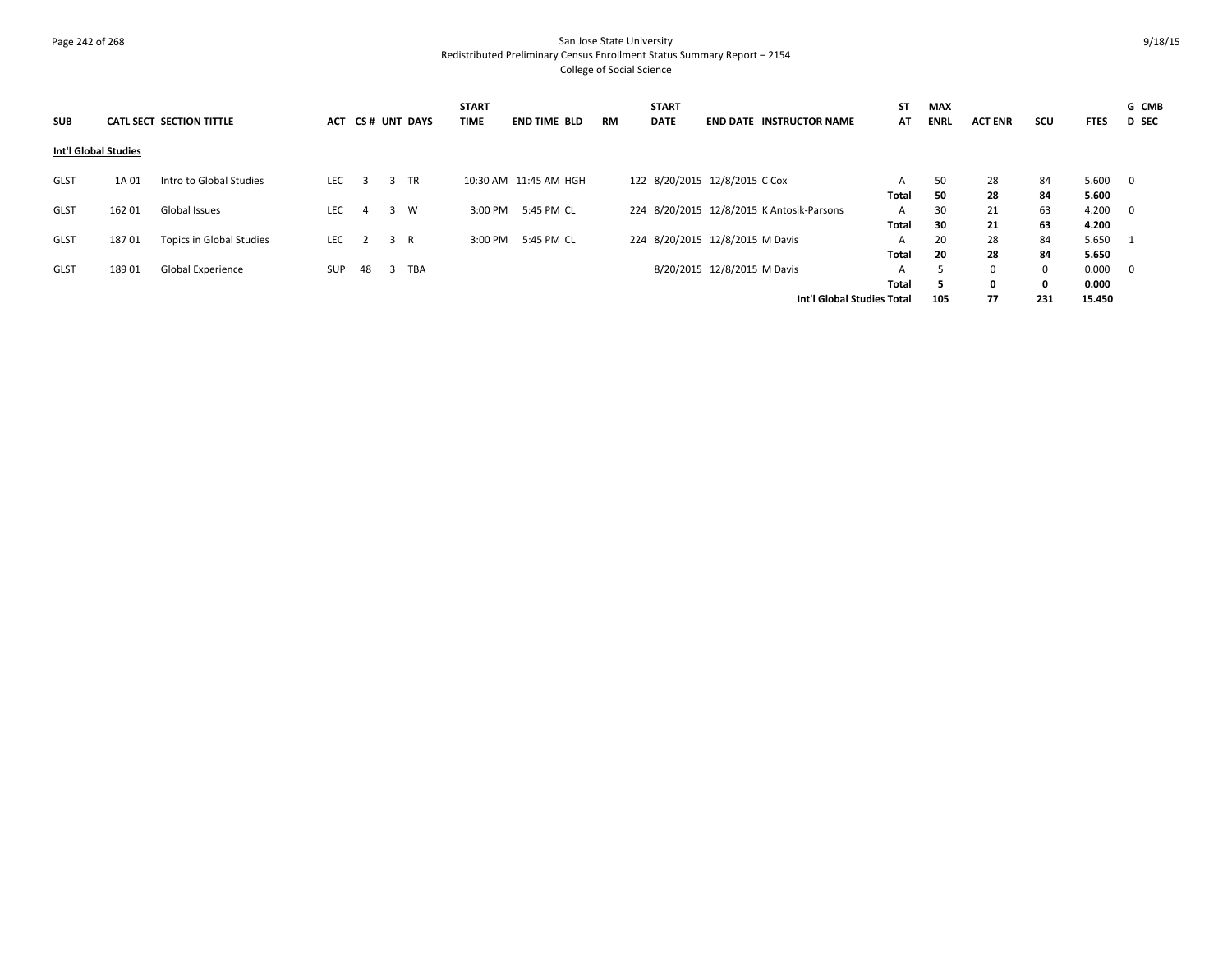# Page 242 of 268 San Jose State University Redistributed Preliminary Census Enrollment Status Summary Report – 2154 College of Social Science

| <b>SUB</b>                  |        | CATL SECT SECTION TITTLE |            |              |     | ACT CS# UNT DAYS | <b>START</b><br><b>TIME</b> | <b>END TIME BLD</b> | <b>RM</b> | <b>START</b><br><b>DATE</b>     |  | <b>END DATE INSTRUCTOR NAME</b>           | <b>ST</b><br>AT | <b>MAX</b><br><b>ENRL</b> | <b>ACT ENR</b> | scu         | <b>FTES</b> | G CMB<br><b>D</b> SEC   |
|-----------------------------|--------|--------------------------|------------|--------------|-----|------------------|-----------------------------|---------------------|-----------|---------------------------------|--|-------------------------------------------|-----------------|---------------------------|----------------|-------------|-------------|-------------------------|
| <b>Int'l Global Studies</b> |        |                          |            |              |     |                  |                             |                     |           |                                 |  |                                           |                 |                           |                |             |             |                         |
| GLST                        | 1A 01  | Intro to Global Studies  | <b>LEC</b> | $\mathbf{R}$ | 3   | <b>TR</b>        | 10:30 AM 11:45 AM HGH       |                     |           | 122 8/20/2015 12/8/2015 C Cox   |  |                                           | A               | 50                        | 28             | 84          | 5.600       | $\overline{0}$          |
|                             |        |                          |            |              |     |                  |                             |                     |           |                                 |  |                                           | Total           | 50                        | 28             | 84          | 5.600       |                         |
| <b>GLST</b>                 | 162 01 | Global Issues            | <b>LEC</b> | 4            | 3   | W                | 3:00 PM                     | 5:45 PM CL          |           |                                 |  | 224 8/20/2015 12/8/2015 K Antosik-Parsons | A               | 30                        | 21             | 63          | 4.200       | $\overline{0}$          |
|                             |        |                          |            |              |     |                  |                             |                     |           |                                 |  |                                           | Total           | 30                        | 21             | 63          | 4.200       |                         |
| <b>GLST</b>                 | 18701  | Topics in Global Studies | LEC        |              | 3 R |                  | 3:00 PM                     | 5:45 PM CL          |           | 224 8/20/2015 12/8/2015 M Davis |  |                                           |                 | 20                        | 28             | 84          | 5.650       | - 1                     |
|                             |        |                          |            |              |     |                  |                             |                     |           |                                 |  |                                           | Total           | 20                        | 28             | 84          | 5.650       |                         |
| <b>GLST</b>                 | 18901  | Global Experience        | <b>SUP</b> | 48           | -3  | TBA              |                             |                     |           | 8/20/2015 12/8/2015 M Davis     |  |                                           | A               | D.                        | 0              | $\mathbf 0$ | 0.000       | $\overline{\mathbf{0}}$ |
|                             |        |                          |            |              |     |                  |                             |                     |           |                                 |  |                                           | Total           | 5                         | $\mathbf{0}$   | $\mathbf 0$ | 0.000       |                         |
|                             |        |                          |            |              |     |                  |                             |                     |           |                                 |  | Int'l Global Studies Total                |                 | 105                       | 77             | 231         | 15.450      |                         |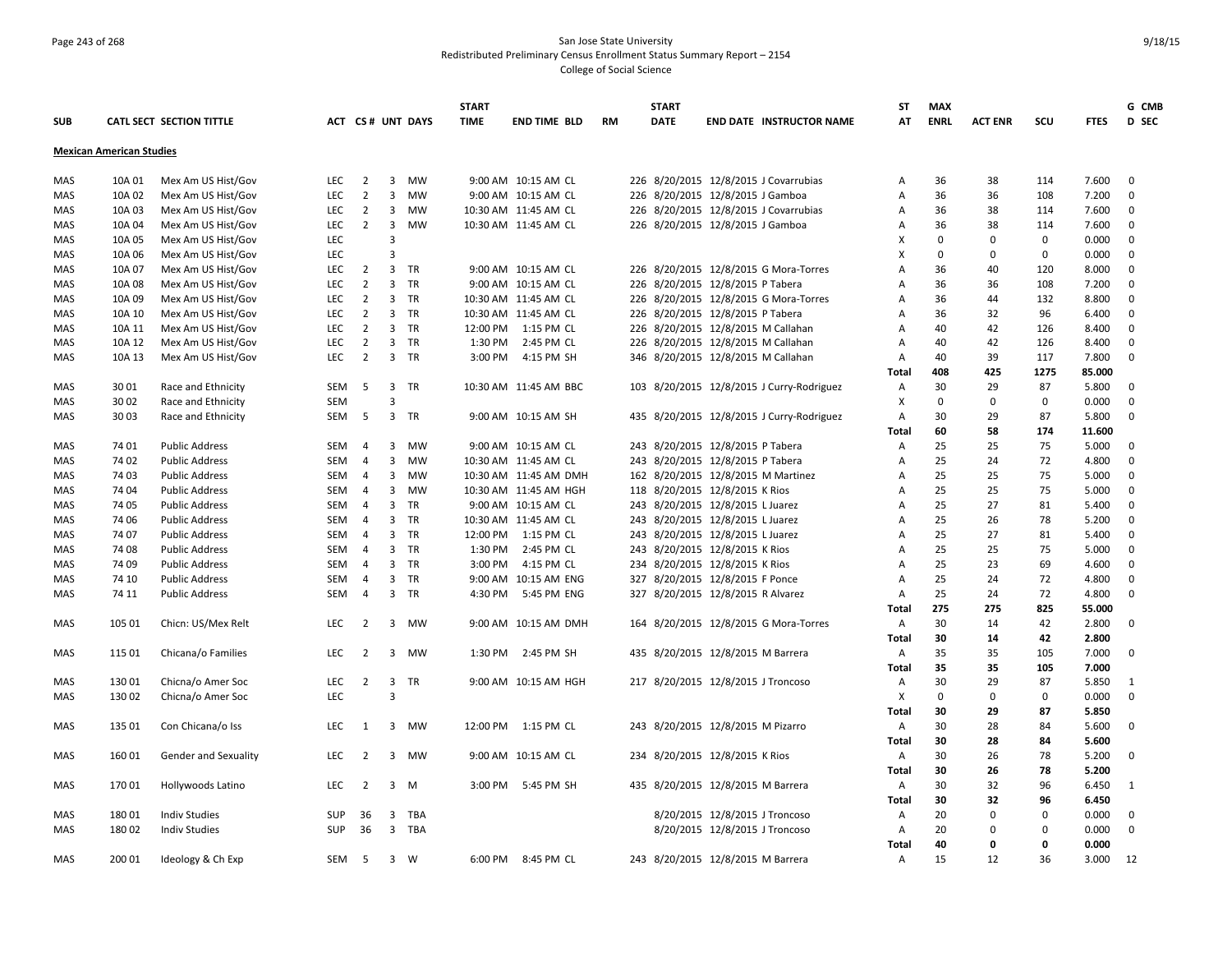#### Page 243 of 268 San Jose State University Redistributed Preliminary Census Enrollment Status Summary Report – 2154 College of Social Science

**SUB CATL SECT SECTION TITTLE ACT CS # UNT DAYS START TIME END TIME BLD RM START DATE END DATE INSTRUCTOR NAME ST AT MAX ENRL ACT ENR SCU FTES G CMB D SEC Mexican American Studies** MAS 10A 01 Mex Am US Hist/Gov LEC 2 3 MW 9:00 AM 10:15 AM CL 226 8/20/2015 12/8/2015 J Covarrubias A 36 38 114 7.600 0 MAS 10A 02 Mex Am US Hist/Gov LEC 2 3 MW 9:00 AM 10:15 AM CL 226 8/20/2015 12/8/2015 J Gamboa A 36 36 108 7.200 0 MAS 10A 03 Mex Am US Hist/Gov LEC 2 3 MW 10:30 AM 11:45 AM CL 226 8/20/2015 12/8/2015 J Covarrubias A 36 38 114 7.600 0 MAS 10A 04 Mex Am US Hist/Gov LEC 2 3 MW 10:30 AM 11:45 AM CL 226 8/20/2015 12/8/2015 J Gamboa A 36 38 114 7.600 0 MAS 10A 05 Mex Am US Hist/Gov LEC 3 X 0 0 0 0.000 0 MAS 10A 06 Mex Am US Hist/Gov LEC 3 X 0 0 0 0.000 0 MAS 10A 07 Mex Am US Hist/Gov LEC 2 3 TR 9:00 AM 10:15 AM CL 226 8/20/2015 12/8/2015 G Mora-Torres A 36 40 120 8.000 0 MAS 10A 08 Mex Am US Hist/Gov LEC 2 3 TR 9:00 AM 10:15 AM CL 226 8/20/2015 12/8/2015 P Tabera A 36 36 108 7.200 0 MAS 10A 09 Mex Am US Hist/Gov LEC 2 3 TR 10:30 AM 11:45 AM CL 226 8/20/2015 12/8/2015 G Mora-Torres A 36 44 132 8.800 0 MAS 10A 10 Mex Am US Hist/Gov LEC 2 3 TR 10:30 AM 11:45 AM CL 226 8/20/2015 12/8/2015 P Tabera A 36 32 96 6.400 0 MAS 10A 11 Mex Am US Hist/Gov LEC 2 3 TR 12:00 PM 1:15 PM CL 226 8/20/2015 12/8/2015 M Callahan A 40 42 126 8.400 0 MAS 10A 12 Mex Am US Hist/Gov LEC 2 3 TR 1:30 PM 2:45 PM CL 226 8/20/2015 12/8/2015 M Callahan A 40 42 126 8.400 0 MAS 10A 13 Mex Am US Hist/Gov LEC 2 3 TR 3:00 PM 4:15 PM SH 346 8/20/2015 12/8/2015 M Callahan A 40 39 117 7.800 0 **Total 408 425 1275 85.000** MAS 30 01 Race and Ethnicity SEM 5 3 TR 10:30 AM 11:45 AM BBC 103 8/20/2015 12/8/2015 J Curry-Rodriguez A 30 29 87 5.800 0 MAS 30 02 Race and Ethnicity SEM 3 X 0 0 0 0.000 0 MAS 30 03 Race and Ethnicity SEM 5 3 TR 9:00 AM 10:15 AM SH 435 8/20/2015 12/8/2015 J Curry-Rodriguez A 30 29 87 5.800 0 **Total 60 58 174 11.600** MAS 74 01 Public Address SEM 4 3 MW 9:00 AM 10:15 AM CL 243 8/20/2015 12/8/2015 P Tabera A 25 25 75 5.000 0 MAS 74 02 Public Address SEM 4 3 MW 10:30 AM 11:45 AM CL 243 8/20/2015 12/8/2015 P Tabera A 25 24 72 4.800 0 MAS 74 03 Public Address SEM 4 3 MW 10:30 AM 11:45 AM DMH 162 8/20/2015 12/8/2015 M Martinez A 25 25 75 5.000 0 MAS 7404 Public Address SEM 4 3 MW 10:30 AM 11:45 AM HGH 118 8/20/2015 12/8/2015 K Rios A 25 25 75 5.000 0 MAS 74 05 Public Address SEM 4 3 TR 9:00 AM 10:15 AM CL 243 8/20/2015 12/8/2015 L Juarez A 25 27 81 5.400 0 MAS 74 06 Public Address SEM 4 3 TR 10:30 AM 11:45 AM CL 243 8/20/2015 12/8/2015 L Juarez A 25 26 78 5.200 0 MAS 74 07 Public Address SEM 4 3 TR 12:00 PM 1:15 PM CL 243 8/20/2015 12/8/2015 L Juarez A 25 27 81 5.400 0 MAS 74 08 Public Address SEM 4 3 TR 1:30 PM 2:45 PM CL 243 8/20/2015 12/8/2015 K Rios A 25 25 75 5.000 0 MAS 74 09 Public Address SEM 4 3 TR 3:00 PM 4:15 PM CL 234 8/20/2015 12/8/2015 K Rios A 25 23 69 4.600 0 MAS 74 10 Public Address SEM 4 3 TR 9:00 AM 10:15 AM ENG 327 8/20/2015 12/8/2015 F Ponce A 25 24 72 4.800 0 MAS 74 11 Public Address SEM 4 3 TR 4:30 PM 5:45 PM ENG 327 8/20/2015 12/8/2015 R Alvarez A 25 24 72 4.800 0 **Total 275 275 825 55.000** MAS 105 01 Chicn: US/Mex Relt LEC 2 3 MW 9:00 AM 10:15 AM DMH 164 8/20/2015 12/8/2015 G Mora-Torres A 30 14 42 2.800 0 **Total 30 14 42 2.800** MAS 11501 Chicana/o Families LEC 2 3 MW 1:30 PM 2:45 PM SH 435 8/20/2015 12/8/2015 M Barrera A 35 35 105 7.000 0 **Total 35 35 105 7.000** MAS 130 01 Chicna/o Amer Soc LEC 2 3 TR 9:00 AM 10:15 AM HGH 217 8/20/2015 12/8/2015 J Troncoso A 30 29 87 5.850 1 MAS 130 02 Chicna/o Amer Soc LEC 3 X 0 0 0 0.000 0 **Total 30 29 87 5.850** MAS 135 01 Con Chicana/o Iss LEC 1 3 MW 12:00 PM 1:15 PM CL 243 8/20/2015 12/8/2015 M Pizarro A 30 28 84 5.600 0 **Total 30 28 84 5.600** MAS 160 01 Gender and Sexuality LEC 2 3 MW 9:00 AM 10:15 AM CL 234 8/20/2015 12/8/2015 K Rios A 30 26 78 5.200 0 **Total 30 26 78 5.200** MAS 170 01 Hollywoods Latino LEC 2 3 M 3:00 PM 5:45 PM SH 435 8/20/2015 12/8/2015 M Barrera A 30 32 96 6.450 1 **Total 30 32 96 6.450** MAS 180 01 Indiv Studies 6 SUP 36 3 TBA 8/20/2015 12/8/2015 12/8/2015 17roncoso A 20 0 000 0 MAS 18002 Indiv Studies 6 SUP 36 3 TBA 8/20/2015 12/8/2015 17000050 A 20 0 0000 0 **Total 40 0 0 0.000** MAS 200 01 Ideology & Ch Exp SEM 5 3 W 6:00 PM 8:45 PM CL 243 8/20/2015 12/8/2015 M Barrera A 15 12 36 3.000 12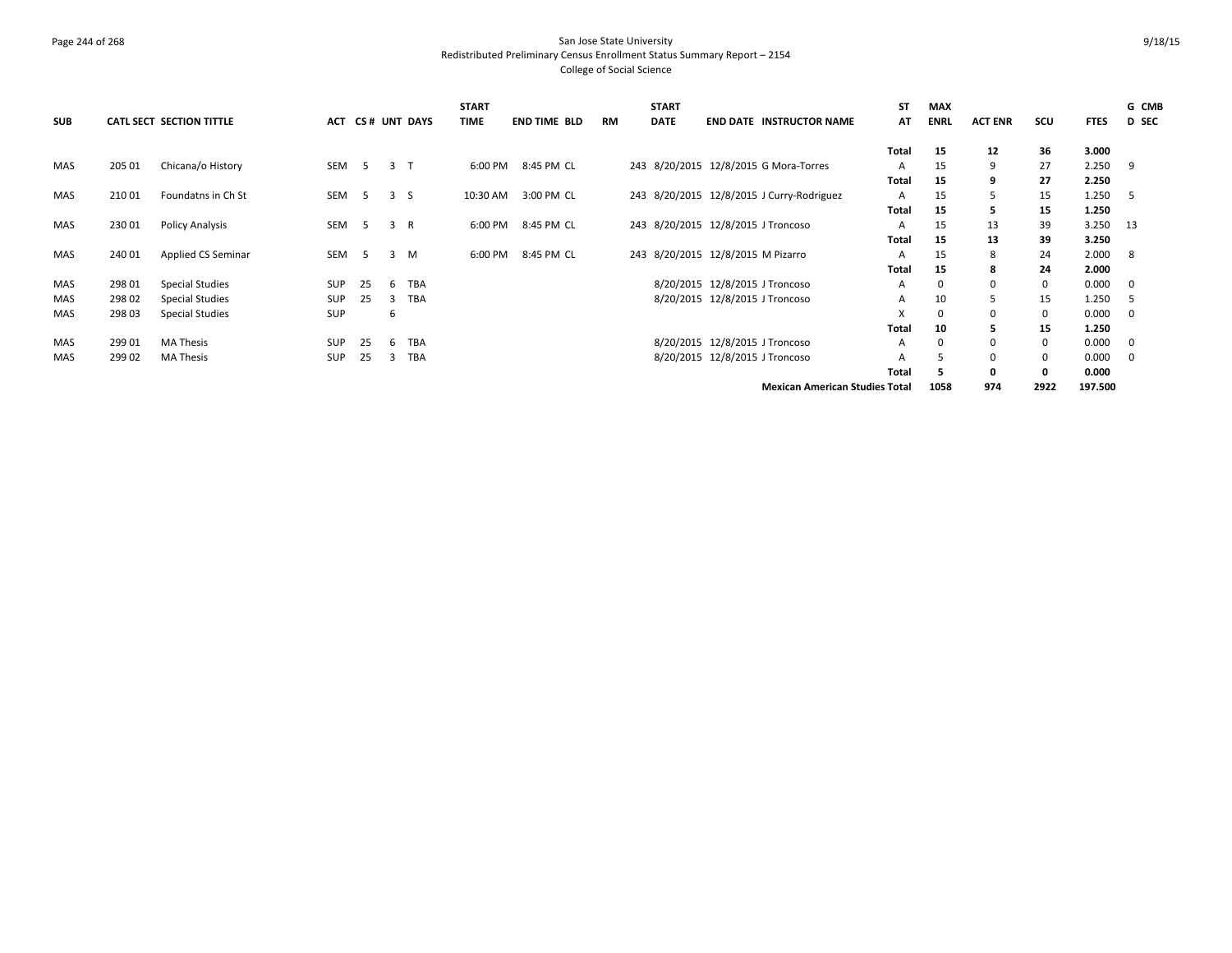# Page 244 of 268 San Jose State University Redistributed Preliminary Census Enrollment Status Summary Report – 2154 College of Social Science

| <b>SUB</b> |        | CATL SECT SECTION TITTLE |            |    |   | ACT CS# UNT DAYS | <b>START</b><br><b>TIME</b> | <b>END TIME BLD</b> | <b>RM</b> | <b>START</b><br><b>DATE</b> | <b>END DATE INSTRUCTOR NAME</b>           | <b>ST</b><br>AT | <b>MAX</b><br><b>ENRL</b> | <b>ACT ENR</b> | scu         | <b>FTES</b> | G CMB<br>D SEC |
|------------|--------|--------------------------|------------|----|---|------------------|-----------------------------|---------------------|-----------|-----------------------------|-------------------------------------------|-----------------|---------------------------|----------------|-------------|-------------|----------------|
|            |        |                          |            |    |   |                  |                             |                     |           |                             |                                           | Total           | 15                        | 12             | 36          | 3.000       |                |
| MAS        | 205 01 | Chicana/o History        | SEM        | -5 | 3 |                  | 6:00 PM                     | 8:45 PM CL          |           |                             | 243 8/20/2015 12/8/2015 G Mora-Torres     | A               | 15                        | 9              | 27          | 2.250       | -9             |
|            |        |                          |            |    |   |                  |                             |                     |           |                             |                                           | Total           | 15                        |                | 27          | 2.250       |                |
| MAS        | 21001  | Foundatns in Ch St       | SEM        | 5  | 3 | -S               | 10:30 AM                    | 3:00 PM CL          |           |                             | 243 8/20/2015 12/8/2015 J Curry-Rodriguez | A               | 15                        | ╮              | 15          | 1.250       | -5             |
|            |        |                          |            |    |   |                  |                             |                     |           |                             |                                           | Total           | 15                        | ь              | 15          | 1.250       |                |
| MAS        | 23001  | <b>Policy Analysis</b>   | <b>SEM</b> | 5  | 3 | R                | 6:00 PM                     | 8:45 PM CL          |           |                             | 243 8/20/2015 12/8/2015 J Troncoso        | A               | 15                        | 13             | 39          | 3.250       | - 13           |
|            |        |                          |            |    |   |                  |                             |                     |           |                             |                                           | Total           | 15                        | 13             | 39          | 3.250       |                |
| MAS        | 240 01 | Applied CS Seminar       | SEM        | 5  | 3 | M                | 6:00 PM                     | 8:45 PM CL          |           |                             | 243 8/20/2015 12/8/2015 M Pizarro         | A               | 15                        | 8              | 24          | 2.000       | 8              |
|            |        |                          |            |    |   |                  |                             |                     |           |                             |                                           | Total           | 15                        | 8              | 24          | 2.000       |                |
| MAS        | 298 01 | <b>Special Studies</b>   | SUP        | 25 | 6 | TBA              |                             |                     |           |                             | 8/20/2015 12/8/2015 J Troncoso            | A               | 0                         | 0              | $\mathbf 0$ | 0.000       | $\mathbf 0$    |
| <b>MAS</b> | 298 02 | <b>Special Studies</b>   | SUP        | 25 | 3 | <b>TBA</b>       |                             |                     |           |                             | 8/20/2015 12/8/2015 J Troncoso            | A               | 10                        | 5              | 15          | 1.250       | -5             |
| MAS        | 298 03 | <b>Special Studies</b>   | SUP        |    | 6 |                  |                             |                     |           |                             |                                           | X               | $\Omega$                  | $\Omega$       | $\Omega$    | 0.000       | $\Omega$       |
|            |        |                          |            |    |   |                  |                             |                     |           |                             |                                           | Total           | 10                        | ь              | 15          | 1.250       |                |
| MAS        | 299 01 | <b>MA Thesis</b>         | <b>SUP</b> | 25 | 6 | <b>TBA</b>       |                             |                     |           |                             | 8/20/2015 12/8/2015 J Troncoso            | A               | $\Omega$                  |                | $\mathbf 0$ | 0.000       | $\mathbf 0$    |
| <b>MAS</b> | 299 02 | MA Thesis                | <b>SUP</b> | 25 | 3 | <b>TBA</b>       |                             |                     |           |                             | 8/20/2015 12/8/2015 J Troncoso            | A               | 5                         | $\Omega$       | $\mathbf 0$ | 0.000       | $\mathbf{0}$   |
|            |        |                          |            |    |   |                  |                             |                     |           |                             |                                           | Total           | 5                         | 0              | $\mathbf 0$ | 0.000       |                |
|            |        |                          |            |    |   |                  |                             |                     |           |                             | <b>Mexican American Studies Total</b>     |                 | 1058                      | 974            | 2922        | 197.500     |                |

9/18/15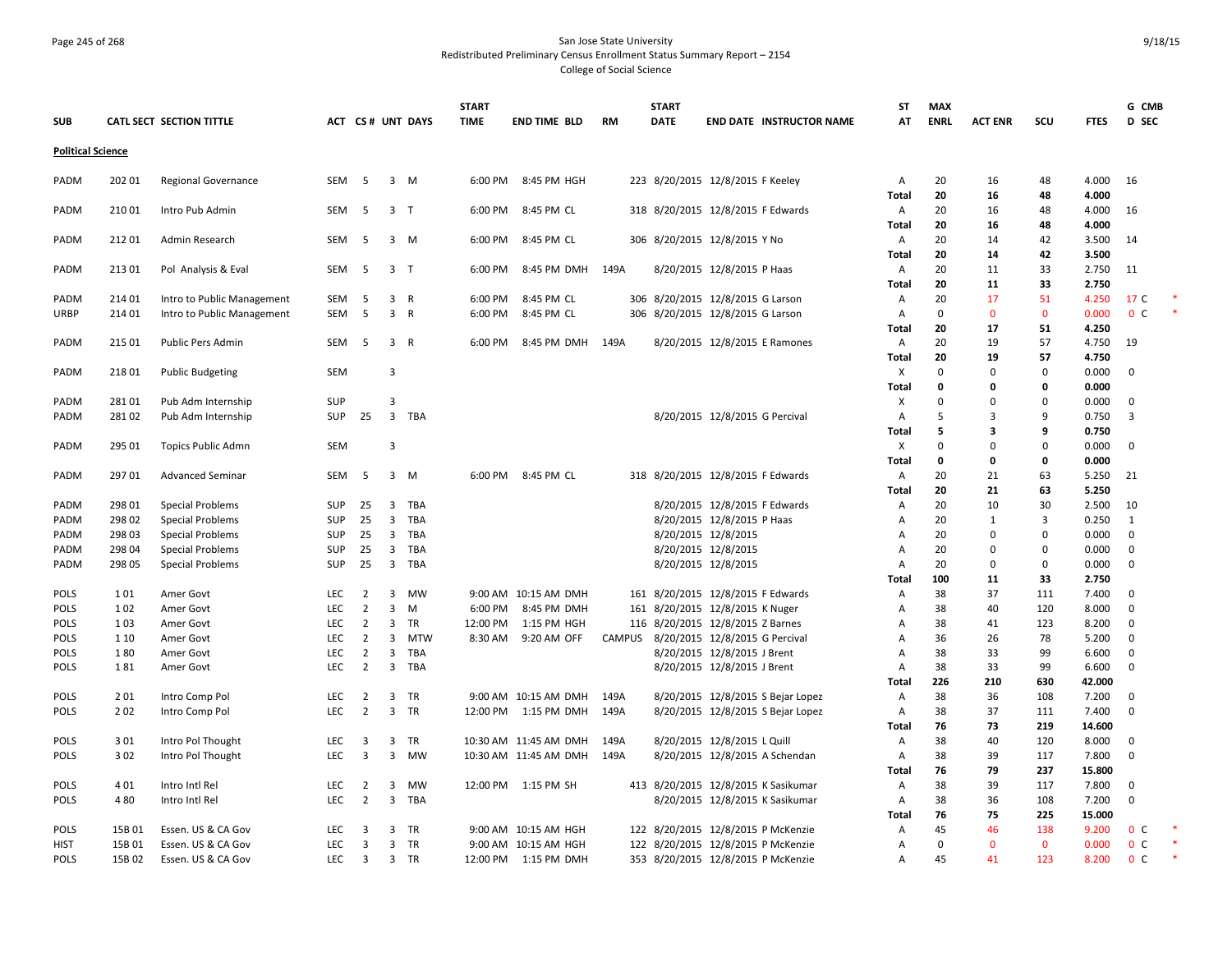# Page 245 of 268 San Jose State University Redistributed Preliminary Census Enrollment Status Summary Report – 2154 College of Social Science

|                          |        |                            |            |                |                         |                  | <b>START</b> |                        |           | <b>START</b> |                                     | ST           | <b>MAX</b>   |                |             |                 | G CMB          |  |
|--------------------------|--------|----------------------------|------------|----------------|-------------------------|------------------|--------------|------------------------|-----------|--------------|-------------------------------------|--------------|--------------|----------------|-------------|-----------------|----------------|--|
| <b>SUB</b>               |        | CATL SECT SECTION TITTLE   |            |                |                         | ACT CS# UNT DAYS | <b>TIME</b>  | <b>END TIME BLD</b>    | <b>RM</b> | <b>DATE</b>  | <b>END DATE INSTRUCTOR NAME</b>     | AT           | <b>ENRL</b>  | <b>ACT ENR</b> | scu         | <b>FTES</b>     | D SEC          |  |
| <b>Political Science</b> |        |                            |            |                |                         |                  |              |                        |           |              |                                     |              |              |                |             |                 |                |  |
|                          |        |                            |            |                |                         |                  |              |                        |           |              |                                     |              |              |                |             | 4.000           |                |  |
| PADM                     | 202 01 | <b>Regional Governance</b> | SEM        | - 5            |                         | 3 M              | 6:00 PM      | 8:45 PM HGH            |           |              | 223 8/20/2015 12/8/2015 F Keeley    | A<br>Total   | 20<br>20     | 16<br>16       | 48<br>48    | 4.000           | 16             |  |
| PADM                     | 210 01 | Intro Pub Admin            | SEM        | 5              | 3 <sub>1</sub>          |                  | 6:00 PM      | 8:45 PM CL             |           |              | 318 8/20/2015 12/8/2015 F Edwards   | A            | 20           | 16             | 48          | 4.000           | 16             |  |
|                          |        |                            |            |                |                         |                  |              |                        |           |              |                                     | Total        | 20           | 16             | 48          | 4.000           |                |  |
| PADM                     | 21201  | Admin Research             | SEM        | -5             |                         | $3 \, M$         | 6:00 PM      | 8:45 PM CL             |           |              | 306 8/20/2015 12/8/2015 Y No        | Α            | 20           | 14             | 42          | 3.500           | -14            |  |
|                          |        |                            |            |                |                         |                  |              |                        |           |              |                                     | <b>Total</b> | 20           | 14             | 42          | 3.500           |                |  |
| PADM                     | 213 01 | Pol Analysis & Eval        | SEM        | -5             | 3 <sub>1</sub>          |                  | 6:00 PM      | 8:45 PM DMH            | 149A      |              | 8/20/2015 12/8/2015 P Haas          | Α            | 20           | 11             | 33          | 2.750           | -11            |  |
|                          |        |                            |            |                |                         |                  |              |                        |           |              |                                     | Total        | 20           | 11             | 33          | 2.750           |                |  |
| PADM                     | 214 01 | Intro to Public Management | SEM        | 5              | $\overline{\mathbf{3}}$ | $\mathsf R$      | 6:00 PM      | 8:45 PM CL             |           |              | 306 8/20/2015 12/8/2015 G Larson    | Α            | 20           | 17             | 51          | 4.250           | 17 C           |  |
| <b>URBP</b>              | 214 01 | Intro to Public Management | SEM        | 5              | 3 R                     |                  | 6:00 PM      | 8:45 PM CL             |           |              | 306 8/20/2015 12/8/2015 G Larson    | Α            | $\mathbf 0$  | $\mathbf{0}$   | $\mathbf 0$ | 0.000           | 0 <sup>c</sup> |  |
|                          |        |                            |            |                |                         |                  |              |                        |           |              |                                     | Total        | 20           | 17             | 51          | 4.250           |                |  |
| PADM                     | 215 01 | Public Pers Admin          | SEM        | 5              | 3 R                     |                  | 6:00 PM      | 8:45 PM DMH            | 149A      |              | 8/20/2015 12/8/2015 E Ramones       | Α            | 20           | 19             | 57          | 4.750           | 19             |  |
|                          |        |                            |            |                |                         |                  |              |                        |           |              |                                     | Total        | 20           | 19             | 57          | 4.750           |                |  |
| PADM                     | 21801  | <b>Public Budgeting</b>    | <b>SEM</b> |                | $\overline{\mathbf{3}}$ |                  |              |                        |           |              |                                     | X            | $\Omega$     | $\Omega$       | $\Omega$    | 0.000           | $\Omega$       |  |
|                          |        |                            |            |                |                         |                  |              |                        |           |              |                                     | Total        | 0            | 0              | 0           | 0.000           |                |  |
| PADM                     | 28101  | Pub Adm Internship         | <b>SUP</b> |                | $\overline{3}$          |                  |              |                        |           |              |                                     | X            | $\Omega$     | $\mathbf 0$    | 0           | 0.000           | 0              |  |
| PADM                     | 28102  | Pub Adm Internship         | SUP        | 25             |                         | 3 TBA            |              |                        |           |              | 8/20/2015 12/8/2015 G Percival      | Α            | 5<br>5       | 3<br>3         | 9<br>9      | 0.750<br>0.750  | 3              |  |
| PADM                     | 295 01 | Topics Public Admn         | SEM        |                | $\overline{3}$          |                  |              |                        |           |              |                                     | Total<br>X   | $\Omega$     | $\Omega$       | $\mathbf 0$ | 0.000           | $\mathbf{0}$   |  |
|                          |        |                            |            |                |                         |                  |              |                        |           |              |                                     | <b>Total</b> | $\mathbf{0}$ | $\mathbf{0}$   | 0           | 0.000           |                |  |
| PADM                     | 29701  | <b>Advanced Seminar</b>    | SEM        | -5             |                         | 3 M              | 6:00 PM      | 8:45 PM CL             |           |              | 318 8/20/2015 12/8/2015 F Edwards   | Α            | 20           | 21             | 63          | 5.250           | 21             |  |
|                          |        |                            |            |                |                         |                  |              |                        |           |              |                                     | Total        | 20           | 21             | 63          | 5.250           |                |  |
| PADM                     | 298 01 | <b>Special Problems</b>    | <b>SUP</b> | 25             | $\overline{\mathbf{3}}$ | TBA              |              |                        |           |              | 8/20/2015 12/8/2015 F Edwards       | Α            | 20           | 10             | 30          | 2.500           | 10             |  |
| PADM                     | 298 02 | <b>Special Problems</b>    | <b>SUP</b> | 25             | $\overline{\mathbf{3}}$ | TBA              |              |                        |           |              | 8/20/2015 12/8/2015 P Haas          | Α            | 20           | 1              | 3           | 0.250           | 1              |  |
| PADM                     | 298 03 | <b>Special Problems</b>    | <b>SUP</b> | 25             | $\overline{\mathbf{3}}$ | TBA              |              |                        |           |              | 8/20/2015 12/8/2015                 | Α            | 20           | $\Omega$       | 0           | 0.000           | $\mathbf{0}$   |  |
| PADM                     | 298 04 | <b>Special Problems</b>    | <b>SUP</b> | 25             | $\overline{3}$          | TBA              |              |                        |           |              | 8/20/2015 12/8/2015                 | Α            | 20           | $\mathbf 0$    | $\mathbf 0$ | 0.000           | $\mathbf 0$    |  |
| PADM                     | 298 05 | <b>Special Problems</b>    | <b>SUP</b> | 25             |                         | 3 TBA            |              |                        |           |              | 8/20/2015 12/8/2015                 | Α            | 20           | $\mathbf 0$    | 0           | 0.000           | $\mathbf 0$    |  |
|                          |        |                            |            |                |                         |                  |              |                        |           |              |                                     | <b>Total</b> | 100          | 11             | 33          | 2.750           |                |  |
| POLS                     | 101    | Amer Govt                  | LEC        | $\overline{2}$ | 3                       | <b>MW</b>        |              | 9:00 AM 10:15 AM DMH   |           |              | 161 8/20/2015 12/8/2015 F Edwards   | Α            | 38           | 37             | 111         | 7.400           | $\mathbf{0}$   |  |
| <b>POLS</b>              | 102    | Amer Govt                  | <b>LEC</b> | $\overline{2}$ | $\overline{\mathbf{3}}$ | M                | 6:00 PM      | 8:45 PM DMH            |           |              | 161 8/20/2015 12/8/2015 K Nuger     | Α            | 38           | 40             | 120         | 8.000           | $\mathbf 0$    |  |
| POLS                     | 103    | Amer Govt                  | LEC        | $\overline{2}$ | $\overline{\mathbf{3}}$ | TR               | 12:00 PM     | 1:15 PM HGH            |           |              | 116 8/20/2015 12/8/2015 Z Barnes    | Α            | 38           | 41             | 123         | 8.200           | $\mathbf 0$    |  |
| POLS                     | 1 1 0  | Amer Govt                  | LEC        | $\overline{2}$ | 3                       | <b>MTW</b>       | 8:30 AM      | 9:20 AM OFF            | CAMPUS    |              | 8/20/2015 12/8/2015 G Percival      | Α            | 36           | 26             | 78          | 5.200           | $\mathbf 0$    |  |
| <b>POLS</b>              | 180    | Amer Govt                  | <b>LEC</b> | $\overline{2}$ | 3                       | TBA              |              |                        |           |              | 8/20/2015 12/8/2015 J Brent         | Α            | 38           | 33             | 99          | 6.600           | $\mathbf{0}$   |  |
| <b>POLS</b>              | 181    | Amer Govt                  | <b>LEC</b> | 2              | $\overline{3}$          | TBA              |              |                        |           |              | 8/20/2015 12/8/2015 J Brent         | Α            | 38           | 33             | 99          | 6.600<br>42.000 | $\mathbf 0$    |  |
| <b>POLS</b>              | 201    | Intro Comp Pol             | <b>LEC</b> | $\overline{2}$ |                         | 3 TR             |              | 9:00 AM 10:15 AM DMH   | 149A      |              | 8/20/2015 12/8/2015 S Bejar Lopez   | Total<br>Α   | 226<br>38    | 210<br>36      | 630<br>108  | 7.200           | $\mathbf{0}$   |  |
| <b>POLS</b>              | 202    | Intro Comp Pol             | <b>LEC</b> | $\overline{2}$ | $\overline{3}$          | TR               | 12:00 PM     | 1:15 PM DMH            | 149A      |              | 8/20/2015 12/8/2015 S Bejar Lopez   | Α            | 38           | 37             | 111         | 7.400           | $\mathbf 0$    |  |
|                          |        |                            |            |                |                         |                  |              |                        |           |              |                                     | Total        | 76           | 73             | 219         | 14.600          |                |  |
| <b>POLS</b>              | 301    | Intro Pol Thought          | <b>LEC</b> | 3              | 3                       | TR               |              | 10:30 AM 11:45 AM DMH  | 149A      |              | 8/20/2015 12/8/2015 L Quill         | Α            | 38           | 40             | 120         | 8.000           | $\mathbf{0}$   |  |
| <b>POLS</b>              | 302    | Intro Pol Thought          | LEC        | 3              | 3                       | MW               |              | 10:30 AM 11:45 AM DMH  | 149A      |              | 8/20/2015 12/8/2015 A Schendan      | Α            | 38           | 39             | 117         | 7.800           | $\Omega$       |  |
|                          |        |                            |            |                |                         |                  |              |                        |           |              |                                     | Total        | 76           | 79             | 237         | 15.800          |                |  |
| <b>POLS</b>              | 401    | Intro Intl Rel             | <b>LEC</b> | $\overline{2}$ | $\overline{\mathbf{3}}$ | <b>MW</b>        |              | 12:00 PM 1:15 PM SH    |           |              | 413 8/20/2015 12/8/2015 K Sasikumar | Α            | 38           | 39             | 117         | 7.800           | $\mathbf 0$    |  |
| POLS                     | 480    | Intro Intl Rel             | <b>LEC</b> | $\overline{2}$ |                         | 3 TBA            |              |                        |           |              | 8/20/2015 12/8/2015 K Sasikumar     | Α            | 38           | 36             | 108         | 7.200           | $\mathbf 0$    |  |
|                          |        |                            |            |                |                         |                  |              |                        |           |              |                                     | Total        | 76           | 75             | 225         | 15.000          |                |  |
| <b>POLS</b>              | 15B 01 | Essen. US & CA Gov         | <b>LEC</b> | 3              |                         | 3 TR             |              | 9:00 AM 10:15 AM HGH   |           |              | 122 8/20/2015 12/8/2015 P McKenzie  | Α            | 45           | 46             | 138         | 9.200           | 0 <sup>o</sup> |  |
| HIST                     | 15B 01 | Essen. US & CA Gov         | <b>LEC</b> | $\overline{3}$ | $\overline{3}$          | TR               |              | 9:00 AM 10:15 AM HGH   |           |              | 122 8/20/2015 12/8/2015 P McKenzie  | Α            | $\Omega$     | $\mathbf 0$    | $\mathbf 0$ | 0.000           | 0 <sup>c</sup> |  |
| <b>POLS</b>              | 15B 02 | Essen. US & CA Gov         | <b>LEC</b> | $\overline{3}$ |                         | 3 TR             |              | 12:00 PM   1:15 PM DMH |           |              | 353 8/20/2015 12/8/2015 P McKenzie  | A            | 45           | 41             | 123         | 8.200           | 0 <sup>C</sup> |  |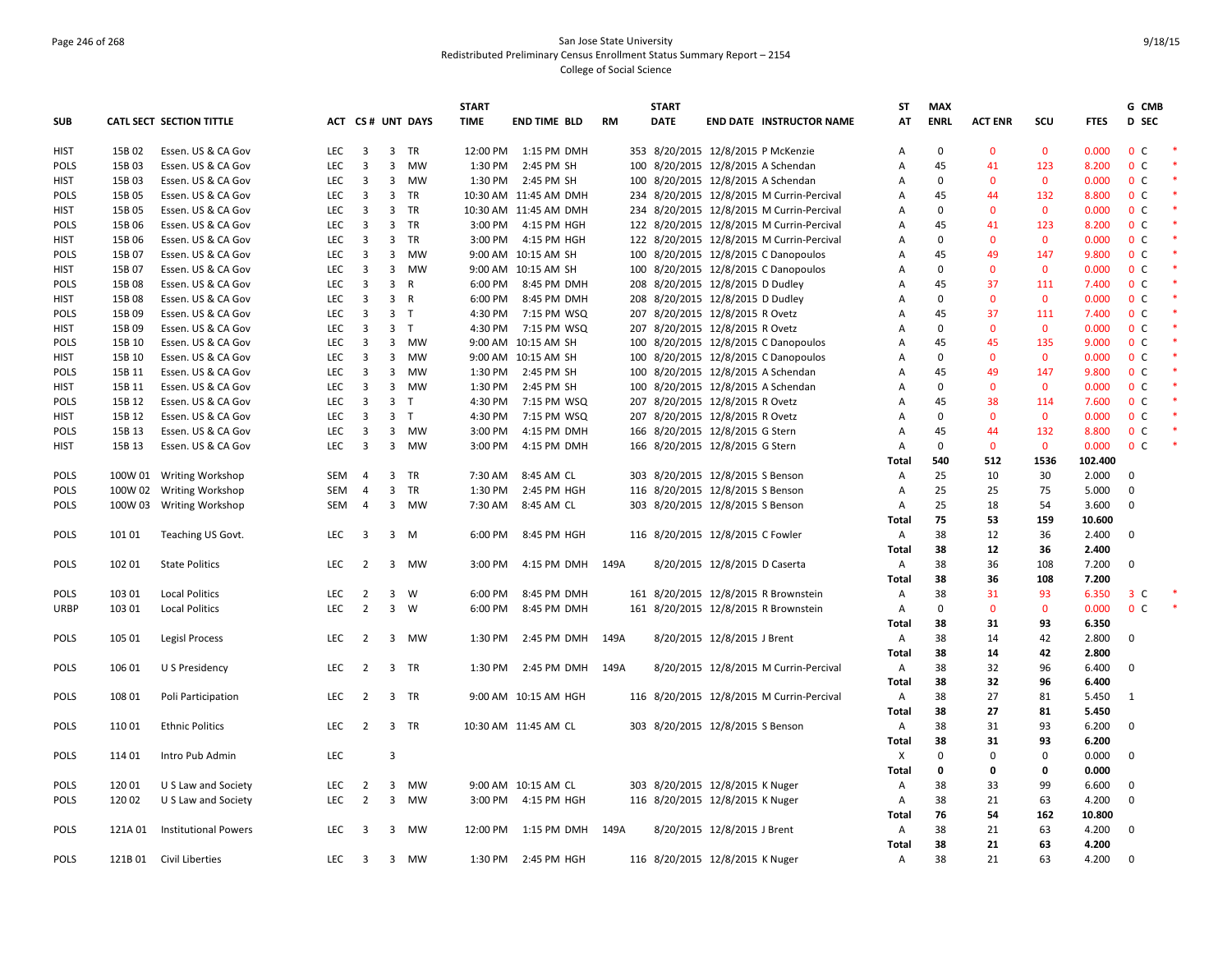# Page 246 of 268 San Jose State University Redistributed Preliminary Census Enrollment Status Summary Report – 2154 College of Social Science

| ACT CS# UNT DAYS<br><b>RM</b><br>AT<br><b>ENRL</b><br><b>ACT ENR</b><br>SCU<br><b>FTES</b><br>D SEC<br>CATL SECT SECTION TITTLE<br>TIME<br><b>END TIME BLD</b><br>DATE<br><b>END DATE INSTRUCTOR NAME</b><br>$\mathbf 0$<br>15B 02<br>Essen. US & CA Gov<br><b>LEC</b><br>$\overline{\mathbf{3}}$<br>3 TR<br>12:00 PM 1:15 PM DMH<br>353 8/20/2015 12/8/2015 P McKenzie<br>$\mathbf 0$<br>$\mathbf{0}$<br>0.000<br>0 <sup>C</sup><br><b>HIST</b><br>A<br><b>LEC</b><br>$\overline{3}$<br>$\overline{3}$<br><b>MW</b><br>100 8/20/2015 12/8/2015 A Schendan<br>45<br>123<br>8.200<br>0 <sup>o</sup><br><b>POLS</b><br>15B 03<br>Essen. US & CA Gov<br>1:30 PM<br>2:45 PM SH<br>A<br>41<br>100 8/20/2015 12/8/2015 A Schendan<br>$\mathbf 0$<br>0 <sup>c</sup><br>15B03<br>Essen. US & CA Gov<br>LEC<br>$\overline{3}$<br>3 MW<br>1:30 PM<br>2:45 PM SH<br>$\mathbf 0$<br>$\mathbf 0$<br>0.000<br><b>HIST</b><br>Α<br>$\overline{3}$<br>$\overline{3}$<br>234 8/20/2015 12/8/2015 M Currin-Percival<br>132<br>8.800<br>0 <sup>c</sup><br><b>POLS</b><br>15B 05<br>Essen. US & CA Gov<br><b>LEC</b><br>TR<br>10:30 AM 11:45 AM DMH<br>45<br>44<br>Α<br>15B 05<br>Essen. US & CA Gov<br>LEC<br>$\overline{3}$<br>$\overline{3}$<br>TR<br>10:30 AM 11:45 AM DMH<br>234 8/20/2015 12/8/2015 M Currin-Percival<br>$\Omega$<br>$\mathbf{0}$<br>0.000<br>0 <sup>c</sup><br><b>HIST</b><br>A<br>$\mathbf{0}$<br>3<br>$\overline{3}$<br><b>TR</b><br>122 8/20/2015 12/8/2015 M Currin-Percival<br>123<br>0 <sup>c</sup><br>15B 06<br>Essen. US & CA Gov<br><b>LEC</b><br>3:00 PM<br>4:15 PM HGH<br>45<br>41<br>8.200<br>POLS<br>Α<br>15B 06<br>LEC<br>$\overline{3}$<br>$\overline{3}$<br><b>TR</b><br>3:00 PM<br>4:15 PM HGH<br>122 8/20/2015 12/8/2015 M Currin-Percival<br>$\Omega$<br>$\mathbf{0}$<br>0.000<br>0 <sup>o</sup><br><b>HIST</b><br>Essen. US & CA Gov<br>$\mathbf{0}$<br>Α<br>0 <sup>c</sup><br><b>POLS</b><br>15B 07<br>Essen. US & CA Gov<br><b>LEC</b><br>$\overline{3}$<br>$\overline{3}$<br>MW<br>9:00 AM 10:15 AM SH<br>100 8/20/2015 12/8/2015 C Danopoulos<br>45<br>49<br>147<br>9.800<br>A<br>$\overline{3}$<br>$\overline{3}$<br><b>MW</b><br>100 8/20/2015 12/8/2015 C Danopoulos<br>$\Omega$<br>$\mathbf{0}$<br>0.000<br>0 <sup>c</sup><br><b>HIST</b><br>15B 07<br>Essen. US & CA Gov<br><b>LEC</b><br>9:00 AM 10:15 AM SH<br>$\mathbf{0}$<br>A<br>$\overline{3}$<br>3 <sup>1</sup><br>$\mathsf{R}$<br>208 8/20/2015 12/8/2015 D Dudley<br>37<br>111<br>7.400<br>0 <sup>c</sup><br>POLS<br>15B 08<br>Essen. US & CA Gov<br>LEC<br>6:00 PM<br>8:45 PM DMH<br>45<br>Α<br>$\overline{3}$<br>$\overline{3}$<br>208 8/20/2015 12/8/2015 D Dudley<br>$\mathbf 0$<br>0.000<br>0 <sup>c</sup><br>15B 08<br>Essen. US & CA Gov<br><b>LEC</b><br>R<br>6:00 PM<br>8:45 PM DMH<br>$\Omega$<br>$\mathbf{0}$<br>HIST<br>Α<br>3 <sub>T</sub><br>15B 09<br>Essen. US & CA Gov<br>LEC<br>$\overline{3}$<br>4:30 PM<br>207 8/20/2015 12/8/2015 R Ovetz<br>45<br>37<br>111<br>7.400<br>0 <sup>c</sup><br><b>POLS</b><br>7:15 PM WSQ<br>Α<br>$\overline{3}$<br>$\overline{3}$<br>$\mathsf{T}$<br>207 8/20/2015 12/8/2015 R Ovetz<br>$\mathbf 0$<br>$\mathbf{0}$<br>$\mathbf{0}$<br>0.000<br>0 <sup>c</sup><br>15B 09<br>Essen. US & CA Gov<br><b>LEC</b><br>4:30 PM<br>7:15 PM WSQ<br>HIST<br>A<br><b>LEC</b><br>$\overline{3}$<br>$\overline{3}$<br><b>MW</b><br>9:00 AM 10:15 AM SH<br>100 8/20/2015 12/8/2015 C Danopoulos<br>45<br>45<br>135<br>9.000<br>0 <sup>o</sup><br><b>POLS</b><br>15B 10<br>Essen. US & CA Gov<br>Α<br>0 <sup>c</sup><br>15B 10<br>Essen. US & CA Gov<br><b>LEC</b><br>$\overline{3}$<br>$\overline{3}$<br>MW<br>9:00 AM 10:15 AM SH<br>100 8/20/2015 12/8/2015 C Danopoulos<br>$\mathbf 0$<br>$\mathbf{0}$<br>$\mathbf{0}$<br>0.000<br><b>HIST</b><br>A<br>100 8/20/2015 12/8/2015 A Schendan<br>0 <sup>c</sup><br><b>LEC</b><br>$\overline{3}$<br>$\overline{3}$<br><b>MW</b><br>45<br>49<br>147<br>9.800<br><b>POLS</b><br>15B 11<br>Essen. US & CA Gov<br>1:30 PM<br>2:45 PM SH<br>A<br>$\overline{\mathbf{3}}$<br>3 <sup>7</sup><br>100 8/20/2015 12/8/2015 A Schendan<br>$\mathbf 0$<br>0.000<br>0 <sup>c</sup><br>15B 11<br>Essen. US & CA Gov<br>LEC<br>MW<br>1:30 PM<br>$\mathbf 0$<br>$\mathbf 0$<br><b>HIST</b><br>2:45 PM SH<br>Α<br>$\overline{3}$<br>$\overline{3}$<br>207 8/20/2015 12/8/2015 R Ovetz<br>0 <sup>c</sup><br><b>POLS</b><br>15B 12<br>Essen. US & CA Gov<br><b>LEC</b><br>$\top$<br>4:30 PM<br>7:15 PM WSQ<br>Α<br>45<br>38<br>114<br>7.600<br>$\overline{3}$<br>15B 12<br>Essen. US & CA Gov<br>LEC<br>$\overline{3}$<br>T<br>4:30 PM<br>7:15 PM WSQ<br>207 8/20/2015 12/8/2015 R Ovetz<br>$\Omega$<br>$\Omega$<br>$\mathbf 0$<br>0.000<br>0 <sup>c</sup><br>HIST<br>Α<br>3<br>$\overline{\mathbf{3}}$<br>MW<br>166 8/20/2015 12/8/2015 G Stern<br>132<br>8.800<br>0 <sup>c</sup><br><b>POLS</b><br>15B 13<br>Essen. US & CA Gov<br><b>LEC</b><br>3:00 PM<br>4:15 PM DMH<br>45<br>44<br>Α<br>0.000<br>0 <sup>c</sup><br>15B 13<br>Essen. US & CA Gov<br><b>LEC</b><br>$\overline{3}$<br>$\overline{3}$<br><b>MW</b><br>3:00 PM<br>4:15 PM DMH<br>166 8/20/2015 12/8/2015 G Stern<br>$\Omega$<br>$\mathbf{0}$<br>$\mathbf{0}$<br><b>HIST</b><br>Α<br>1536<br>Total<br>540<br>512<br>102.400<br>25<br>30<br>SEM<br>$\overline{3}$<br>7:30 AM<br>303 8/20/2015 12/8/2015 S Benson<br>A<br>10<br>2.000<br>$\mathbf{0}$<br><b>POLS</b><br>100W 01 Writing Workshop<br>4<br>TR<br>8:45 AM CL<br>$\overline{3}$<br>TR<br>116 8/20/2015 12/8/2015 S Benson<br>25<br>25<br>75<br>5.000<br>$\pmb{0}$<br>POLS<br>100W 02<br><b>Writing Workshop</b><br>SEM<br>4<br>1:30 PM<br>2:45 PM HGH<br>А<br>$\overline{3}$<br><b>MW</b><br>8:45 AM CL<br>303 8/20/2015 12/8/2015 S Benson<br>25<br>54<br>3.600<br>0<br><b>POLS</b><br>100W 03<br><b>Writing Workshop</b><br>SEM<br>4<br>7:30 AM<br>Α<br>18<br>75<br>53<br>159<br>10.600<br>Total<br>38<br>12<br>36<br>$\overline{0}$<br><b>POLS</b><br>101 01<br>Teaching US Govt.<br><b>LEC</b><br>3<br>3 M<br>6:00 PM<br>8:45 PM HGH<br>116 8/20/2015 12/8/2015 C Fowler<br>Α<br>2.400<br>38<br><b>Total</b><br>12<br>36<br>2.400<br><b>POLS</b><br>102 01<br><b>State Politics</b><br><b>LEC</b><br>2<br>3 MW<br>3:00 PM<br>4:15 PM DMH<br>149A<br>8/20/2015 12/8/2015 D Caserta<br>Α<br>38<br>36<br>108<br>7.200<br>$\mathbf 0$<br>38<br>108<br>7.200<br>Total<br>36<br>$\overline{3}$<br>161 8/20/2015 12/8/2015 R Brownstein<br>38<br>93<br>3 <sup>c</sup><br>POLS<br>103 01<br>LEC<br>$\overline{2}$<br>W<br>6:00 PM<br>8:45 PM DMH<br>А<br>31<br>6.350<br>Local Politics<br>$\overline{2}$<br>$\overline{3}$<br><b>LEC</b><br>W<br>161 8/20/2015 12/8/2015 R Brownstein<br>$\mathbf 0$<br>$\mathbf{0}$<br>0.000<br>0 <sup>c</sup><br><b>URBP</b><br>103 01<br><b>Local Politics</b><br>6:00 PM<br>8:45 PM DMH<br>Α<br>$\mathbf{0}$<br>38<br>31<br>93<br>6.350<br>Total<br>149A<br>8/20/2015 12/8/2015 J Brent<br>38<br>42<br>2.800<br>$\mathbf{0}$<br><b>POLS</b><br>105 01<br>Legisl Process<br><b>LEC</b><br>2<br>3 MW<br>1:30 PM<br>2:45 PM DMH<br>Α<br>14<br><b>Total</b><br>38<br>42<br>2.800<br>14<br>96<br><b>POLS</b><br>106 01<br>U S Presidency<br><b>LEC</b><br>$\overline{2}$<br>3 TR<br>1:30 PM<br>2:45 PM DMH<br>149A<br>8/20/2015 12/8/2015 M Currin-Percival<br>Α<br>38<br>32<br>6.400<br>$\mathbf{0}$<br>38<br>32<br>96<br>6.400<br>Total<br>$\overline{2}$<br>9:00 AM 10:15 AM HGH<br>38<br>27<br>81<br>POLS<br>108 01<br>Poli Participation<br>LEC<br>3 TR<br>116 8/20/2015 12/8/2015 M Currin-Percival<br>Α<br>5.450<br>1<br>38<br>27<br>Total<br>81<br>5.450<br>93<br>LEC<br>$\overline{2}$<br>3 TR<br>303 8/20/2015 12/8/2015 S Benson<br>38<br>31<br>6.200<br>$\mathbf 0$<br><b>POLS</b><br>11001<br><b>Ethnic Politics</b><br>10:30 AM 11:45 AM CL<br>Α<br>38<br>31<br>93<br>6.200<br>Total<br>114 01<br>Intro Pub Admin<br><b>LEC</b><br>3<br>X<br>$\Omega$<br>$\Omega$<br>$\Omega$<br>0.000<br>$\Omega$<br><b>POLS</b><br><b>Total</b><br>0<br>0<br>0<br>0.000<br>303 8/20/2015 12/8/2015 K Nuger<br>38<br>33<br>99<br>6.600<br>$\mathbf{0}$<br><b>POLS</b><br>12001<br>U S Law and Society<br><b>LEC</b><br>2<br>3<br><b>MW</b><br>9:00 AM 10:15 AM CL<br>$\overline{A}$<br>$\overline{2}$<br>3 MW<br>116 8/20/2015 12/8/2015 K Nuger<br>4.200<br>$\pmb{0}$<br><b>POLS</b><br>12002<br>U S Law and Society<br><b>LEC</b><br>3:00 PM 4:15 PM HGH<br>38<br>21<br>63<br>Α<br>76<br>162<br>10.800<br><b>Total</b><br>54<br>8/20/2015 12/8/2015 J Brent<br>38<br>21<br>63<br>4.200<br>$\mathbf 0$<br><b>POLS</b><br>121A 01<br><b>Institutional Powers</b><br><b>LEC</b><br>3<br>3 MW<br>12:00 PM<br>1:15 PM DMH<br>149A<br>Α<br>38<br>21<br>63<br>4.200<br>Total<br>LEC<br>38<br>63<br>4.200<br>POLS<br>121B 01 Civil Liberties<br>$\overline{\mathbf{3}}$<br>3 MW<br>1:30 PM 2:45 PM HGH<br>116 8/20/2015 12/8/2015 K Nuger<br>А<br>21<br>$\mathbf{0}$ |            |  |  |  | <b>START</b> |  | <b>START</b> | ST | <b>MAX</b> |  | G CMB |  |
|----------------------------------------------------------------------------------------------------------------------------------------------------------------------------------------------------------------------------------------------------------------------------------------------------------------------------------------------------------------------------------------------------------------------------------------------------------------------------------------------------------------------------------------------------------------------------------------------------------------------------------------------------------------------------------------------------------------------------------------------------------------------------------------------------------------------------------------------------------------------------------------------------------------------------------------------------------------------------------------------------------------------------------------------------------------------------------------------------------------------------------------------------------------------------------------------------------------------------------------------------------------------------------------------------------------------------------------------------------------------------------------------------------------------------------------------------------------------------------------------------------------------------------------------------------------------------------------------------------------------------------------------------------------------------------------------------------------------------------------------------------------------------------------------------------------------------------------------------------------------------------------------------------------------------------------------------------------------------------------------------------------------------------------------------------------------------------------------------------------------------------------------------------------------------------------------------------------------------------------------------------------------------------------------------------------------------------------------------------------------------------------------------------------------------------------------------------------------------------------------------------------------------------------------------------------------------------------------------------------------------------------------------------------------------------------------------------------------------------------------------------------------------------------------------------------------------------------------------------------------------------------------------------------------------------------------------------------------------------------------------------------------------------------------------------------------------------------------------------------------------------------------------------------------------------------------------------------------------------------------------------------------------------------------------------------------------------------------------------------------------------------------------------------------------------------------------------------------------------------------------------------------------------------------------------------------------------------------------------------------------------------------------------------------------------------------------------------------------------------------------------------------------------------------------------------------------------------------------------------------------------------------------------------------------------------------------------------------------------------------------------------------------------------------------------------------------------------------------------------------------------------------------------------------------------------------------------------------------------------------------------------------------------------------------------------------------------------------------------------------------------------------------------------------------------------------------------------------------------------------------------------------------------------------------------------------------------------------------------------------------------------------------------------------------------------------------------------------------------------------------------------------------------------------------------------------------------------------------------------------------------------------------------------------------------------------------------------------------------------------------------------------------------------------------------------------------------------------------------------------------------------------------------------------------------------------------------------------------------------------------------------------------------------------------------------------------------------------------------------------------------------------------------------------------------------------------------------------------------------------------------------------------------------------------------------------------------------------------------------------------------------------------------------------------------------------------------------------------------------------------------------------------------------------------------------------------------------------------------------------------------------------------------------------------------------------------------------------------------------------------------------------------------------------------------------------------------------------------------------------------------------------------------------------------------------------------------------------------------------------------------------------------------------------------------------------------------------------------------------------------------------------------------------------------------------------------------------------------------------------------------------------------------------------------------------------------------------------------------------------------------------------------------------------------------------------------------------------------------------------------------------------------------------------------------------------------------------------------------------------------------------------------------------------------------------------------------------------------------------------------------------------------------------------------------------------------------------------------------------------------------------------------------------------------------------------------------------------------------------------------------------------------------------------------------------------------------------------------------------------------------------------------------------------------------------------------------------------------------------------------------------------------------------------------------------------------------------------------------------------------------------------------------------------------------------------------------------------------------------------------------------------------------------------------------------------------------------------------------------------------------------------------------------------------------------------------------------------------------------------------------------------------------------------------------------------------------------------------------------------------------------------------------------------------------------------------------------------------------------------------------------------------------------------------------------------------------------------------------------------------------------------------------------------------------------------------------------------------------------------------------------------------------------------------------------------------------------------------------------------------------------------------------------------------------------------------------------------------------------------------------------------------------------------------------------------------------------------------------------------------|------------|--|--|--|--------------|--|--------------|----|------------|--|-------|--|
| $\ast$                                                                                                                                                                                                                                                                                                                                                                                                                                                                                                                                                                                                                                                                                                                                                                                                                                                                                                                                                                                                                                                                                                                                                                                                                                                                                                                                                                                                                                                                                                                                                                                                                                                                                                                                                                                                                                                                                                                                                                                                                                                                                                                                                                                                                                                                                                                                                                                                                                                                                                                                                                                                                                                                                                                                                                                                                                                                                                                                                                                                                                                                                                                                                                                                                                                                                                                                                                                                                                                                                                                                                                                                                                                                                                                                                                                                                                                                                                                                                                                                                                                                                                                                                                                                                                                                                                                                                                                                                                                                                                                                                                                                                                                                                                                                                                                                                                                                                                                                                                                                                                                                                                                                                                                                                                                                                                                                                                                                                                                                                                                                                                                                                                                                                                                                                                                                                                                                                                                                                                                                                                                                                                                                                                                                                                                                                                                                                                                                                                                                                                                                                                                                                                                                                                                                                                                                                                                                                                                                                                                                                                                                                                                                                                                                                                                                                                                                                                                                                                                                                                                                                                                                                                                                                                                                                                                                                                                                                                                                                                                                                                                                                                                                                                                                                                                                                                                                                                                                                                                                                                                                                                                                                                                                                                                                                                                                                                                                     | <b>SUB</b> |  |  |  |              |  |              |    |            |  |       |  |
|                                                                                                                                                                                                                                                                                                                                                                                                                                                                                                                                                                                                                                                                                                                                                                                                                                                                                                                                                                                                                                                                                                                                                                                                                                                                                                                                                                                                                                                                                                                                                                                                                                                                                                                                                                                                                                                                                                                                                                                                                                                                                                                                                                                                                                                                                                                                                                                                                                                                                                                                                                                                                                                                                                                                                                                                                                                                                                                                                                                                                                                                                                                                                                                                                                                                                                                                                                                                                                                                                                                                                                                                                                                                                                                                                                                                                                                                                                                                                                                                                                                                                                                                                                                                                                                                                                                                                                                                                                                                                                                                                                                                                                                                                                                                                                                                                                                                                                                                                                                                                                                                                                                                                                                                                                                                                                                                                                                                                                                                                                                                                                                                                                                                                                                                                                                                                                                                                                                                                                                                                                                                                                                                                                                                                                                                                                                                                                                                                                                                                                                                                                                                                                                                                                                                                                                                                                                                                                                                                                                                                                                                                                                                                                                                                                                                                                                                                                                                                                                                                                                                                                                                                                                                                                                                                                                                                                                                                                                                                                                                                                                                                                                                                                                                                                                                                                                                                                                                                                                                                                                                                                                                                                                                                                                                                                                                                                                                            |            |  |  |  |              |  |              |    |            |  |       |  |
|                                                                                                                                                                                                                                                                                                                                                                                                                                                                                                                                                                                                                                                                                                                                                                                                                                                                                                                                                                                                                                                                                                                                                                                                                                                                                                                                                                                                                                                                                                                                                                                                                                                                                                                                                                                                                                                                                                                                                                                                                                                                                                                                                                                                                                                                                                                                                                                                                                                                                                                                                                                                                                                                                                                                                                                                                                                                                                                                                                                                                                                                                                                                                                                                                                                                                                                                                                                                                                                                                                                                                                                                                                                                                                                                                                                                                                                                                                                                                                                                                                                                                                                                                                                                                                                                                                                                                                                                                                                                                                                                                                                                                                                                                                                                                                                                                                                                                                                                                                                                                                                                                                                                                                                                                                                                                                                                                                                                                                                                                                                                                                                                                                                                                                                                                                                                                                                                                                                                                                                                                                                                                                                                                                                                                                                                                                                                                                                                                                                                                                                                                                                                                                                                                                                                                                                                                                                                                                                                                                                                                                                                                                                                                                                                                                                                                                                                                                                                                                                                                                                                                                                                                                                                                                                                                                                                                                                                                                                                                                                                                                                                                                                                                                                                                                                                                                                                                                                                                                                                                                                                                                                                                                                                                                                                                                                                                                                                            |            |  |  |  |              |  |              |    |            |  |       |  |
|                                                                                                                                                                                                                                                                                                                                                                                                                                                                                                                                                                                                                                                                                                                                                                                                                                                                                                                                                                                                                                                                                                                                                                                                                                                                                                                                                                                                                                                                                                                                                                                                                                                                                                                                                                                                                                                                                                                                                                                                                                                                                                                                                                                                                                                                                                                                                                                                                                                                                                                                                                                                                                                                                                                                                                                                                                                                                                                                                                                                                                                                                                                                                                                                                                                                                                                                                                                                                                                                                                                                                                                                                                                                                                                                                                                                                                                                                                                                                                                                                                                                                                                                                                                                                                                                                                                                                                                                                                                                                                                                                                                                                                                                                                                                                                                                                                                                                                                                                                                                                                                                                                                                                                                                                                                                                                                                                                                                                                                                                                                                                                                                                                                                                                                                                                                                                                                                                                                                                                                                                                                                                                                                                                                                                                                                                                                                                                                                                                                                                                                                                                                                                                                                                                                                                                                                                                                                                                                                                                                                                                                                                                                                                                                                                                                                                                                                                                                                                                                                                                                                                                                                                                                                                                                                                                                                                                                                                                                                                                                                                                                                                                                                                                                                                                                                                                                                                                                                                                                                                                                                                                                                                                                                                                                                                                                                                                                                            |            |  |  |  |              |  |              |    |            |  |       |  |
|                                                                                                                                                                                                                                                                                                                                                                                                                                                                                                                                                                                                                                                                                                                                                                                                                                                                                                                                                                                                                                                                                                                                                                                                                                                                                                                                                                                                                                                                                                                                                                                                                                                                                                                                                                                                                                                                                                                                                                                                                                                                                                                                                                                                                                                                                                                                                                                                                                                                                                                                                                                                                                                                                                                                                                                                                                                                                                                                                                                                                                                                                                                                                                                                                                                                                                                                                                                                                                                                                                                                                                                                                                                                                                                                                                                                                                                                                                                                                                                                                                                                                                                                                                                                                                                                                                                                                                                                                                                                                                                                                                                                                                                                                                                                                                                                                                                                                                                                                                                                                                                                                                                                                                                                                                                                                                                                                                                                                                                                                                                                                                                                                                                                                                                                                                                                                                                                                                                                                                                                                                                                                                                                                                                                                                                                                                                                                                                                                                                                                                                                                                                                                                                                                                                                                                                                                                                                                                                                                                                                                                                                                                                                                                                                                                                                                                                                                                                                                                                                                                                                                                                                                                                                                                                                                                                                                                                                                                                                                                                                                                                                                                                                                                                                                                                                                                                                                                                                                                                                                                                                                                                                                                                                                                                                                                                                                                                                            |            |  |  |  |              |  |              |    |            |  |       |  |
|                                                                                                                                                                                                                                                                                                                                                                                                                                                                                                                                                                                                                                                                                                                                                                                                                                                                                                                                                                                                                                                                                                                                                                                                                                                                                                                                                                                                                                                                                                                                                                                                                                                                                                                                                                                                                                                                                                                                                                                                                                                                                                                                                                                                                                                                                                                                                                                                                                                                                                                                                                                                                                                                                                                                                                                                                                                                                                                                                                                                                                                                                                                                                                                                                                                                                                                                                                                                                                                                                                                                                                                                                                                                                                                                                                                                                                                                                                                                                                                                                                                                                                                                                                                                                                                                                                                                                                                                                                                                                                                                                                                                                                                                                                                                                                                                                                                                                                                                                                                                                                                                                                                                                                                                                                                                                                                                                                                                                                                                                                                                                                                                                                                                                                                                                                                                                                                                                                                                                                                                                                                                                                                                                                                                                                                                                                                                                                                                                                                                                                                                                                                                                                                                                                                                                                                                                                                                                                                                                                                                                                                                                                                                                                                                                                                                                                                                                                                                                                                                                                                                                                                                                                                                                                                                                                                                                                                                                                                                                                                                                                                                                                                                                                                                                                                                                                                                                                                                                                                                                                                                                                                                                                                                                                                                                                                                                                                                            |            |  |  |  |              |  |              |    |            |  |       |  |
|                                                                                                                                                                                                                                                                                                                                                                                                                                                                                                                                                                                                                                                                                                                                                                                                                                                                                                                                                                                                                                                                                                                                                                                                                                                                                                                                                                                                                                                                                                                                                                                                                                                                                                                                                                                                                                                                                                                                                                                                                                                                                                                                                                                                                                                                                                                                                                                                                                                                                                                                                                                                                                                                                                                                                                                                                                                                                                                                                                                                                                                                                                                                                                                                                                                                                                                                                                                                                                                                                                                                                                                                                                                                                                                                                                                                                                                                                                                                                                                                                                                                                                                                                                                                                                                                                                                                                                                                                                                                                                                                                                                                                                                                                                                                                                                                                                                                                                                                                                                                                                                                                                                                                                                                                                                                                                                                                                                                                                                                                                                                                                                                                                                                                                                                                                                                                                                                                                                                                                                                                                                                                                                                                                                                                                                                                                                                                                                                                                                                                                                                                                                                                                                                                                                                                                                                                                                                                                                                                                                                                                                                                                                                                                                                                                                                                                                                                                                                                                                                                                                                                                                                                                                                                                                                                                                                                                                                                                                                                                                                                                                                                                                                                                                                                                                                                                                                                                                                                                                                                                                                                                                                                                                                                                                                                                                                                                                                            |            |  |  |  |              |  |              |    |            |  |       |  |
|                                                                                                                                                                                                                                                                                                                                                                                                                                                                                                                                                                                                                                                                                                                                                                                                                                                                                                                                                                                                                                                                                                                                                                                                                                                                                                                                                                                                                                                                                                                                                                                                                                                                                                                                                                                                                                                                                                                                                                                                                                                                                                                                                                                                                                                                                                                                                                                                                                                                                                                                                                                                                                                                                                                                                                                                                                                                                                                                                                                                                                                                                                                                                                                                                                                                                                                                                                                                                                                                                                                                                                                                                                                                                                                                                                                                                                                                                                                                                                                                                                                                                                                                                                                                                                                                                                                                                                                                                                                                                                                                                                                                                                                                                                                                                                                                                                                                                                                                                                                                                                                                                                                                                                                                                                                                                                                                                                                                                                                                                                                                                                                                                                                                                                                                                                                                                                                                                                                                                                                                                                                                                                                                                                                                                                                                                                                                                                                                                                                                                                                                                                                                                                                                                                                                                                                                                                                                                                                                                                                                                                                                                                                                                                                                                                                                                                                                                                                                                                                                                                                                                                                                                                                                                                                                                                                                                                                                                                                                                                                                                                                                                                                                                                                                                                                                                                                                                                                                                                                                                                                                                                                                                                                                                                                                                                                                                                                                            |            |  |  |  |              |  |              |    |            |  |       |  |
|                                                                                                                                                                                                                                                                                                                                                                                                                                                                                                                                                                                                                                                                                                                                                                                                                                                                                                                                                                                                                                                                                                                                                                                                                                                                                                                                                                                                                                                                                                                                                                                                                                                                                                                                                                                                                                                                                                                                                                                                                                                                                                                                                                                                                                                                                                                                                                                                                                                                                                                                                                                                                                                                                                                                                                                                                                                                                                                                                                                                                                                                                                                                                                                                                                                                                                                                                                                                                                                                                                                                                                                                                                                                                                                                                                                                                                                                                                                                                                                                                                                                                                                                                                                                                                                                                                                                                                                                                                                                                                                                                                                                                                                                                                                                                                                                                                                                                                                                                                                                                                                                                                                                                                                                                                                                                                                                                                                                                                                                                                                                                                                                                                                                                                                                                                                                                                                                                                                                                                                                                                                                                                                                                                                                                                                                                                                                                                                                                                                                                                                                                                                                                                                                                                                                                                                                                                                                                                                                                                                                                                                                                                                                                                                                                                                                                                                                                                                                                                                                                                                                                                                                                                                                                                                                                                                                                                                                                                                                                                                                                                                                                                                                                                                                                                                                                                                                                                                                                                                                                                                                                                                                                                                                                                                                                                                                                                                                            |            |  |  |  |              |  |              |    |            |  |       |  |
|                                                                                                                                                                                                                                                                                                                                                                                                                                                                                                                                                                                                                                                                                                                                                                                                                                                                                                                                                                                                                                                                                                                                                                                                                                                                                                                                                                                                                                                                                                                                                                                                                                                                                                                                                                                                                                                                                                                                                                                                                                                                                                                                                                                                                                                                                                                                                                                                                                                                                                                                                                                                                                                                                                                                                                                                                                                                                                                                                                                                                                                                                                                                                                                                                                                                                                                                                                                                                                                                                                                                                                                                                                                                                                                                                                                                                                                                                                                                                                                                                                                                                                                                                                                                                                                                                                                                                                                                                                                                                                                                                                                                                                                                                                                                                                                                                                                                                                                                                                                                                                                                                                                                                                                                                                                                                                                                                                                                                                                                                                                                                                                                                                                                                                                                                                                                                                                                                                                                                                                                                                                                                                                                                                                                                                                                                                                                                                                                                                                                                                                                                                                                                                                                                                                                                                                                                                                                                                                                                                                                                                                                                                                                                                                                                                                                                                                                                                                                                                                                                                                                                                                                                                                                                                                                                                                                                                                                                                                                                                                                                                                                                                                                                                                                                                                                                                                                                                                                                                                                                                                                                                                                                                                                                                                                                                                                                                                                            |            |  |  |  |              |  |              |    |            |  |       |  |
|                                                                                                                                                                                                                                                                                                                                                                                                                                                                                                                                                                                                                                                                                                                                                                                                                                                                                                                                                                                                                                                                                                                                                                                                                                                                                                                                                                                                                                                                                                                                                                                                                                                                                                                                                                                                                                                                                                                                                                                                                                                                                                                                                                                                                                                                                                                                                                                                                                                                                                                                                                                                                                                                                                                                                                                                                                                                                                                                                                                                                                                                                                                                                                                                                                                                                                                                                                                                                                                                                                                                                                                                                                                                                                                                                                                                                                                                                                                                                                                                                                                                                                                                                                                                                                                                                                                                                                                                                                                                                                                                                                                                                                                                                                                                                                                                                                                                                                                                                                                                                                                                                                                                                                                                                                                                                                                                                                                                                                                                                                                                                                                                                                                                                                                                                                                                                                                                                                                                                                                                                                                                                                                                                                                                                                                                                                                                                                                                                                                                                                                                                                                                                                                                                                                                                                                                                                                                                                                                                                                                                                                                                                                                                                                                                                                                                                                                                                                                                                                                                                                                                                                                                                                                                                                                                                                                                                                                                                                                                                                                                                                                                                                                                                                                                                                                                                                                                                                                                                                                                                                                                                                                                                                                                                                                                                                                                                                                            |            |  |  |  |              |  |              |    |            |  |       |  |
|                                                                                                                                                                                                                                                                                                                                                                                                                                                                                                                                                                                                                                                                                                                                                                                                                                                                                                                                                                                                                                                                                                                                                                                                                                                                                                                                                                                                                                                                                                                                                                                                                                                                                                                                                                                                                                                                                                                                                                                                                                                                                                                                                                                                                                                                                                                                                                                                                                                                                                                                                                                                                                                                                                                                                                                                                                                                                                                                                                                                                                                                                                                                                                                                                                                                                                                                                                                                                                                                                                                                                                                                                                                                                                                                                                                                                                                                                                                                                                                                                                                                                                                                                                                                                                                                                                                                                                                                                                                                                                                                                                                                                                                                                                                                                                                                                                                                                                                                                                                                                                                                                                                                                                                                                                                                                                                                                                                                                                                                                                                                                                                                                                                                                                                                                                                                                                                                                                                                                                                                                                                                                                                                                                                                                                                                                                                                                                                                                                                                                                                                                                                                                                                                                                                                                                                                                                                                                                                                                                                                                                                                                                                                                                                                                                                                                                                                                                                                                                                                                                                                                                                                                                                                                                                                                                                                                                                                                                                                                                                                                                                                                                                                                                                                                                                                                                                                                                                                                                                                                                                                                                                                                                                                                                                                                                                                                                                                            |            |  |  |  |              |  |              |    |            |  |       |  |
|                                                                                                                                                                                                                                                                                                                                                                                                                                                                                                                                                                                                                                                                                                                                                                                                                                                                                                                                                                                                                                                                                                                                                                                                                                                                                                                                                                                                                                                                                                                                                                                                                                                                                                                                                                                                                                                                                                                                                                                                                                                                                                                                                                                                                                                                                                                                                                                                                                                                                                                                                                                                                                                                                                                                                                                                                                                                                                                                                                                                                                                                                                                                                                                                                                                                                                                                                                                                                                                                                                                                                                                                                                                                                                                                                                                                                                                                                                                                                                                                                                                                                                                                                                                                                                                                                                                                                                                                                                                                                                                                                                                                                                                                                                                                                                                                                                                                                                                                                                                                                                                                                                                                                                                                                                                                                                                                                                                                                                                                                                                                                                                                                                                                                                                                                                                                                                                                                                                                                                                                                                                                                                                                                                                                                                                                                                                                                                                                                                                                                                                                                                                                                                                                                                                                                                                                                                                                                                                                                                                                                                                                                                                                                                                                                                                                                                                                                                                                                                                                                                                                                                                                                                                                                                                                                                                                                                                                                                                                                                                                                                                                                                                                                                                                                                                                                                                                                                                                                                                                                                                                                                                                                                                                                                                                                                                                                                                                            |            |  |  |  |              |  |              |    |            |  |       |  |
|                                                                                                                                                                                                                                                                                                                                                                                                                                                                                                                                                                                                                                                                                                                                                                                                                                                                                                                                                                                                                                                                                                                                                                                                                                                                                                                                                                                                                                                                                                                                                                                                                                                                                                                                                                                                                                                                                                                                                                                                                                                                                                                                                                                                                                                                                                                                                                                                                                                                                                                                                                                                                                                                                                                                                                                                                                                                                                                                                                                                                                                                                                                                                                                                                                                                                                                                                                                                                                                                                                                                                                                                                                                                                                                                                                                                                                                                                                                                                                                                                                                                                                                                                                                                                                                                                                                                                                                                                                                                                                                                                                                                                                                                                                                                                                                                                                                                                                                                                                                                                                                                                                                                                                                                                                                                                                                                                                                                                                                                                                                                                                                                                                                                                                                                                                                                                                                                                                                                                                                                                                                                                                                                                                                                                                                                                                                                                                                                                                                                                                                                                                                                                                                                                                                                                                                                                                                                                                                                                                                                                                                                                                                                                                                                                                                                                                                                                                                                                                                                                                                                                                                                                                                                                                                                                                                                                                                                                                                                                                                                                                                                                                                                                                                                                                                                                                                                                                                                                                                                                                                                                                                                                                                                                                                                                                                                                                                                            |            |  |  |  |              |  |              |    |            |  |       |  |
|                                                                                                                                                                                                                                                                                                                                                                                                                                                                                                                                                                                                                                                                                                                                                                                                                                                                                                                                                                                                                                                                                                                                                                                                                                                                                                                                                                                                                                                                                                                                                                                                                                                                                                                                                                                                                                                                                                                                                                                                                                                                                                                                                                                                                                                                                                                                                                                                                                                                                                                                                                                                                                                                                                                                                                                                                                                                                                                                                                                                                                                                                                                                                                                                                                                                                                                                                                                                                                                                                                                                                                                                                                                                                                                                                                                                                                                                                                                                                                                                                                                                                                                                                                                                                                                                                                                                                                                                                                                                                                                                                                                                                                                                                                                                                                                                                                                                                                                                                                                                                                                                                                                                                                                                                                                                                                                                                                                                                                                                                                                                                                                                                                                                                                                                                                                                                                                                                                                                                                                                                                                                                                                                                                                                                                                                                                                                                                                                                                                                                                                                                                                                                                                                                                                                                                                                                                                                                                                                                                                                                                                                                                                                                                                                                                                                                                                                                                                                                                                                                                                                                                                                                                                                                                                                                                                                                                                                                                                                                                                                                                                                                                                                                                                                                                                                                                                                                                                                                                                                                                                                                                                                                                                                                                                                                                                                                                                                            |            |  |  |  |              |  |              |    |            |  |       |  |
|                                                                                                                                                                                                                                                                                                                                                                                                                                                                                                                                                                                                                                                                                                                                                                                                                                                                                                                                                                                                                                                                                                                                                                                                                                                                                                                                                                                                                                                                                                                                                                                                                                                                                                                                                                                                                                                                                                                                                                                                                                                                                                                                                                                                                                                                                                                                                                                                                                                                                                                                                                                                                                                                                                                                                                                                                                                                                                                                                                                                                                                                                                                                                                                                                                                                                                                                                                                                                                                                                                                                                                                                                                                                                                                                                                                                                                                                                                                                                                                                                                                                                                                                                                                                                                                                                                                                                                                                                                                                                                                                                                                                                                                                                                                                                                                                                                                                                                                                                                                                                                                                                                                                                                                                                                                                                                                                                                                                                                                                                                                                                                                                                                                                                                                                                                                                                                                                                                                                                                                                                                                                                                                                                                                                                                                                                                                                                                                                                                                                                                                                                                                                                                                                                                                                                                                                                                                                                                                                                                                                                                                                                                                                                                                                                                                                                                                                                                                                                                                                                                                                                                                                                                                                                                                                                                                                                                                                                                                                                                                                                                                                                                                                                                                                                                                                                                                                                                                                                                                                                                                                                                                                                                                                                                                                                                                                                                                                            |            |  |  |  |              |  |              |    |            |  |       |  |
|                                                                                                                                                                                                                                                                                                                                                                                                                                                                                                                                                                                                                                                                                                                                                                                                                                                                                                                                                                                                                                                                                                                                                                                                                                                                                                                                                                                                                                                                                                                                                                                                                                                                                                                                                                                                                                                                                                                                                                                                                                                                                                                                                                                                                                                                                                                                                                                                                                                                                                                                                                                                                                                                                                                                                                                                                                                                                                                                                                                                                                                                                                                                                                                                                                                                                                                                                                                                                                                                                                                                                                                                                                                                                                                                                                                                                                                                                                                                                                                                                                                                                                                                                                                                                                                                                                                                                                                                                                                                                                                                                                                                                                                                                                                                                                                                                                                                                                                                                                                                                                                                                                                                                                                                                                                                                                                                                                                                                                                                                                                                                                                                                                                                                                                                                                                                                                                                                                                                                                                                                                                                                                                                                                                                                                                                                                                                                                                                                                                                                                                                                                                                                                                                                                                                                                                                                                                                                                                                                                                                                                                                                                                                                                                                                                                                                                                                                                                                                                                                                                                                                                                                                                                                                                                                                                                                                                                                                                                                                                                                                                                                                                                                                                                                                                                                                                                                                                                                                                                                                                                                                                                                                                                                                                                                                                                                                                                                            |            |  |  |  |              |  |              |    |            |  |       |  |
|                                                                                                                                                                                                                                                                                                                                                                                                                                                                                                                                                                                                                                                                                                                                                                                                                                                                                                                                                                                                                                                                                                                                                                                                                                                                                                                                                                                                                                                                                                                                                                                                                                                                                                                                                                                                                                                                                                                                                                                                                                                                                                                                                                                                                                                                                                                                                                                                                                                                                                                                                                                                                                                                                                                                                                                                                                                                                                                                                                                                                                                                                                                                                                                                                                                                                                                                                                                                                                                                                                                                                                                                                                                                                                                                                                                                                                                                                                                                                                                                                                                                                                                                                                                                                                                                                                                                                                                                                                                                                                                                                                                                                                                                                                                                                                                                                                                                                                                                                                                                                                                                                                                                                                                                                                                                                                                                                                                                                                                                                                                                                                                                                                                                                                                                                                                                                                                                                                                                                                                                                                                                                                                                                                                                                                                                                                                                                                                                                                                                                                                                                                                                                                                                                                                                                                                                                                                                                                                                                                                                                                                                                                                                                                                                                                                                                                                                                                                                                                                                                                                                                                                                                                                                                                                                                                                                                                                                                                                                                                                                                                                                                                                                                                                                                                                                                                                                                                                                                                                                                                                                                                                                                                                                                                                                                                                                                                                                            |            |  |  |  |              |  |              |    |            |  |       |  |
|                                                                                                                                                                                                                                                                                                                                                                                                                                                                                                                                                                                                                                                                                                                                                                                                                                                                                                                                                                                                                                                                                                                                                                                                                                                                                                                                                                                                                                                                                                                                                                                                                                                                                                                                                                                                                                                                                                                                                                                                                                                                                                                                                                                                                                                                                                                                                                                                                                                                                                                                                                                                                                                                                                                                                                                                                                                                                                                                                                                                                                                                                                                                                                                                                                                                                                                                                                                                                                                                                                                                                                                                                                                                                                                                                                                                                                                                                                                                                                                                                                                                                                                                                                                                                                                                                                                                                                                                                                                                                                                                                                                                                                                                                                                                                                                                                                                                                                                                                                                                                                                                                                                                                                                                                                                                                                                                                                                                                                                                                                                                                                                                                                                                                                                                                                                                                                                                                                                                                                                                                                                                                                                                                                                                                                                                                                                                                                                                                                                                                                                                                                                                                                                                                                                                                                                                                                                                                                                                                                                                                                                                                                                                                                                                                                                                                                                                                                                                                                                                                                                                                                                                                                                                                                                                                                                                                                                                                                                                                                                                                                                                                                                                                                                                                                                                                                                                                                                                                                                                                                                                                                                                                                                                                                                                                                                                                                                                            |            |  |  |  |              |  |              |    |            |  |       |  |
|                                                                                                                                                                                                                                                                                                                                                                                                                                                                                                                                                                                                                                                                                                                                                                                                                                                                                                                                                                                                                                                                                                                                                                                                                                                                                                                                                                                                                                                                                                                                                                                                                                                                                                                                                                                                                                                                                                                                                                                                                                                                                                                                                                                                                                                                                                                                                                                                                                                                                                                                                                                                                                                                                                                                                                                                                                                                                                                                                                                                                                                                                                                                                                                                                                                                                                                                                                                                                                                                                                                                                                                                                                                                                                                                                                                                                                                                                                                                                                                                                                                                                                                                                                                                                                                                                                                                                                                                                                                                                                                                                                                                                                                                                                                                                                                                                                                                                                                                                                                                                                                                                                                                                                                                                                                                                                                                                                                                                                                                                                                                                                                                                                                                                                                                                                                                                                                                                                                                                                                                                                                                                                                                                                                                                                                                                                                                                                                                                                                                                                                                                                                                                                                                                                                                                                                                                                                                                                                                                                                                                                                                                                                                                                                                                                                                                                                                                                                                                                                                                                                                                                                                                                                                                                                                                                                                                                                                                                                                                                                                                                                                                                                                                                                                                                                                                                                                                                                                                                                                                                                                                                                                                                                                                                                                                                                                                                                                            |            |  |  |  |              |  |              |    |            |  |       |  |
|                                                                                                                                                                                                                                                                                                                                                                                                                                                                                                                                                                                                                                                                                                                                                                                                                                                                                                                                                                                                                                                                                                                                                                                                                                                                                                                                                                                                                                                                                                                                                                                                                                                                                                                                                                                                                                                                                                                                                                                                                                                                                                                                                                                                                                                                                                                                                                                                                                                                                                                                                                                                                                                                                                                                                                                                                                                                                                                                                                                                                                                                                                                                                                                                                                                                                                                                                                                                                                                                                                                                                                                                                                                                                                                                                                                                                                                                                                                                                                                                                                                                                                                                                                                                                                                                                                                                                                                                                                                                                                                                                                                                                                                                                                                                                                                                                                                                                                                                                                                                                                                                                                                                                                                                                                                                                                                                                                                                                                                                                                                                                                                                                                                                                                                                                                                                                                                                                                                                                                                                                                                                                                                                                                                                                                                                                                                                                                                                                                                                                                                                                                                                                                                                                                                                                                                                                                                                                                                                                                                                                                                                                                                                                                                                                                                                                                                                                                                                                                                                                                                                                                                                                                                                                                                                                                                                                                                                                                                                                                                                                                                                                                                                                                                                                                                                                                                                                                                                                                                                                                                                                                                                                                                                                                                                                                                                                                                                            |            |  |  |  |              |  |              |    |            |  |       |  |
|                                                                                                                                                                                                                                                                                                                                                                                                                                                                                                                                                                                                                                                                                                                                                                                                                                                                                                                                                                                                                                                                                                                                                                                                                                                                                                                                                                                                                                                                                                                                                                                                                                                                                                                                                                                                                                                                                                                                                                                                                                                                                                                                                                                                                                                                                                                                                                                                                                                                                                                                                                                                                                                                                                                                                                                                                                                                                                                                                                                                                                                                                                                                                                                                                                                                                                                                                                                                                                                                                                                                                                                                                                                                                                                                                                                                                                                                                                                                                                                                                                                                                                                                                                                                                                                                                                                                                                                                                                                                                                                                                                                                                                                                                                                                                                                                                                                                                                                                                                                                                                                                                                                                                                                                                                                                                                                                                                                                                                                                                                                                                                                                                                                                                                                                                                                                                                                                                                                                                                                                                                                                                                                                                                                                                                                                                                                                                                                                                                                                                                                                                                                                                                                                                                                                                                                                                                                                                                                                                                                                                                                                                                                                                                                                                                                                                                                                                                                                                                                                                                                                                                                                                                                                                                                                                                                                                                                                                                                                                                                                                                                                                                                                                                                                                                                                                                                                                                                                                                                                                                                                                                                                                                                                                                                                                                                                                                                                            |            |  |  |  |              |  |              |    |            |  |       |  |
|                                                                                                                                                                                                                                                                                                                                                                                                                                                                                                                                                                                                                                                                                                                                                                                                                                                                                                                                                                                                                                                                                                                                                                                                                                                                                                                                                                                                                                                                                                                                                                                                                                                                                                                                                                                                                                                                                                                                                                                                                                                                                                                                                                                                                                                                                                                                                                                                                                                                                                                                                                                                                                                                                                                                                                                                                                                                                                                                                                                                                                                                                                                                                                                                                                                                                                                                                                                                                                                                                                                                                                                                                                                                                                                                                                                                                                                                                                                                                                                                                                                                                                                                                                                                                                                                                                                                                                                                                                                                                                                                                                                                                                                                                                                                                                                                                                                                                                                                                                                                                                                                                                                                                                                                                                                                                                                                                                                                                                                                                                                                                                                                                                                                                                                                                                                                                                                                                                                                                                                                                                                                                                                                                                                                                                                                                                                                                                                                                                                                                                                                                                                                                                                                                                                                                                                                                                                                                                                                                                                                                                                                                                                                                                                                                                                                                                                                                                                                                                                                                                                                                                                                                                                                                                                                                                                                                                                                                                                                                                                                                                                                                                                                                                                                                                                                                                                                                                                                                                                                                                                                                                                                                                                                                                                                                                                                                                                                            |            |  |  |  |              |  |              |    |            |  |       |  |
|                                                                                                                                                                                                                                                                                                                                                                                                                                                                                                                                                                                                                                                                                                                                                                                                                                                                                                                                                                                                                                                                                                                                                                                                                                                                                                                                                                                                                                                                                                                                                                                                                                                                                                                                                                                                                                                                                                                                                                                                                                                                                                                                                                                                                                                                                                                                                                                                                                                                                                                                                                                                                                                                                                                                                                                                                                                                                                                                                                                                                                                                                                                                                                                                                                                                                                                                                                                                                                                                                                                                                                                                                                                                                                                                                                                                                                                                                                                                                                                                                                                                                                                                                                                                                                                                                                                                                                                                                                                                                                                                                                                                                                                                                                                                                                                                                                                                                                                                                                                                                                                                                                                                                                                                                                                                                                                                                                                                                                                                                                                                                                                                                                                                                                                                                                                                                                                                                                                                                                                                                                                                                                                                                                                                                                                                                                                                                                                                                                                                                                                                                                                                                                                                                                                                                                                                                                                                                                                                                                                                                                                                                                                                                                                                                                                                                                                                                                                                                                                                                                                                                                                                                                                                                                                                                                                                                                                                                                                                                                                                                                                                                                                                                                                                                                                                                                                                                                                                                                                                                                                                                                                                                                                                                                                                                                                                                                                                            |            |  |  |  |              |  |              |    |            |  |       |  |
|                                                                                                                                                                                                                                                                                                                                                                                                                                                                                                                                                                                                                                                                                                                                                                                                                                                                                                                                                                                                                                                                                                                                                                                                                                                                                                                                                                                                                                                                                                                                                                                                                                                                                                                                                                                                                                                                                                                                                                                                                                                                                                                                                                                                                                                                                                                                                                                                                                                                                                                                                                                                                                                                                                                                                                                                                                                                                                                                                                                                                                                                                                                                                                                                                                                                                                                                                                                                                                                                                                                                                                                                                                                                                                                                                                                                                                                                                                                                                                                                                                                                                                                                                                                                                                                                                                                                                                                                                                                                                                                                                                                                                                                                                                                                                                                                                                                                                                                                                                                                                                                                                                                                                                                                                                                                                                                                                                                                                                                                                                                                                                                                                                                                                                                                                                                                                                                                                                                                                                                                                                                                                                                                                                                                                                                                                                                                                                                                                                                                                                                                                                                                                                                                                                                                                                                                                                                                                                                                                                                                                                                                                                                                                                                                                                                                                                                                                                                                                                                                                                                                                                                                                                                                                                                                                                                                                                                                                                                                                                                                                                                                                                                                                                                                                                                                                                                                                                                                                                                                                                                                                                                                                                                                                                                                                                                                                                                                            |            |  |  |  |              |  |              |    |            |  |       |  |
|                                                                                                                                                                                                                                                                                                                                                                                                                                                                                                                                                                                                                                                                                                                                                                                                                                                                                                                                                                                                                                                                                                                                                                                                                                                                                                                                                                                                                                                                                                                                                                                                                                                                                                                                                                                                                                                                                                                                                                                                                                                                                                                                                                                                                                                                                                                                                                                                                                                                                                                                                                                                                                                                                                                                                                                                                                                                                                                                                                                                                                                                                                                                                                                                                                                                                                                                                                                                                                                                                                                                                                                                                                                                                                                                                                                                                                                                                                                                                                                                                                                                                                                                                                                                                                                                                                                                                                                                                                                                                                                                                                                                                                                                                                                                                                                                                                                                                                                                                                                                                                                                                                                                                                                                                                                                                                                                                                                                                                                                                                                                                                                                                                                                                                                                                                                                                                                                                                                                                                                                                                                                                                                                                                                                                                                                                                                                                                                                                                                                                                                                                                                                                                                                                                                                                                                                                                                                                                                                                                                                                                                                                                                                                                                                                                                                                                                                                                                                                                                                                                                                                                                                                                                                                                                                                                                                                                                                                                                                                                                                                                                                                                                                                                                                                                                                                                                                                                                                                                                                                                                                                                                                                                                                                                                                                                                                                                                                            |            |  |  |  |              |  |              |    |            |  |       |  |
|                                                                                                                                                                                                                                                                                                                                                                                                                                                                                                                                                                                                                                                                                                                                                                                                                                                                                                                                                                                                                                                                                                                                                                                                                                                                                                                                                                                                                                                                                                                                                                                                                                                                                                                                                                                                                                                                                                                                                                                                                                                                                                                                                                                                                                                                                                                                                                                                                                                                                                                                                                                                                                                                                                                                                                                                                                                                                                                                                                                                                                                                                                                                                                                                                                                                                                                                                                                                                                                                                                                                                                                                                                                                                                                                                                                                                                                                                                                                                                                                                                                                                                                                                                                                                                                                                                                                                                                                                                                                                                                                                                                                                                                                                                                                                                                                                                                                                                                                                                                                                                                                                                                                                                                                                                                                                                                                                                                                                                                                                                                                                                                                                                                                                                                                                                                                                                                                                                                                                                                                                                                                                                                                                                                                                                                                                                                                                                                                                                                                                                                                                                                                                                                                                                                                                                                                                                                                                                                                                                                                                                                                                                                                                                                                                                                                                                                                                                                                                                                                                                                                                                                                                                                                                                                                                                                                                                                                                                                                                                                                                                                                                                                                                                                                                                                                                                                                                                                                                                                                                                                                                                                                                                                                                                                                                                                                                                                                            |            |  |  |  |              |  |              |    |            |  |       |  |
|                                                                                                                                                                                                                                                                                                                                                                                                                                                                                                                                                                                                                                                                                                                                                                                                                                                                                                                                                                                                                                                                                                                                                                                                                                                                                                                                                                                                                                                                                                                                                                                                                                                                                                                                                                                                                                                                                                                                                                                                                                                                                                                                                                                                                                                                                                                                                                                                                                                                                                                                                                                                                                                                                                                                                                                                                                                                                                                                                                                                                                                                                                                                                                                                                                                                                                                                                                                                                                                                                                                                                                                                                                                                                                                                                                                                                                                                                                                                                                                                                                                                                                                                                                                                                                                                                                                                                                                                                                                                                                                                                                                                                                                                                                                                                                                                                                                                                                                                                                                                                                                                                                                                                                                                                                                                                                                                                                                                                                                                                                                                                                                                                                                                                                                                                                                                                                                                                                                                                                                                                                                                                                                                                                                                                                                                                                                                                                                                                                                                                                                                                                                                                                                                                                                                                                                                                                                                                                                                                                                                                                                                                                                                                                                                                                                                                                                                                                                                                                                                                                                                                                                                                                                                                                                                                                                                                                                                                                                                                                                                                                                                                                                                                                                                                                                                                                                                                                                                                                                                                                                                                                                                                                                                                                                                                                                                                                                                            |            |  |  |  |              |  |              |    |            |  |       |  |
|                                                                                                                                                                                                                                                                                                                                                                                                                                                                                                                                                                                                                                                                                                                                                                                                                                                                                                                                                                                                                                                                                                                                                                                                                                                                                                                                                                                                                                                                                                                                                                                                                                                                                                                                                                                                                                                                                                                                                                                                                                                                                                                                                                                                                                                                                                                                                                                                                                                                                                                                                                                                                                                                                                                                                                                                                                                                                                                                                                                                                                                                                                                                                                                                                                                                                                                                                                                                                                                                                                                                                                                                                                                                                                                                                                                                                                                                                                                                                                                                                                                                                                                                                                                                                                                                                                                                                                                                                                                                                                                                                                                                                                                                                                                                                                                                                                                                                                                                                                                                                                                                                                                                                                                                                                                                                                                                                                                                                                                                                                                                                                                                                                                                                                                                                                                                                                                                                                                                                                                                                                                                                                                                                                                                                                                                                                                                                                                                                                                                                                                                                                                                                                                                                                                                                                                                                                                                                                                                                                                                                                                                                                                                                                                                                                                                                                                                                                                                                                                                                                                                                                                                                                                                                                                                                                                                                                                                                                                                                                                                                                                                                                                                                                                                                                                                                                                                                                                                                                                                                                                                                                                                                                                                                                                                                                                                                                                                            |            |  |  |  |              |  |              |    |            |  |       |  |
|                                                                                                                                                                                                                                                                                                                                                                                                                                                                                                                                                                                                                                                                                                                                                                                                                                                                                                                                                                                                                                                                                                                                                                                                                                                                                                                                                                                                                                                                                                                                                                                                                                                                                                                                                                                                                                                                                                                                                                                                                                                                                                                                                                                                                                                                                                                                                                                                                                                                                                                                                                                                                                                                                                                                                                                                                                                                                                                                                                                                                                                                                                                                                                                                                                                                                                                                                                                                                                                                                                                                                                                                                                                                                                                                                                                                                                                                                                                                                                                                                                                                                                                                                                                                                                                                                                                                                                                                                                                                                                                                                                                                                                                                                                                                                                                                                                                                                                                                                                                                                                                                                                                                                                                                                                                                                                                                                                                                                                                                                                                                                                                                                                                                                                                                                                                                                                                                                                                                                                                                                                                                                                                                                                                                                                                                                                                                                                                                                                                                                                                                                                                                                                                                                                                                                                                                                                                                                                                                                                                                                                                                                                                                                                                                                                                                                                                                                                                                                                                                                                                                                                                                                                                                                                                                                                                                                                                                                                                                                                                                                                                                                                                                                                                                                                                                                                                                                                                                                                                                                                                                                                                                                                                                                                                                                                                                                                                                            |            |  |  |  |              |  |              |    |            |  |       |  |
|                                                                                                                                                                                                                                                                                                                                                                                                                                                                                                                                                                                                                                                                                                                                                                                                                                                                                                                                                                                                                                                                                                                                                                                                                                                                                                                                                                                                                                                                                                                                                                                                                                                                                                                                                                                                                                                                                                                                                                                                                                                                                                                                                                                                                                                                                                                                                                                                                                                                                                                                                                                                                                                                                                                                                                                                                                                                                                                                                                                                                                                                                                                                                                                                                                                                                                                                                                                                                                                                                                                                                                                                                                                                                                                                                                                                                                                                                                                                                                                                                                                                                                                                                                                                                                                                                                                                                                                                                                                                                                                                                                                                                                                                                                                                                                                                                                                                                                                                                                                                                                                                                                                                                                                                                                                                                                                                                                                                                                                                                                                                                                                                                                                                                                                                                                                                                                                                                                                                                                                                                                                                                                                                                                                                                                                                                                                                                                                                                                                                                                                                                                                                                                                                                                                                                                                                                                                                                                                                                                                                                                                                                                                                                                                                                                                                                                                                                                                                                                                                                                                                                                                                                                                                                                                                                                                                                                                                                                                                                                                                                                                                                                                                                                                                                                                                                                                                                                                                                                                                                                                                                                                                                                                                                                                                                                                                                                                                            |            |  |  |  |              |  |              |    |            |  |       |  |
|                                                                                                                                                                                                                                                                                                                                                                                                                                                                                                                                                                                                                                                                                                                                                                                                                                                                                                                                                                                                                                                                                                                                                                                                                                                                                                                                                                                                                                                                                                                                                                                                                                                                                                                                                                                                                                                                                                                                                                                                                                                                                                                                                                                                                                                                                                                                                                                                                                                                                                                                                                                                                                                                                                                                                                                                                                                                                                                                                                                                                                                                                                                                                                                                                                                                                                                                                                                                                                                                                                                                                                                                                                                                                                                                                                                                                                                                                                                                                                                                                                                                                                                                                                                                                                                                                                                                                                                                                                                                                                                                                                                                                                                                                                                                                                                                                                                                                                                                                                                                                                                                                                                                                                                                                                                                                                                                                                                                                                                                                                                                                                                                                                                                                                                                                                                                                                                                                                                                                                                                                                                                                                                                                                                                                                                                                                                                                                                                                                                                                                                                                                                                                                                                                                                                                                                                                                                                                                                                                                                                                                                                                                                                                                                                                                                                                                                                                                                                                                                                                                                                                                                                                                                                                                                                                                                                                                                                                                                                                                                                                                                                                                                                                                                                                                                                                                                                                                                                                                                                                                                                                                                                                                                                                                                                                                                                                                                                            |            |  |  |  |              |  |              |    |            |  |       |  |
|                                                                                                                                                                                                                                                                                                                                                                                                                                                                                                                                                                                                                                                                                                                                                                                                                                                                                                                                                                                                                                                                                                                                                                                                                                                                                                                                                                                                                                                                                                                                                                                                                                                                                                                                                                                                                                                                                                                                                                                                                                                                                                                                                                                                                                                                                                                                                                                                                                                                                                                                                                                                                                                                                                                                                                                                                                                                                                                                                                                                                                                                                                                                                                                                                                                                                                                                                                                                                                                                                                                                                                                                                                                                                                                                                                                                                                                                                                                                                                                                                                                                                                                                                                                                                                                                                                                                                                                                                                                                                                                                                                                                                                                                                                                                                                                                                                                                                                                                                                                                                                                                                                                                                                                                                                                                                                                                                                                                                                                                                                                                                                                                                                                                                                                                                                                                                                                                                                                                                                                                                                                                                                                                                                                                                                                                                                                                                                                                                                                                                                                                                                                                                                                                                                                                                                                                                                                                                                                                                                                                                                                                                                                                                                                                                                                                                                                                                                                                                                                                                                                                                                                                                                                                                                                                                                                                                                                                                                                                                                                                                                                                                                                                                                                                                                                                                                                                                                                                                                                                                                                                                                                                                                                                                                                                                                                                                                                                            |            |  |  |  |              |  |              |    |            |  |       |  |
|                                                                                                                                                                                                                                                                                                                                                                                                                                                                                                                                                                                                                                                                                                                                                                                                                                                                                                                                                                                                                                                                                                                                                                                                                                                                                                                                                                                                                                                                                                                                                                                                                                                                                                                                                                                                                                                                                                                                                                                                                                                                                                                                                                                                                                                                                                                                                                                                                                                                                                                                                                                                                                                                                                                                                                                                                                                                                                                                                                                                                                                                                                                                                                                                                                                                                                                                                                                                                                                                                                                                                                                                                                                                                                                                                                                                                                                                                                                                                                                                                                                                                                                                                                                                                                                                                                                                                                                                                                                                                                                                                                                                                                                                                                                                                                                                                                                                                                                                                                                                                                                                                                                                                                                                                                                                                                                                                                                                                                                                                                                                                                                                                                                                                                                                                                                                                                                                                                                                                                                                                                                                                                                                                                                                                                                                                                                                                                                                                                                                                                                                                                                                                                                                                                                                                                                                                                                                                                                                                                                                                                                                                                                                                                                                                                                                                                                                                                                                                                                                                                                                                                                                                                                                                                                                                                                                                                                                                                                                                                                                                                                                                                                                                                                                                                                                                                                                                                                                                                                                                                                                                                                                                                                                                                                                                                                                                                                                            |            |  |  |  |              |  |              |    |            |  |       |  |
|                                                                                                                                                                                                                                                                                                                                                                                                                                                                                                                                                                                                                                                                                                                                                                                                                                                                                                                                                                                                                                                                                                                                                                                                                                                                                                                                                                                                                                                                                                                                                                                                                                                                                                                                                                                                                                                                                                                                                                                                                                                                                                                                                                                                                                                                                                                                                                                                                                                                                                                                                                                                                                                                                                                                                                                                                                                                                                                                                                                                                                                                                                                                                                                                                                                                                                                                                                                                                                                                                                                                                                                                                                                                                                                                                                                                                                                                                                                                                                                                                                                                                                                                                                                                                                                                                                                                                                                                                                                                                                                                                                                                                                                                                                                                                                                                                                                                                                                                                                                                                                                                                                                                                                                                                                                                                                                                                                                                                                                                                                                                                                                                                                                                                                                                                                                                                                                                                                                                                                                                                                                                                                                                                                                                                                                                                                                                                                                                                                                                                                                                                                                                                                                                                                                                                                                                                                                                                                                                                                                                                                                                                                                                                                                                                                                                                                                                                                                                                                                                                                                                                                                                                                                                                                                                                                                                                                                                                                                                                                                                                                                                                                                                                                                                                                                                                                                                                                                                                                                                                                                                                                                                                                                                                                                                                                                                                                                                            |            |  |  |  |              |  |              |    |            |  |       |  |
|                                                                                                                                                                                                                                                                                                                                                                                                                                                                                                                                                                                                                                                                                                                                                                                                                                                                                                                                                                                                                                                                                                                                                                                                                                                                                                                                                                                                                                                                                                                                                                                                                                                                                                                                                                                                                                                                                                                                                                                                                                                                                                                                                                                                                                                                                                                                                                                                                                                                                                                                                                                                                                                                                                                                                                                                                                                                                                                                                                                                                                                                                                                                                                                                                                                                                                                                                                                                                                                                                                                                                                                                                                                                                                                                                                                                                                                                                                                                                                                                                                                                                                                                                                                                                                                                                                                                                                                                                                                                                                                                                                                                                                                                                                                                                                                                                                                                                                                                                                                                                                                                                                                                                                                                                                                                                                                                                                                                                                                                                                                                                                                                                                                                                                                                                                                                                                                                                                                                                                                                                                                                                                                                                                                                                                                                                                                                                                                                                                                                                                                                                                                                                                                                                                                                                                                                                                                                                                                                                                                                                                                                                                                                                                                                                                                                                                                                                                                                                                                                                                                                                                                                                                                                                                                                                                                                                                                                                                                                                                                                                                                                                                                                                                                                                                                                                                                                                                                                                                                                                                                                                                                                                                                                                                                                                                                                                                                                            |            |  |  |  |              |  |              |    |            |  |       |  |
|                                                                                                                                                                                                                                                                                                                                                                                                                                                                                                                                                                                                                                                                                                                                                                                                                                                                                                                                                                                                                                                                                                                                                                                                                                                                                                                                                                                                                                                                                                                                                                                                                                                                                                                                                                                                                                                                                                                                                                                                                                                                                                                                                                                                                                                                                                                                                                                                                                                                                                                                                                                                                                                                                                                                                                                                                                                                                                                                                                                                                                                                                                                                                                                                                                                                                                                                                                                                                                                                                                                                                                                                                                                                                                                                                                                                                                                                                                                                                                                                                                                                                                                                                                                                                                                                                                                                                                                                                                                                                                                                                                                                                                                                                                                                                                                                                                                                                                                                                                                                                                                                                                                                                                                                                                                                                                                                                                                                                                                                                                                                                                                                                                                                                                                                                                                                                                                                                                                                                                                                                                                                                                                                                                                                                                                                                                                                                                                                                                                                                                                                                                                                                                                                                                                                                                                                                                                                                                                                                                                                                                                                                                                                                                                                                                                                                                                                                                                                                                                                                                                                                                                                                                                                                                                                                                                                                                                                                                                                                                                                                                                                                                                                                                                                                                                                                                                                                                                                                                                                                                                                                                                                                                                                                                                                                                                                                                                                            |            |  |  |  |              |  |              |    |            |  |       |  |
|                                                                                                                                                                                                                                                                                                                                                                                                                                                                                                                                                                                                                                                                                                                                                                                                                                                                                                                                                                                                                                                                                                                                                                                                                                                                                                                                                                                                                                                                                                                                                                                                                                                                                                                                                                                                                                                                                                                                                                                                                                                                                                                                                                                                                                                                                                                                                                                                                                                                                                                                                                                                                                                                                                                                                                                                                                                                                                                                                                                                                                                                                                                                                                                                                                                                                                                                                                                                                                                                                                                                                                                                                                                                                                                                                                                                                                                                                                                                                                                                                                                                                                                                                                                                                                                                                                                                                                                                                                                                                                                                                                                                                                                                                                                                                                                                                                                                                                                                                                                                                                                                                                                                                                                                                                                                                                                                                                                                                                                                                                                                                                                                                                                                                                                                                                                                                                                                                                                                                                                                                                                                                                                                                                                                                                                                                                                                                                                                                                                                                                                                                                                                                                                                                                                                                                                                                                                                                                                                                                                                                                                                                                                                                                                                                                                                                                                                                                                                                                                                                                                                                                                                                                                                                                                                                                                                                                                                                                                                                                                                                                                                                                                                                                                                                                                                                                                                                                                                                                                                                                                                                                                                                                                                                                                                                                                                                                                                            |            |  |  |  |              |  |              |    |            |  |       |  |
|                                                                                                                                                                                                                                                                                                                                                                                                                                                                                                                                                                                                                                                                                                                                                                                                                                                                                                                                                                                                                                                                                                                                                                                                                                                                                                                                                                                                                                                                                                                                                                                                                                                                                                                                                                                                                                                                                                                                                                                                                                                                                                                                                                                                                                                                                                                                                                                                                                                                                                                                                                                                                                                                                                                                                                                                                                                                                                                                                                                                                                                                                                                                                                                                                                                                                                                                                                                                                                                                                                                                                                                                                                                                                                                                                                                                                                                                                                                                                                                                                                                                                                                                                                                                                                                                                                                                                                                                                                                                                                                                                                                                                                                                                                                                                                                                                                                                                                                                                                                                                                                                                                                                                                                                                                                                                                                                                                                                                                                                                                                                                                                                                                                                                                                                                                                                                                                                                                                                                                                                                                                                                                                                                                                                                                                                                                                                                                                                                                                                                                                                                                                                                                                                                                                                                                                                                                                                                                                                                                                                                                                                                                                                                                                                                                                                                                                                                                                                                                                                                                                                                                                                                                                                                                                                                                                                                                                                                                                                                                                                                                                                                                                                                                                                                                                                                                                                                                                                                                                                                                                                                                                                                                                                                                                                                                                                                                                                            |            |  |  |  |              |  |              |    |            |  |       |  |
|                                                                                                                                                                                                                                                                                                                                                                                                                                                                                                                                                                                                                                                                                                                                                                                                                                                                                                                                                                                                                                                                                                                                                                                                                                                                                                                                                                                                                                                                                                                                                                                                                                                                                                                                                                                                                                                                                                                                                                                                                                                                                                                                                                                                                                                                                                                                                                                                                                                                                                                                                                                                                                                                                                                                                                                                                                                                                                                                                                                                                                                                                                                                                                                                                                                                                                                                                                                                                                                                                                                                                                                                                                                                                                                                                                                                                                                                                                                                                                                                                                                                                                                                                                                                                                                                                                                                                                                                                                                                                                                                                                                                                                                                                                                                                                                                                                                                                                                                                                                                                                                                                                                                                                                                                                                                                                                                                                                                                                                                                                                                                                                                                                                                                                                                                                                                                                                                                                                                                                                                                                                                                                                                                                                                                                                                                                                                                                                                                                                                                                                                                                                                                                                                                                                                                                                                                                                                                                                                                                                                                                                                                                                                                                                                                                                                                                                                                                                                                                                                                                                                                                                                                                                                                                                                                                                                                                                                                                                                                                                                                                                                                                                                                                                                                                                                                                                                                                                                                                                                                                                                                                                                                                                                                                                                                                                                                                                                            |            |  |  |  |              |  |              |    |            |  |       |  |
|                                                                                                                                                                                                                                                                                                                                                                                                                                                                                                                                                                                                                                                                                                                                                                                                                                                                                                                                                                                                                                                                                                                                                                                                                                                                                                                                                                                                                                                                                                                                                                                                                                                                                                                                                                                                                                                                                                                                                                                                                                                                                                                                                                                                                                                                                                                                                                                                                                                                                                                                                                                                                                                                                                                                                                                                                                                                                                                                                                                                                                                                                                                                                                                                                                                                                                                                                                                                                                                                                                                                                                                                                                                                                                                                                                                                                                                                                                                                                                                                                                                                                                                                                                                                                                                                                                                                                                                                                                                                                                                                                                                                                                                                                                                                                                                                                                                                                                                                                                                                                                                                                                                                                                                                                                                                                                                                                                                                                                                                                                                                                                                                                                                                                                                                                                                                                                                                                                                                                                                                                                                                                                                                                                                                                                                                                                                                                                                                                                                                                                                                                                                                                                                                                                                                                                                                                                                                                                                                                                                                                                                                                                                                                                                                                                                                                                                                                                                                                                                                                                                                                                                                                                                                                                                                                                                                                                                                                                                                                                                                                                                                                                                                                                                                                                                                                                                                                                                                                                                                                                                                                                                                                                                                                                                                                                                                                                                                            |            |  |  |  |              |  |              |    |            |  |       |  |
|                                                                                                                                                                                                                                                                                                                                                                                                                                                                                                                                                                                                                                                                                                                                                                                                                                                                                                                                                                                                                                                                                                                                                                                                                                                                                                                                                                                                                                                                                                                                                                                                                                                                                                                                                                                                                                                                                                                                                                                                                                                                                                                                                                                                                                                                                                                                                                                                                                                                                                                                                                                                                                                                                                                                                                                                                                                                                                                                                                                                                                                                                                                                                                                                                                                                                                                                                                                                                                                                                                                                                                                                                                                                                                                                                                                                                                                                                                                                                                                                                                                                                                                                                                                                                                                                                                                                                                                                                                                                                                                                                                                                                                                                                                                                                                                                                                                                                                                                                                                                                                                                                                                                                                                                                                                                                                                                                                                                                                                                                                                                                                                                                                                                                                                                                                                                                                                                                                                                                                                                                                                                                                                                                                                                                                                                                                                                                                                                                                                                                                                                                                                                                                                                                                                                                                                                                                                                                                                                                                                                                                                                                                                                                                                                                                                                                                                                                                                                                                                                                                                                                                                                                                                                                                                                                                                                                                                                                                                                                                                                                                                                                                                                                                                                                                                                                                                                                                                                                                                                                                                                                                                                                                                                                                                                                                                                                                                                            |            |  |  |  |              |  |              |    |            |  |       |  |
|                                                                                                                                                                                                                                                                                                                                                                                                                                                                                                                                                                                                                                                                                                                                                                                                                                                                                                                                                                                                                                                                                                                                                                                                                                                                                                                                                                                                                                                                                                                                                                                                                                                                                                                                                                                                                                                                                                                                                                                                                                                                                                                                                                                                                                                                                                                                                                                                                                                                                                                                                                                                                                                                                                                                                                                                                                                                                                                                                                                                                                                                                                                                                                                                                                                                                                                                                                                                                                                                                                                                                                                                                                                                                                                                                                                                                                                                                                                                                                                                                                                                                                                                                                                                                                                                                                                                                                                                                                                                                                                                                                                                                                                                                                                                                                                                                                                                                                                                                                                                                                                                                                                                                                                                                                                                                                                                                                                                                                                                                                                                                                                                                                                                                                                                                                                                                                                                                                                                                                                                                                                                                                                                                                                                                                                                                                                                                                                                                                                                                                                                                                                                                                                                                                                                                                                                                                                                                                                                                                                                                                                                                                                                                                                                                                                                                                                                                                                                                                                                                                                                                                                                                                                                                                                                                                                                                                                                                                                                                                                                                                                                                                                                                                                                                                                                                                                                                                                                                                                                                                                                                                                                                                                                                                                                                                                                                                                                            |            |  |  |  |              |  |              |    |            |  |       |  |
|                                                                                                                                                                                                                                                                                                                                                                                                                                                                                                                                                                                                                                                                                                                                                                                                                                                                                                                                                                                                                                                                                                                                                                                                                                                                                                                                                                                                                                                                                                                                                                                                                                                                                                                                                                                                                                                                                                                                                                                                                                                                                                                                                                                                                                                                                                                                                                                                                                                                                                                                                                                                                                                                                                                                                                                                                                                                                                                                                                                                                                                                                                                                                                                                                                                                                                                                                                                                                                                                                                                                                                                                                                                                                                                                                                                                                                                                                                                                                                                                                                                                                                                                                                                                                                                                                                                                                                                                                                                                                                                                                                                                                                                                                                                                                                                                                                                                                                                                                                                                                                                                                                                                                                                                                                                                                                                                                                                                                                                                                                                                                                                                                                                                                                                                                                                                                                                                                                                                                                                                                                                                                                                                                                                                                                                                                                                                                                                                                                                                                                                                                                                                                                                                                                                                                                                                                                                                                                                                                                                                                                                                                                                                                                                                                                                                                                                                                                                                                                                                                                                                                                                                                                                                                                                                                                                                                                                                                                                                                                                                                                                                                                                                                                                                                                                                                                                                                                                                                                                                                                                                                                                                                                                                                                                                                                                                                                                                            |            |  |  |  |              |  |              |    |            |  |       |  |
|                                                                                                                                                                                                                                                                                                                                                                                                                                                                                                                                                                                                                                                                                                                                                                                                                                                                                                                                                                                                                                                                                                                                                                                                                                                                                                                                                                                                                                                                                                                                                                                                                                                                                                                                                                                                                                                                                                                                                                                                                                                                                                                                                                                                                                                                                                                                                                                                                                                                                                                                                                                                                                                                                                                                                                                                                                                                                                                                                                                                                                                                                                                                                                                                                                                                                                                                                                                                                                                                                                                                                                                                                                                                                                                                                                                                                                                                                                                                                                                                                                                                                                                                                                                                                                                                                                                                                                                                                                                                                                                                                                                                                                                                                                                                                                                                                                                                                                                                                                                                                                                                                                                                                                                                                                                                                                                                                                                                                                                                                                                                                                                                                                                                                                                                                                                                                                                                                                                                                                                                                                                                                                                                                                                                                                                                                                                                                                                                                                                                                                                                                                                                                                                                                                                                                                                                                                                                                                                                                                                                                                                                                                                                                                                                                                                                                                                                                                                                                                                                                                                                                                                                                                                                                                                                                                                                                                                                                                                                                                                                                                                                                                                                                                                                                                                                                                                                                                                                                                                                                                                                                                                                                                                                                                                                                                                                                                                                            |            |  |  |  |              |  |              |    |            |  |       |  |
|                                                                                                                                                                                                                                                                                                                                                                                                                                                                                                                                                                                                                                                                                                                                                                                                                                                                                                                                                                                                                                                                                                                                                                                                                                                                                                                                                                                                                                                                                                                                                                                                                                                                                                                                                                                                                                                                                                                                                                                                                                                                                                                                                                                                                                                                                                                                                                                                                                                                                                                                                                                                                                                                                                                                                                                                                                                                                                                                                                                                                                                                                                                                                                                                                                                                                                                                                                                                                                                                                                                                                                                                                                                                                                                                                                                                                                                                                                                                                                                                                                                                                                                                                                                                                                                                                                                                                                                                                                                                                                                                                                                                                                                                                                                                                                                                                                                                                                                                                                                                                                                                                                                                                                                                                                                                                                                                                                                                                                                                                                                                                                                                                                                                                                                                                                                                                                                                                                                                                                                                                                                                                                                                                                                                                                                                                                                                                                                                                                                                                                                                                                                                                                                                                                                                                                                                                                                                                                                                                                                                                                                                                                                                                                                                                                                                                                                                                                                                                                                                                                                                                                                                                                                                                                                                                                                                                                                                                                                                                                                                                                                                                                                                                                                                                                                                                                                                                                                                                                                                                                                                                                                                                                                                                                                                                                                                                                                                            |            |  |  |  |              |  |              |    |            |  |       |  |
|                                                                                                                                                                                                                                                                                                                                                                                                                                                                                                                                                                                                                                                                                                                                                                                                                                                                                                                                                                                                                                                                                                                                                                                                                                                                                                                                                                                                                                                                                                                                                                                                                                                                                                                                                                                                                                                                                                                                                                                                                                                                                                                                                                                                                                                                                                                                                                                                                                                                                                                                                                                                                                                                                                                                                                                                                                                                                                                                                                                                                                                                                                                                                                                                                                                                                                                                                                                                                                                                                                                                                                                                                                                                                                                                                                                                                                                                                                                                                                                                                                                                                                                                                                                                                                                                                                                                                                                                                                                                                                                                                                                                                                                                                                                                                                                                                                                                                                                                                                                                                                                                                                                                                                                                                                                                                                                                                                                                                                                                                                                                                                                                                                                                                                                                                                                                                                                                                                                                                                                                                                                                                                                                                                                                                                                                                                                                                                                                                                                                                                                                                                                                                                                                                                                                                                                                                                                                                                                                                                                                                                                                                                                                                                                                                                                                                                                                                                                                                                                                                                                                                                                                                                                                                                                                                                                                                                                                                                                                                                                                                                                                                                                                                                                                                                                                                                                                                                                                                                                                                                                                                                                                                                                                                                                                                                                                                                                                            |            |  |  |  |              |  |              |    |            |  |       |  |
|                                                                                                                                                                                                                                                                                                                                                                                                                                                                                                                                                                                                                                                                                                                                                                                                                                                                                                                                                                                                                                                                                                                                                                                                                                                                                                                                                                                                                                                                                                                                                                                                                                                                                                                                                                                                                                                                                                                                                                                                                                                                                                                                                                                                                                                                                                                                                                                                                                                                                                                                                                                                                                                                                                                                                                                                                                                                                                                                                                                                                                                                                                                                                                                                                                                                                                                                                                                                                                                                                                                                                                                                                                                                                                                                                                                                                                                                                                                                                                                                                                                                                                                                                                                                                                                                                                                                                                                                                                                                                                                                                                                                                                                                                                                                                                                                                                                                                                                                                                                                                                                                                                                                                                                                                                                                                                                                                                                                                                                                                                                                                                                                                                                                                                                                                                                                                                                                                                                                                                                                                                                                                                                                                                                                                                                                                                                                                                                                                                                                                                                                                                                                                                                                                                                                                                                                                                                                                                                                                                                                                                                                                                                                                                                                                                                                                                                                                                                                                                                                                                                                                                                                                                                                                                                                                                                                                                                                                                                                                                                                                                                                                                                                                                                                                                                                                                                                                                                                                                                                                                                                                                                                                                                                                                                                                                                                                                                                            |            |  |  |  |              |  |              |    |            |  |       |  |
|                                                                                                                                                                                                                                                                                                                                                                                                                                                                                                                                                                                                                                                                                                                                                                                                                                                                                                                                                                                                                                                                                                                                                                                                                                                                                                                                                                                                                                                                                                                                                                                                                                                                                                                                                                                                                                                                                                                                                                                                                                                                                                                                                                                                                                                                                                                                                                                                                                                                                                                                                                                                                                                                                                                                                                                                                                                                                                                                                                                                                                                                                                                                                                                                                                                                                                                                                                                                                                                                                                                                                                                                                                                                                                                                                                                                                                                                                                                                                                                                                                                                                                                                                                                                                                                                                                                                                                                                                                                                                                                                                                                                                                                                                                                                                                                                                                                                                                                                                                                                                                                                                                                                                                                                                                                                                                                                                                                                                                                                                                                                                                                                                                                                                                                                                                                                                                                                                                                                                                                                                                                                                                                                                                                                                                                                                                                                                                                                                                                                                                                                                                                                                                                                                                                                                                                                                                                                                                                                                                                                                                                                                                                                                                                                                                                                                                                                                                                                                                                                                                                                                                                                                                                                                                                                                                                                                                                                                                                                                                                                                                                                                                                                                                                                                                                                                                                                                                                                                                                                                                                                                                                                                                                                                                                                                                                                                                                                            |            |  |  |  |              |  |              |    |            |  |       |  |
|                                                                                                                                                                                                                                                                                                                                                                                                                                                                                                                                                                                                                                                                                                                                                                                                                                                                                                                                                                                                                                                                                                                                                                                                                                                                                                                                                                                                                                                                                                                                                                                                                                                                                                                                                                                                                                                                                                                                                                                                                                                                                                                                                                                                                                                                                                                                                                                                                                                                                                                                                                                                                                                                                                                                                                                                                                                                                                                                                                                                                                                                                                                                                                                                                                                                                                                                                                                                                                                                                                                                                                                                                                                                                                                                                                                                                                                                                                                                                                                                                                                                                                                                                                                                                                                                                                                                                                                                                                                                                                                                                                                                                                                                                                                                                                                                                                                                                                                                                                                                                                                                                                                                                                                                                                                                                                                                                                                                                                                                                                                                                                                                                                                                                                                                                                                                                                                                                                                                                                                                                                                                                                                                                                                                                                                                                                                                                                                                                                                                                                                                                                                                                                                                                                                                                                                                                                                                                                                                                                                                                                                                                                                                                                                                                                                                                                                                                                                                                                                                                                                                                                                                                                                                                                                                                                                                                                                                                                                                                                                                                                                                                                                                                                                                                                                                                                                                                                                                                                                                                                                                                                                                                                                                                                                                                                                                                                                                            |            |  |  |  |              |  |              |    |            |  |       |  |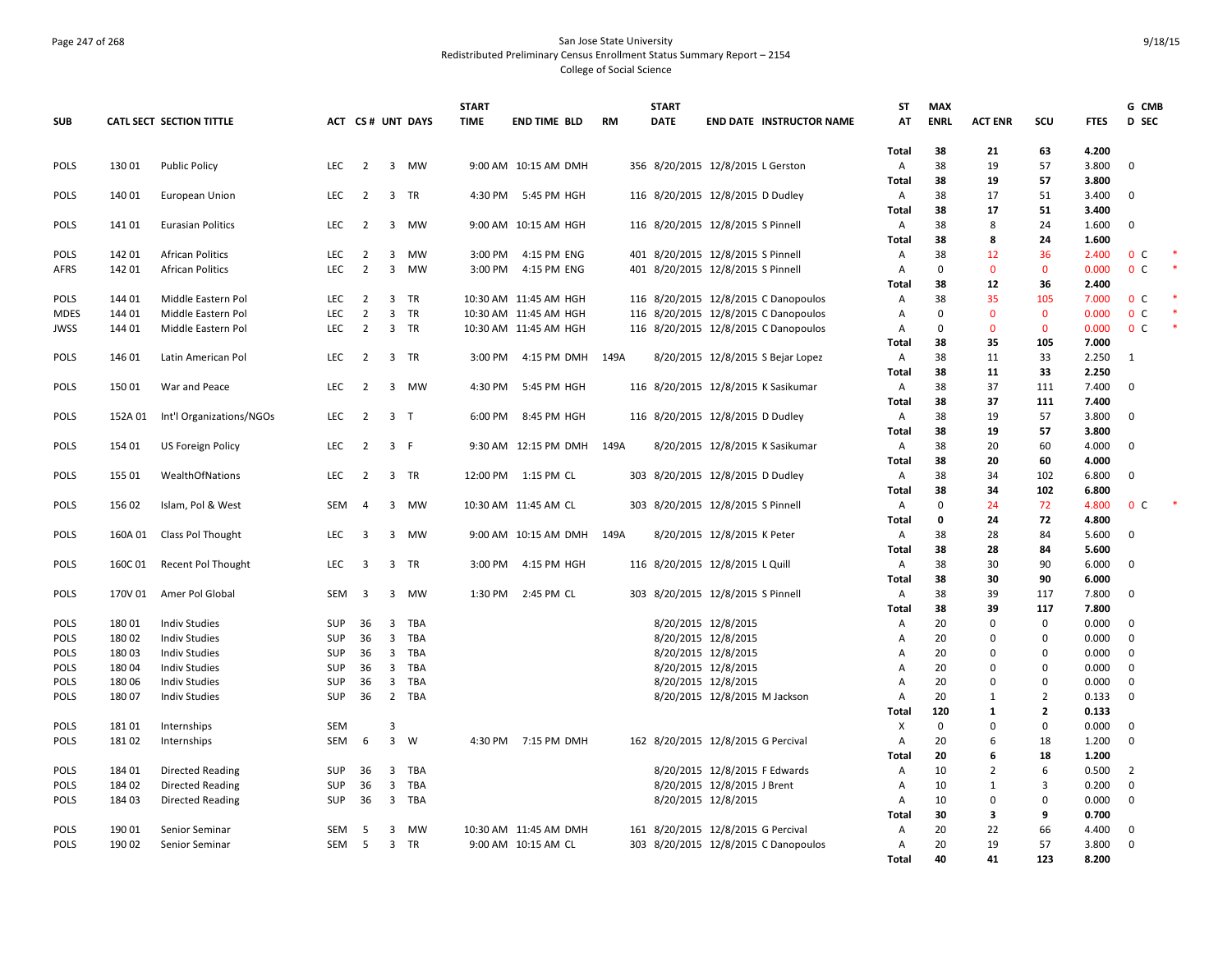### Page 247 of 268 San Jose State University Redistributed Preliminary Census Enrollment Status Summary Report – 2154 College of Social Science

|             |         |                          |            |                         |                         |                  | <b>START</b> |                       |           | <b>START</b> |                                      | ST             | MAX         |                |                                |                | G CMB             |  |
|-------------|---------|--------------------------|------------|-------------------------|-------------------------|------------------|--------------|-----------------------|-----------|--------------|--------------------------------------|----------------|-------------|----------------|--------------------------------|----------------|-------------------|--|
| <b>SUB</b>  |         | CATL SECT SECTION TITTLE |            |                         |                         | ACT CS# UNT DAYS | <b>TIME</b>  | <b>END TIME BLD</b>   | <b>RM</b> | <b>DATE</b>  | END DATE INSTRUCTOR NAME             | AT             | <b>ENRL</b> | <b>ACT ENR</b> | scu                            | <b>FTES</b>    | D SEC             |  |
|             |         |                          |            |                         |                         |                  |              |                       |           |              |                                      | Total          | 38          | 21             | 63                             | 4.200          |                   |  |
| <b>POLS</b> | 13001   | <b>Public Policy</b>     | <b>LEC</b> | $\overline{2}$          | 3                       | MW               |              | 9:00 AM 10:15 AM DMH  |           |              | 356 8/20/2015 12/8/2015 L Gerston    | Α              | 38          | 19             | 57                             | 3.800          | $\mathbf 0$       |  |
|             |         |                          |            |                         |                         |                  |              |                       |           |              |                                      | Total          | 38          | 19             | 57                             | 3.800          |                   |  |
| <b>POLS</b> | 140 01  | <b>European Union</b>    | <b>LEC</b> | 2                       |                         | 3 TR             | 4:30 PM      | 5:45 PM HGH           |           |              | 116 8/20/2015 12/8/2015 D Dudley     | Α              | 38          | 17             | 51                             | 3.400          | $\mathbf{0}$      |  |
| <b>POLS</b> | 14101   | <b>Eurasian Politics</b> | LEC        | $\overline{2}$          |                         | 3 MW             |              | 9:00 AM 10:15 AM HGH  |           |              | 116 8/20/2015 12/8/2015 S Pinnell    | Total<br>Α     | 38<br>38    | 17<br>8        | 51<br>24                       | 3.400<br>1.600 | $\mathbf{0}$      |  |
|             |         |                          |            |                         |                         |                  |              |                       |           |              |                                      | Total          | 38          | 8              | 24                             | 1.600          |                   |  |
| <b>POLS</b> | 14201   | <b>African Politics</b>  | <b>LEC</b> | 2                       | $\overline{3}$          | MW               | 3:00 PM      | 4:15 PM ENG           |           |              | 401 8/20/2015 12/8/2015 S Pinnell    | A              | 38          | 12             | 36                             | 2.400          | 0 <sup>c</sup>    |  |
| AFRS        | 142 01  | <b>African Politics</b>  | LEC        | $\overline{2}$          | $\overline{3}$          | MW               | 3:00 PM      | 4:15 PM ENG           |           |              | 401 8/20/2015 12/8/2015 S Pinnell    | Α              | 0           | $\mathbf 0$    | $\mathbf{0}$                   | 0.000          | 0 <sup>C</sup>    |  |
|             |         |                          |            |                         |                         |                  |              |                       |           |              |                                      | <b>Total</b>   | 38          | 12             | 36                             | 2.400          |                   |  |
| <b>POLS</b> | 144 01  | Middle Eastern Pol       | <b>LEC</b> | $\overline{2}$          | 3                       | <b>TR</b>        |              | 10:30 AM 11:45 AM HGH |           |              | 116 8/20/2015 12/8/2015 C Danopoulos | Α              | 38          | 35             | 105                            | 7.000          | 0 <sup>c</sup>    |  |
| <b>MDES</b> | 144 01  | Middle Eastern Pol       | <b>LEC</b> | $\overline{2}$          | $\mathbf{3}$            | TR               |              | 10:30 AM 11:45 AM HGH |           |              | 116 8/20/2015 12/8/2015 C Danopoulos | Α              | $\mathbf 0$ | $\mathbf{0}$   | $\mathbf 0$                    | 0.000          | 0 <sup>C</sup>    |  |
| JWSS        | 144 01  | Middle Eastern Pol       | <b>LEC</b> | $\overline{2}$          | $\overline{3}$          | TR               |              | 10:30 AM 11:45 AM HGH |           |              | 116 8/20/2015 12/8/2015 C Danopoulos | Α              | 0           | $\mathbf{0}$   | $\mathbf{0}$                   | 0.000          | 0 <sup>c</sup>    |  |
|             |         |                          |            |                         |                         |                  |              |                       |           |              |                                      | Total          | 38          | 35             | 105                            | 7.000          |                   |  |
| POLS        | 146 01  | Latin American Pol       | <b>LEC</b> | $\overline{2}$          |                         | 3 TR             | 3:00 PM      | 4:15 PM DMH           | 149A      |              | 8/20/2015 12/8/2015 S Bejar Lopez    | Α              | 38          | 11             | 33                             | 2.250          | 1                 |  |
| <b>POLS</b> | 15001   | War and Peace            | <b>LEC</b> | $\overline{2}$          |                         | 3 MW             | 4:30 PM      | 5:45 PM HGH           |           |              | 116 8/20/2015 12/8/2015 K Sasikumar  | Total<br>Α     | 38<br>38    | 11<br>37       | 33<br>111                      | 2.250<br>7.400 | $\mathbf 0$       |  |
|             |         |                          |            |                         |                         |                  |              |                       |           |              |                                      | Total          | 38          | 37             | 111                            | 7.400          |                   |  |
| POLS        | 152A 01 | Int'l Organizations/NGOs | LEC        | $\overline{2}$          | 3 <sub>1</sub>          |                  | 6:00 PM      | 8:45 PM HGH           |           |              | 116 8/20/2015 12/8/2015 D Dudley     | Α              | 38          | 19             | 57                             | 3.800          | $\mathbf{0}$      |  |
|             |         |                          |            |                         |                         |                  |              |                       |           |              |                                      | Total          | 38          | 19             | 57                             | 3.800          |                   |  |
| <b>POLS</b> | 154 01  | US Foreign Policy        | <b>LEC</b> | $\overline{2}$          | 3 F                     |                  |              | 9:30 AM 12:15 PM DMH  | 149A      |              | 8/20/2015 12/8/2015 K Sasikumar      | Α              | 38          | 20             | 60                             | 4.000          | $\mathbf 0$       |  |
|             |         |                          |            |                         |                         |                  |              |                       |           |              |                                      | Total          | 38          | 20             | 60                             | 4.000          |                   |  |
| POLS        | 155 01  | WealthOfNations          | <b>LEC</b> | $\overline{2}$          |                         | 3 TR             |              | 12:00 PM 1:15 PM CL   |           |              | 303 8/20/2015 12/8/2015 D Dudley     | Α              | 38          | 34             | 102                            | 6.800          | $\mathbf 0$       |  |
|             |         |                          |            |                         |                         |                  |              |                       |           |              |                                      | Total          | 38          | 34             | 102                            | 6.800          |                   |  |
| <b>POLS</b> | 156 02  | Islam, Pol & West        | SEM        | $\overline{4}$          | 3                       | MW               |              | 10:30 AM 11:45 AM CL  |           |              | 303 8/20/2015 12/8/2015 S Pinnell    | Α              | $\Omega$    | 24             | 72                             | 4.800          | $\mathbf{0}$<br>C |  |
|             |         |                          |            |                         |                         |                  |              |                       |           |              |                                      | Total          | 0           | 24             | 72                             | 4.800          |                   |  |
| POLS        | 160A01  | Class Pol Thought        | LEC        | $\overline{\mathbf{3}}$ | $\overline{3}$          | MW               |              | 9:00 AM 10:15 AM DMH  | 149A      |              | 8/20/2015 12/8/2015 K Peter          | Α<br>Total     | 38<br>38    | 28<br>28       | 84<br>84                       | 5.600<br>5.600 | $\mathbf 0$       |  |
| <b>POLS</b> | 160C01  | Recent Pol Thought       | <b>LEC</b> | 3                       |                         | 3 TR             | 3:00 PM      | 4:15 PM HGH           |           |              | 116 8/20/2015 12/8/2015 L Quill      | Α              | 38          | 30             | 90                             | 6.000          | $\mathbf{0}$      |  |
|             |         |                          |            |                         |                         |                  |              |                       |           |              |                                      | Total          | 38          | 30             | 90                             | 6.000          |                   |  |
| POLS        | 170V 01 | Amer Pol Global          | SEM        | $\overline{\mathbf{3}}$ |                         | 3 MW             | 1:30 PM      | 2:45 PM CL            |           |              | 303 8/20/2015 12/8/2015 S Pinnell    | Α              | 38          | 39             | 117                            | 7.800          | $\mathbf 0$       |  |
|             |         |                          |            |                         |                         |                  |              |                       |           |              |                                      | Total          | 38          | 39             | 117                            | 7.800          |                   |  |
| <b>POLS</b> | 18001   | <b>Indiv Studies</b>     | <b>SUP</b> | 36                      |                         | 3 TBA            |              |                       |           |              | 8/20/2015 12/8/2015                  | Α              | 20          | $\mathbf 0$    | $\mathbf 0$                    | 0.000          | $\mathbf{0}$      |  |
| POLS        | 18002   | <b>Indiv Studies</b>     | SUP        | 36                      | $\overline{3}$          | TBA              |              |                       |           |              | 8/20/2015 12/8/2015                  | $\mathsf{A}$   | 20          | $\Omega$       | $\mathbf 0$                    | 0.000          | $\mathbf{0}$      |  |
| POLS        | 18003   | <b>Indiv Studies</b>     | SUP        | 36                      | $\overline{\mathbf{3}}$ | TBA              |              |                       |           |              | 8/20/2015 12/8/2015                  | Α              | 20          | 0              | $\mathbf 0$                    | 0.000          | $\mathbf 0$       |  |
| <b>POLS</b> | 18004   | <b>Indiv Studies</b>     | <b>SUP</b> | 36                      | 3                       | TBA              |              |                       |           |              | 8/20/2015 12/8/2015                  | A              | 20          | $\Omega$       | $\mathbf 0$                    | 0.000          | 0                 |  |
| <b>POLS</b> | 18006   | <b>Indiv Studies</b>     | <b>SUP</b> | 36                      | $\overline{\mathbf{3}}$ | TBA              |              |                       |           |              | 8/20/2015 12/8/2015                  | $\overline{A}$ | 20          | $\Omega$       | $\mathbf 0$                    | 0.000          | $\mathbf{0}$      |  |
| <b>POLS</b> | 18007   | <b>Indiv Studies</b>     | SUP        | 36                      |                         | 2 TBA            |              |                       |           |              | 8/20/2015 12/8/2015 M Jackson        | $\overline{A}$ | 20<br>120   | 1              | $\overline{2}$<br>$\mathbf{2}$ | 0.133<br>0.133 | $\mathbf{0}$      |  |
| <b>POLS</b> | 18101   | Internships              | SEM        |                         | 3                       |                  |              |                       |           |              |                                      | Total<br>х     | $\mathbf 0$ | 1<br>0         | $\mathbf 0$                    | 0.000          | $\mathbf{0}$      |  |
| <b>POLS</b> | 18102   | Internships              | <b>SEM</b> | 6                       | $\overline{3}$          | W                |              | 4:30 PM 7:15 PM DMH   |           |              | 162 8/20/2015 12/8/2015 G Percival   | A              | 20          | 6              | 18                             | 1.200          | $\mathbf{0}$      |  |
|             |         |                          |            |                         |                         |                  |              |                       |           |              |                                      | <b>Total</b>   | 20          | 6              | 18                             | 1.200          |                   |  |
| POLS        | 184 01  | <b>Directed Reading</b>  | SUP        | 36                      | 3                       | TBA              |              |                       |           |              | 8/20/2015 12/8/2015 F Edwards        | Α              | 10          | $\overline{2}$ | 6                              | 0.500          | $\overline{2}$    |  |
| <b>POLS</b> | 18402   | <b>Directed Reading</b>  | <b>SUP</b> | 36                      | $\overline{3}$          | TBA              |              |                       |           |              | 8/20/2015 12/8/2015 J Brent          | Α              | 10          | 1              | 3                              | 0.200          | $\mathbf 0$       |  |
| <b>POLS</b> | 18403   | <b>Directed Reading</b>  | <b>SUP</b> | 36                      | $\overline{3}$          | TBA              |              |                       |           |              | 8/20/2015 12/8/2015                  | A              | 10          | $\mathbf{0}$   | $\mathbf 0$                    | 0.000          | $\mathbf{0}$      |  |
|             |         |                          |            |                         |                         |                  |              |                       |           |              |                                      | Total          | 30          | 3              | 9                              | 0.700          |                   |  |
| POLS        | 190 01  | Senior Seminar           | SEM        | -5                      | 3                       | MW               |              | 10:30 AM 11:45 AM DMH |           |              | 161 8/20/2015 12/8/2015 G Percival   | Α              | 20          | 22             | 66                             | 4.400          | $\mathbf{0}$      |  |
| POLS        | 19002   | Senior Seminar           | SEM        | - 5                     |                         | 3 TR             |              | 9:00 AM 10:15 AM CL   |           |              | 303 8/20/2015 12/8/2015 C Danopoulos | Α              | 20          | 19             | 57                             | 3.800          | $\mathbf{0}$      |  |
|             |         |                          |            |                         |                         |                  |              |                       |           |              |                                      | Total          | 40          | 41             | 123                            | 8.200          |                   |  |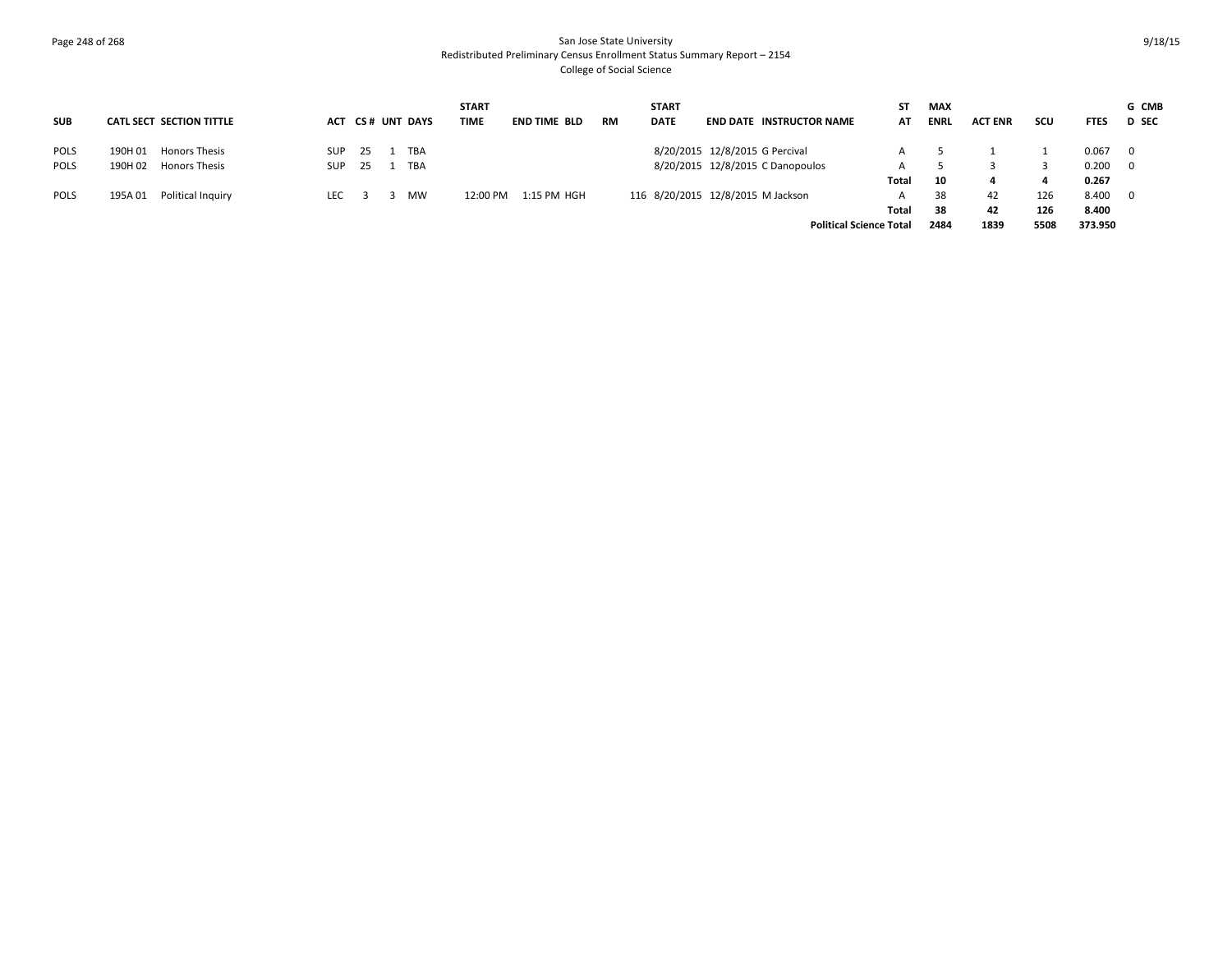# Page 248 of 268 San Jose State University Redistributed Preliminary Census Enrollment Status Summary Report – 2154 College of Social Science

|             |         |                          |            |    |                  | <b>START</b> |              |           | <b>START</b> |                                   | SΤ    | <b>MAX</b>  |                |      |             | G CMB                   |
|-------------|---------|--------------------------|------------|----|------------------|--------------|--------------|-----------|--------------|-----------------------------------|-------|-------------|----------------|------|-------------|-------------------------|
| <b>SUB</b>  |         | CATL SECT SECTION TITTLE |            |    | ACT CS# UNT DAYS | <b>TIME</b>  | END TIME BLD | <b>RM</b> | <b>DATE</b>  | <b>END DATE INSTRUCTOR NAME</b>   | AT    | <b>ENRL</b> | <b>ACT ENR</b> | scu  | <b>FTES</b> | <b>D</b> SEC            |
| <b>POLS</b> | 190H 01 | Honors Thesis            | <b>SUP</b> | 25 | TBA              |              |              |           |              | 8/20/2015 12/8/2015 G Percival    |       |             |                |      | 0.067       | $\mathbf{0}$            |
| <b>POLS</b> | 190H 02 | <b>Honors Thesis</b>     | SUP        | 25 | TBA              |              |              |           |              | 8/20/2015 12/8/2015 C Danopoulos  |       |             |                |      | 0.200       | $\overline{0}$          |
|             |         |                          |            |    |                  |              |              |           |              |                                   | Total | 10          |                |      | 0.267       |                         |
| <b>POLS</b> | 195A 01 | Political Inquiry        | LEC        |    | MW               | 12:00 PM     | 1:15 PM HGH  |           |              | 116 8/20/2015 12/8/2015 M Jackson |       | 38          | 42             | 126  | 8.400       | $\overline{\mathbf{0}}$ |
|             |         |                          |            |    |                  |              |              |           |              |                                   | Total | 38          | 42             | 126  | 8.400       |                         |
|             |         |                          |            |    |                  |              |              |           |              | <b>Political Science Total</b>    |       | 2484        | 1839           | 5508 | 373.950     |                         |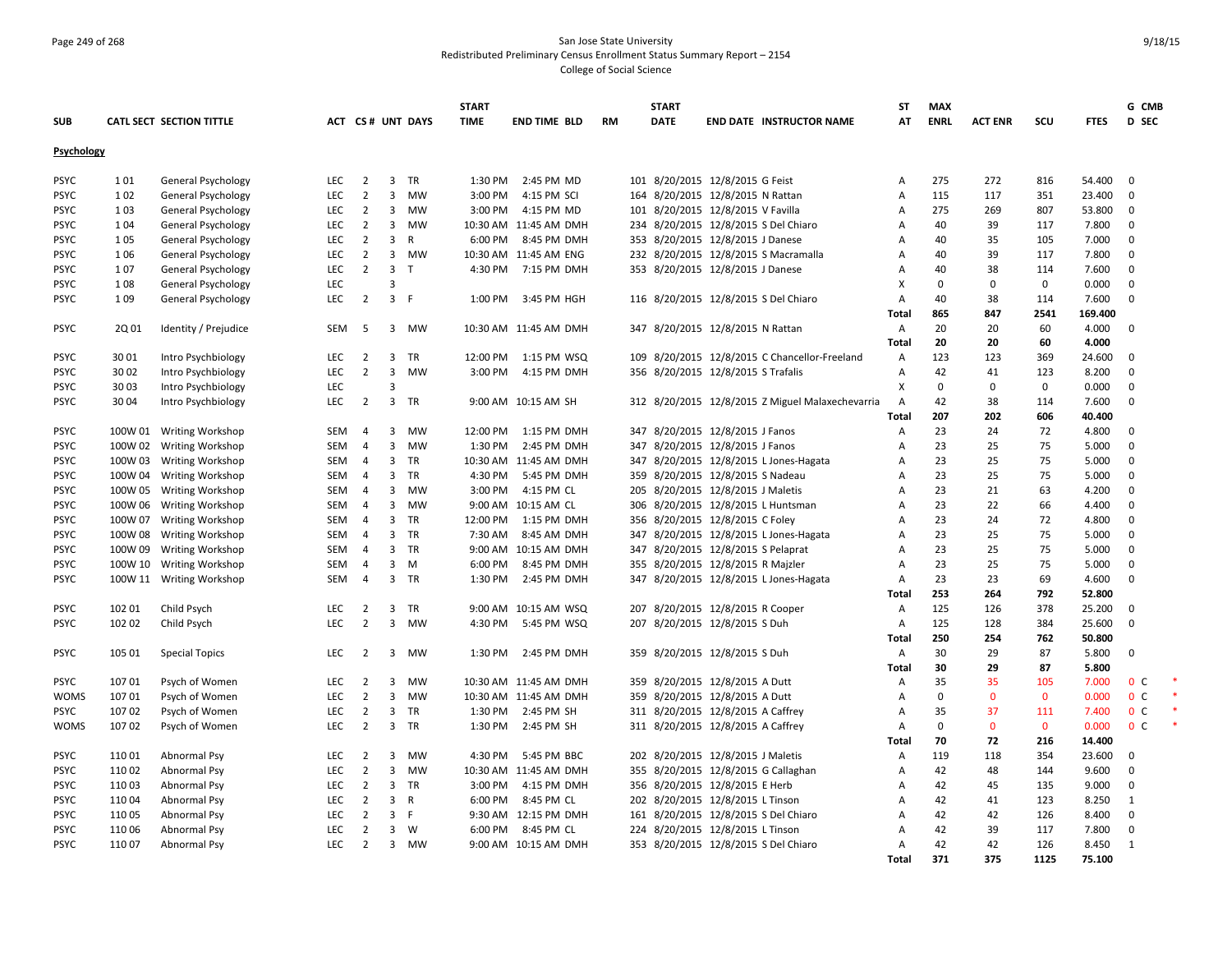# Page 249 of 268 San Jose State University Redistributed Preliminary Census Enrollment Status Summary Report – 2154 College of Social Science

|                   |         |                           |            |                |                         |                  | <b>START</b> |                       |           | <b>START</b>                         |                                                  | <b>ST</b>    | <b>MAX</b>  |                |              |             | G CMB          |  |
|-------------------|---------|---------------------------|------------|----------------|-------------------------|------------------|--------------|-----------------------|-----------|--------------------------------------|--------------------------------------------------|--------------|-------------|----------------|--------------|-------------|----------------|--|
| <b>SUB</b>        |         | CATL SECT SECTION TITTLE  |            |                |                         | ACT CS# UNT DAYS | <b>TIME</b>  | <b>END TIME BLD</b>   | <b>RM</b> | <b>DATE</b>                          | <b>END DATE INSTRUCTOR NAME</b>                  | AT           | <b>ENRL</b> | <b>ACT ENR</b> | SCU          | <b>FTES</b> | <b>D</b> SEC   |  |
| <b>Psychology</b> |         |                           |            |                |                         |                  |              |                       |           |                                      |                                                  |              |             |                |              |             |                |  |
| <b>PSYC</b>       | 101     | General Psychology        | LEC        | $\overline{2}$ | $\overline{3}$          | <b>TR</b>        | 1:30 PM      | 2:45 PM MD            |           | 101 8/20/2015 12/8/2015 G Feist      |                                                  | Α            | 275         | 272            | 816          | 54.400      | $\overline{0}$ |  |
| <b>PSYC</b>       | 102     | <b>General Psychology</b> | LEC        | $\overline{2}$ | 3                       | <b>MW</b>        | 3:00 PM      | 4:15 PM SCI           |           | 164 8/20/2015 12/8/2015 N Rattan     |                                                  | Α            | 115         | 117            | 351          | 23.400      | $\overline{0}$ |  |
| <b>PSYC</b>       | 103     | General Psychology        | <b>LEC</b> | $\overline{2}$ | 3                       | MW               | 3:00 PM      | 4:15 PM MD            |           | 101 8/20/2015 12/8/2015 V Favilla    |                                                  | Α            | 275         | 269            | 807          | 53.800      | $\overline{0}$ |  |
| <b>PSYC</b>       | 104     | <b>General Psychology</b> | <b>LEC</b> | $\overline{2}$ | $\mathbf{3}$            | <b>MW</b>        |              | 10:30 AM 11:45 AM DMH |           | 234 8/20/2015 12/8/2015 S Del Chiaro |                                                  | Α            | 40          | 39             | 117          | 7.800       | $\mathbf 0$    |  |
| <b>PSYC</b>       | 105     | General Psychology        | LEC        | $\overline{2}$ | 3                       | R                | 6:00 PM      | 8:45 PM DMH           |           | 353 8/20/2015 12/8/2015 J Danese     |                                                  | Α            | 40          | 35             | 105          | 7.000       | $\mathbf 0$    |  |
| <b>PSYC</b>       | 1 0 6   | General Psychology        | LEC        | $\overline{2}$ |                         | 3 MW             |              | 10:30 AM 11:45 AM ENG |           |                                      | 232 8/20/2015 12/8/2015 S Macramalla             | А            | 40          | 39             | 117          | 7.800       | $\mathbf 0$    |  |
| <b>PSYC</b>       | 107     | General Psychology        | <b>LEC</b> | $\overline{2}$ | 3                       | $\mathsf{T}$     | 4:30 PM      | 7:15 PM DMH           |           | 353 8/20/2015 12/8/2015 J Danese     |                                                  | Α            | 40          | 38             | 114          | 7.600       | $\mathbf 0$    |  |
| <b>PSYC</b>       | 108     | General Psychology        | LEC        |                | $\overline{3}$          |                  |              |                       |           |                                      |                                                  | X            | $\Omega$    | $\mathbf 0$    | $\mathbf 0$  | 0.000       | $\mathbf 0$    |  |
| <b>PSYC</b>       | 109     | General Psychology        | LEC        | $\overline{2}$ | 3 F                     |                  | 1:00 PM      | 3:45 PM HGH           |           |                                      | 116 8/20/2015 12/8/2015 S Del Chiaro             | Α            | 40          | 38             | 114          | 7.600       | $\mathbf 0$    |  |
|                   |         |                           |            |                |                         |                  |              |                       |           |                                      |                                                  | Total        | 865         | 847            | 2541         | 169.400     |                |  |
| <b>PSYC</b>       | 2Q 01   | Identity / Prejudice      | <b>SEM</b> | -5             |                         | 3 MW             |              | 10:30 AM 11:45 AM DMH |           | 347 8/20/2015 12/8/2015 N Rattan     |                                                  | Α            | 20          | 20             | 60           | 4.000       | $\overline{0}$ |  |
|                   |         |                           |            |                |                         |                  |              |                       |           |                                      |                                                  | Total        | 20          | 20             | 60           | 4.000       |                |  |
| <b>PSYC</b>       | 3001    | Intro Psychbiology        | LEC        | $\overline{2}$ | 3                       | TR               | 12:00 PM     | 1:15 PM WSQ           |           |                                      | 109 8/20/2015 12/8/2015 C Chancellor-Freeland    | Α            | 123         | 123            | 369          | 24.600      | $\overline{0}$ |  |
| <b>PSYC</b>       | 3002    | Intro Psychbiology        | <b>LEC</b> | $\overline{2}$ | 3                       | MW               | 3:00 PM      | 4:15 PM DMH           |           | 356 8/20/2015 12/8/2015 S Trafalis   |                                                  | Α            | 42          | 41             | 123          | 8.200       | $\mathbf 0$    |  |
| <b>PSYC</b>       | 30 03   | Intro Psychbiology        | <b>LEC</b> |                | 3                       |                  |              |                       |           |                                      |                                                  | X            | $\Omega$    | $\Omega$       | $\mathbf 0$  | 0.000       | $\mathbf 0$    |  |
| <b>PSYC</b>       | 30 04   | Intro Psychbiology        | LEC        | $\overline{2}$ | $\overline{3}$          | TR               |              | 9:00 AM 10:15 AM SH   |           |                                      | 312 8/20/2015 12/8/2015 Z Miguel Malaxechevarria | Α            | 42          | 38             | 114          | 7.600       | 0              |  |
|                   |         |                           |            |                |                         |                  |              |                       |           |                                      |                                                  | Total        | 207         | 202            | 606          | 40.400      |                |  |
| <b>PSYC</b>       |         | 100W 01 Writing Workshop  | <b>SEM</b> | $\overline{4}$ | 3                       | <b>MW</b>        | 12:00 PM     | 1:15 PM DMH           |           | 347 8/20/2015 12/8/2015 J Fanos      |                                                  | Α            | 23          | 24             | 72           | 4.800       | $\mathbf{0}$   |  |
| <b>PSYC</b>       |         | 100W 02 Writing Workshop  | <b>SEM</b> | $\overline{4}$ | 3                       | MW               | 1:30 PM      | 2:45 PM DMH           |           | 347 8/20/2015 12/8/2015 J Fanos      |                                                  | Α            | 23          | 25             | 75           | 5.000       | $\mathbf{0}$   |  |
| <b>PSYC</b>       | 100W 03 | <b>Writing Workshop</b>   | SEM        | $\overline{4}$ | 3 <sup>7</sup>          | TR               |              | 10:30 AM 11:45 AM DMH |           |                                      | 347 8/20/2015 12/8/2015 L Jones-Hagata           | A            | 23          | 25             | 75           | 5.000       | $\mathbf 0$    |  |
| <b>PSYC</b>       |         | 100W 04 Writing Workshop  | SEM        | 4              | 3                       | <b>TR</b>        | 4:30 PM      | 5:45 PM DMH           |           | 359 8/20/2015 12/8/2015 S Nadeau     |                                                  | Α            | 23          | 25             | 75           | 5.000       | $\mathbf{0}$   |  |
| <b>PSYC</b>       |         | 100W 05 Writing Workshop  | SEM        | $\overline{4}$ | 3                       | MW               | 3:00 PM      | 4:15 PM CL            |           | 205 8/20/2015 12/8/2015 J Maletis    |                                                  | A            | 23          | 21             | 63           | 4.200       | $\mathbf 0$    |  |
| <b>PSYC</b>       |         | 100W 06 Writing Workshop  | SEM        | $\overline{a}$ | 3                       | MW               |              | 9:00 AM 10:15 AM CL   |           | 306 8/20/2015 12/8/2015 L Huntsman   |                                                  | Α            | 23          | 22             | 66           | 4.400       | 0              |  |
| <b>PSYC</b>       | 100W 07 | <b>Writing Workshop</b>   | SEM        | 4              | 3                       | TR               | 12:00 PM     | 1:15 PM DMH           |           | 356 8/20/2015 12/8/2015 C Foley      |                                                  | Α            | 23          | 24             | 72           | 4.800       | $\mathbf 0$    |  |
| <b>PSYC</b>       | 100W 08 | <b>Writing Workshop</b>   | SEM        | 4              | 3                       | <b>TR</b>        | 7:30 AM      | 8:45 AM DMH           |           |                                      | 347 8/20/2015 12/8/2015 L Jones-Hagata           | A            | 23          | 25             | 75           | 5.000       | $\mathbf 0$    |  |
| <b>PSYC</b>       | 100W 09 | Writing Workshop          | <b>SEM</b> | $\overline{4}$ | 3                       | <b>TR</b>        |              | 9:00 AM 10:15 AM DMH  |           | 347 8/20/2015 12/8/2015 S Pelaprat   |                                                  | Α            | 23          | 25             | 75           | 5.000       | $\mathbf{0}$   |  |
| <b>PSYC</b>       |         | 100W 10 Writing Workshop  | <b>SEM</b> | 4              | 3                       | M                | 6:00 PM      | 8:45 PM DMH           |           | 355 8/20/2015 12/8/2015 R Majzler    |                                                  | А            | 23          | 25             | 75           | 5.000       | $\mathbf 0$    |  |
| <b>PSYC</b>       |         | 100W 11 Writing Workshop  | <b>SEM</b> | 4              |                         | 3 TR             | 1:30 PM      | 2:45 PM DMH           |           |                                      | 347 8/20/2015 12/8/2015 L Jones-Hagata           | Α            | 23          | 23             | 69           | 4.600       | $\mathbf{0}$   |  |
|                   |         |                           |            |                |                         |                  |              |                       |           |                                      |                                                  | Total        | 253         | 264            | 792          | 52.800      |                |  |
| <b>PSYC</b>       | 102 01  | Child Psych               | <b>LEC</b> | $\overline{2}$ | 3                       | <b>TR</b>        |              | 9:00 AM 10:15 AM WSQ  |           | 207 8/20/2015 12/8/2015 R Cooper     |                                                  | Α            | 125         | 126            | 378          | 25.200      | $\Omega$       |  |
| <b>PSYC</b>       | 102 02  | Child Psych               | LEC        | $\overline{2}$ | $\overline{\mathbf{3}}$ | MW               | 4:30 PM      | 5:45 PM WSQ           |           | 207 8/20/2015 12/8/2015 S Duh        |                                                  | Α            | 125         | 128            | 384          | 25.600      | $\mathbf 0$    |  |
|                   |         |                           |            |                |                         |                  |              |                       |           |                                      |                                                  | Total        | 250         | 254            | 762          | 50.800      |                |  |
| <b>PSYC</b>       | 105 01  | <b>Special Topics</b>     | <b>LEC</b> | $\overline{2}$ | 3                       | <b>MW</b>        | 1:30 PM      | 2:45 PM DMH           |           | 359 8/20/2015 12/8/2015 S Duh        |                                                  | Α            | 30          | 29             | 87           | 5.800       | $\mathbf 0$    |  |
|                   |         |                           |            |                |                         |                  |              |                       |           |                                      |                                                  | <b>Total</b> | 30          | 29             | 87           | 5.800       |                |  |
| <b>PSYC</b>       | 10701   | Psych of Women            | <b>LEC</b> | $\overline{2}$ | 3                       | MW               |              | 10:30 AM 11:45 AM DMH |           | 359 8/20/2015 12/8/2015 A Dutt       |                                                  | Α            | 35          | 35             | 105          | 7.000       | 0 <sup>C</sup> |  |
| <b>WOMS</b>       | 107 01  | Psych of Women            | <b>LEC</b> | $\overline{2}$ | $\overline{3}$          | <b>MW</b>        |              | 10:30 AM 11:45 AM DMH |           | 359 8/20/2015 12/8/2015 A Dutt       |                                                  | Α            | $\Omega$    | $\mathbf{0}$   | $\mathbf{0}$ | 0.000       | 0 <sup>o</sup> |  |
| <b>PSYC</b>       | 10702   | Psych of Women            | <b>LEC</b> | $\overline{2}$ | 3                       | <b>TR</b>        | 1:30 PM      | 2:45 PM SH            |           | 311 8/20/2015 12/8/2015 A Caffrey    |                                                  | Α            | 35          | 37             | 111          | 7.400       | 0 <sup>C</sup> |  |
| <b>WOMS</b>       | 10702   | Psych of Women            | <b>LEC</b> | $\overline{2}$ |                         | 3 TR             | 1:30 PM      | 2:45 PM SH            |           | 311 8/20/2015 12/8/2015 A Caffrey    |                                                  | А            | $\mathbf 0$ | $\mathbf{0}$   | $\mathbf 0$  | 0.000       | 0 <sup>c</sup> |  |
|                   |         |                           |            |                |                         |                  |              |                       |           |                                      |                                                  | Total        | 70          | 72             | 216          | 14.400      |                |  |
| <b>PSYC</b>       | 11001   | Abnormal Psy              | LEC        | $\overline{2}$ | 3                       | <b>MW</b>        | 4:30 PM      | 5:45 PM BBC           |           | 202 8/20/2015 12/8/2015 J Maletis    |                                                  | Α            | 119         | 118            | 354          | 23.600      | $\overline{0}$ |  |
| <b>PSYC</b>       | 11002   | Abnormal Psy              | LEC        | $\overline{2}$ | 3                       | MW               |              | 10:30 AM 11:45 AM DMH |           | 355 8/20/2015 12/8/2015 G Callaghan  |                                                  | Α            | 42          | 48             | 144          | 9.600       | 0              |  |
| <b>PSYC</b>       | 11003   | Abnormal Psy              | <b>LEC</b> | $\overline{2}$ |                         | 3 TR             | 3:00 PM      | 4:15 PM DMH           |           | 356 8/20/2015 12/8/2015 E Herb       |                                                  | Α            | 42          | 45             | 135          | 9.000       | $\mathbf 0$    |  |
| <b>PSYC</b>       | 11004   | Abnormal Psy              | <b>LEC</b> | $\overline{2}$ | 3                       | R                | 6:00 PM      | 8:45 PM CL            |           | 202 8/20/2015 12/8/2015 L Tinson     |                                                  | Α            | 42          | 41             | 123          | 8.250       | 1              |  |
| <b>PSYC</b>       | 110 05  | Abnormal Psy              | <b>LEC</b> | $\overline{2}$ | $\overline{3}$          | F                |              | 9:30 AM 12:15 PM DMH  |           | 161 8/20/2015 12/8/2015 S Del Chiaro |                                                  | Α            | 42          | 42             | 126          | 8.400       | $\mathbf{0}$   |  |
| <b>PSYC</b>       | 11006   | Abnormal Psy              | LEC        | $\overline{2}$ | 3                       | W                | 6:00 PM      | 8:45 PM CL            |           | 224 8/20/2015 12/8/2015 L Tinson     |                                                  | A            | 42          | 39             | 117          | 7.800       | $\mathbf{0}$   |  |
| <b>PSYC</b>       | 11007   | Abnormal Psy              | <b>LEC</b> | $\overline{2}$ |                         | 3 MW             |              | 9:00 AM 10:15 AM DMH  |           |                                      | 353 8/20/2015 12/8/2015 S Del Chiaro             | Α            | 42          | 42             | 126          | 8.450       | 1              |  |
|                   |         |                           |            |                |                         |                  |              |                       |           |                                      |                                                  | Total        | 371         | 375            | 1125         | 75.100      |                |  |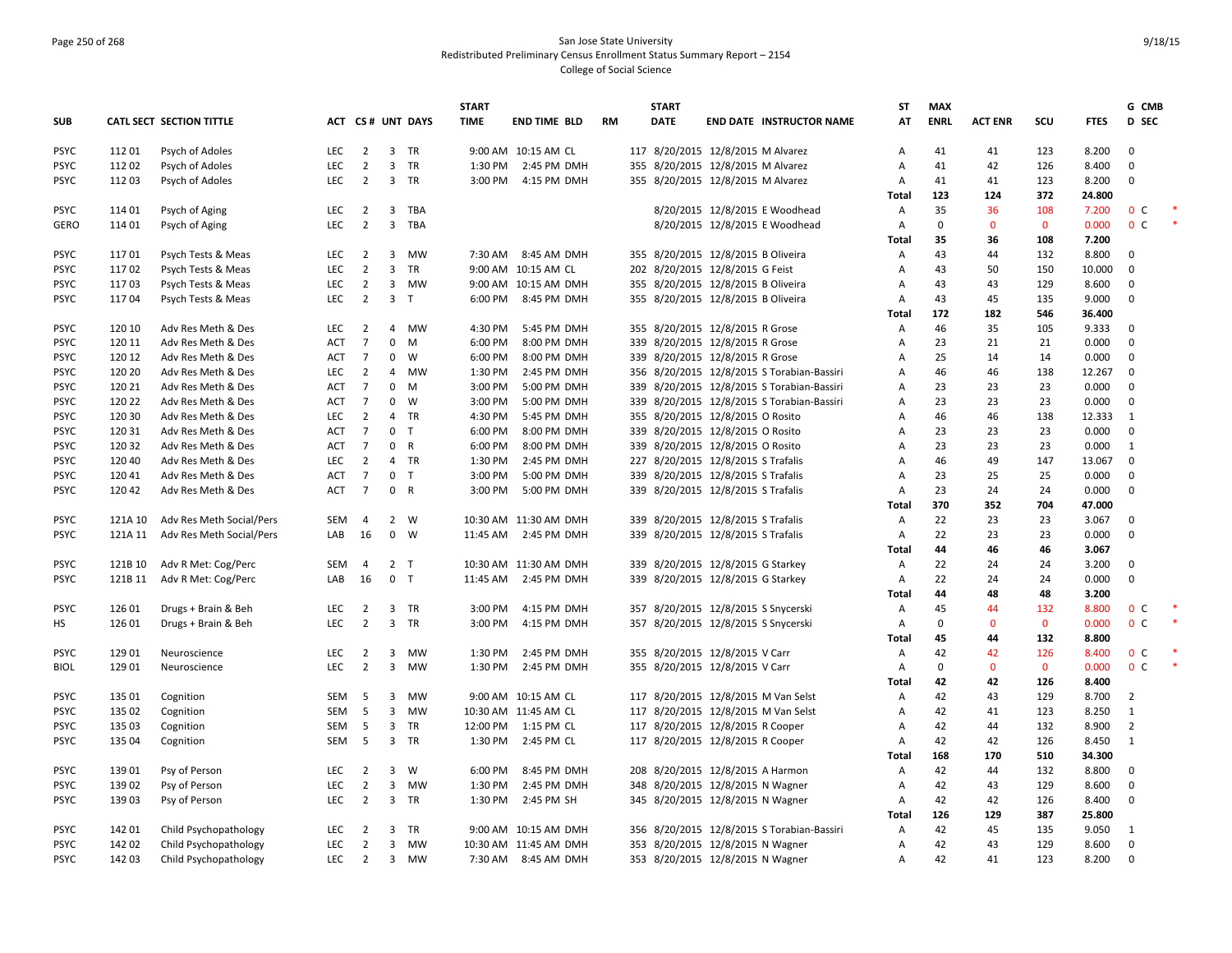# Page 250 of 268 San Jose State University Redistributed Preliminary Census Enrollment Status Summary Report – 2154 College of Social Science

|                            |                    |                                                      |                   |                                  |                    |                         | <b>START</b> |                                               |           | <b>START</b>                        |                                            | <b>ST</b>           | <b>MAX</b>  |                |             |                 | G CMB                      |  |
|----------------------------|--------------------|------------------------------------------------------|-------------------|----------------------------------|--------------------|-------------------------|--------------|-----------------------------------------------|-----------|-------------------------------------|--------------------------------------------|---------------------|-------------|----------------|-------------|-----------------|----------------------------|--|
| <b>SUB</b>                 |                    | CATL SECT SECTION TITTLE                             |                   |                                  |                    | ACT CS# UNT DAYS        | <b>TIME</b>  | <b>END TIME BLD</b>                           | <b>RM</b> | <b>DATE</b>                         | <b>END DATE INSTRUCTOR NAME</b>            | AT                  | <b>ENRL</b> | <b>ACT ENR</b> | scu         | <b>FTES</b>     | D SEC                      |  |
| <b>PSYC</b>                | 11201              | Psych of Adoles                                      | <b>LEC</b>        | $\overline{2}$                   |                    | 3 TR                    |              | 9:00 AM 10:15 AM CL                           |           | 117 8/20/2015 12/8/2015 M Alvarez   |                                            | Α                   | 41          | 41             | 123         | 8.200           | $\Omega$                   |  |
| <b>PSYC</b>                | 112 02             | Psych of Adoles                                      | <b>LEC</b>        | $\overline{2}$                   |                    | 3 TR                    |              | 1:30 PM 2:45 PM DMH                           |           | 355 8/20/2015 12/8/2015 M Alvarez   |                                            | A                   | 41          | 42             | 126         | 8.400           | $\mathbf 0$                |  |
| <b>PSYC</b>                | 11203              | Psych of Adoles                                      | LEC               | $\overline{2}$                   |                    | 3 TR                    |              | 3:00 PM 4:15 PM DMH                           |           | 355 8/20/2015 12/8/2015 M Alvarez   |                                            | A                   | 41          | 41             | 123         | 8.200           | $\Omega$                   |  |
|                            |                    |                                                      |                   |                                  |                    |                         |              |                                               |           |                                     |                                            | Total               | 123         | 124            | 372         | 24.800          |                            |  |
| <b>PSYC</b>                | 11401              | Psych of Aging                                       | <b>LEC</b>        | 2                                | $\overline{3}$     | TBA                     |              |                                               |           |                                     | 8/20/2015 12/8/2015 E Woodhead             | A                   | 35          | 36             | 108         | 7.200           | 0 <sup>c</sup>             |  |
| <b>GERO</b>                | 114 01             | Psych of Aging                                       | <b>LEC</b>        | $\overline{2}$                   |                    | 3 TBA                   |              |                                               |           |                                     | 8/20/2015 12/8/2015 E Woodhead             | A                   | $\mathbf 0$ | $\mathbf 0$    | $\mathbf 0$ | 0.000           | 0 <sup>c</sup>             |  |
|                            |                    |                                                      |                   |                                  |                    |                         |              |                                               |           |                                     |                                            | Total               | 35          | 36             | 108         | 7.200           |                            |  |
| <b>PSYC</b>                | 11701              | Psych Tests & Meas                                   | LEC               | $\overline{2}$                   |                    | 3 MW                    |              | 7:30 AM 8:45 AM DMH                           |           | 355 8/20/2015 12/8/2015 B Oliveira  |                                            | A                   | 43          | 44             | 132         | 8.800           | $\mathbf 0$                |  |
| <b>PSYC</b>                | 11702              | Psych Tests & Meas                                   | LEC               | $\overline{2}$                   | $\overline{3}$     | <b>TR</b>               |              | 9:00 AM 10:15 AM CL                           |           | 202 8/20/2015 12/8/2015 G Feist     |                                            | Α                   | 43          | 50             | 150         | 10.000          | $\mathbf 0$                |  |
| <b>PSYC</b>                | 11703              | Psych Tests & Meas                                   | LEC               | $\overline{2}$                   |                    | 3 MW                    |              | 9:00 AM 10:15 AM DMH                          |           | 355 8/20/2015 12/8/2015 B Oliveira  |                                            | $\overline{A}$      | 43          | 43             | 129         | 8.600           | $\Omega$                   |  |
| <b>PSYC</b>                | 11704              | Psych Tests & Meas                                   | <b>LEC</b>        | $\overline{2}$                   | 3 <sub>T</sub>     |                         | 6:00 PM      | 8:45 PM DMH                                   |           | 355 8/20/2015 12/8/2015 B Oliveira  |                                            | Α                   | 43          | 45             | 135         | 9.000           | $\mathbf 0$                |  |
|                            |                    |                                                      |                   |                                  |                    |                         |              |                                               |           |                                     |                                            | <b>Total</b>        | 172         | 182            | 546         | 36.400          |                            |  |
| <b>PSYC</b>                | 120 10             | Adv Res Meth & Des                                   | LEC               | $\overline{2}$                   |                    | 4 MW                    | 4:30 PM      | 5:45 PM DMH                                   |           | 355 8/20/2015 12/8/2015 R Grose     |                                            | Α                   | 46          | 35             | 105         | 9.333           | $\mathbf 0$                |  |
| <b>PSYC</b>                | 120 11             | Adv Res Meth & Des                                   | <b>ACT</b>        | $\overline{7}$                   | $\mathbf 0$        | M                       | 6:00 PM      | 8:00 PM DMH                                   |           | 339 8/20/2015 12/8/2015 R Grose     |                                            | $\overline{A}$      | 23          | 21             | 21          | 0.000           | $\mathbf 0$                |  |
| <b>PSYC</b>                | 120 12             | Adv Res Meth & Des                                   | ACT               | $\overline{7}$                   | $\mathbf 0$        | W                       | 6:00 PM      | 8:00 PM DMH                                   |           | 339 8/20/2015 12/8/2015 R Grose     |                                            | Α                   | 25          | 14             | 14          | 0.000           | $\mathbf 0$                |  |
| <b>PSYC</b>                | 120 20             | Adv Res Meth & Des                                   | LEC               | $\overline{2}$                   | $\overline{4}$     | MW                      | 1:30 PM      | 2:45 PM DMH                                   |           |                                     | 356 8/20/2015 12/8/2015 S Torabian-Bassiri | Α                   | 46          | 46             | 138         | 12.267          | $\mathbf 0$                |  |
| <b>PSYC</b>                | 120 21             | Adv Res Meth & Des                                   | ACT               | $\overline{7}$                   | $\mathbf 0$        | M                       | 3:00 PM      | 5:00 PM DMH                                   |           |                                     | 339 8/20/2015 12/8/2015 S Torabian-Bassiri | Α                   | 23          | 23             | 23          | 0.000           | $\mathbf 0$                |  |
| <b>PSYC</b>                | 120 22             | Adv Res Meth & Des                                   | <b>ACT</b>        | $\overline{7}$                   | $\mathbf{0}$       | <b>W</b>                | 3:00 PM      | 5:00 PM DMH                                   |           |                                     | 339 8/20/2015 12/8/2015 S Torabian-Bassiri | Α                   | 23          | 23             | 23          | 0.000           | $\mathbf 0$                |  |
| <b>PSYC</b>                | 120 30             | Adv Res Meth & Des                                   | LEC               | $\overline{2}$                   |                    | 4 TR                    | 4:30 PM      | 5:45 PM DMH                                   |           | 355 8/20/2015 12/8/2015 O Rosito    |                                            | Α                   | 46          | 46             | 138         | 12.333          | $\mathbf{1}$               |  |
| <b>PSYC</b>                | 120 31             | Adv Res Meth & Des                                   | ACT               | $\overline{7}$                   | 0 <sub>T</sub>     |                         | 6:00 PM      | 8:00 PM DMH                                   |           | 339 8/20/2015 12/8/2015 O Rosito    |                                            | A                   | 23          | 23             | 23          | 0.000           | $\mathbf 0$                |  |
| <b>PSYC</b>                | 120 32             | Adv Res Meth & Des                                   | <b>ACT</b>        | $\overline{7}$                   | 0                  | $\overline{\mathsf{R}}$ | 6:00 PM      | 8:00 PM DMH                                   |           | 339 8/20/2015 12/8/2015 O Rosito    |                                            | Α                   | 23          | 23             | 23          | 0.000           | $\mathbf{1}$               |  |
| <b>PSYC</b>                | 120 40             | Adv Res Meth & Des                                   | LEC               | $\overline{2}$                   |                    | 4 TR<br>T               | 1:30 PM      | 2:45 PM DMH                                   |           | 227 8/20/2015 12/8/2015 S Trafalis  |                                            | A                   | 46          | 49             | 147         | 13.067          | $\mathbf 0$                |  |
| <b>PSYC</b>                | 12041              | Adv Res Meth & Des                                   | <b>ACT</b>        | $\overline{7}$<br>$\overline{7}$ | $\mathbf 0$<br>0 R |                         | 3:00 PM      | 5:00 PM DMH                                   |           | 339 8/20/2015 12/8/2015 S Trafalis  |                                            | A                   | 23<br>23    | 25<br>24       | 25          | 0.000           | $\mathbf 0$<br>$\mathbf 0$ |  |
| <b>PSYC</b>                | 12042              | Adv Res Meth & Des                                   | <b>ACT</b>        |                                  |                    |                         | 3:00 PM      | 5:00 PM DMH                                   |           | 339 8/20/2015 12/8/2015 S Trafalis  |                                            | A                   | 370         | 352            | 24<br>704   | 0.000<br>47.000 |                            |  |
|                            |                    |                                                      |                   |                                  |                    |                         |              |                                               |           | 339 8/20/2015 12/8/2015 S Trafalis  |                                            | <b>Total</b>        | 22          | 23             | 23          | 3.067           | $\mathbf 0$                |  |
| <b>PSYC</b><br><b>PSYC</b> | 121A 10<br>121A 11 | Adv Res Meth Social/Pers<br>Adv Res Meth Social/Pers | <b>SEM</b><br>LAB | 4<br>16                          |                    | 2 W<br>$0 \quad W$      |              | 10:30 AM 11:30 AM DMH<br>11:45 AM 2:45 PM DMH |           | 339 8/20/2015 12/8/2015 S Trafalis  |                                            | A<br>$\overline{A}$ | 22          | 23             | 23          | 0.000           | $\mathbf 0$                |  |
|                            |                    |                                                      |                   |                                  |                    |                         |              |                                               |           |                                     |                                            | Total               | 44          | 46             | 46          | 3.067           |                            |  |
| <b>PSYC</b>                | 121B 10            | Adv R Met: Cog/Perc                                  | <b>SEM</b>        | 4                                | 2 <sub>T</sub>     |                         |              | 10:30 AM 11:30 AM DMH                         |           | 339 8/20/2015 12/8/2015 G Starkey   |                                            | A                   | 22          | 24             | 24          | 3.200           | $\mathbf 0$                |  |
| <b>PSYC</b>                | 121B 11            | Adv R Met: Cog/Perc                                  | LAB               | 16                               | 0 <sub>T</sub>     |                         | 11:45 AM     | 2:45 PM DMH                                   |           | 339 8/20/2015 12/8/2015 G Starkey   |                                            | A                   | 22          | 24             | 24          | 0.000           | $\mathbf 0$                |  |
|                            |                    |                                                      |                   |                                  |                    |                         |              |                                               |           |                                     |                                            | Total               | 44          | 48             | 48          | 3.200           |                            |  |
| <b>PSYC</b>                | 126 01             | Drugs + Brain & Beh                                  | LEC               | $\overline{2}$                   |                    | 3 TR                    | 3:00 PM      | 4:15 PM DMH                                   |           | 357 8/20/2015 12/8/2015 S Snycerski |                                            | Α                   | 45          | 44             | 132         | 8.800           | 0 <sup>c</sup>             |  |
| НS                         | 12601              | Drugs + Brain & Beh                                  | <b>LEC</b>        | $\overline{2}$                   |                    | 3 TR                    | 3:00 PM      | 4:15 PM DMH                                   |           | 357 8/20/2015 12/8/2015 S Snycerski |                                            | A                   | $\mathbf 0$ | $\mathbf{0}$   | $\mathbf 0$ | 0.000           | 0 <sup>c</sup>             |  |
|                            |                    |                                                      |                   |                                  |                    |                         |              |                                               |           |                                     |                                            | Total               | 45          | 44             | 132         | 8.800           |                            |  |
| <b>PSYC</b>                | 129 01             | Neuroscience                                         | LEC               | $\overline{2}$                   | 3                  | MW                      | 1:30 PM      | 2:45 PM DMH                                   |           | 355 8/20/2015 12/8/2015 V Carr      |                                            | Α                   | 42          | 42             | 126         | 8.400           | 0 <sup>c</sup>             |  |
| <b>BIOL</b>                | 129 01             | Neuroscience                                         | LEC               | $\overline{2}$                   |                    | 3 MW                    | 1:30 PM      | 2:45 PM DMH                                   |           | 355 8/20/2015 12/8/2015 V Carr      |                                            | A                   | $\mathbf 0$ | $\mathbf{0}$   | $\mathbf 0$ | 0.000           | 0 <sup>c</sup>             |  |
|                            |                    |                                                      |                   |                                  |                    |                         |              |                                               |           |                                     |                                            | <b>Total</b>        | 42          | 42             | 126         | 8.400           |                            |  |
| <b>PSYC</b>                | 135 01             | Cognition                                            | <b>SEM</b>        | -5                               | 3                  | MW                      |              | 9:00 AM 10:15 AM CL                           |           |                                     | 117 8/20/2015 12/8/2015 M Van Selst        | Α                   | 42          | 43             | 129         | 8.700           | $\overline{2}$             |  |
| <b>PSYC</b>                | 135 02             | Cognition                                            | SEM               | 5                                |                    | 3 MW                    |              | 10:30 AM 11:45 AM CL                          |           |                                     | 117 8/20/2015 12/8/2015 M Van Selst        | А                   | 42          | 41             | 123         | 8.250           | $\mathbf{1}$               |  |
| <b>PSYC</b>                | 135 03             | Cognition                                            | <b>SEM</b>        | 5                                | $\overline{3}$     | TR                      |              | 12:00 PM 1:15 PM CL                           |           | 117 8/20/2015 12/8/2015 R Cooper    |                                            | A                   | 42          | 44             | 132         | 8.900           | $\overline{2}$             |  |
| <b>PSYC</b>                | 135 04             | Cognition                                            | SEM               | 5                                |                    | 3 TR                    | 1:30 PM      | 2:45 PM CL                                    |           | 117 8/20/2015 12/8/2015 R Cooper    |                                            | A                   | 42          | 42             | 126         | 8.450           | $\mathbf{1}$               |  |
|                            |                    |                                                      |                   |                                  |                    |                         |              |                                               |           |                                     |                                            | Total               | 168         | 170            | 510         | 34.300          |                            |  |
| <b>PSYC</b>                | 13901              | Psy of Person                                        | LEC               | $\overline{2}$                   |                    | $3 \quad W$             | 6:00 PM      | 8:45 PM DMH                                   |           | 208 8/20/2015 12/8/2015 A Harmon    |                                            | A                   | 42          | 44             | 132         | 8.800           | $\Omega$                   |  |
| <b>PSYC</b>                | 13902              | Psy of Person                                        | LEC               | $\overline{2}$                   | 3                  | MW                      | 1:30 PM      | 2:45 PM DMH                                   |           | 348 8/20/2015 12/8/2015 N Wagner    |                                            | A                   | 42          | 43             | 129         | 8.600           | $\mathbf 0$                |  |
| <b>PSYC</b>                | 13903              | Psy of Person                                        | LEC               | $\overline{2}$                   |                    | 3 TR                    | 1:30 PM      | 2:45 PM SH                                    |           | 345 8/20/2015 12/8/2015 N Wagner    |                                            | $\overline{A}$      | 42          | 42             | 126         | 8.400           | $\mathbf 0$                |  |
|                            |                    |                                                      |                   |                                  |                    |                         |              |                                               |           |                                     |                                            | Total               | 126         | 129            | 387         | 25.800          |                            |  |
| <b>PSYC</b>                | 142 01             | Child Psychopathology                                | <b>LEC</b>        | 2                                | $\overline{3}$     | TR                      |              | 9:00 AM 10:15 AM DMH                          |           |                                     | 356 8/20/2015 12/8/2015 S Torabian-Bassiri | $\mathsf{A}$        | 42          | 45             | 135         | 9.050           | 1                          |  |
| <b>PSYC</b>                | 142 02             | Child Psychopathology                                | <b>LEC</b>        | $\overline{2}$                   |                    | 3 MW                    |              | 10:30 AM 11:45 AM DMH                         |           | 353 8/20/2015 12/8/2015 N Wagner    |                                            | A                   | 42          | 43             | 129         | 8.600           | $\mathbf 0$                |  |
| <b>PSYC</b>                | 142 03             | Child Psychopathology                                | <b>LEC</b>        | $\overline{2}$                   |                    | 3 MW                    |              | 7:30 AM 8:45 AM DMH                           |           | 353 8/20/2015 12/8/2015 N Wagner    |                                            | A                   | 42          | 41             | 123         | 8.200           | $\mathbf 0$                |  |
|                            |                    |                                                      |                   |                                  |                    |                         |              |                                               |           |                                     |                                            |                     |             |                |             |                 |                            |  |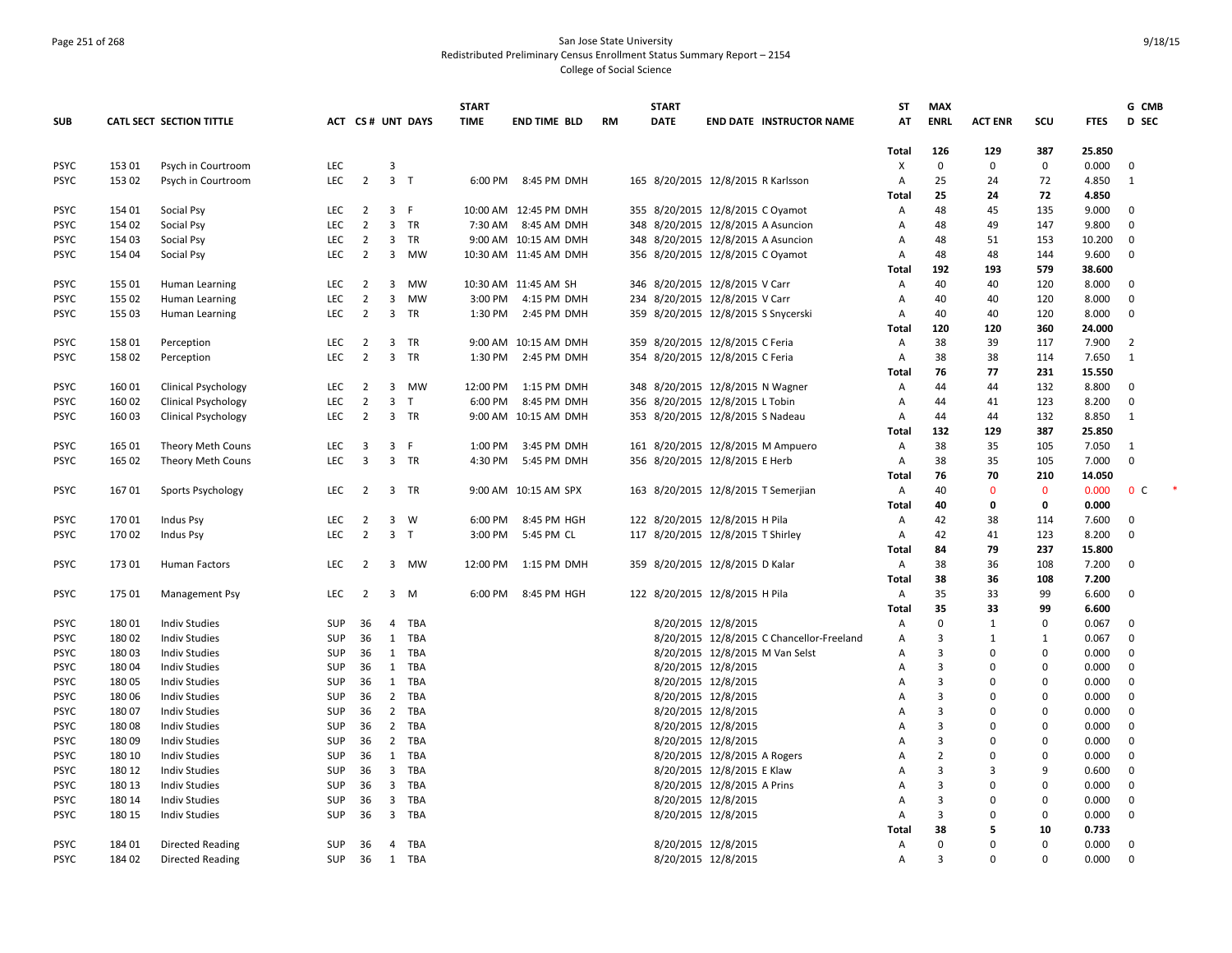### Page 251 of 268 San Jose State University Redistributed Preliminary Census Enrollment Status Summary Report – 2154 College of Social Science

|             |        |                            |            |                         |                         |                  | <b>START</b> |                       |           | <b>START</b> |                                           | <b>ST</b>    | <b>MAX</b>     |                |             |             | G CMB          |
|-------------|--------|----------------------------|------------|-------------------------|-------------------------|------------------|--------------|-----------------------|-----------|--------------|-------------------------------------------|--------------|----------------|----------------|-------------|-------------|----------------|
| <b>SUB</b>  |        | CATL SECT SECTION TITTLE   |            |                         |                         | ACT CS# UNT DAYS | <b>TIME</b>  | <b>END TIME BLD</b>   | <b>RM</b> | <b>DATE</b>  | <b>END DATE INSTRUCTOR NAME</b>           | AT           | <b>ENRL</b>    | <b>ACT ENR</b> | SCU         | <b>FTES</b> | <b>D</b> SEC   |
|             |        |                            |            |                         |                         |                  |              |                       |           |              |                                           | <b>Total</b> | 126            | 129            | 387         | 25.850      |                |
| <b>PSYC</b> | 15301  | Psych in Courtroom         | <b>LEC</b> |                         | 3                       |                  |              |                       |           |              |                                           | X            | $\mathbf 0$    | $\mathbf 0$    | 0           | 0.000       | 0              |
| <b>PSYC</b> | 15302  | Psych in Courtroom         | <b>LEC</b> | $\overline{2}$          | 3 <sub>T</sub>          |                  | 6:00 PM      | 8:45 PM DMH           |           |              | 165 8/20/2015 12/8/2015 R Karlsson        | Α            | 25             | 24             | 72          | 4.850       | 1              |
|             |        |                            |            |                         |                         |                  |              |                       |           |              |                                           | <b>Total</b> | 25             | 24             | 72          | 4.850       |                |
| <b>PSYC</b> | 154 01 | Social Psy                 | LEC        | $\overline{2}$          | 3 F                     |                  |              | 10:00 AM 12:45 PM DMH |           |              | 355 8/20/2015 12/8/2015 C Oyamot          | Α            | 48             | 45             | 135         | 9.000       | $\mathbf 0$    |
| <b>PSYC</b> | 154 02 | Social Psy                 | <b>LEC</b> | $\overline{2}$          |                         | 3 TR             |              | 7:30 AM 8:45 AM DMH   |           |              | 348 8/20/2015 12/8/2015 A Asuncion        | Α            | 48             | 49             | 147         | 9.800       | $\mathbf{0}$   |
| <b>PSYC</b> | 154 03 | Social Psy                 | <b>LEC</b> | 2                       | $\overline{\mathbf{3}}$ | <b>TR</b>        |              | 9:00 AM 10:15 AM DMH  |           |              | 348 8/20/2015 12/8/2015 A Asuncion        | A            | 48             | 51             | 153         | 10.200      | $\mathbf 0$    |
| <b>PSYC</b> | 154 04 | Social Psy                 | LEC        | $\overline{2}$          |                         | 3 MW             |              | 10:30 AM 11:45 AM DMH |           |              | 356 8/20/2015 12/8/2015 C Oyamot          | Α            | 48             | 48             | 144         | 9.600       | $\mathbf 0$    |
|             |        |                            |            |                         |                         |                  |              |                       |           |              |                                           | Total        | 192            | 193            | 579         | 38.600      |                |
| <b>PSYC</b> | 155 01 | Human Learning             | <b>LEC</b> | $\overline{2}$          | 3                       | MW               |              | 10:30 AM 11:45 AM SH  |           |              | 346 8/20/2015 12/8/2015 V Carr            | Α            | 40             | 40             | 120         | 8.000       | $\mathbf{0}$   |
| <b>PSYC</b> | 155 02 | Human Learning             | <b>LEC</b> | $\overline{2}$          | $\mathbf{3}$            | MW               | 3:00 PM      | 4:15 PM DMH           |           |              | 234 8/20/2015 12/8/2015 V Carr            | Α            | 40             | 40             | 120         | 8.000       | $\mathbf 0$    |
| <b>PSYC</b> | 155 03 | Human Learning             | <b>LEC</b> | $\overline{2}$          |                         | 3 TR             | 1:30 PM      | 2:45 PM DMH           |           |              | 359 8/20/2015 12/8/2015 S Snycerski       | Α            | 40             | 40             | 120         | 8.000       | $\mathbf 0$    |
|             |        |                            |            |                         |                         |                  |              |                       |           |              |                                           | Total        | 120            | 120            | 360         | 24.000      |                |
| <b>PSYC</b> | 158 01 | Perception                 | <b>LEC</b> | $\overline{2}$          | $\overline{\mathbf{3}}$ | <b>TR</b>        |              | 9:00 AM 10:15 AM DMH  |           |              | 359 8/20/2015 12/8/2015 C Feria           | Α            | 38             | 39             | 117         | 7.900       | $\overline{2}$ |
| <b>PSYC</b> | 15802  | Perception                 | LEC        | $\overline{2}$          |                         | 3 TR             |              | 1:30 PM 2:45 PM DMH   |           |              | 354 8/20/2015 12/8/2015 C Feria           | Α            | 38             | 38             | 114         | 7.650       | $\mathbf{1}$   |
|             |        |                            |            |                         |                         |                  |              |                       |           |              |                                           | Total        | 76             | 77             | 231         | 15.550      |                |
| <b>PSYC</b> | 16001  | Clinical Psychology        | LEC        | $\overline{2}$          |                         | 3 MW             | 12:00 PM     | 1:15 PM DMH           |           |              | 348 8/20/2015 12/8/2015 N Wagner          | Α            | 44             | 44             | 132         | 8.800       | $\mathbf{0}$   |
| <b>PSYC</b> | 16002  | <b>Clinical Psychology</b> | <b>LEC</b> | $\overline{2}$          | $\overline{3}$          | T                | 6:00 PM      | 8:45 PM DMH           |           |              | 356 8/20/2015 12/8/2015 L Tobin           | Α            | 44             | 41             | 123         | 8.200       | $\mathbf 0$    |
| <b>PSYC</b> | 160 03 | <b>Clinical Psychology</b> | LEC        | $\overline{2}$          |                         | 3 TR             |              | 9:00 AM 10:15 AM DMH  |           |              | 353 8/20/2015 12/8/2015 S Nadeau          | Α            | 44             | 44             | 132         | 8.850       | 1              |
|             |        |                            |            |                         |                         |                  |              |                       |           |              |                                           | Total        | 132            | 129            | 387         | 25.850      |                |
| <b>PSYC</b> | 165 01 | Theory Meth Couns          | <b>LEC</b> | 3                       | 3 F                     |                  | 1:00 PM      | 3:45 PM DMH           |           |              | 161 8/20/2015 12/8/2015 M Ampuero         | Α            | 38             | 35             | 105         | 7.050       | 1              |
| <b>PSYC</b> | 165 02 | Theory Meth Couns          | <b>LEC</b> | $\overline{\mathbf{3}}$ |                         | 3 TR             |              | 4:30 PM 5:45 PM DMH   |           |              | 356 8/20/2015 12/8/2015 E Herb            | Α            | 38             | 35             | 105         | 7.000       | $\Omega$       |
|             |        |                            |            |                         |                         |                  |              |                       |           |              |                                           | Total        | 76             | 70             | 210         | 14.050      |                |
| <b>PSYC</b> | 16701  | Sports Psychology          | LEC        | $\overline{2}$          |                         | 3 TR             |              | 9:00 AM 10:15 AM SPX  |           |              | 163 8/20/2015 12/8/2015 T Semerjian       | Α            | 40             | $\mathbf{0}$   | $\mathbf 0$ | 0.000       | 0 <sup>o</sup> |
|             |        |                            |            |                         |                         |                  |              |                       |           |              |                                           | <b>Total</b> | 40             | 0              | 0           | 0.000       |                |
| <b>PSYC</b> | 17001  | <b>Indus Psy</b>           | LEC        | $\overline{2}$          |                         | $3 \quad W$      | 6:00 PM      | 8:45 PM HGH           |           |              | 122 8/20/2015 12/8/2015 H Pila            | Α            | 42             | 38             | 114         | 7.600       | 0              |
| <b>PSYC</b> | 17002  | Indus Psy                  | <b>LEC</b> | $\overline{2}$          | $\overline{\mathbf{3}}$ | $\top$           | 3:00 PM      | 5:45 PM CL            |           |              | 117 8/20/2015 12/8/2015 T Shirley         | Α            | 42             | 41             | 123         | 8.200       | $\Omega$       |
|             |        |                            |            |                         |                         |                  |              |                       |           |              |                                           | Total        | 84             | 79             | 237         | 15.800      |                |
| <b>PSYC</b> | 17301  | <b>Human Factors</b>       | <b>LEC</b> | $\overline{2}$          |                         | 3 MW             | 12:00 PM     | 1:15 PM DMH           |           |              | 359 8/20/2015 12/8/2015 D Kalar           | Α            | 38             | 36             | 108         | 7.200       | $\Omega$       |
|             |        |                            |            |                         |                         |                  |              |                       |           |              |                                           | Total        | 38             | 36             | 108         | 7.200       |                |
| <b>PSYC</b> | 175 01 | Management Psy             | <b>LEC</b> | $\overline{2}$          |                         | 3 M              | 6:00 PM      | 8:45 PM HGH           |           |              | 122 8/20/2015 12/8/2015 H Pila            | Α            | 35             | 33             | 99          | 6.600       | $\mathbf 0$    |
|             |        |                            |            |                         |                         |                  |              |                       |           |              |                                           | Total        | 35             | 33             | 99          | 6.600       |                |
| <b>PSYC</b> | 18001  | Indiv Studies              | SUP        | 36                      | 4                       | TBA              |              |                       |           |              | 8/20/2015 12/8/2015                       | Α            | $\mathbf 0$    | $\mathbf{1}$   | $\pmb{0}$   | 0.067       | $\mathbf 0$    |
| <b>PSYC</b> | 18002  | <b>Indiv Studies</b>       | <b>SUP</b> | 36                      | 1                       | TBA              |              |                       |           |              | 8/20/2015 12/8/2015 C Chancellor-Freeland | Α            | 3              | 1              | 1           | 0.067       | $\mathbf 0$    |
| <b>PSYC</b> | 18003  | <b>Indiv Studies</b>       | <b>SUP</b> | 36                      |                         | 1 TBA            |              |                       |           |              | 8/20/2015 12/8/2015 M Van Selst           | Α            | 3              | $\Omega$       | $\mathbf 0$ | 0.000       | $\mathbf{0}$   |
| <b>PSYC</b> | 18004  | <b>Indiv Studies</b>       | <b>SUP</b> | 36                      |                         | 1 TBA            |              |                       |           |              | 8/20/2015 12/8/2015                       | А            | 3              | $\Omega$       | $\mathbf 0$ | 0.000       | $\mathbf{0}$   |
| <b>PSYC</b> | 18005  | <b>Indiv Studies</b>       | <b>SUP</b> | 36                      |                         | 1 TBA            |              |                       |           |              | 8/20/2015 12/8/2015                       | А            | $\overline{3}$ | 0              | $\pmb{0}$   | 0.000       | $\mathbf 0$    |
| <b>PSYC</b> | 18006  | <b>Indiv Studies</b>       | <b>SUP</b> | 36                      |                         | 2 TBA            |              |                       |           |              | 8/20/2015 12/8/2015                       | А            | 3              | $\Omega$       | $\mathbf 0$ | 0.000       | $\mathbf{0}$   |
| <b>PSYC</b> | 18007  | <b>Indiv Studies</b>       | <b>SUP</b> | 36                      | $\overline{2}$          | TBA              |              |                       |           |              | 8/20/2015 12/8/2015                       | А            | 3              | $\Omega$       | $\mathbf 0$ | 0.000       | $\mathbf 0$    |
| <b>PSYC</b> | 18008  | <b>Indiv Studies</b>       | SUP        | 36                      |                         | 2 TBA            |              |                       |           |              | 8/20/2015 12/8/2015                       | A            | $\overline{3}$ | $\Omega$       | $\pmb{0}$   | 0.000       | $\mathbf 0$    |
| <b>PSYC</b> | 18009  | <b>Indiv Studies</b>       | <b>SUP</b> | 36                      | $\overline{2}$          | TBA              |              |                       |           |              | 8/20/2015 12/8/2015                       | А            | $\overline{3}$ | $\mathbf 0$    | 0           | 0.000       | 0              |
| <b>PSYC</b> | 180 10 | <b>Indiv Studies</b>       | <b>SUP</b> | 36                      |                         | 1 TBA            |              |                       |           |              | 8/20/2015 12/8/2015 A Rogers              | Α            | $\overline{2}$ | $\mathbf 0$    | 0           | 0.000       | $\mathbf 0$    |
| <b>PSYC</b> | 180 12 | <b>Indiv Studies</b>       | <b>SUP</b> | 36                      | $\overline{\mathbf{3}}$ | TBA              |              |                       |           |              | 8/20/2015 12/8/2015 E Klaw                | A            | $\overline{3}$ | $\overline{3}$ | 9           | 0.600       | $\mathbf{0}$   |
| <b>PSYC</b> | 180 13 | <b>Indiv Studies</b>       | <b>SUP</b> | 36                      | $\overline{3}$          | TBA              |              |                       |           |              | 8/20/2015 12/8/2015 A Prins               | Α            | $\overline{3}$ | 0              | $\pmb{0}$   | 0.000       | $\mathbf 0$    |
| <b>PSYC</b> | 180 14 | <b>Indiv Studies</b>       | <b>SUP</b> | 36                      | $\overline{3}$          | TBA              |              |                       |           |              | 8/20/2015 12/8/2015                       | А            | 3              | $\Omega$       | 0           | 0.000       | $\mathbf 0$    |
| <b>PSYC</b> | 180 15 | <b>Indiv Studies</b>       | <b>SUP</b> | 36                      | $\overline{\mathbf{3}}$ | TBA              |              |                       |           |              | 8/20/2015 12/8/2015                       | A            | 3              | $\Omega$       | $\mathbf 0$ | 0.000       | $\mathbf 0$    |
|             |        |                            |            |                         |                         |                  |              |                       |           |              |                                           | <b>Total</b> | 38             | 5              | 10          | 0.733       |                |
| <b>PSYC</b> | 184 01 | Directed Reading           | <b>SUP</b> | 36                      | 4                       | TBA              |              |                       |           |              | 8/20/2015 12/8/2015                       | Α            | $\Omega$       | $\Omega$       | $\mathbf 0$ | 0.000       | 0              |
| <b>PSYC</b> | 184 02 | <b>Directed Reading</b>    | SUP        | 36                      |                         | 1 TBA            |              |                       |           |              | 8/20/2015 12/8/2015                       | А            | $\mathbf{a}$   | $\Omega$       | $\Omega$    | 0.000       | $\Omega$       |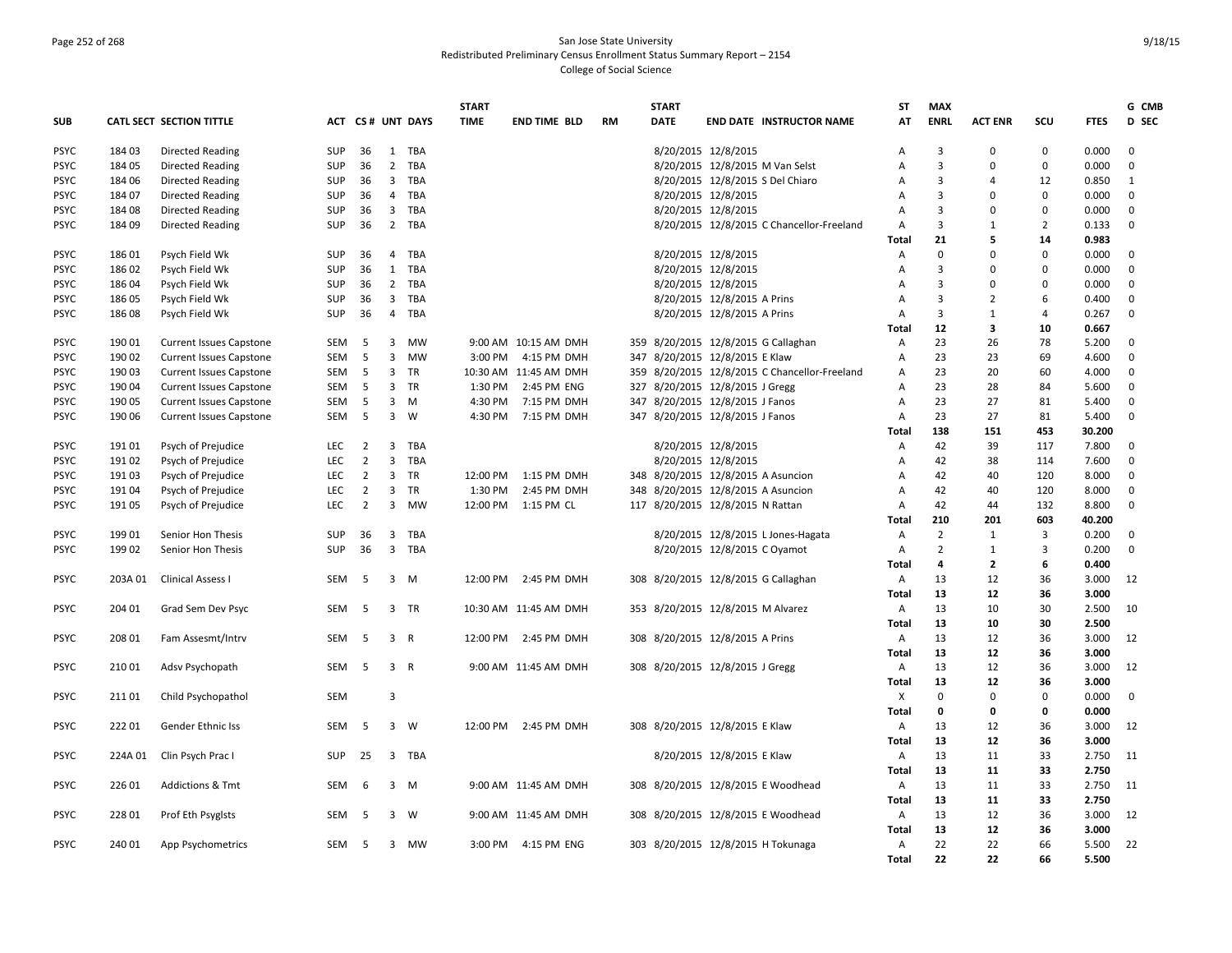# Page 252 of 268 San Jose State University Redistributed Preliminary Census Enrollment Status Summary Report – 2154 College of Social Science

|             |         |                                |            |                |                         |                  | <b>START</b> |                       |           | <b>START</b> |                                           | <b>ST</b>      | <b>MAX</b>              |                |                |             | G CMB        |
|-------------|---------|--------------------------------|------------|----------------|-------------------------|------------------|--------------|-----------------------|-----------|--------------|-------------------------------------------|----------------|-------------------------|----------------|----------------|-------------|--------------|
| <b>SUB</b>  |         | CATL SECT SECTION TITTLE       |            |                |                         | ACT CS# UNT DAYS | <b>TIME</b>  | <b>END TIME BLD</b>   | <b>RM</b> | DATE         | <b>END DATE INSTRUCTOR NAME</b>           | AT             | <b>ENRL</b>             | <b>ACT ENR</b> | scu            | <b>FTES</b> | D SEC        |
| <b>PSYC</b> | 184 03  | <b>Directed Reading</b>        | <b>SUP</b> | 36             |                         | 1 TBA            |              |                       |           |              | 8/20/2015 12/8/2015                       | А              | $\overline{3}$          | $\mathbf 0$    | $\mathbf 0$    | 0.000       | $\mathbf 0$  |
| PSYC        | 18405   | <b>Directed Reading</b>        | <b>SUP</b> | 36             | $\overline{2}$          | TBA              |              |                       |           |              | 8/20/2015 12/8/2015 M Van Selst           | A              | $\overline{3}$          | $\Omega$       | $\mathbf 0$    | 0.000       | $\mathbf 0$  |
| <b>PSYC</b> | 184 06  | <b>Directed Reading</b>        | <b>SUP</b> | 36             | $\overline{\mathbf{3}}$ | TBA              |              |                       |           |              | 8/20/2015 12/8/2015 S Del Chiaro          | Α              | $\overline{\mathbf{3}}$ | 4              | 12             | 0.850       | 1            |
| <b>PSYC</b> | 184 07  | <b>Directed Reading</b>        | <b>SUP</b> | 36             | 4                       | TBA              |              |                       |           |              | 8/20/2015 12/8/2015                       | A              | $\overline{3}$          | C              | $\mathbf 0$    | 0.000       | $\mathbf 0$  |
| <b>PSYC</b> | 18408   | <b>Directed Reading</b>        | <b>SUP</b> | 36             | $\overline{\mathbf{3}}$ | TBA              |              |                       |           |              | 8/20/2015 12/8/2015                       | $\overline{A}$ | $\overline{3}$          | $\Omega$       | $\mathbf 0$    | 0.000       | $\mathbf 0$  |
| <b>PSYC</b> | 184 09  | <b>Directed Reading</b>        | <b>SUP</b> | 36             | $2^{\circ}$             | TBA              |              |                       |           |              | 8/20/2015 12/8/2015 C Chancellor-Freeland | A              | $\overline{3}$          | 1              | $\overline{2}$ | 0.133       | $\mathbf 0$  |
|             |         |                                |            |                |                         |                  |              |                       |           |              |                                           | Total          | 21                      | 5              | 14             | 0.983       |              |
| <b>PSYC</b> | 18601   | Psych Field Wk                 | <b>SUP</b> | 36             | 4                       | TBA              |              |                       |           |              | 8/20/2015 12/8/2015                       | Α              | $\mathbf 0$             | $\Omega$       | $\mathbf 0$    | 0.000       | 0            |
| <b>PSYC</b> | 186 02  | Psych Field Wk                 | <b>SUP</b> | 36             | 1                       | TBA              |              |                       |           |              | 8/20/2015 12/8/2015                       | А              | 3                       | 0              | $\mathbf 0$    | 0.000       | 0            |
| <b>PSYC</b> | 186 04  | Psych Field Wk                 | SUP        | 36             | $\overline{2}$          | TBA              |              |                       |           |              | 8/20/2015 12/8/2015                       | Α              | $\overline{3}$          | $\Omega$       | $\mathbf 0$    | 0.000       | $\mathbf 0$  |
| <b>PSYC</b> | 186 05  | Psych Field Wk                 | SUP        | 36             | $\overline{\mathbf{3}}$ | TBA              |              |                       |           |              | 8/20/2015 12/8/2015 A Prins               | А              | $\overline{3}$          | $\mathfrak{p}$ | 6              | 0.400       | 0            |
| <b>PSYC</b> | 18608   | Psych Field Wk                 | <b>SUP</b> | 36             | 4                       | TBA              |              |                       |           |              | 8/20/2015 12/8/2015 A Prins               | A              | $\overline{3}$          | 1              | $\overline{4}$ | 0.267       | $\mathbf{0}$ |
|             |         |                                |            |                |                         |                  |              |                       |           |              |                                           | Total          | 12                      | 3              | 10             | 0.667       |              |
| <b>PSYC</b> | 190 01  | <b>Current Issues Capstone</b> | SEM        | 5              | 3                       | <b>MW</b>        |              | 9:00 AM 10:15 AM DMH  |           |              | 359 8/20/2015 12/8/2015 G Callaghan       | Α              | 23                      | 26             | 78             | 5.200       | $\mathbf 0$  |
| <b>PSYC</b> | 190 02  | <b>Current Issues Capstone</b> | SEM        | 5              | $\overline{3}$          | <b>MW</b>        | 3:00 PM      | 4:15 PM DMH           |           |              | 347 8/20/2015 12/8/2015 E Klaw            | Α              | 23                      | 23             | 69             | 4.600       | 0            |
| <b>PSYC</b> | 19003   | <b>Current Issues Capstone</b> | <b>SEM</b> | -5             | 3                       | TR               |              | 10:30 AM 11:45 AM DMH | 359       |              | 8/20/2015 12/8/2015 C Chancellor-Freeland | A              | 23                      | 20             | 60             | 4.000       | $\mathbf 0$  |
| <b>PSYC</b> | 190 04  | <b>Current Issues Capstone</b> | SEM        | 5              | 3                       | TR               | 1:30 PM      | 2:45 PM ENG           |           |              | 327 8/20/2015 12/8/2015 J Gregg           | А              | 23                      | 28             | 84             | 5.600       | $\mathbf 0$  |
| <b>PSYC</b> | 190 05  | <b>Current Issues Capstone</b> | SEM        | 5              | 3                       | M                | 4:30 PM      | 7:15 PM DMH           | 347       |              | 8/20/2015 12/8/2015 J Fanos               | Α              | 23                      | 27             | 81             | 5.400       | $\mathbf 0$  |
| <b>PSYC</b> | 19006   | <b>Current Issues Capstone</b> | SEM        | 5              | $\overline{3}$          | W                | 4:30 PM      | 7:15 PM DMH           |           |              | 347 8/20/2015 12/8/2015 J Fanos           | A              | 23                      | 27             | 81             | 5.400       | $\mathbf 0$  |
|             |         |                                |            |                |                         |                  |              |                       |           |              |                                           | Total          | 138                     | 151            | 453            | 30.200      |              |
| <b>PSYC</b> | 19101   | Psych of Prejudice             | LEC        | $\overline{2}$ | 3                       | TBA              |              |                       |           |              | 8/20/2015 12/8/2015                       | Α              | 42                      | 39             | 117            | 7.800       | $\mathbf 0$  |
| <b>PSYC</b> | 19102   | Psych of Prejudice             | LEC        | $\overline{2}$ | $\mathbf{3}$            | TBA              |              |                       |           |              | 8/20/2015 12/8/2015                       | A              | 42                      | 38             | 114            | 7.600       | $\mathbf 0$  |
| <b>PSYC</b> | 19103   | Psych of Prejudice             | <b>LEC</b> | $\overline{2}$ | $\overline{3}$          | TR               | 12:00 PM     | 1:15 PM DMH           |           |              | 348 8/20/2015 12/8/2015 A Asuncion        | A              | 42                      | 40             | 120            | 8.000       | $\mathbf 0$  |
| <b>PSYC</b> | 191 04  | Psych of Prejudice             | LEC        | $\overline{2}$ | 3                       | TR               | 1:30 PM      | 2:45 PM DMH           |           |              | 348 8/20/2015 12/8/2015 A Asuncion        | А              | 42                      | 40             | 120            | 8.000       | 0            |
| <b>PSYC</b> | 191 05  | Psych of Prejudice             | LEC        | $\overline{2}$ | $\mathbf{3}$            | MW               | 12:00 PM     | 1:15 PM CL            |           |              | 117 8/20/2015 12/8/2015 N Rattan          | A              | 42                      | 44             | 132            | 8.800       | $\mathbf 0$  |
|             |         |                                |            |                |                         |                  |              |                       |           |              |                                           | Total          | 210                     | 201            | 603            | 40.200      |              |
| <b>PSYC</b> | 19901   | Senior Hon Thesis              | <b>SUP</b> | 36             | $\overline{3}$          | TBA              |              |                       |           |              | 8/20/2015 12/8/2015 L Jones-Hagata        | Α              | $\overline{2}$          | 1              | 3              | 0.200       | $\mathbf{0}$ |
| <b>PSYC</b> | 199 02  | Senior Hon Thesis              | SUP        | 36             | $\overline{3}$          | TBA              |              |                       |           |              | 8/20/2015 12/8/2015 C Oyamot              | А              | $\overline{2}$          | 1              | 3              | 0.200       | $\mathbf 0$  |
|             |         |                                |            |                |                         |                  |              |                       |           |              |                                           | Total          | 4                       | $\overline{2}$ | 6              | 0.400       |              |
| <b>PSYC</b> | 203A 01 | <b>Clinical Assess I</b>       | <b>SEM</b> | -5             | $\overline{3}$          | M                | 12:00 PM     | 2:45 PM DMH           |           |              | 308 8/20/2015 12/8/2015 G Callaghan       | Α              | 13                      | 12             | 36             | 3.000       | 12           |
|             |         |                                |            |                |                         |                  |              |                       |           |              |                                           | Total          | 13                      | 12             | 36             | 3.000       |              |
| <b>PSYC</b> | 204 01  | Grad Sem Dev Psyc              | SEM        | 5              | 3                       | TR               |              | 10:30 AM 11:45 AM DMH |           |              | 353 8/20/2015 12/8/2015 M Alvarez         | Α              | 13                      | 10             | 30             | 2.500       | 10           |
|             |         |                                |            |                |                         |                  |              |                       |           |              |                                           | Total          | 13                      | 10             | 30             | 2.500       |              |
| <b>PSYC</b> | 208 01  | Fam Assesmt/Intrv              | SEM        | 5              | $\overline{3}$          | $\mathsf{R}$     | 12:00 PM     | 2:45 PM DMH           |           |              | 308 8/20/2015 12/8/2015 A Prins           | A              | 13                      | 12             | 36             | 3.000       | 12           |
|             |         |                                |            |                |                         |                  |              |                       |           |              |                                           | Total          | 13                      | 12             | 36             | 3.000       |              |
| <b>PSYC</b> | 210 01  | Adsv Psychopath                | SEM        | 5              | 3 R                     |                  |              | 9:00 AM 11:45 AM DMH  |           |              | 308 8/20/2015 12/8/2015 J Gregg           | Α              | 13                      | 12             | 36             | 3.000       | 12           |
|             |         |                                |            |                |                         |                  |              |                       |           |              |                                           | <b>Total</b>   | 13                      | 12             | 36             | 3.000       |              |
| <b>PSYC</b> | 21101   | Child Psychopathol             | <b>SEM</b> |                | 3                       |                  |              |                       |           |              |                                           | Х              | $\mathbf 0$             | $\Omega$       | $\mathbf{0}$   | 0.000       | $\mathbf 0$  |
|             |         |                                |            |                |                         |                  |              |                       |           |              |                                           | Total          | $\mathbf 0$             | 0              | 0              | 0.000       |              |
| <b>PSYC</b> | 22201   | Gender Ethnic Iss              | SEM        | 5              | $\overline{3}$          | W                |              | 12:00 PM 2:45 PM DMH  |           |              | 308 8/20/2015 12/8/2015 E Klaw            | А              | 13                      | 12             | 36             | 3.000       | 12           |
|             |         |                                |            |                |                         |                  |              |                       |           |              |                                           | Total          | 13                      | 12             | 36             | 3.000       |              |
| <b>PSYC</b> | 224A 01 | Clin Psych Prac I              | <b>SUP</b> | 25             | 3                       | TBA              |              |                       |           |              | 8/20/2015 12/8/2015 E Klaw                | A              | 13                      | 11             | 33             | 2.750       | 11           |
|             |         |                                |            |                |                         |                  |              |                       |           |              |                                           | Total          | 13                      | 11             | 33             | 2.750       |              |
| <b>PSYC</b> | 226 01  | <b>Addictions &amp; Tmt</b>    | <b>SEM</b> | 6              | $\overline{3}$          | M                |              | 9:00 AM 11:45 AM DMH  |           |              | 308 8/20/2015 12/8/2015 E Woodhead        | Α              | 13                      | 11             | 33             | 2.750       | -11          |
|             |         |                                |            |                |                         |                  |              |                       |           |              |                                           | Total          | 13                      | 11             | 33             | 2.750       |              |
| PSYC        | 228 01  | Prof Eth Psyglsts              | SEM        | -5             | 3                       | W                |              | 9:00 AM 11:45 AM DMH  |           |              | 308 8/20/2015 12/8/2015 E Woodhead        | Α              | 13                      | 12             | 36             | 3.000       | 12           |
|             |         |                                |            |                |                         |                  |              |                       |           |              |                                           | Total          | 13                      | 12             | 36             | 3.000       |              |
| <b>PSYC</b> | 240 01  | App Psychometrics              | SEM        | - 5            |                         | 3 MW             | 3:00 PM      | 4:15 PM ENG           |           |              | 303 8/20/2015 12/8/2015 H Tokunaga        | А              | 22                      | 22             | 66             | 5.500       | 22           |
|             |         |                                |            |                |                         |                  |              |                       |           |              |                                           | Total          | 22                      | 22             | 66             | 5.500       |              |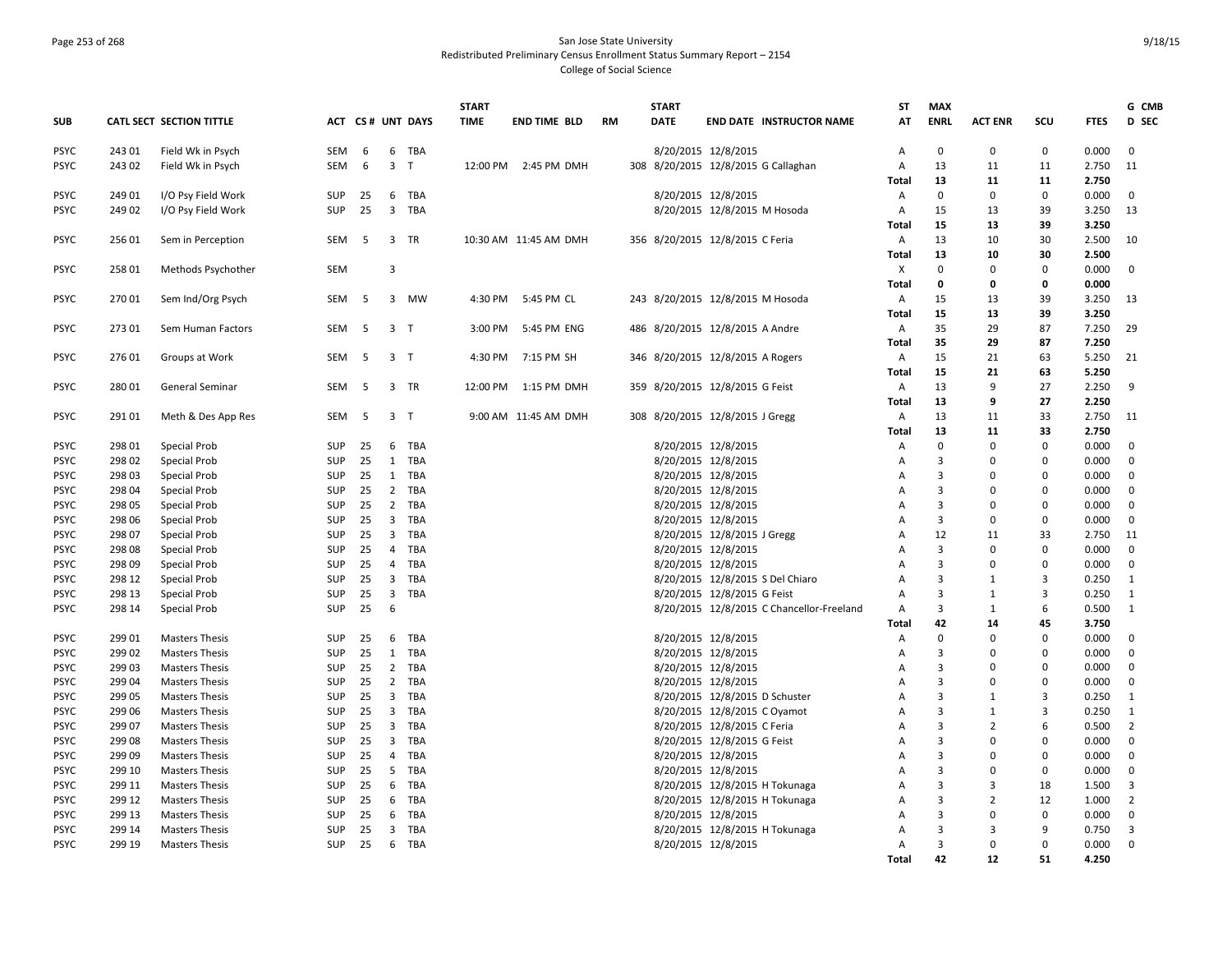### Page 253 of 268 San Jose State University Redistributed Preliminary Census Enrollment Status Summary Report – 2154 College of Social Science

|             |        |                          |            |    |                         |                  | <b>START</b> |                       |           | <b>START</b> |                                           | <b>ST</b>      | <b>MAX</b>     |                |                |             | G CMB          |
|-------------|--------|--------------------------|------------|----|-------------------------|------------------|--------------|-----------------------|-----------|--------------|-------------------------------------------|----------------|----------------|----------------|----------------|-------------|----------------|
| <b>SUB</b>  |        | CATL SECT SECTION TITTLE |            |    |                         | ACT CS# UNT DAYS | <b>TIME</b>  | <b>END TIME BLD</b>   | <b>RM</b> | <b>DATE</b>  | <b>END DATE INSTRUCTOR NAME</b>           | AT             | <b>ENRL</b>    | <b>ACT ENR</b> | scu            | <b>FTES</b> | <b>D</b> SEC   |
| <b>PSYC</b> | 243 01 | Field Wk in Psych        | SEM        | 6  | 6                       | TBA              |              |                       |           |              | 8/20/2015 12/8/2015                       | A              | $\mathbf 0$    | $\mathbf 0$    | $\mathbf 0$    | 0.000       | $\mathbf{0}$   |
| <b>PSYC</b> | 24302  | Field Wk in Psych        | <b>SEM</b> | 6  | $\mathbf{3}$            | $\mathsf{T}$     | 12:00 PM     | 2:45 PM DMH           |           |              | 308 8/20/2015 12/8/2015 G Callaghan       | Α              | 13             | 11             | 11             | 2.750       | 11             |
|             |        |                          |            |    |                         |                  |              |                       |           |              |                                           | Total          | 13             | 11             | 11             | 2.750       |                |
| <b>PSYC</b> | 249 01 | I/O Psy Field Work       | SUP        | 25 |                         | 6 TBA            |              |                       |           |              | 8/20/2015 12/8/2015                       | Α              | $\mathbf 0$    | $\mathbf 0$    | $\mathbf 0$    | 0.000       | $\mathbf{0}$   |
| <b>PSYC</b> | 249 02 | I/O Psy Field Work       | SUP        | 25 | $\overline{\mathbf{3}}$ | TBA              |              |                       |           |              | 8/20/2015 12/8/2015 M Hosoda              | Α              | 15             | 13             | 39             | 3.250       | 13             |
|             |        |                          |            |    |                         |                  |              |                       |           |              |                                           | Total          | 15             | 13             | 39             | 3.250       |                |
| <b>PSYC</b> | 256 01 | Sem in Perception        | SEM        | -5 | $\overline{3}$          | TR               |              | 10:30 AM 11:45 AM DMH |           |              | 356 8/20/2015 12/8/2015 C Feria           | Α              | 13             | 10             | 30             | 2.500       | 10             |
|             |        |                          |            |    |                         |                  |              |                       |           |              |                                           | Total          | 13             | 10             | 30             | 2.500       |                |
| <b>PSYC</b> | 258 01 | Methods Psychother       | SEM        |    | 3                       |                  |              |                       |           |              |                                           | X              | $\mathbf 0$    | $\Omega$       | 0              | 0.000       | $\mathbf 0$    |
|             |        |                          |            |    |                         |                  |              |                       |           |              |                                           | <b>Total</b>   | 0              | 0              | 0              | 0.000       |                |
| <b>PSYC</b> | 27001  | Sem Ind/Org Psych        | SEM        | -5 |                         | 3 MW             | 4:30 PM      | 5:45 PM CL            |           |              | 243 8/20/2015 12/8/2015 M Hosoda          | Α              | 15             | 13             | 39             | 3.250       | 13             |
|             |        |                          |            |    |                         |                  |              |                       |           |              |                                           | Total          | 15             | 13             | 39             | 3.250       |                |
| <b>PSYC</b> | 273 01 | Sem Human Factors        | SEM        | 5  | 3 <sub>7</sub>          |                  | 3:00 PM      | 5:45 PM ENG           |           |              | 486 8/20/2015 12/8/2015 A Andre           | Α              | 35             | 29             | 87             | 7.250       | 29             |
|             |        |                          |            |    |                         |                  |              |                       |           |              |                                           | <b>Total</b>   | 35             | 29             | 87             | 7.250       |                |
| <b>PSYC</b> | 276 01 | Groups at Work           | <b>SEM</b> | 5  | 3 T                     |                  | 4:30 PM      | 7:15 PM SH            |           |              | 346 8/20/2015 12/8/2015 A Rogers          | Α              | 15             | 21             | 63             | 5.250       | 21             |
|             |        |                          |            |    |                         |                  |              |                       |           |              |                                           | <b>Total</b>   | 15             | 21             | 63             | 5.250       |                |
| <b>PSYC</b> | 28001  | General Seminar          | SEM        | 5  |                         | 3 TR             | 12:00 PM     | 1:15 PM DMH           |           |              | 359 8/20/2015 12/8/2015 G Feist           | Α              | 13             | 9              | 27             | 2.250       | 9              |
|             |        |                          |            |    |                         |                  |              |                       |           |              |                                           | <b>Total</b>   | 13             | q              | 27             | 2.250       |                |
| <b>PSYC</b> | 291 01 | Meth & Des App Res       | SEM        | 5  | 3 T                     |                  |              | 9:00 AM 11:45 AM DMH  |           |              | 308 8/20/2015 12/8/2015 J Gregg           | Α              | 13             | 11             | 33             | 2.750       | 11             |
|             |        |                          |            |    |                         |                  |              |                       |           |              |                                           | <b>Total</b>   | 13             | 11             | 33             | 2.750       |                |
| <b>PSYC</b> | 298 01 | Special Prob             | SUP        | 25 | 6                       | TBA              |              |                       |           |              | 8/20/2015 12/8/2015                       | Α              | $\Omega$       | $\Omega$       | $\mathbf 0$    | 0.000       | $\mathbf 0$    |
| <b>PSYC</b> | 298 02 | Special Prob             | SUP        | 25 | 1                       | TBA              |              |                       |           |              | 8/20/2015 12/8/2015                       | Α              | $\overline{3}$ | $\Omega$       | 0              | 0.000       | $\mathbf 0$    |
| <b>PSYC</b> | 298 03 | Special Prob             | <b>SUP</b> | 25 | 1                       | TBA              |              |                       |           |              | 8/20/2015 12/8/2015                       | Α              | $\overline{3}$ | 0              | 0              | 0.000       | $\mathbf 0$    |
| <b>PSYC</b> | 298 04 | Special Prob             | SUP        | 25 | $\overline{2}$          | TBA              |              |                       |           |              | 8/20/2015 12/8/2015                       | A              | $\overline{3}$ | 0              | $\mathbf 0$    | 0.000       | $\mathbf 0$    |
| <b>PSYC</b> | 298 05 | Special Prob             | SUP        | 25 | $\overline{2}$          | TBA              |              |                       |           |              | 8/20/2015 12/8/2015                       | A              | $\overline{3}$ | $\Omega$       | $\mathbf 0$    | 0.000       | $\mathbf{0}$   |
| <b>PSYC</b> | 298 06 | Special Prob             | SUP        | 25 | 3 <sup>7</sup>          | TBA              |              |                       |           |              | 8/20/2015 12/8/2015                       | Α              | $\overline{3}$ | $\Omega$       | $\mathbf 0$    | 0.000       | $\mathbf 0$    |
| <b>PSYC</b> | 298 07 | Special Prob             | <b>SUP</b> | 25 | $\overline{\mathbf{3}}$ | TBA              |              |                       |           |              | 8/20/2015 12/8/2015 J Gregg               | Α              | 12             | 11             | 33             | 2.750       | 11             |
| <b>PSYC</b> | 298 08 | Special Prob             | <b>SUP</b> | 25 | 4                       | TBA              |              |                       |           |              | 8/20/2015 12/8/2015                       | A              | $\overline{3}$ | $\Omega$       | $\mathbf{0}$   | 0.000       | $\mathbf 0$    |
| <b>PSYC</b> | 298 09 | Special Prob             | SUP        | 25 | $\overline{4}$          | TBA              |              |                       |           |              | 8/20/2015 12/8/2015                       | $\overline{A}$ | $\overline{3}$ | $\Omega$       | $\mathbf 0$    | 0.000       | $\mathbf{0}$   |
| <b>PSYC</b> | 298 12 | Special Prob             | SUP        | 25 | $\overline{3}$          | TBA              |              |                       |           |              | 8/20/2015 12/8/2015 S Del Chiaro          | Α              | $\overline{3}$ | -1             | $\mathbf{3}$   | 0.250       | $\mathbf{1}$   |
| <b>PSYC</b> | 298 13 | Special Prob             | <b>SUP</b> | 25 | $\overline{3}$          | TBA              |              |                       |           |              | 8/20/2015 12/8/2015 G Feist               | Α              | $\overline{3}$ | 1              | 3              | 0.250       | 1              |
| <b>PSYC</b> | 298 14 | Special Prob             | <b>SUP</b> | 25 | 6                       |                  |              |                       |           |              | 8/20/2015 12/8/2015 C Chancellor-Freeland | A              | $\overline{3}$ | 1              | 6              | 0.500       | 1              |
|             |        |                          |            |    |                         |                  |              |                       |           |              |                                           | Total          | 42             | 14             | 45             | 3.750       |                |
| <b>PSYC</b> | 299 01 | <b>Masters Thesis</b>    | SUP        | 25 | 6                       | TBA              |              |                       |           |              | 8/20/2015 12/8/2015                       | А              | $\mathbf 0$    | $\Omega$       | $\mathbf 0$    | 0.000       | $\mathbf 0$    |
| <b>PSYC</b> | 299 02 | <b>Masters Thesis</b>    | <b>SUP</b> | 25 | 1                       | TBA              |              |                       |           |              | 8/20/2015 12/8/2015                       | Α              | $\overline{3}$ | 0              | 0              | 0.000       | $\mathbf 0$    |
| <b>PSYC</b> | 299 03 | <b>Masters Thesis</b>    | <b>SUP</b> | 25 |                         | 2 TBA            |              |                       |           |              | 8/20/2015 12/8/2015                       | A              | $\overline{3}$ | $\Omega$       | $\mathbf 0$    | 0.000       | $\mathbf 0$    |
| <b>PSYC</b> | 299 04 | <b>Masters Thesis</b>    | <b>SUP</b> | 25 | $\overline{2}$          | TBA              |              |                       |           |              | 8/20/2015 12/8/2015                       | A              | $\overline{3}$ | $\Omega$       | $\mathbf 0$    | 0.000       | $\mathbf{0}$   |
| <b>PSYC</b> | 299 05 | <b>Masters Thesis</b>    | SUP        | 25 | $\overline{\mathbf{3}}$ | TBA              |              |                       |           |              | 8/20/2015 12/8/2015 D Schuster            | Α              | $\overline{3}$ | 1              | 3              | 0.250       | $\mathbf{1}$   |
| <b>PSYC</b> | 299 06 | <b>Masters Thesis</b>    | <b>SUP</b> | 25 | $\overline{3}$          | TBA              |              |                       |           |              | 8/20/2015 12/8/2015 C Oyamot              | Α              | $\overline{3}$ | 1              | $\overline{3}$ | 0.250       | 1              |
| <b>PSYC</b> | 299 07 | <b>Masters Thesis</b>    | <b>SUP</b> | 25 | $\overline{3}$          | TBA              |              |                       |           |              | 8/20/2015 12/8/2015 C Feria               | A              | 3              | $\overline{2}$ | 6              | 0.500       | $\overline{2}$ |
| <b>PSYC</b> | 299 08 | <b>Masters Thesis</b>    | <b>SUP</b> | 25 | $\overline{3}$          | TBA              |              |                       |           |              | 8/20/2015 12/8/2015 G Feist               | A              | $\overline{3}$ | $\Omega$       | $\Omega$       | 0.000       | $\mathbf{0}$   |
| <b>PSYC</b> | 299 09 | <b>Masters Thesis</b>    | SUP        | 25 | 4                       | TBA              |              |                       |           |              | 8/20/2015 12/8/2015                       | Α              | $\overline{3}$ | 0              | 0              | 0.000       | $\mathbf 0$    |
| <b>PSYC</b> | 299 10 | <b>Masters Thesis</b>    | <b>SUP</b> | 25 | 5                       | TBA              |              |                       |           |              | 8/20/2015 12/8/2015                       | Α              | $\overline{3}$ | $\Omega$       | 0              | 0.000       | 0              |
| <b>PSYC</b> | 299 11 | <b>Masters Thesis</b>    | <b>SUP</b> | 25 | 6                       | TBA              |              |                       |           |              | 8/20/2015 12/8/2015 H Tokunaga            | Α              | $\overline{3}$ | 3              | 18             | 1.500       | 3              |
| <b>PSYC</b> | 299 12 | <b>Masters Thesis</b>    | SUP        | 25 | 6                       | TBA              |              |                       |           |              | 8/20/2015 12/8/2015 H Tokunaga            | A              | $\overline{3}$ | $\overline{2}$ | 12             | 1.000       | $\overline{2}$ |
| <b>PSYC</b> | 299 13 | <b>Masters Thesis</b>    | SUP        | 25 | 6                       | TBA              |              |                       |           |              | 8/20/2015 12/8/2015                       | Α              | 3              | $\Omega$       | $\mathbf 0$    | 0.000       | $\mathbf 0$    |
| <b>PSYC</b> | 299 14 | <b>Masters Thesis</b>    | <b>SUP</b> | 25 | 3                       | TBA              |              |                       |           |              | 8/20/2015 12/8/2015 H Tokunaga            | Α              | 3              | 3              | 9              | 0.750       | 3              |
| <b>PSYC</b> | 299 19 | <b>Masters Thesis</b>    | <b>SUP</b> | 25 | 6                       | TBA              |              |                       |           |              | 8/20/2015 12/8/2015                       | A              | 3              | $\Omega$       | $\mathbf 0$    | 0.000       | $\mathbf{0}$   |
|             |        |                          |            |    |                         |                  |              |                       |           |              |                                           | Total          | 42             | 12             | 51             | 4.250       |                |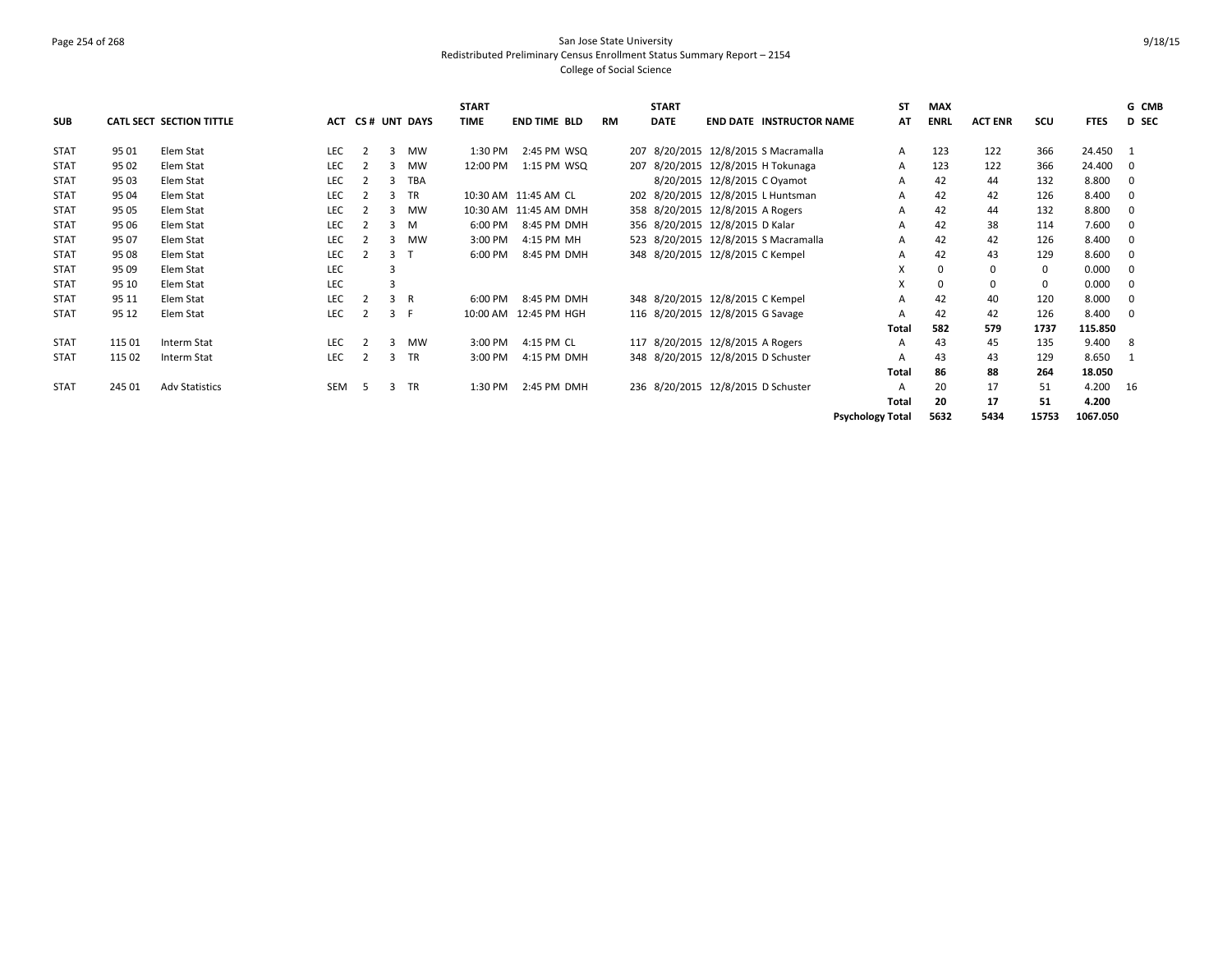### Page 254 of 268 San Jose State University Redistributed Preliminary Census Enrollment Status Summary Report – 2154 College of Social Science

|             |        |                                 |            |                |   |              | <b>START</b> |                       |           |     | <b>START</b> |                                      | <b>ST</b>               | <b>MAX</b>  |                |       |             | G CMB       |
|-------------|--------|---------------------------------|------------|----------------|---|--------------|--------------|-----------------------|-----------|-----|--------------|--------------------------------------|-------------------------|-------------|----------------|-------|-------------|-------------|
| <b>SUB</b>  |        | <b>CATL SECT SECTION TITTLE</b> | ACT        |                |   | CS# UNT DAYS | <b>TIME</b>  | <b>END TIME BLD</b>   | <b>RM</b> |     | <b>DATE</b>  | <b>END DATE INSTRUCTOR NAME</b>      | AT                      | <b>ENRL</b> | <b>ACT ENR</b> | scu   | <b>FTES</b> | D SEC       |
| <b>STAT</b> | 95 01  | Elem Stat                       | <b>LEC</b> | $\overline{2}$ | 3 | <b>MW</b>    | 1:30 PM      | 2:45 PM WSQ           |           | 207 |              | 8/20/2015 12/8/2015 S Macramalla     | A                       | 123         | 122            | 366   | 24.450      | - 1         |
| <b>STAT</b> | 95 02  | Elem Stat                       | <b>LEC</b> |                | 3 | <b>MW</b>    | 12:00 PM     | 1:15 PM WSQ           |           | 207 |              | 8/20/2015 12/8/2015 H Tokunaga       | A                       | 123         | 122            | 366   | 24.400      | $\mathbf 0$ |
| <b>STAT</b> | 95 03  | Elem Stat                       | <b>LEC</b> |                | 3 | <b>TBA</b>   |              |                       |           |     |              | 8/20/2015 12/8/2015 C Oyamot         | А                       | 42          | 44             | 132   | 8.800       | $\mathbf 0$ |
| <b>STAT</b> | 95 04  | Elem Stat                       | <b>LEC</b> |                | з | TR           |              | 10:30 AM 11:45 AM CL  |           |     |              | 202 8/20/2015 12/8/2015 L Huntsman   | A                       | 42          | 42             | 126   | 8.400       | $\mathbf 0$ |
| <b>STAT</b> | 95 05  | Elem Stat                       | <b>LEC</b> |                | 3 | <b>MW</b>    |              | 10:30 AM 11:45 AM DMH |           |     |              | 358 8/20/2015 12/8/2015 A Rogers     | A                       | 42          | 44             | 132   | 8.800       | $\mathbf 0$ |
| <b>STAT</b> | 95 06  | Elem Stat                       | LEC        |                | 3 | M            | 6:00 PM      | 8:45 PM DMH           |           |     |              | 356 8/20/2015 12/8/2015 D Kalar      | A                       | 42          | 38             | 114   | 7.600       | $\mathbf 0$ |
| <b>STAT</b> | 95 07  | Elem Stat                       | LEC        |                |   | <b>MW</b>    | 3:00 PM      | 4:15 PM MH            |           |     |              | 523 8/20/2015 12/8/2015 S Macramalla | A                       | 42          | 42             | 126   | 8.400       | $\mathbf 0$ |
| <b>STAT</b> | 95 08  | Elem Stat                       | <b>LEC</b> |                | 3 |              | 6:00 PM      | 8:45 PM DMH           |           |     |              | 348 8/20/2015 12/8/2015 C Kempel     | A                       | 42          | 43             | 129   | 8.600       | $\mathbf 0$ |
| <b>STAT</b> | 95 09  | Elem Stat                       | <b>LEC</b> |                | 3 |              |              |                       |           |     |              |                                      | X                       | $\Omega$    | 0              | 0     | 0.000       | $\mathbf 0$ |
| <b>STAT</b> | 95 10  | Elem Stat                       | <b>LEC</b> |                | 3 |              |              |                       |           |     |              |                                      | X                       |             | 0              | 0     | 0.000       | 0           |
| <b>STAT</b> | 95 11  | Elem Stat                       | <b>LEC</b> | $\overline{2}$ | 3 | R            | 6:00 PM      | 8:45 PM DMH           |           |     |              | 348 8/20/2015 12/8/2015 C Kempel     | A                       | 42          | 40             | 120   | 8.000       | $\mathbf 0$ |
| <b>STAT</b> | 95 12  | Elem Stat                       | LEC        |                | 3 | - F          | 10:00 AM     | 12:45 PM HGH          |           |     |              | 116 8/20/2015 12/8/2015 G Savage     | A                       | 42          | 42             | 126   | 8.400       | $\mathbf 0$ |
|             |        |                                 |            |                |   |              |              |                       |           |     |              |                                      | Total                   | 582         | 579            | 1737  | 115.850     |             |
| <b>STAT</b> | 115 01 | Interm Stat                     | <b>LEC</b> |                | 3 | <b>MW</b>    | 3:00 PM      | 4:15 PM CL            |           |     |              | 117 8/20/2015 12/8/2015 A Rogers     | A                       | 43          | 45             | 135   | 9.400       | 8           |
| <b>STAT</b> | 115 02 | Interm Stat                     | LEC        |                | 3 | TR           | 3:00 PM      | 4:15 PM DMH           |           |     |              | 348 8/20/2015 12/8/2015 D Schuster   | A                       | 43          | 43             | 129   | 8.650       | - 1         |
|             |        |                                 |            |                |   |              |              |                       |           |     |              |                                      | Total                   | 86          | 88             | 264   | 18.050      |             |
| <b>STAT</b> | 245 01 | <b>Adv Statistics</b>           | <b>SEM</b> | -5             | 3 | <b>TR</b>    | 1:30 PM      | 2:45 PM DMH           |           |     |              | 236 8/20/2015 12/8/2015 D Schuster   | A                       | 20          | 17             | 51    | 4.200       | - 16        |
|             |        |                                 |            |                |   |              |              |                       |           |     |              |                                      | Total                   | 20          | 17             | 51    | 4.200       |             |
|             |        |                                 |            |                |   |              |              |                       |           |     |              |                                      | <b>Psychology Total</b> | 5632        | 5434           | 15753 | 1067.050    |             |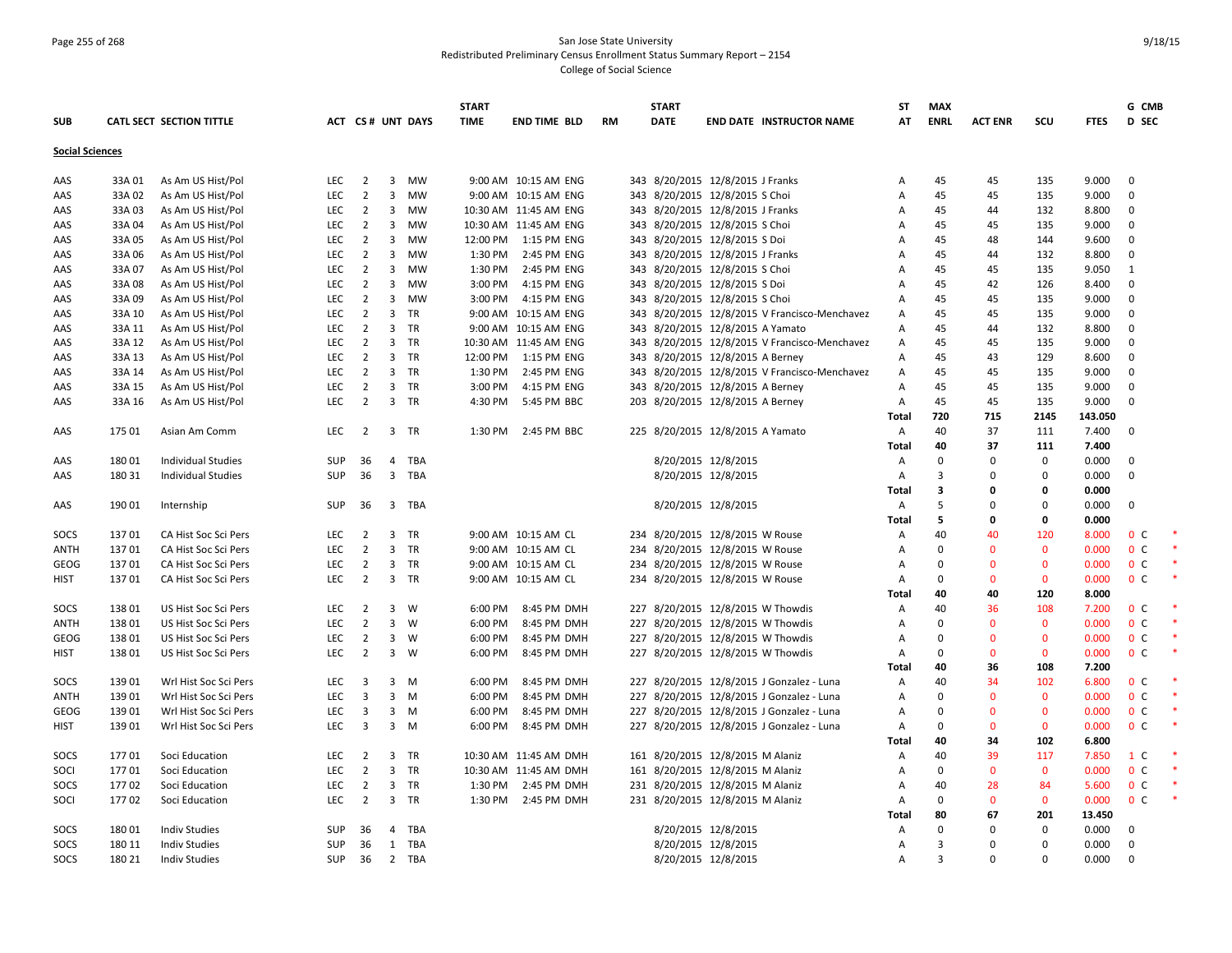# Page 255 of 268 San Jose State University Redistributed Preliminary Census Enrollment Status Summary Report – 2154 College of Social Science

|                        |        |                           |            |                         |                         |                         | <b>START</b> |                       |           | <b>START</b>                      |                     |                                               | <b>ST</b>    | <b>MAX</b>              |                |              |             | G CMB          |  |
|------------------------|--------|---------------------------|------------|-------------------------|-------------------------|-------------------------|--------------|-----------------------|-----------|-----------------------------------|---------------------|-----------------------------------------------|--------------|-------------------------|----------------|--------------|-------------|----------------|--|
| <b>SUB</b>             |        | CATL SECT SECTION TITTLE  |            |                         |                         | <b>ACT CS# UNT DAYS</b> | <b>TIME</b>  | <b>END TIME BLD</b>   | <b>RM</b> | <b>DATE</b>                       |                     | <b>END DATE INSTRUCTOR NAME</b>               | AT           | <b>ENRL</b>             | <b>ACT ENR</b> | scu          | <b>FTES</b> | <b>D</b> SEC   |  |
| <b>Social Sciences</b> |        |                           |            |                         |                         |                         |              |                       |           |                                   |                     |                                               |              |                         |                |              |             |                |  |
| AAS                    | 33A 01 | As Am US Hist/Pol         | <b>LEC</b> | $\overline{2}$          | $\overline{3}$          | <b>MW</b>               |              | 9:00 AM 10:15 AM ENG  |           | 343 8/20/2015 12/8/2015 J Franks  |                     |                                               | Α            | 45                      | 45             | 135          | 9.000       | $\overline{0}$ |  |
| AAS                    | 33A 02 | As Am US Hist/Pol         | <b>LEC</b> | 2                       | $\overline{3}$          | <b>MW</b>               |              | 9:00 AM 10:15 AM ENG  |           | 343 8/20/2015 12/8/2015 S Choi    |                     |                                               | Α            | 45                      | 45             | 135          | 9.000       | $\mathbf 0$    |  |
| AAS                    | 33A 03 | As Am US Hist/Pol         | LEC        | $\overline{2}$          | $\overline{3}$          | MW                      |              | 10:30 AM 11:45 AM ENG |           | 343 8/20/2015 12/8/2015 J Franks  |                     |                                               | A            | 45                      | 44             | 132          | 8.800       | $\mathbf 0$    |  |
| AAS                    | 33A 04 | As Am US Hist/Pol         | <b>LEC</b> | $\overline{2}$          | $\overline{3}$          | <b>MW</b>               |              | 10:30 AM 11:45 AM ENG |           | 343 8/20/2015 12/8/2015 S Choi    |                     |                                               | Α            | 45                      | 45             | 135          | 9.000       | $\mathbf 0$    |  |
| AAS                    | 33A 05 | As Am US Hist/Pol         | <b>LEC</b> | $\overline{2}$          | 3                       | <b>MW</b>               | 12:00 PM     | 1:15 PM ENG           |           | 343 8/20/2015 12/8/2015 S Doi     |                     |                                               | A            | 45                      | 48             | 144          | 9.600       | $\mathbf 0$    |  |
| AAS                    | 33A 06 | As Am US Hist/Pol         | LEC        | $\overline{2}$          | $\overline{\mathbf{3}}$ | <b>MW</b>               | 1:30 PM      | 2:45 PM ENG           |           | 343 8/20/2015 12/8/2015 J Franks  |                     |                                               | Α            | 45                      | 44             | 132          | 8.800       | $\mathbf 0$    |  |
| AAS                    | 33A 07 | As Am US Hist/Pol         | <b>LEC</b> | $\overline{2}$          | $\overline{3}$          | MW                      | 1:30 PM      | 2:45 PM ENG           |           | 343 8/20/2015 12/8/2015 S Choi    |                     |                                               | А            | 45                      | 45             | 135          | 9.050       | 1              |  |
| AAS                    | 33A 08 | As Am US Hist/Pol         | LEC        | 2                       | $\overline{\mathbf{3}}$ | <b>MW</b>               | 3:00 PM      | 4:15 PM ENG           |           | 343 8/20/2015 12/8/2015 S Doi     |                     |                                               | Α            | 45                      | 42             | 126          | 8.400       | $\mathbf{0}$   |  |
| AAS                    | 33A 09 | As Am US Hist/Pol         | <b>LEC</b> | $\overline{2}$          | $\overline{3}$          | <b>MW</b>               | 3:00 PM      | 4:15 PM ENG           |           | 343 8/20/2015 12/8/2015 S Choi    |                     |                                               | Α            | 45                      | 45             | 135          | 9.000       | $\mathbf{0}$   |  |
| AAS                    | 33A 10 | As Am US Hist/Pol         | <b>LEC</b> | $\overline{2}$          | $\overline{3}$          | TR                      |              | 9:00 AM 10:15 AM ENG  |           |                                   |                     | 343 8/20/2015 12/8/2015 V Francisco-Menchavez | Α            | 45                      | 45             | 135          | 9.000       | $\mathbf 0$    |  |
| AAS                    | 33A 11 | As Am US Hist/Pol         | LEC        | $\overline{2}$          |                         | 3 TR                    |              | 9:00 AM 10:15 AM ENG  |           | 343 8/20/2015 12/8/2015 A Yamato  |                     |                                               | Α            | 45                      | 44             | 132          | 8.800       | $\mathbf 0$    |  |
| AAS                    | 33A 12 | As Am US Hist/Pol         | <b>LEC</b> | $\overline{2}$          | $\overline{3}$          | <b>TR</b>               |              | 10:30 AM 11:45 AM ENG |           |                                   |                     | 343 8/20/2015 12/8/2015 V Francisco-Menchavez | Α            | 45                      | 45             | 135          | 9.000       | $\mathbf 0$    |  |
| AAS                    | 33A 13 | As Am US Hist/Pol         | LEC        | $\overline{2}$          |                         | 3 TR                    | 12:00 PM     | 1:15 PM ENG           |           | 343 8/20/2015 12/8/2015 A Berney  |                     |                                               | Α            | 45                      | 43             | 129          | 8.600       | $\mathbf 0$    |  |
| AAS                    | 33A 14 | As Am US Hist/Pol         | <b>LEC</b> | $\overline{2}$          |                         | 3 TR                    | 1:30 PM      | 2:45 PM ENG           |           |                                   |                     | 343 8/20/2015 12/8/2015 V Francisco-Menchavez | Α            | 45                      | 45             | 135          | 9.000       | 0              |  |
| AAS                    | 33A 15 | As Am US Hist/Pol         | LEC        | $\overline{2}$          |                         | 3 TR                    | 3:00 PM      | 4:15 PM ENG           |           | 343 8/20/2015 12/8/2015 A Berney  |                     |                                               | Α            | 45                      | 45             | 135          | 9.000       | $\mathbf{0}$   |  |
| AAS                    | 33A 16 | As Am US Hist/Pol         | <b>LEC</b> | $\overline{2}$          |                         | 3 TR                    | 4:30 PM      | 5:45 PM BBC           |           | 203 8/20/2015 12/8/2015 A Berney  |                     |                                               | Α            | 45                      | 45             | 135          | 9.000       | $\Omega$       |  |
|                        |        |                           |            |                         |                         |                         |              |                       |           |                                   |                     |                                               | Total        | 720                     | 715            | 2145         | 143.050     |                |  |
| AAS                    | 175 01 | Asian Am Comm             | <b>LEC</b> | $\overline{2}$          |                         | 3 TR                    | 1:30 PM      | 2:45 PM BBC           |           | 225 8/20/2015 12/8/2015 A Yamato  |                     |                                               | Α            | 40                      | 37             | 111          | 7.400       | $\overline{0}$ |  |
|                        |        |                           |            |                         |                         |                         |              |                       |           |                                   |                     |                                               | Total        | 40                      | 37             | 111          | 7.400       |                |  |
| AAS                    | 18001  | <b>Individual Studies</b> | SUP        | 36                      |                         | 4 TBA                   |              |                       |           |                                   | 8/20/2015 12/8/2015 |                                               | Α            | $\Omega$                | $\Omega$       | 0            | 0.000       | $\Omega$       |  |
| AAS                    | 18031  | <b>Individual Studies</b> | <b>SUP</b> | 36                      |                         | 3 TBA                   |              |                       |           |                                   | 8/20/2015 12/8/2015 |                                               | Α            | $\overline{3}$          | $\Omega$       | $\mathbf 0$  | 0.000       | $\mathbf 0$    |  |
|                        |        |                           |            |                         |                         |                         |              |                       |           |                                   |                     |                                               | Total        | $\overline{\mathbf{3}}$ | 0              | 0            | 0.000       |                |  |
| AAS                    | 190 01 | Internship                | SUP        | 36                      |                         | 3 TBA                   |              |                       |           |                                   | 8/20/2015 12/8/2015 |                                               | Α            | 5                       | $\Omega$       | $\mathbf 0$  | 0.000       | $\mathbf 0$    |  |
|                        |        |                           |            |                         |                         |                         |              |                       |           |                                   |                     |                                               | <b>Total</b> | 5                       | 0              | 0            | 0.000       |                |  |
| SOCS                   | 13701  | CA Hist Soc Sci Pers      | <b>LEC</b> | $\overline{2}$          |                         | 3 TR                    |              | 9:00 AM 10:15 AM CL   |           | 234 8/20/2015 12/8/2015 W Rouse   |                     |                                               | Α            | 40                      | 40             | 120          | 8.000       | 0 <sup>c</sup> |  |
| <b>ANTH</b>            | 13701  | CA Hist Soc Sci Pers      | <b>LEC</b> | $\overline{2}$          |                         | 3 TR                    |              | 9:00 AM 10:15 AM CL   |           | 234 8/20/2015 12/8/2015 W Rouse   |                     |                                               | Α            | $\Omega$                | $\mathbf{0}$   | $\mathbf{0}$ | 0.000       | 0 <sup>C</sup> |  |
| GEOG                   | 13701  | CA Hist Soc Sci Pers      | LEC        | $\overline{2}$          |                         | 3 TR                    |              | 9:00 AM 10:15 AM CL   |           | 234 8/20/2015 12/8/2015 W Rouse   |                     |                                               | Α            | $\Omega$                | $\mathbf{0}$   | $\mathbf{0}$ | 0.000       | 0 <sup>c</sup> |  |
| HIST                   | 13701  | CA Hist Soc Sci Pers      | <b>LEC</b> | $\overline{2}$          |                         | 3 TR                    |              | 9:00 AM 10:15 AM CL   |           | 234 8/20/2015 12/8/2015 W Rouse   |                     |                                               | Α            | $\Omega$                | $\mathbf{0}$   | $\mathbf 0$  | 0.000       | 0 <sup>c</sup> |  |
|                        |        |                           |            |                         |                         |                         |              |                       |           |                                   |                     |                                               | Total        | 40                      | 40             | 120          | 8.000       |                |  |
| SOCS                   | 13801  | US Hist Soc Sci Pers      | <b>LEC</b> | $\overline{2}$          | $\overline{3}$          | W                       | 6:00 PM      | 8:45 PM DMH           |           | 227 8/20/2015 12/8/2015 W Thowdis |                     |                                               | Α            | 40                      | 36             | 108          | 7.200       | 0 <sup>o</sup> |  |
| <b>ANTH</b>            | 13801  | US Hist Soc Sci Pers      | LEC        | $\overline{2}$          | 3 <sup>1</sup>          | W                       | 6:00 PM      | 8:45 PM DMH           |           | 227 8/20/2015 12/8/2015 W Thowdis |                     |                                               | Α            | $\mathbf 0$             | $\mathbf 0$    | $\mathbf 0$  | 0.000       | 0 <sup>C</sup> |  |
| GEOG                   | 13801  | US Hist Soc Sci Pers      | <b>LEC</b> | $\overline{2}$          | $\overline{\mathbf{3}}$ | W                       | 6:00 PM      | 8:45 PM DMH           |           | 227 8/20/2015 12/8/2015 W Thowdis |                     |                                               | Α            | $\Omega$                | $\mathbf{0}$   | $\mathbf 0$  | 0.000       | 0 <sup>C</sup> |  |
| <b>HIST</b>            | 13801  | US Hist Soc Sci Pers      | <b>LEC</b> | $\overline{2}$          | $\overline{3}$          | W                       | 6:00 PM      | 8:45 PM DMH           |           | 227 8/20/2015 12/8/2015 W Thowdis |                     |                                               | Α            | $\Omega$                | $\mathbf{0}$   | $\mathbf{0}$ | 0.000       | 0 <sup>o</sup> |  |
|                        |        |                           |            |                         |                         |                         |              |                       |           |                                   |                     |                                               | Total        | 40                      | 36             | 108          | 7.200       |                |  |
| SOCS                   | 13901  | Wrl Hist Soc Sci Pers     | <b>LEC</b> | $\overline{\mathbf{3}}$ | $\overline{3}$          | M                       | 6:00 PM      | 8:45 PM DMH           |           |                                   |                     | 227 8/20/2015 12/8/2015 J Gonzalez - Luna     | A            | 40                      | 34             | 102          | 6.800       | 0 <sup>C</sup> |  |
| <b>ANTH</b>            | 13901  | Wrl Hist Soc Sci Pers     | <b>LEC</b> | 3                       | $\overline{3}$          | M                       | 6:00 PM      | 8:45 PM DMH           |           |                                   |                     | 227 8/20/2015 12/8/2015 J Gonzalez - Luna     | Α            | $\Omega$                | $\mathbf{0}$   | $\mathbf 0$  | 0.000       | 0 <sup>C</sup> |  |
| <b>GEOG</b>            | 13901  | Wrl Hist Soc Sci Pers     | <b>LEC</b> | $\overline{\mathbf{3}}$ | $\overline{3}$          | M                       | 6:00 PM      | 8:45 PM DMH           |           |                                   |                     | 227 8/20/2015 12/8/2015 J Gonzalez - Luna     | A            | $\Omega$                | $\mathbf{0}$   | $\mathbf{0}$ | 0.000       | 0 <sup>o</sup> |  |
| <b>HIST</b>            | 13901  | Wrl Hist Soc Sci Pers     | LEC        | $\overline{\mathbf{3}}$ |                         | $3 \quad M$             | 6:00 PM      | 8:45 PM DMH           |           |                                   |                     | 227 8/20/2015 12/8/2015 J Gonzalez - Luna     | Α            | $\Omega$                | $\mathbf 0$    | $\mathbf 0$  | 0.000       | 0 <sup>c</sup> |  |
|                        |        |                           |            |                         |                         |                         |              |                       |           |                                   |                     |                                               | Total        | 40                      | 34             | 102          | 6.800       |                |  |
| SOCS                   | 17701  | Soci Education            | <b>LEC</b> | $\overline{2}$          |                         | 3 TR                    |              | 10:30 AM 11:45 AM DMH |           | 161 8/20/2015 12/8/2015 M Alaniz  |                     |                                               | Α            | 40                      | 39             | 117          | 7.850       | 1 C            |  |
| SOCI                   | 17701  | Soci Education            | <b>LEC</b> | $\overline{2}$          | $\overline{3}$          | TR                      |              | 10:30 AM 11:45 AM DMH |           | 161 8/20/2015 12/8/2015 M Alaniz  |                     |                                               | Α            | $\mathbf 0$             | $\mathbf{0}$   | $\mathbf{0}$ | 0.000       | 0 <sup>c</sup> |  |
| SOCS                   | 17702  | Soci Education            | <b>LEC</b> | $\overline{2}$          |                         | 3 TR                    | 1:30 PM      | 2:45 PM DMH           |           | 231 8/20/2015 12/8/2015 M Alaniz  |                     |                                               | Α            | 40                      | 28             | 84           | 5.600       | 0 <sup>c</sup> |  |
| SOCI                   | 17702  | Soci Education            | <b>LEC</b> | $\overline{2}$          |                         | 3 TR                    | 1:30 PM      | 2:45 PM DMH           |           | 231 8/20/2015 12/8/2015 M Alaniz  |                     |                                               | Α            | $\mathbf 0$             | $\mathbf{0}$   | $\mathbf 0$  | 0.000       | 0 <sup>c</sup> |  |
|                        |        |                           |            |                         |                         |                         |              |                       |           |                                   |                     |                                               | Total        | 80                      | 67             | 201          | 13.450      |                |  |
| SOCS                   | 18001  | <b>Indiv Studies</b>      | <b>SUP</b> | 36                      |                         | 4 TBA                   |              |                       |           |                                   | 8/20/2015 12/8/2015 |                                               | Α            | $\Omega$                | $\Omega$       | 0            | 0.000       | 0              |  |
| SOCS                   | 180 11 | <b>Indiv Studies</b>      | <b>SUP</b> | 36                      |                         | 1 TBA                   |              |                       |           |                                   | 8/20/2015 12/8/2015 |                                               | Α            | $\overline{3}$          | $\Omega$       | $\mathbf 0$  | 0.000       | 0              |  |
| SOCS                   | 180 21 | <b>Indiv Studies</b>      | SUP        | 36                      |                         | 2 TBA                   |              |                       |           |                                   | 8/20/2015 12/8/2015 |                                               | Α            | $\mathbf{a}$            | $\Omega$       | $\Omega$     | 0.000       | $\Omega$       |  |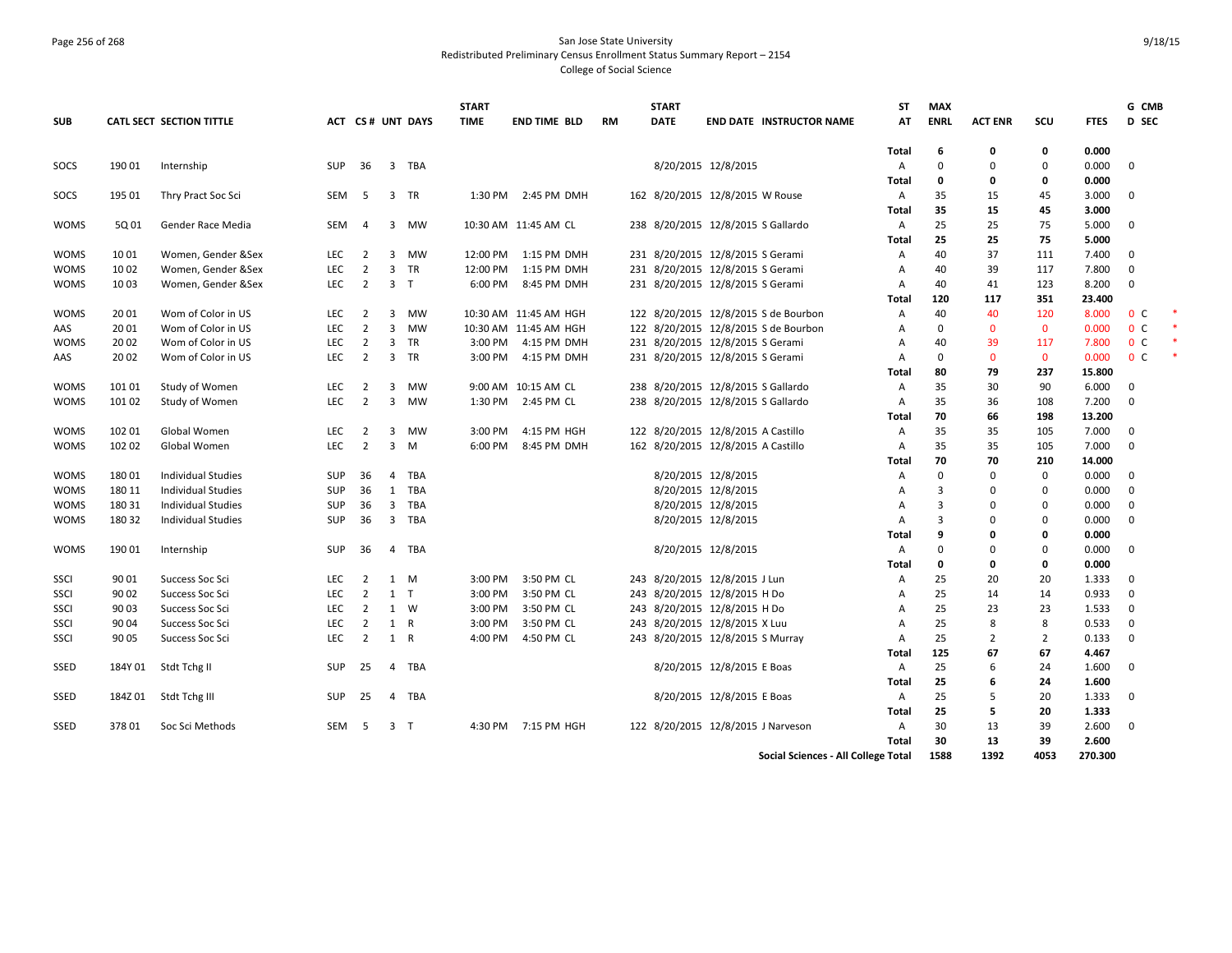# Page 256 of 268 San Jose State University Redistributed Preliminary Census Enrollment Status Summary Report – 2154 College of Social Science

|             |         |                           |            |                |                         |                         | <b>START</b> |                       |           | <b>START</b> |                                      | ST           | <b>MAX</b>  |                |                |             | G CMB          |  |
|-------------|---------|---------------------------|------------|----------------|-------------------------|-------------------------|--------------|-----------------------|-----------|--------------|--------------------------------------|--------------|-------------|----------------|----------------|-------------|----------------|--|
| <b>SUB</b>  |         | CATL SECT SECTION TITTLE  |            |                |                         | <b>ACT CS# UNT DAYS</b> | <b>TIME</b>  | <b>END TIME BLD</b>   | <b>RM</b> | <b>DATE</b>  | <b>END DATE INSTRUCTOR NAME</b>      | AT           | <b>ENRL</b> | <b>ACT ENR</b> | SCU            | <b>FTES</b> | <b>D</b> SEC   |  |
|             |         |                           |            |                |                         |                         |              |                       |           |              |                                      | <b>Total</b> | 6           | 0              | 0              | 0.000       |                |  |
| SOCS        | 190 01  | Internship                | <b>SUP</b> | 36             |                         | 3 TBA                   |              |                       |           |              | 8/20/2015 12/8/2015                  | Α            | $\Omega$    | $\Omega$       | $\mathbf 0$    | 0.000       | $\Omega$       |  |
|             |         |                           |            |                |                         |                         |              |                       |           |              |                                      | Total        | $\Omega$    | 0              | 0              | 0.000       |                |  |
| SOCS        | 195 01  | Thry Pract Soc Sci        | SEM        | - 5            |                         | 3 TR                    | 1:30 PM      | 2:45 PM DMH           |           |              | 162 8/20/2015 12/8/2015 W Rouse      | Α            | 35          | 15             | 45             | 3.000       | $\overline{0}$ |  |
|             |         |                           |            |                |                         |                         |              |                       |           |              |                                      | Total        | 35          | 15             | 45             | 3.000       |                |  |
| <b>WOMS</b> | 5Q 01   | Gender Race Media         | SEM        | $\overline{4}$ |                         | 3 MW                    |              | 10:30 AM 11:45 AM CL  |           |              | 238 8/20/2015 12/8/2015 S Gallardo   | Α            | 25          | 25             | 75             | 5.000       | $\Omega$       |  |
|             |         |                           |            |                |                         |                         |              |                       |           |              |                                      | Total        | 25          | 25             | 75             | 5.000       |                |  |
| <b>WOMS</b> | 10 01   | Women, Gender &Sex        | <b>LEC</b> | 2              | 3                       | <b>MW</b>               | 12:00 PM     | 1:15 PM DMH           |           |              | 231 8/20/2015 12/8/2015 S Gerami     | Α            | 40          | 37             | 111            | 7.400       | $\mathbf 0$    |  |
| <b>WOMS</b> | 1002    | Women, Gender &Sex        | LEC        | $\overline{2}$ |                         | 3 TR                    | 12:00 PM     | 1:15 PM DMH           |           |              | 231 8/20/2015 12/8/2015 S Gerami     | Α            | 40          | 39             | 117            | 7.800       | $\mathbf{0}$   |  |
| <b>WOMS</b> | 1003    | Women, Gender & Sex       | LEC        | $\overline{2}$ | 3 <sub>T</sub>          |                         | 6:00 PM      | 8:45 PM DMH           |           |              | 231 8/20/2015 12/8/2015 S Gerami     | A            | 40          | 41             | 123            | 8.200       | $\mathbf 0$    |  |
|             |         |                           |            |                |                         |                         |              |                       |           |              |                                      | Total        | 120         | 117            | 351            | 23.400      |                |  |
| <b>WOMS</b> | 2001    | Wom of Color in US        | <b>LEC</b> | $\overline{2}$ | 3                       | MW                      |              | 10:30 AM 11:45 AM HGH |           |              | 122 8/20/2015 12/8/2015 S de Bourbon | Α            | 40          | 40             | 120            | 8.000       | 0 <sup>c</sup> |  |
| AAS         | 20 01   | Wom of Color in US        | <b>LEC</b> | $\overline{2}$ | $\overline{3}$          | MW                      |              | 10:30 AM 11:45 AM HGH |           |              | 122 8/20/2015 12/8/2015 S de Bourbon | Α            | $\mathbf 0$ | $\mathbf 0$    | $\mathbf 0$    | 0.000       | 0 <sup>C</sup> |  |
| <b>WOMS</b> | 20 02   | Wom of Color in US        | <b>LEC</b> | $\overline{2}$ | $\overline{3}$          | <b>TR</b>               | 3:00 PM      | 4:15 PM DMH           |           |              | 231 8/20/2015 12/8/2015 S Gerami     | Α            | 40          | 39             | 117            | 7.800       | 0 <sup>C</sup> |  |
| AAS         | 20 02   | Wom of Color in US        | <b>LEC</b> | $\overline{2}$ |                         | 3 TR                    | 3:00 PM      | 4:15 PM DMH           |           |              | 231 8/20/2015 12/8/2015 S Gerami     | A            | $\Omega$    | $\mathbf{0}$   | $\mathbf{0}$   | 0.000       | 0 <sup>C</sup> |  |
|             |         |                           |            |                |                         |                         |              |                       |           |              |                                      | Total        | 80          | 79             | 237            | 15.800      |                |  |
| <b>WOMS</b> | 10101   | Study of Women            | LEC        | $\overline{2}$ | 3                       | MW                      |              | 9:00 AM 10:15 AM CL   |           |              | 238 8/20/2015 12/8/2015 S Gallardo   | Α            | 35          | 30             | 90             | 6.000       | $\mathbf 0$    |  |
| <b>WOMS</b> | 10102   | Study of Women            | <b>LEC</b> | $\overline{2}$ |                         | 3 MW                    |              | 1:30 PM 2:45 PM CL    |           |              | 238 8/20/2015 12/8/2015 S Gallardo   | A            | 35          | 36             | 108            | 7.200       | $\mathbf{0}$   |  |
|             |         |                           |            |                |                         |                         |              |                       |           |              |                                      | Total        | 70          | 66             | 198            | 13.200      |                |  |
| <b>WOMS</b> | 102 01  | Global Women              | <b>LEC</b> | $\overline{2}$ | 3                       | MW                      | 3:00 PM      | 4:15 PM HGH           |           |              | 122 8/20/2015 12/8/2015 A Castillo   | Α            | 35          | 35             | 105            | 7.000       | $\mathbf 0$    |  |
| <b>WOMS</b> | 102 02  | Global Women              | LEC        | $\overline{2}$ | $\overline{\mathbf{3}}$ | M                       | 6:00 PM      | 8:45 PM DMH           |           |              | 162 8/20/2015 12/8/2015 A Castillo   | Α            | 35          | 35             | 105            | 7.000       | $\mathbf 0$    |  |
|             |         |                           |            |                |                         |                         |              |                       |           |              |                                      | Total        | 70          | 70             | 210            | 14.000      |                |  |
| <b>WOMS</b> | 18001   | <b>Individual Studies</b> | <b>SUP</b> | 36             | $\overline{4}$          | TBA                     |              |                       |           |              | 8/20/2015 12/8/2015                  | Α            | $\Omega$    | $\Omega$       | 0              | 0.000       | $\mathbf 0$    |  |
| <b>WOMS</b> | 180 11  | <b>Individual Studies</b> | <b>SUP</b> | 36             |                         | 1 TBA                   |              |                       |           |              | 8/20/2015 12/8/2015                  | A            | 3           | $\Omega$       | $\mathbf 0$    | 0.000       | $\mathbf 0$    |  |
| <b>WOMS</b> | 180 31  | <b>Individual Studies</b> | <b>SUP</b> | 36             |                         | 3 TBA                   |              |                       |           |              | 8/20/2015 12/8/2015                  | Α            | 3           | $\mathbf 0$    | $\Omega$       | 0.000       | $\mathbf 0$    |  |
| <b>WOMS</b> | 180 32  | <b>Individual Studies</b> | SUP        | 36             | $\overline{3}$          | TBA                     |              |                       |           |              | 8/20/2015 12/8/2015                  | Α            | 3           | $\Omega$       | 0              | 0.000       | $\mathbf 0$    |  |
|             |         |                           |            |                |                         |                         |              |                       |           |              |                                      | Total        | q           | 0              | 0              | 0.000       |                |  |
| <b>WOMS</b> | 19001   | Internship                | <b>SUP</b> | 36             | 4                       | TBA                     |              |                       |           |              | 8/20/2015 12/8/2015                  | Α            | $\Omega$    | $\Omega$       | $\mathbf 0$    | 0.000       | $\overline{0}$ |  |
|             |         |                           |            |                |                         |                         |              |                       |           |              |                                      | Total        | 0           | 0              | 0              | 0.000       |                |  |
| SSCI        | 90 01   | <b>Success Soc Sci</b>    | <b>LEC</b> | $\overline{2}$ |                         | 1 M                     | 3:00 PM      | 3:50 PM CL            |           |              | 243 8/20/2015 12/8/2015 J Lun        | Α            | 25          | 20             | 20             | 1.333       | $\mathbf 0$    |  |
| SSCI        | 90 02   | <b>Success Soc Sci</b>    | <b>LEC</b> | 2              | 1 T                     |                         | 3:00 PM      | 3:50 PM CL            |           |              | 243 8/20/2015 12/8/2015 H Do         | A            | 25          | 14             | 14             | 0.933       | $\Omega$       |  |
| SSCI        | 90 03   | Success Soc Sci           | <b>LEC</b> | $\overline{2}$ |                         | 1 W                     | 3:00 PM      | 3:50 PM CL            |           |              | 243 8/20/2015 12/8/2015 H Do         | Α            | 25          | 23             | 23             | 1.533       | $\overline{0}$ |  |
| SSCI        | 90 04   | <b>Success Soc Sci</b>    | LEC        | $\overline{2}$ | 1 R                     |                         | 3:00 PM      | 3:50 PM CL            |           |              | 243 8/20/2015 12/8/2015 X Luu        | Α            | 25          | 8              | 8              | 0.533       | $\mathbf 0$    |  |
| <b>SSCI</b> | 90 05   | <b>Success Soc Sci</b>    | LEC        | $\overline{2}$ | 1 R                     |                         | 4:00 PM      | 4:50 PM CL            |           |              | 243 8/20/2015 12/8/2015 S Murray     | Α            | 25          | $\overline{2}$ | $\overline{2}$ | 0.133       | $\mathbf 0$    |  |
|             |         |                           |            |                |                         |                         |              |                       |           |              |                                      | Total        | 125         | 67             | 67             | 4.467       |                |  |
| SSED        | 184Y 01 | Stdt Tchg II              | <b>SUP</b> | 25             | 4                       | TBA                     |              |                       |           |              | 8/20/2015 12/8/2015 E Boas           | Α            | 25          | 6              | 24             | 1.600       | $\Omega$       |  |
|             |         |                           |            |                |                         |                         |              |                       |           |              |                                      | Total        | 25          | 6              | 24             | 1.600       |                |  |
| SSED        | 184Z 01 | Stdt Tchg III             | <b>SUP</b> | 25             |                         | 4 TBA                   |              |                       |           |              | 8/20/2015 12/8/2015 E Boas           | Α            | 25          | 5              | 20             | 1.333       | $\overline{0}$ |  |
|             |         |                           |            |                |                         |                         |              |                       |           |              |                                      | Total        | 25          | 5              | 20             | 1.333       |                |  |
| <b>SSED</b> | 37801   | Soc Sci Methods           | SEM        | - 5            | 3 <sub>1</sub>          |                         |              | 4:30 PM 7:15 PM HGH   |           |              | 122 8/20/2015 12/8/2015 J Narveson   | Α            | 30          | 13             | 39             | 2.600       | $\overline{0}$ |  |
|             |         |                           |            |                |                         |                         |              |                       |           |              |                                      | Total        | 30          | 13             | 39             | 2.600       |                |  |
|             |         |                           |            |                |                         |                         |              |                       |           |              | Social Sciences - All College Total  |              | 1588        | 1392           | 4053           | 270.300     |                |  |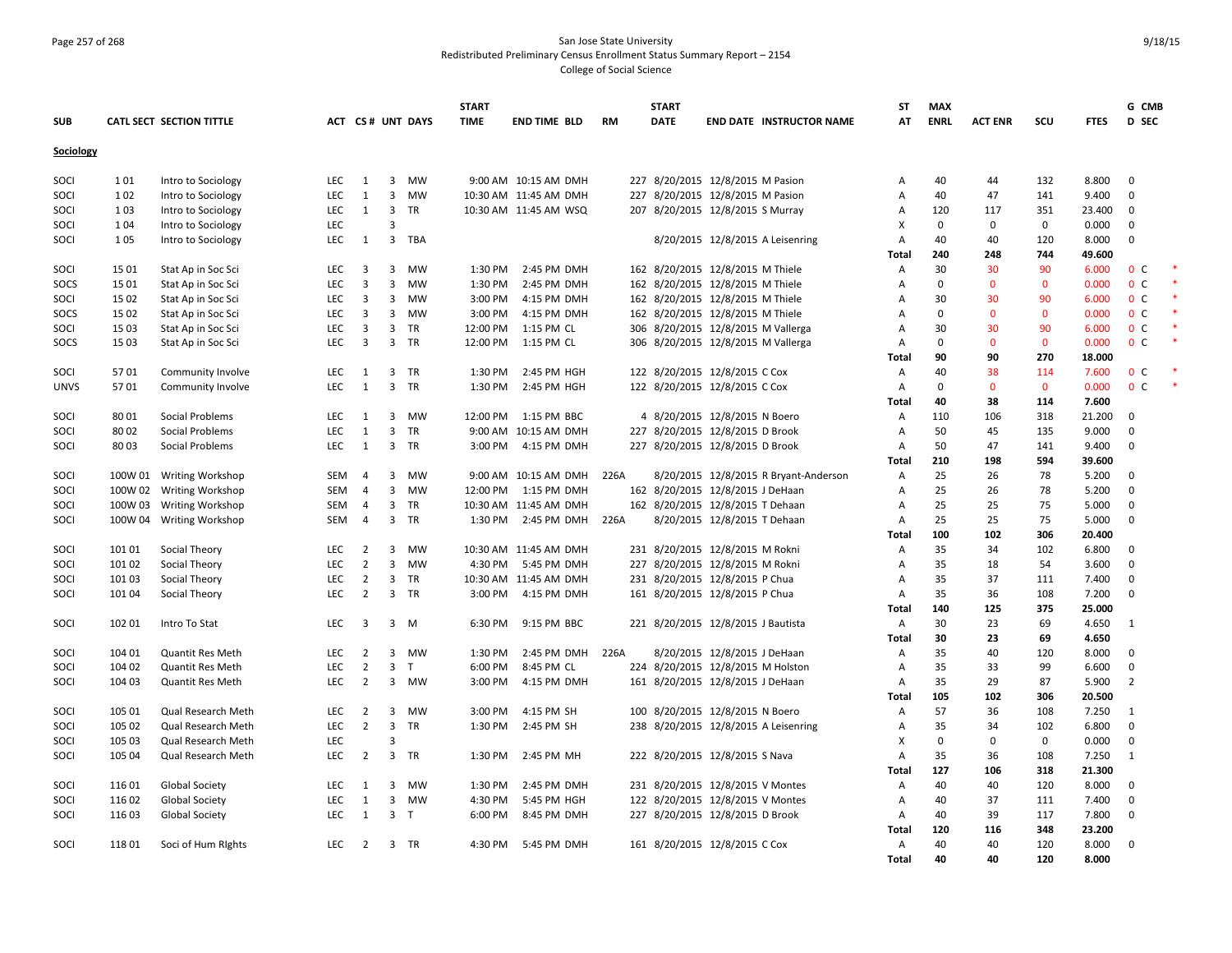### Page 257 of 268 San Jose State University Redistributed Preliminary Census Enrollment Status Summary Report – 2154 College of Social Science

|             |         |                          |            |                         |                         |                         | <b>START</b> |                       |           | <b>START</b> |                                       | <b>ST</b>    | <b>MAX</b>  |                |              |             | G CMB                   |  |
|-------------|---------|--------------------------|------------|-------------------------|-------------------------|-------------------------|--------------|-----------------------|-----------|--------------|---------------------------------------|--------------|-------------|----------------|--------------|-------------|-------------------------|--|
| <b>SUB</b>  |         | CATL SECT SECTION TITTLE |            |                         |                         | <b>ACT CS# UNT DAYS</b> | <b>TIME</b>  | <b>END TIME BLD</b>   | <b>RM</b> | <b>DATE</b>  | <b>END DATE INSTRUCTOR NAME</b>       | AT           | <b>ENRL</b> | <b>ACT ENR</b> | SCU          | <b>FTES</b> | <b>D</b> SEC            |  |
| Sociology   |         |                          |            |                         |                         |                         |              |                       |           |              |                                       |              |             |                |              |             |                         |  |
|             |         |                          |            |                         |                         |                         |              |                       |           |              |                                       |              |             |                |              |             |                         |  |
| SOCI        | 101     | Intro to Sociology       | <b>LEC</b> | 1                       | 3                       | MW                      |              | 9:00 AM 10:15 AM DMH  |           |              | 227 8/20/2015 12/8/2015 M Pasion      | Α            | 40          | 44             | 132          | 8.800       | $\overline{0}$          |  |
| SOCI        | 102     | Intro to Sociology       | <b>LEC</b> | 1                       | $\overline{3}$          | <b>MW</b>               |              | 10:30 AM 11:45 AM DMH |           |              | 227 8/20/2015 12/8/2015 M Pasion      | Α            | 40          | 47             | 141          | 9.400       | $\mathbf{0}$            |  |
| SOCI        | 103     | Intro to Sociology       | LEC        | 1                       | $\overline{3}$          | TR                      |              | 10:30 AM 11:45 AM WSQ |           |              | 207 8/20/2015 12/8/2015 S Murray      | Α            | 120         | 117            | 351          | 23.400      | $\overline{\mathbf{0}}$ |  |
| SOCI        | 104     | Intro to Sociology       | <b>LEC</b> |                         | 3                       |                         |              |                       |           |              |                                       | х            | $\Omega$    | 0              | 0            | 0.000       | $\mathbf 0$             |  |
| SOCI        | 105     | Intro to Sociology       | <b>LEC</b> | 1                       | $\overline{3}$          | TBA                     |              |                       |           |              | 8/20/2015 12/8/2015 A Leisenring      | A            | 40          | 40             | 120          | 8.000       | $\mathbf 0$             |  |
|             |         |                          |            |                         |                         |                         |              |                       |           |              |                                       | <b>Total</b> | 240         | 248            | 744          | 49.600      |                         |  |
| SOCI        | 15 01   | Stat Ap in Soc Sci       | LEC        | 3                       | 3                       | MW                      | 1:30 PM      | 2:45 PM DMH           |           |              | 162 8/20/2015 12/8/2015 M Thiele      | Α            | 30          | 30             | 90           | 6.000       | 0 <sup>c</sup>          |  |
| SOCS        | 15 01   | Stat Ap in Soc Sci       | LEC        | $\overline{3}$          | 3                       | MW                      | 1:30 PM      | 2:45 PM DMH           |           |              | 162 8/20/2015 12/8/2015 M Thiele      | Α            | $\Omega$    | $\mathbf{0}$   | $\mathbf 0$  | 0.000       | 0 <sup>o</sup>          |  |
| SOCI        | 15 02   | Stat Ap in Soc Sci       | <b>LEC</b> | $\overline{3}$          |                         | 3 MW                    | 3:00 PM      | 4:15 PM DMH           |           |              | 162 8/20/2015 12/8/2015 M Thiele      | A            | 30          | 30             | 90           | 6.000       | 0 <sup>o</sup>          |  |
| SOCS        | 15 02   | Stat Ap in Soc Sci       | LEC        | $\overline{3}$          |                         | 3 MW                    | 3:00 PM      | 4:15 PM DMH           |           |              | 162 8/20/2015 12/8/2015 M Thiele      | Α            | $\mathbf 0$ | $\mathbf 0$    | $\mathbf 0$  | 0.000       | 0 <sup>c</sup>          |  |
| SOCI        | 15 03   | Stat Ap in Soc Sci       | <b>LEC</b> | 3                       |                         | 3 TR                    | 12:00 PM     | 1:15 PM CL            |           |              | 306 8/20/2015 12/8/2015 M Vallerga    | Α            | 30          | 30             | 90           | 6.000       | 0 <sup>c</sup>          |  |
| SOCS        | 15 03   | Stat Ap in Soc Sci       | LEC        | $\overline{\mathbf{3}}$ | $\overline{\mathbf{3}}$ | TR                      | 12:00 PM     | 1:15 PM CL            |           |              | 306 8/20/2015 12/8/2015 M Vallerga    | Α            | $\Omega$    | $\mathbf{0}$   | $\mathbf{0}$ | 0.000       | 0 <sup>C</sup>          |  |
|             |         |                          |            |                         |                         |                         |              |                       |           |              |                                       | Total        | 90          | 90             | 270          | 18.000      |                         |  |
| SOCI        | 5701    | Community Involve        | LEC        | 1                       | 3                       | <b>TR</b>               | 1:30 PM      | 2:45 PM HGH           |           |              | 122 8/20/2015 12/8/2015 C Cox         | Α            | 40          | 38             | 114          | 7.600       | 0 <sup>C</sup>          |  |
| <b>UNVS</b> | 5701    | Community Involve        | <b>LEC</b> | 1                       |                         | 3 TR                    | 1:30 PM      | 2:45 PM HGH           |           |              | 122 8/20/2015 12/8/2015 C Cox         | Α            | $\Omega$    | $\mathbf 0$    | $\mathbf 0$  | 0.000       | 0 <sup>C</sup>          |  |
|             |         |                          |            |                         |                         |                         |              |                       |           |              |                                       | Total        | 40          | 38             | 114          | 7.600       |                         |  |
| SOCI        | 80 01   | Social Problems          | <b>LEC</b> | 1                       | 3                       | MW                      |              | 12:00 PM 1:15 PM BBC  |           |              | 4 8/20/2015 12/8/2015 N Boero         | Α            | 110         | 106            | 318          | 21.200      | $\overline{0}$          |  |
| SOCI        | 80 02   | Social Problems          | <b>LEC</b> | $\mathbf{1}$            | $\overline{3}$          | TR                      |              | 9:00 AM 10:15 AM DMH  |           |              | 227 8/20/2015 12/8/2015 D Brook       | Α            | 50          | 45             | 135          | 9.000       | 0                       |  |
| SOCI        | 80 03   | Social Problems          | LEC        | 1                       | $\overline{\mathbf{3}}$ | <b>TR</b>               | 3:00 PM      | 4:15 PM DMH           |           |              | 227 8/20/2015 12/8/2015 D Brook       | Α            | 50          | 47             | 141          | 9.400       | $\mathbf{0}$            |  |
|             |         |                          |            |                         |                         |                         |              |                       |           |              |                                       | Total        | 210         | 198            | 594          | 39.600      |                         |  |
| SOCI        |         | 100W 01 Writing Workshop | <b>SEM</b> | $\overline{4}$          | 3                       | MW                      |              | 9:00 AM 10:15 AM DMH  | 226A      |              | 8/20/2015 12/8/2015 R Bryant-Anderson | Α            | 25          | 26             | 78           | 5.200       | $\mathbf 0$             |  |
| SOCI        | 100W 02 | <b>Writing Workshop</b>  | <b>SEM</b> | $\overline{4}$          | $\overline{3}$          | <b>MW</b>               |              | 12:00 PM 1:15 PM DMH  |           |              | 162 8/20/2015 12/8/2015 J DeHaan      | Α            | 25          | 26             | 78           | 5.200       | $\mathbf 0$             |  |
| SOCI        | 100W 03 | <b>Writing Workshop</b>  | SEM        | $\overline{4}$          | 3                       | <b>TR</b>               |              | 10:30 AM 11:45 AM DMH |           |              | 162 8/20/2015 12/8/2015 T Dehaan      | Α            | 25          | 25             | 75           | 5.000       | 0                       |  |
| SOCI        |         | 100W 04 Writing Workshop | SEM        | $\overline{4}$          |                         | 3 TR                    |              | 1:30 PM 2:45 PM DMH   | 226A      |              | 8/20/2015 12/8/2015 T Dehaan          | Α            | 25          | 25             | 75           | 5.000       | $\mathbf{0}$            |  |
|             |         |                          |            |                         |                         |                         |              |                       |           |              |                                       | Total        | 100         | 102            | 306          | 20.400      |                         |  |
| SOCI        | 101 01  | Social Theory            | <b>LEC</b> | 2                       | 3                       | MW                      |              | 10:30 AM 11:45 AM DMH |           |              | 231 8/20/2015 12/8/2015 M Rokni       | Α            | 35          | 34             | 102          | 6.800       | $\mathbf 0$             |  |
| SOCI        | 101 02  | Social Theory            | <b>LEC</b> | $\overline{2}$          | $\overline{3}$          | <b>MW</b>               |              | 4:30 PM 5:45 PM DMH   |           |              | 227 8/20/2015 12/8/2015 M Rokni       | Α            | 35          | 18             | 54           | 3.600       | $\Omega$                |  |
| SOCI        | 101 03  | Social Theory            | LEC        | $\overline{2}$          | $\mathbf{3}$            | TR                      |              | 10:30 AM 11:45 AM DMH |           |              | 231 8/20/2015 12/8/2015 P Chua        | Α            | 35          | 37             | 111          | 7.400       | $\mathbf 0$             |  |
| SOCI        | 101 04  | Social Theory            | <b>LEC</b> | $\overline{2}$          |                         | 3 TR                    |              | 3:00 PM 4:15 PM DMH   |           |              | 161 8/20/2015 12/8/2015 P Chua        | Α            | 35          | 36             | 108          | 7.200       | $\mathbf 0$             |  |
|             |         |                          |            |                         |                         |                         |              |                       |           |              |                                       | Total        | 140         | 125            | 375          | 25.000      |                         |  |
| SOCI        | 102 01  | Intro To Stat            | <b>LEC</b> | $\overline{3}$          |                         | $3 \quad M$             | 6:30 PM      | 9:15 PM BBC           |           |              | 221 8/20/2015 12/8/2015 J Bautista    | Α            | 30          | 23             | 69           | 4.650       | 1                       |  |
|             |         |                          |            |                         |                         |                         |              |                       |           |              |                                       | Total        | 30          | 23             | 69           | 4.650       |                         |  |
| SOCI        | 104 01  | <b>Quantit Res Meth</b>  | <b>LEC</b> | $\overline{2}$          | $\overline{3}$          | MW                      | 1:30 PM      | 2:45 PM DMH           | 226A      |              | 8/20/2015 12/8/2015 J DeHaan          | Α            | 35          | 40             | 120          | 8.000       | $\mathbf{0}$            |  |
| SOCI        | 104 02  | Quantit Res Meth         | <b>LEC</b> | $\overline{2}$          | $\overline{3}$          | T                       | 6:00 PM      | 8:45 PM CL            |           |              | 224 8/20/2015 12/8/2015 M Holston     | Α            | 35          | 33             | 99           | 6.600       | $\mathbf 0$             |  |
| SOCI        | 104 03  | <b>Quantit Res Meth</b>  | LEC        | $\overline{2}$          |                         | 3 MW                    | 3:00 PM      | 4:15 PM DMH           |           |              | 161 8/20/2015 12/8/2015 J DeHaan      | Α            | 35          | 29             | 87           | 5.900       | $\overline{2}$          |  |
|             |         |                          |            |                         |                         |                         |              |                       |           |              |                                       | Total        | 105         | 102            | 306          | 20.500      |                         |  |
| SOCI        | 105 01  | Qual Research Meth       | <b>LEC</b> | 2                       | 3                       | MW                      | 3:00 PM      | 4:15 PM SH            |           |              | 100 8/20/2015 12/8/2015 N Boero       | Α            | 57          | 36             | 108          | 7.250       | 1                       |  |
| SOCI        | 105 02  | Qual Research Meth       | LEC        | $\overline{2}$          | $\overline{3}$          | TR                      | 1:30 PM      | 2:45 PM SH            |           |              | 238 8/20/2015 12/8/2015 A Leisenring  | Α            | 35          | 34             | 102          | 6.800       | $\mathbf 0$             |  |
| SOCI        | 105 03  | Qual Research Meth       | <b>LEC</b> |                         | 3                       |                         |              |                       |           |              |                                       | x            | $\mathbf 0$ | 0              | $\mathbf 0$  | 0.000       | $\mathbf 0$             |  |
| SOCI        | 105 04  | Qual Research Meth       | <b>LEC</b> | $\overline{2}$          |                         | 3 TR                    | 1:30 PM      | 2:45 PM MH            |           |              | 222 8/20/2015 12/8/2015 S Nava        | Α            | 35          | 36             | 108          | 7.250       | 1                       |  |
|             |         |                          |            |                         |                         |                         |              |                       |           |              |                                       | Total        | 127         | 106            | 318          | 21.300      |                         |  |
| SOCI        | 116 01  | <b>Global Society</b>    | LEC        | 1                       | 3                       | MW                      | 1:30 PM      | 2:45 PM DMH           |           |              | 231 8/20/2015 12/8/2015 V Montes      | Α            | 40          | 40             | 120          | 8.000       | $\mathbf 0$             |  |
| SOCI        | 116 02  | <b>Global Society</b>    | LEC        | 1                       | $\overline{\mathbf{3}}$ | MW                      | 4:30 PM      | 5:45 PM HGH           |           |              | 122 8/20/2015 12/8/2015 V Montes      | Α            | 40          | 37             | 111          | 7.400       | $\mathbf 0$             |  |
| SOCI        | 116 03  | <b>Global Society</b>    | LEC        | 1                       | 3 <sub>T</sub>          |                         | 6:00 PM      | 8:45 PM DMH           |           |              | 227 8/20/2015 12/8/2015 D Brook       | Α            | 40          | 39             | 117          | 7.800       | $\mathbf{0}$            |  |
|             |         |                          |            |                         |                         |                         |              |                       |           |              |                                       | Total        | 120         | 116            | 348          | 23.200      |                         |  |
| SOCI        | 11801   | Soci of Hum Rights       | LEC        | $\overline{2}$          |                         | 3 TR                    | 4:30 PM      | 5:45 PM DMH           |           |              | 161 8/20/2015 12/8/2015 C Cox         | Α            | 40          | 40             | 120          | 8.000       | $\mathbf{0}$            |  |
|             |         |                          |            |                         |                         |                         |              |                       |           |              |                                       | <b>Total</b> | 40          | 40             | 120          | 8.000       |                         |  |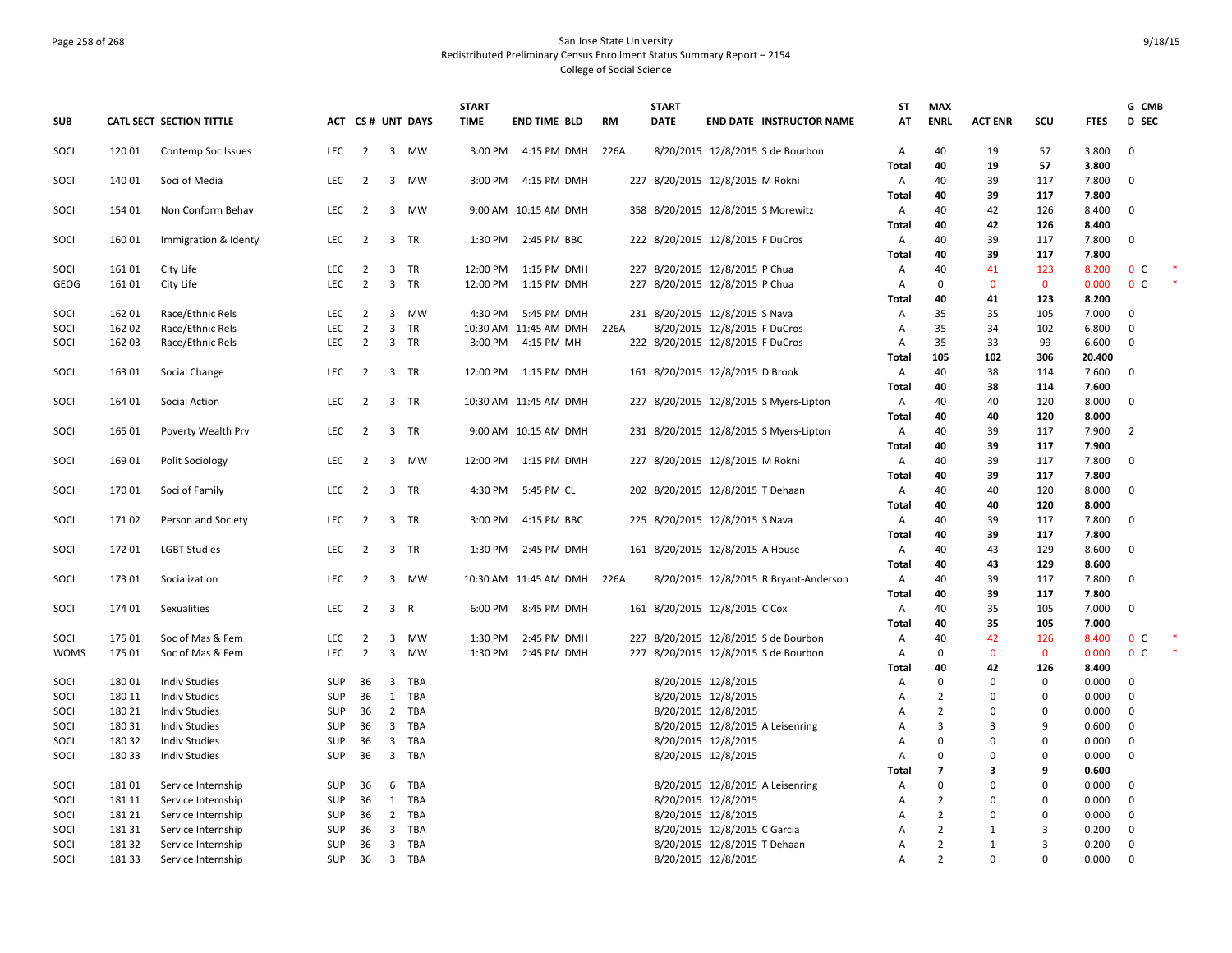### Page 258 of 268 San Jose State University and San Jose State University and San Jose State University Redistributed Preliminary Census Enrollment Status Summary Report – 2154 College of Social Science

|              |                 |                                      |                          |                                  |                         |                   | <b>START</b> |                                     |      | <b>START</b>                     |                              |                                        | SΤ                | MAX            |                |              |                | G CMB                        |  |
|--------------|-----------------|--------------------------------------|--------------------------|----------------------------------|-------------------------|-------------------|--------------|-------------------------------------|------|----------------------------------|------------------------------|----------------------------------------|-------------------|----------------|----------------|--------------|----------------|------------------------------|--|
| <b>SUB</b>   |                 | CATL SECT SECTION TITTLE             |                          |                                  |                         | ACT CS # UNT DAYS | <b>TIME</b>  | <b>END TIME BLD</b>                 | RM   | <b>DATE</b>                      |                              | <b>END DATE INSTRUCTOR NAME</b>        | AT                | <b>ENRL</b>    | <b>ACT ENR</b> | SCU          | <b>FTES</b>    | <b>D</b> SEC                 |  |
| SOCI         | 12001           | Contemp Soc Issues                   | <b>LEC</b>               | $\overline{2}$                   |                         | 3 MW              |              | 3:00 PM 4:15 PM DMH                 | 226A |                                  |                              | 8/20/2015 12/8/2015 S de Bourbon       | Α                 | 40             | 19             | 57           | 3.800          | $\mathbf{0}$                 |  |
|              |                 |                                      |                          |                                  |                         |                   |              |                                     |      |                                  |                              |                                        | <b>Total</b>      | 40             | 19             | 57           | 3.800          |                              |  |
| SOCI         | 140 01          | Soci of Media                        | <b>LEC</b>               | $\overline{2}$                   | 3                       | <b>MW</b>         | 3:00 PM      | 4:15 PM DMH                         |      | 227 8/20/2015 12/8/2015 M Rokni  |                              |                                        | Α                 | 40             | 39             | 117          | 7.800          | $\mathbf{0}$                 |  |
|              |                 |                                      |                          |                                  |                         |                   |              |                                     |      |                                  |                              |                                        | Total             | 40             | 39             | 117          | 7.800          |                              |  |
| SOCI         | 154 01          | Non Conform Behav                    | LEC                      | $\overline{2}$                   |                         | 3 MW              |              | 9:00 AM 10:15 AM DMH                |      |                                  |                              | 358 8/20/2015 12/8/2015 S Morewitz     | Α                 | 40             | 42             | 126          | 8.400          | $\mathbf 0$                  |  |
|              |                 |                                      |                          |                                  |                         |                   |              |                                     |      |                                  |                              |                                        | Total             | 40             | 42             | 126          | 8.400          |                              |  |
| SOCI         | 16001           | Immigration & Identy                 | <b>LEC</b>               | 2                                | 3                       | TR                | 1:30 PM      | 2:45 PM BBC                         |      | 222 8/20/2015 12/8/2015 F DuCros |                              |                                        | Α                 | 40             | 39             | 117          | 7.800          | $\overline{0}$               |  |
|              |                 |                                      |                          |                                  |                         |                   |              |                                     |      |                                  |                              |                                        | Total             | 40             | 39             | 117          | 7.800          |                              |  |
| SOCI         | 16101           | City Life                            | LEC                      | $\overline{2}$                   | $\overline{\mathbf{3}}$ | TR                | 12:00 PM     | 1:15 PM DMH                         |      | 227 8/20/2015 12/8/2015 P Chua   |                              |                                        | Α                 | 40             | 41             | 123          | 8.200          | 0 <sup>C</sup>               |  |
| GEOG         | 16101           | City Life                            | <b>LEC</b>               | $\overline{2}$                   | $\overline{\mathbf{3}}$ | TR                | 12:00 PM     | 1:15 PM DMH                         |      | 227 8/20/2015 12/8/2015 P Chua   |                              |                                        | Α                 | $\mathbf 0$    | $\mathbf{0}$   | $\mathbf 0$  | 0.000          | 0 <sup>c</sup>               |  |
|              |                 |                                      |                          |                                  |                         |                   |              |                                     |      |                                  |                              |                                        | Total             | 40             | 41             | 123          | 8.200          |                              |  |
| SOCI         | 16201           | Race/Ethnic Rels                     | <b>LEC</b><br><b>LEC</b> | $\overline{2}$<br>$\overline{2}$ | $\overline{\mathbf{3}}$ | 3 MW<br>TR        | 4:30 PM      | 5:45 PM DMH                         |      | 231 8/20/2015 12/8/2015 S Nava   |                              |                                        | Α                 | 35<br>35       | 35             | 105          | 7.000          | $\mathbf{0}$<br>$\mathbf{0}$ |  |
| SOCI<br>SOCI | 162 02<br>16203 | Race/Ethnic Rels<br>Race/Ethnic Rels | <b>LEC</b>               | $\overline{2}$                   | $\overline{3}$          | <b>TR</b>         | 3:00 PM      | 10:30 AM 11:45 AM DMH<br>4:15 PM MH | 226A | 222 8/20/2015 12/8/2015 F DuCros | 8/20/2015 12/8/2015 F DuCros |                                        | Α                 | 35             | 34<br>33       | 102<br>99    | 6.800<br>6.600 | 0                            |  |
|              |                 |                                      |                          |                                  |                         |                   |              |                                     |      |                                  |                              |                                        | Α<br><b>Total</b> | 105            | 102            | 306          | 20.400         |                              |  |
| SOCI         | 16301           | Social Change                        | LEC                      | $\overline{2}$                   |                         | 3 TR              | 12:00 PM     | 1:15 PM DMH                         |      | 161 8/20/2015 12/8/2015 D Brook  |                              |                                        | Α                 | 40             | 38             | 114          | 7.600          | $\mathbf 0$                  |  |
|              |                 |                                      |                          |                                  |                         |                   |              |                                     |      |                                  |                              |                                        | <b>Total</b>      | 40             | 38             | 114          | 7.600          |                              |  |
| SOCI         | 164 01          | Social Action                        | <b>LEC</b>               | $\overline{2}$                   |                         | 3 TR              |              | 10:30 AM 11:45 AM DMH               |      |                                  |                              | 227 8/20/2015 12/8/2015 S Myers-Lipton | Α                 | 40             | 40             | 120          | 8.000          | $\mathbf 0$                  |  |
|              |                 |                                      |                          |                                  |                         |                   |              |                                     |      |                                  |                              |                                        | Total             | 40             | 40             | 120          | 8.000          |                              |  |
| SOCI         | 165 01          | Poverty Wealth Prv                   | LEC                      | $\overline{2}$                   |                         | 3 TR              |              | 9:00 AM 10:15 AM DMH                |      |                                  |                              | 231 8/20/2015 12/8/2015 S Myers-Lipton | Α                 | 40             | 39             | 117          | 7.900          | $\overline{2}$               |  |
|              |                 |                                      |                          |                                  |                         |                   |              |                                     |      |                                  |                              |                                        | <b>Total</b>      | 40             | 39             | 117          | 7.900          |                              |  |
| SOCI         | 169 01          | Polit Sociology                      | <b>LEC</b>               | 2                                |                         | 3 MW              |              | 12:00 PM 1:15 PM DMH                |      | 227 8/20/2015 12/8/2015 M Rokni  |                              |                                        | A                 | 40             | 39             | 117          | 7.800          | $\mathbf{0}$                 |  |
|              |                 |                                      |                          |                                  |                         |                   |              |                                     |      |                                  |                              |                                        | <b>Total</b>      | 40             | 39             | 117          | 7.800          |                              |  |
| SOCI         | 17001           | Soci of Family                       | <b>LEC</b>               | $\overline{2}$                   |                         | 3 TR              | 4:30 PM      | 5:45 PM CL                          |      | 202 8/20/2015 12/8/2015 T Dehaan |                              |                                        | Α                 | 40             | 40             | 120          | 8.000          | $\mathbf 0$                  |  |
|              |                 |                                      |                          |                                  |                         |                   |              |                                     |      |                                  |                              |                                        | <b>Total</b>      | 40             | 40             | 120          | 8.000          |                              |  |
| SOCI         | 17102           | Person and Society                   | <b>LEC</b>               | $\overline{2}$                   |                         | 3 TR              | 3:00 PM      | 4:15 PM BBC                         |      | 225 8/20/2015 12/8/2015 S Nava   |                              |                                        | A                 | 40             | 39             | 117          | 7.800          | $\mathbf 0$                  |  |
|              |                 |                                      |                          |                                  |                         |                   |              |                                     |      |                                  |                              |                                        | <b>Total</b>      | 40             | 39             | 117          | 7.800          |                              |  |
| SOCI         | 17201           | <b>LGBT Studies</b>                  | LEC                      | $\overline{2}$                   | $\overline{3}$          | TR                | 1:30 PM      | 2:45 PM DMH                         |      | 161 8/20/2015 12/8/2015 A House  |                              |                                        | Α                 | 40             | 43             | 129          | 8.600          | $\mathbf 0$                  |  |
|              |                 |                                      |                          |                                  |                         |                   |              |                                     |      |                                  |                              |                                        | Total             | 40             | 43             | 129          | 8.600          |                              |  |
| SOCI         | 17301           | Socialization                        | <b>LEC</b>               | 2                                | $\overline{3}$          | <b>MW</b>         |              | 10:30 AM 11:45 AM DMH               | 226A |                                  |                              | 8/20/2015 12/8/2015 R Bryant-Anderson  | Α                 | 40             | 39             | 117          | 7.800          | $\mathbf{0}$                 |  |
|              |                 |                                      |                          |                                  |                         |                   |              |                                     |      |                                  |                              |                                        | <b>Total</b>      | 40             | 39             | 117          | 7.800          |                              |  |
| SOCI         | 174 01          | Sexualities                          | <b>LEC</b>               | $\overline{2}$                   | 3 R                     |                   | 6:00 PM      | 8:45 PM DMH                         |      | 161 8/20/2015 12/8/2015 C Cox    |                              |                                        | Α                 | 40             | 35             | 105          | 7.000          | $\overline{0}$               |  |
|              |                 |                                      |                          |                                  |                         |                   |              |                                     |      |                                  |                              |                                        | <b>Total</b>      | 40             | 35             | 105          | 7.000          |                              |  |
| SOCI         | 175 01          | Soc of Mas & Fem                     | LEC                      | $\overline{2}$                   |                         | 3 MW              | 1:30 PM      | 2:45 PM DMH                         |      |                                  |                              | 227 8/20/2015 12/8/2015 S de Bourbon   | Α                 | 40             | 42             | 126          | 8.400          | 0 <sup>c</sup>               |  |
| <b>WOMS</b>  | 175 01          | Soc of Mas & Fem                     | <b>LEC</b>               | $\overline{2}$                   | $\overline{3}$          | MW                | 1:30 PM      | 2:45 PM DMH                         |      |                                  |                              | 227 8/20/2015 12/8/2015 S de Bourbon   | Α                 | $\Omega$       | $\mathbf{0}$   | $\mathbf{0}$ | 0.000          | 0 <sup>C</sup>               |  |
|              |                 |                                      |                          |                                  |                         |                   |              |                                     |      |                                  |                              |                                        | Total             | 40             | 42             | 126          | 8.400          |                              |  |
| SOCI         | 18001           | <b>Indiv Studies</b>                 | <b>SUP</b>               | 36                               | $\overline{\mathbf{3}}$ | TBA               |              |                                     |      |                                  | 8/20/2015 12/8/2015          |                                        | Α                 | $\Omega$       | $\Omega$       | 0            | 0.000          | $\mathbf 0$                  |  |
| SOCI         | 180 11          | <b>Indiv Studies</b>                 | SUP                      | 36                               | 1                       | TBA               |              |                                     |      |                                  | 8/20/2015 12/8/2015          |                                        | Α                 | $\overline{2}$ | $\mathbf 0$    | $\mathbf 0$  | 0.000          | $\mathbf 0$                  |  |
| SOCI         | 180 21          | <b>Indiv Studies</b>                 | SUP                      | 36                               |                         | 2 TBA             |              |                                     |      |                                  | 8/20/2015 12/8/2015          |                                        | Α                 | $\overline{2}$ | $\Omega$       | $\pmb{0}$    | 0.000          | $\mathbf 0$                  |  |
| SOCI         | 180 31          | <b>Indiv Studies</b>                 | SUP                      | 36                               |                         | 3 TBA             |              |                                     |      |                                  |                              | 8/20/2015 12/8/2015 A Leisenring       | Α                 | 3              | 3              | 9            | 0.600          | $\mathbf 0$                  |  |
| SOCI         | 180 32          | <b>Indiv Studies</b>                 | SUP                      | 36                               |                         | 3 TBA             |              |                                     |      |                                  | 8/20/2015 12/8/2015          |                                        | А                 | $\Omega$       | $\mathbf 0$    | $\pmb{0}$    | 0.000          | 0                            |  |
| SOCI         | 18033           | <b>Indiv Studies</b>                 | <b>SUP</b>               | 36                               | $\overline{3}$          | TBA               |              |                                     |      |                                  | 8/20/2015 12/8/2015          |                                        | Α                 | $\Omega$       | $\Omega$       | $\mathbf 0$  | 0.000          | $\mathbf 0$                  |  |
|              |                 |                                      |                          |                                  |                         |                   |              |                                     |      |                                  |                              |                                        | Total             | $\overline{7}$ | 3              | 9            | 0.600          |                              |  |
| SOCI         | 18101           | Service Internship                   | SUP                      | 36                               | 6                       | TBA               |              |                                     |      |                                  |                              | 8/20/2015 12/8/2015 A Leisenring       | Α                 | $\Omega$       | $\mathbf 0$    | $\pmb{0}$    | 0.000          | $\mathbf 0$                  |  |
| SOCI         | 181 11          | Service Internship                   | <b>SUP</b>               | 36                               |                         | 1 TBA             |              |                                     |      |                                  | 8/20/2015 12/8/2015          |                                        | А                 | $\overline{2}$ | $\mathbf 0$    | 0            | 0.000          | $\mathbf 0$                  |  |
| SOCI         | 181 21          | Service Internship                   | <b>SUP</b>               | 36                               |                         | 2 TBA             |              |                                     |      |                                  | 8/20/2015 12/8/2015          |                                        | А                 | $\overline{2}$ | $\Omega$       | $\mathbf 0$  | 0.000          | $\mathbf{0}$                 |  |
| SOCI         | 181 31          | Service Internship                   | <b>SUP</b>               | 36                               |                         | 3 TBA             |              |                                     |      |                                  | 8/20/2015 12/8/2015 C Garcia |                                        | Α                 | $\overline{2}$ | 1              | 3            | 0.200          | $\mathbf 0$                  |  |
| SOCI         | 18132           | Service Internship                   | SUP                      | 36                               | $\overline{3}$          | TBA               |              |                                     |      |                                  | 8/20/2015 12/8/2015 T Dehaan |                                        | А                 | $\overline{2}$ | $\mathbf{1}$   | 3            | 0.200          | $\mathbf 0$                  |  |
| SOCI         | 18133           | Service Internship                   | SUP                      | 36                               |                         | 3 TBA             |              |                                     |      |                                  | 8/20/2015 12/8/2015          |                                        | А                 | $\overline{2}$ | $\Omega$       | $\mathbf 0$  | 0.000          | $\mathbf 0$                  |  |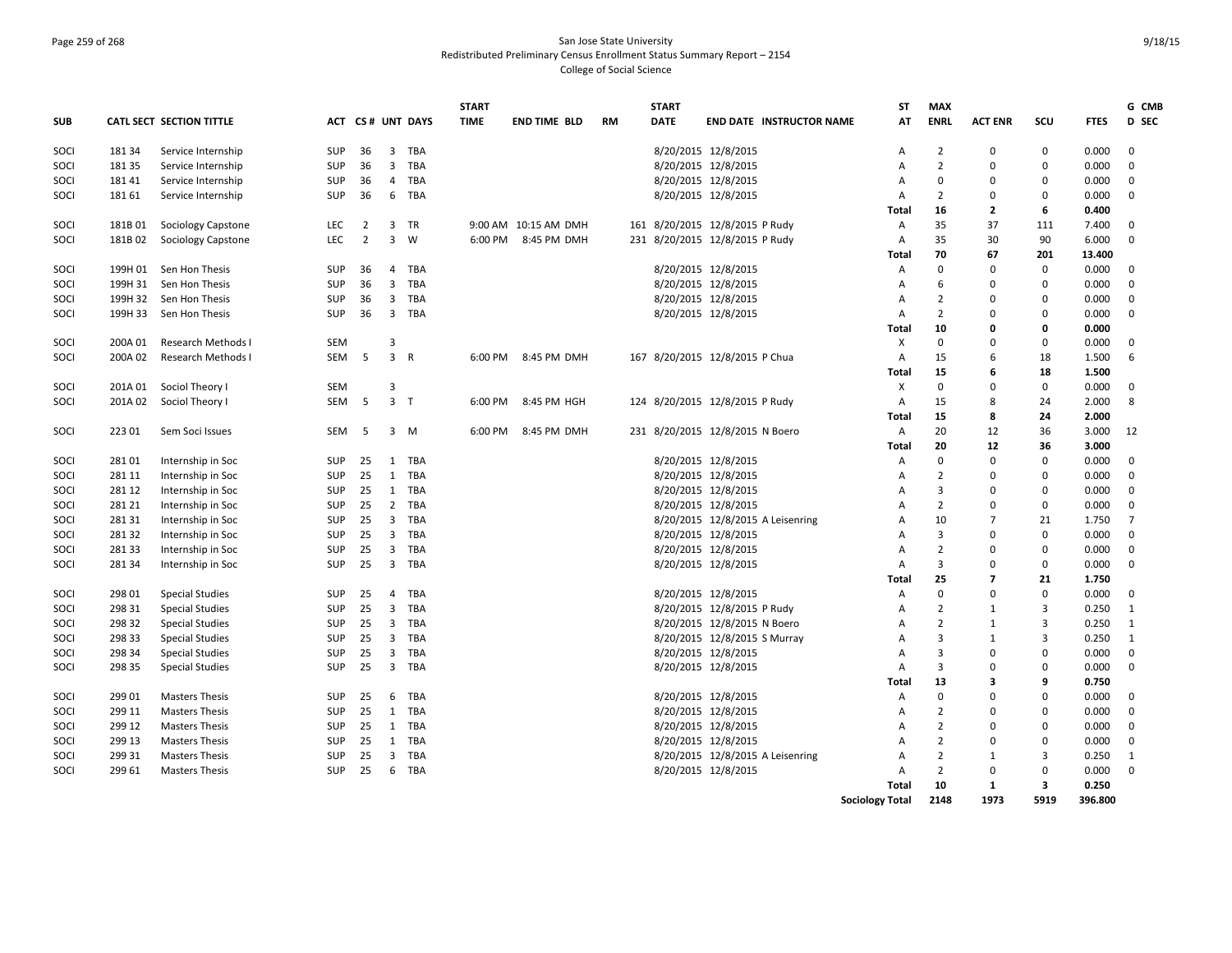### Page 259 of 268 San Jose State University Redistributed Preliminary Census Enrollment Status Summary Report – 2154 College of Social Science

|            |         |                           |            |                |                         |                  | <b>START</b> |                      |           | <b>START</b> |                                 |                                  | <b>ST</b>              | <b>MAX</b>     |                         |                         |             | G CMB        |
|------------|---------|---------------------------|------------|----------------|-------------------------|------------------|--------------|----------------------|-----------|--------------|---------------------------------|----------------------------------|------------------------|----------------|-------------------------|-------------------------|-------------|--------------|
| <b>SUB</b> |         | CATL SECT SECTION TITTLE  |            |                |                         | ACT CS# UNT DAYS | <b>TIME</b>  | <b>END TIME BLD</b>  | <b>RM</b> | DATE         |                                 | <b>END DATE INSTRUCTOR NAME</b>  | AT                     | <b>ENRL</b>    | <b>ACT ENR</b>          | SCU                     | <b>FTES</b> | D SEC        |
| SOCI       | 18134   | Service Internship        | <b>SUP</b> | 36             | $\overline{\mathbf{3}}$ | TBA              |              |                      |           |              | 8/20/2015 12/8/2015             |                                  | Α                      | $\overline{2}$ | $\mathbf 0$             | 0                       | 0.000       | 0            |
| SOCI       | 18135   | Service Internship        | <b>SUP</b> | 36             | $\overline{\mathbf{3}}$ | TBA              |              |                      |           |              | 8/20/2015 12/8/2015             |                                  | A                      | $\overline{2}$ | $\Omega$                | $\mathbf 0$             | 0.000       | $\mathbf 0$  |
| SOCI       | 18141   | Service Internship        | SUP        | 36             | $\overline{4}$          | TBA              |              |                      |           |              | 8/20/2015 12/8/2015             |                                  | Α                      | $\mathbf 0$    | $\Omega$                | $\mathbf 0$             | 0.000       | $\mathbf 0$  |
| SOCI       | 181 61  | Service Internship        | <b>SUP</b> | 36             | 6                       | TBA              |              |                      |           |              | 8/20/2015 12/8/2015             |                                  | Α                      | $\overline{2}$ | $\Omega$                | 0                       | 0.000       | $\mathbf 0$  |
|            |         |                           |            |                |                         |                  |              |                      |           |              |                                 |                                  | Total                  | 16             | $\overline{2}$          | 6                       | 0.400       |              |
| SOCI       | 181B01  | Sociology Capstone        | LEC        | $\overline{2}$ | $\overline{3}$          | <b>TR</b>        |              | 9:00 AM 10:15 AM DMH |           |              | 161 8/20/2015 12/8/2015 P Rudy  |                                  | Α                      | 35             | 37                      | 111                     | 7.400       | 0            |
| SOCI       | 181B02  | <b>Sociology Capstone</b> | <b>LEC</b> | $\overline{2}$ | $\overline{3}$          | W                | 6:00 PM      | 8:45 PM DMH          |           |              | 231 8/20/2015 12/8/2015 P Rudy  |                                  | Α                      | 35             | 30                      | 90                      | 6.000       | $\mathbf 0$  |
|            |         |                           |            |                |                         |                  |              |                      |           |              |                                 |                                  | Total                  | 70             | 67                      | 201                     | 13.400      |              |
| SOCI       | 199H 01 | Sen Hon Thesis            | <b>SUP</b> | 36             | 4                       | TBA              |              |                      |           |              | 8/20/2015 12/8/2015             |                                  | Α                      | $\mathbf 0$    | $\Omega$                | $\mathbf{0}$            | 0.000       | $\mathbf 0$  |
| SOCI       | 199H 31 | Sen Hon Thesis            | <b>SUP</b> | 36             | $\overline{\mathbf{3}}$ | TBA              |              |                      |           |              | 8/20/2015 12/8/2015             |                                  | A                      | 6              | $\Omega$                | $\mathbf 0$             | 0.000       | $\mathbf 0$  |
| SOCI       | 199H 32 | Sen Hon Thesis            | <b>SUP</b> | 36             | $\overline{\mathbf{3}}$ | TBA              |              |                      |           |              | 8/20/2015 12/8/2015             |                                  | A                      | $\overline{2}$ | $\Omega$                | $\mathbf 0$             | 0.000       | $\mathbf 0$  |
| SOCI       | 199H 33 | Sen Hon Thesis            | <b>SUP</b> | 36             | $\overline{\mathbf{3}}$ | TBA              |              |                      |           |              | 8/20/2015 12/8/2015             |                                  | Α                      | $\overline{2}$ | $\Omega$                | 0                       | 0.000       | $\mathbf 0$  |
|            |         |                           |            |                |                         |                  |              |                      |           |              |                                 |                                  | Total                  | 10             | $\Omega$                | 0                       | 0.000       |              |
| SOCI       | 200A 01 | <b>Research Methods I</b> | <b>SEM</b> |                | $\overline{3}$          |                  |              |                      |           |              |                                 |                                  | X                      | $\Omega$       | $\Omega$                | $\mathbf 0$             | 0.000       | $\mathbf 0$  |
| SOCI       | 200A 02 | <b>Research Methods I</b> | <b>SEM</b> | 5              | $\overline{3}$          | $\mathsf{R}$     | 6:00 PM      | 8:45 PM DMH          |           |              | 167 8/20/2015 12/8/2015 P Chua  |                                  | Α                      | 15             | 6                       | 18                      | 1.500       | 6            |
|            |         |                           |            |                |                         |                  |              |                      |           |              |                                 |                                  | Total                  | 15             | 6                       | 18                      | 1.500       |              |
| SOCI       | 201A 01 | Sociol Theory I           | <b>SEM</b> |                | 3                       |                  |              |                      |           |              |                                 |                                  | X                      | $\mathbf 0$    | $\Omega$                | $\mathbf 0$             | 0.000       | $\mathbf 0$  |
| SOCI       | 201A02  | Sociol Theory I           | SEM        | 5              | 3 <sub>7</sub>          |                  | 6:00 PM      | 8:45 PM HGH          |           |              | 124 8/20/2015 12/8/2015 P Rudy  |                                  | Α                      | 15             | 8                       | 24                      | 2.000       | 8            |
|            |         |                           |            |                |                         |                  |              |                      |           |              |                                 |                                  | Total                  | 15             | 8                       | 24                      | 2.000       |              |
| SOCI       | 223 01  | Sem Soci Issues           | SEM        | - 5            |                         | $3 \, M$         | 6:00 PM      | 8:45 PM DMH          |           |              | 231 8/20/2015 12/8/2015 N Boero |                                  | А                      | 20             | 12                      | 36                      | 3.000       | 12           |
|            |         |                           |            |                |                         |                  |              |                      |           |              |                                 |                                  | Total                  | 20             | 12                      | 36                      | 3.000       |              |
| SOCI       | 28101   | Internship in Soc         | <b>SUP</b> | 25             | 1                       | TBA              |              |                      |           |              | 8/20/2015 12/8/2015             |                                  | Α                      | $\mathbf 0$    | $\Omega$                | $\mathbf 0$             | 0.000       | $\mathbf 0$  |
| SOCI       | 281 11  | Internship in Soc         | <b>SUP</b> | 25             | 1                       | TBA              |              |                      |           |              | 8/20/2015 12/8/2015             |                                  | Α                      | $\overline{2}$ | $\Omega$                | $\mathbf 0$             | 0.000       | $\mathbf{0}$ |
| SOCI       | 281 12  | Internship in Soc         | <b>SUP</b> | 25             |                         | 1 TBA            |              |                      |           |              | 8/20/2015 12/8/2015             |                                  | A                      | $\overline{3}$ | O                       | $\mathbf 0$             | 0.000       | $\mathbf 0$  |
| SOCI       | 281 21  | Internship in Soc         | SUP        | 25             | $\overline{2}$          | TBA              |              |                      |           |              | 8/20/2015 12/8/2015             |                                  | A                      | $\overline{2}$ | $\Omega$                | $\mathbf 0$             | 0.000       | $\mathbf{0}$ |
| SOCI       | 28131   | Internship in Soc         | <b>SUP</b> | 25             | $\overline{\mathbf{3}}$ | TBA              |              |                      |           |              |                                 | 8/20/2015 12/8/2015 A Leisenring | Α                      | 10             | 7                       | 21                      | 1.750       | 7            |
| SOCI       | 28132   | Internship in Soc         | <b>SUP</b> | 25             | $\overline{3}$          | TBA              |              |                      |           |              | 8/20/2015 12/8/2015             |                                  | A                      | $\overline{3}$ | $\Omega$                | $\mathbf 0$             | 0.000       | $\mathbf 0$  |
| SOCI       | 28133   | Internship in Soc         | <b>SUP</b> | 25             | $\overline{3}$          | TBA              |              |                      |           |              | 8/20/2015 12/8/2015             |                                  | A                      | $\overline{2}$ | $\Omega$                | $\mathbf 0$             | 0.000       | $\mathbf 0$  |
| SOCI       | 281 34  | Internship in Soc         | <b>SUP</b> | 25             |                         | 3 TBA            |              |                      |           |              | 8/20/2015 12/8/2015             |                                  | A                      | 3              | $\Omega$                | $\mathbf 0$             | 0.000       | $\mathbf 0$  |
|            |         |                           |            |                |                         |                  |              |                      |           |              |                                 |                                  | Total                  | 25             | $\overline{\mathbf{z}}$ | 21                      | 1.750       |              |
| SOCI       | 298 01  | <b>Special Studies</b>    | <b>SUP</b> | 25             | $\overline{4}$          | TBA              |              |                      |           |              | 8/20/2015 12/8/2015             |                                  | A                      | $\mathbf 0$    | $\Omega$                | $\mathbf 0$             | 0.000       | $\mathbf 0$  |
| SOCI       | 298 31  | <b>Special Studies</b>    | <b>SUP</b> | 25             | $\overline{\mathbf{3}}$ | TBA              |              |                      |           |              | 8/20/2015 12/8/2015 P Rudy      |                                  | A                      | $\overline{2}$ | 1                       | 3                       | 0.250       | 1            |
| SOCI       | 298 32  | <b>Special Studies</b>    | SUP        | 25             |                         | 3 TBA            |              |                      |           |              | 8/20/2015 12/8/2015 N Boero     |                                  | A                      | $\overline{2}$ | 1                       | 3                       | 0.250       | 1            |
| SOCI       | 298 33  | <b>Special Studies</b>    | SUP        | 25             | $\overline{\mathbf{3}}$ | TBA              |              |                      |           |              | 8/20/2015 12/8/2015 S Murray    |                                  | Α                      | $\overline{3}$ | 1                       | 3                       | 0.250       | 1            |
| SOCI       | 298 34  | <b>Special Studies</b>    | SUP        | 25             | $\overline{\mathbf{3}}$ | TBA              |              |                      |           |              | 8/20/2015 12/8/2015             |                                  | A                      | 3              | $\Omega$                | $\mathbf 0$             | 0.000       | $\mathbf 0$  |
| SOCI       | 298 35  | <b>Special Studies</b>    | SUP        | 25             | $\overline{3}$          | TBA              |              |                      |           |              | 8/20/2015 12/8/2015             |                                  | A                      | $\overline{3}$ | $\Omega$                | $\mathbf 0$             | 0.000       | $\mathbf{0}$ |
|            |         |                           |            |                |                         |                  |              |                      |           |              |                                 |                                  | Total                  | 13             | 3                       | 9                       | 0.750       |              |
| SOCI       | 299 01  | <b>Masters Thesis</b>     | <b>SUP</b> | 25             | 6                       | TBA              |              |                      |           |              | 8/20/2015 12/8/2015             |                                  | Α                      | $\mathbf 0$    | 0                       | 0                       | 0.000       | $\mathbf 0$  |
| SOCI       | 299 11  | <b>Masters Thesis</b>     | SUP        | 25             | 1                       | TBA              |              |                      |           |              | 8/20/2015 12/8/2015             |                                  | A                      | $\overline{2}$ | $\Omega$                | $\mathbf 0$             | 0.000       | $\mathbf 0$  |
| SOCI       | 299 12  | <b>Masters Thesis</b>     | SUP        | 25             | 1                       | TBA              |              |                      |           |              | 8/20/2015 12/8/2015             |                                  | Α                      | $\overline{2}$ | $\Omega$                | $\mathbf 0$             | 0.000       | $\mathbf 0$  |
| SOCI       | 299 13  | <b>Masters Thesis</b>     | <b>SUP</b> | 25             | 1                       | TBA              |              |                      |           |              | 8/20/2015 12/8/2015             |                                  | A                      | $\overline{2}$ | $\Omega$                | $\mathbf 0$             | 0.000       | $\mathbf 0$  |
| SOCI       | 299 31  | <b>Masters Thesis</b>     | SUP        | 25             | $\overline{\mathbf{3}}$ | TBA              |              |                      |           |              |                                 | 8/20/2015 12/8/2015 A Leisenring | Α                      | $\overline{2}$ | 1                       | 3                       | 0.250       | 1            |
| SOCI       | 299 61  | <b>Masters Thesis</b>     | <b>SUP</b> | 25             | 6                       | TBA              |              |                      |           |              | 8/20/2015 12/8/2015             |                                  | A                      | $\overline{2}$ | $\Omega$                | 0                       | 0.000       | $\mathbf 0$  |
|            |         |                           |            |                |                         |                  |              |                      |           |              |                                 |                                  | Total                  | 10             | 1                       | $\overline{\mathbf{3}}$ | 0.250       |              |
|            |         |                           |            |                |                         |                  |              |                      |           |              |                                 |                                  | <b>Sociology Total</b> | 2148           | 1973                    | 5919                    | 396.800     |              |
|            |         |                           |            |                |                         |                  |              |                      |           |              |                                 |                                  |                        |                |                         |                         |             |              |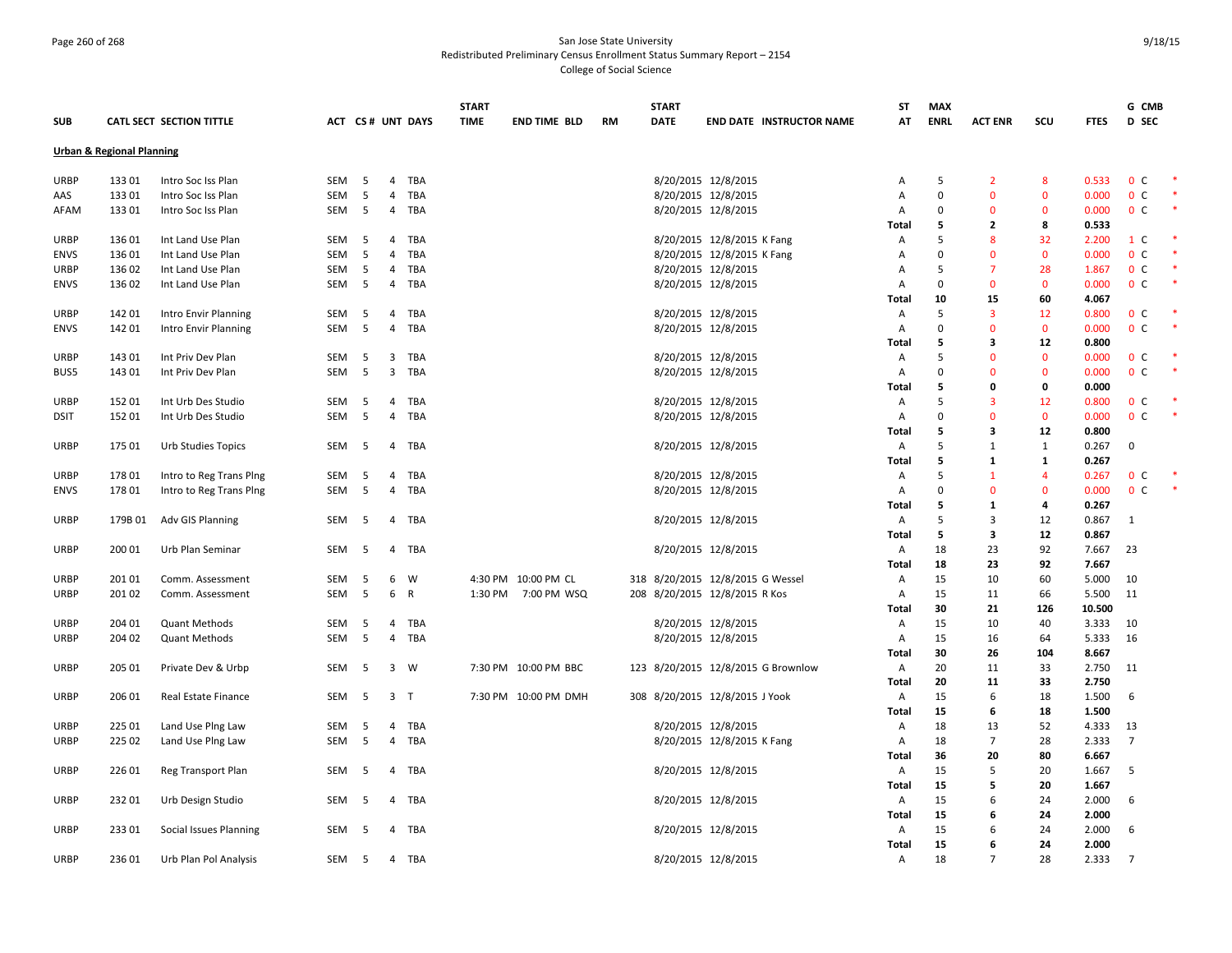# Page 260 of 268 San Jose State University Redistributed Preliminary Census Enrollment Status Summary Report – 2154 College of Social Science

|             |                                      |                          |            |     |                |                  | <b>START</b> |                      |           | <b>START</b>                       |                            |                                 | <b>ST</b>    | <b>MAX</b>    |                |              |                 | G CMB          |  |
|-------------|--------------------------------------|--------------------------|------------|-----|----------------|------------------|--------------|----------------------|-----------|------------------------------------|----------------------------|---------------------------------|--------------|---------------|----------------|--------------|-----------------|----------------|--|
| <b>SUB</b>  |                                      | CATL SECT SECTION TITTLE |            |     |                | ACT CS# UNT DAYS | <b>TIME</b>  | <b>END TIME BLD</b>  | <b>RM</b> | <b>DATE</b>                        |                            | <b>END DATE INSTRUCTOR NAME</b> | AT           | <b>ENRL</b>   | <b>ACT ENR</b> | <b>SCU</b>   | <b>FTES</b>     | <b>D</b> SEC   |  |
|             | <b>Urban &amp; Regional Planning</b> |                          |            |     |                |                  |              |                      |           |                                    |                            |                                 |              |               |                |              |                 |                |  |
|             |                                      |                          |            |     |                |                  |              |                      |           |                                    |                            |                                 |              |               |                |              |                 |                |  |
| <b>URBP</b> | 13301                                | Intro Soc Iss Plan       | SEM        | - 5 |                | 4 TBA            |              |                      |           |                                    | 8/20/2015 12/8/2015        |                                 | Α            | 5             | $\overline{2}$ | 8            | 0.533           | 0 <sup>c</sup> |  |
| AAS         | 13301                                | Intro Soc Iss Plan       | SEM        | 5   | $\overline{4}$ | <b>TBA</b>       |              |                      |           |                                    | 8/20/2015 12/8/2015        |                                 | А            | $\mathbf 0$   | $\mathbf{0}$   | $\mathbf{0}$ | 0.000           | 0 <sup>c</sup> |  |
| AFAM        | 13301                                | Intro Soc Iss Plan       | SEM        | - 5 |                | 4 TBA            |              |                      |           |                                    | 8/20/2015 12/8/2015        |                                 | Α            | $\Omega$      | 0              | $\mathbf 0$  | 0.000           | 0 <sup>c</sup> |  |
|             |                                      |                          |            |     |                |                  |              |                      |           |                                    |                            |                                 | <b>Total</b> | 5             | 2              | 8            | 0.533           |                |  |
| <b>URBP</b> | 13601                                | Int Land Use Plan        | <b>SEM</b> | - 5 | 4              | TBA              |              |                      |           |                                    | 8/20/2015 12/8/2015 K Fang |                                 | Α            | 5<br>$\Omega$ | 8              | 32           | 2.200           | 1 C            |  |
| <b>ENVS</b> | 136 01                               | Int Land Use Plan        | SEM        | 5   | 4              | TBA              |              |                      |           |                                    | 8/20/2015 12/8/2015 K Fang |                                 | А            |               | $\mathbf 0$    | $\mathbf 0$  | 0.000           | 0 <sup>c</sup> |  |
| URBP        | 136 02                               | Int Land Use Plan        | SEM        | -5  | 4              | TBA              |              |                      |           |                                    | 8/20/2015 12/8/2015        |                                 | А            | 5             | $\overline{7}$ | 28           | 1.867           | 0 <sup>c</sup> |  |
| <b>ENVS</b> | 136 02                               | Int Land Use Plan        | SEM        | 5   |                | 4 TBA            |              |                      |           |                                    | 8/20/2015 12/8/2015        |                                 | А            | $\Omega$      | $\mathbf{0}$   | $\mathbf 0$  | 0.000           | 0 <sup>c</sup> |  |
|             |                                      |                          |            |     |                |                  |              |                      |           |                                    |                            |                                 | <b>Total</b> | 10            | 15             | 60           | 4.067           |                |  |
| URBP        | 142 01                               | Intro Envir Planning     | SEM        | - 5 | 4              | TBA              |              |                      |           |                                    | 8/20/2015 12/8/2015        |                                 | A            | 5             | 3              | 12           | 0.800           | 0 <sup>c</sup> |  |
| <b>ENVS</b> | 142 01                               | Intro Envir Planning     | SEM        | 5   | 4              | TBA              |              |                      |           |                                    | 8/20/2015 12/8/2015        |                                 | Α            | $\Omega$      | $\mathbf 0$    | $\mathbf 0$  | 0.000           | 0 <sup>c</sup> |  |
|             |                                      |                          |            |     |                |                  |              |                      |           |                                    |                            |                                 | Total        | 5<br>5        | 3              | 12           | 0.800           |                |  |
| <b>URBP</b> | 143 01                               | Int Priv Dev Plan        | SEM        | - 5 |                | 3 TBA            |              |                      |           |                                    | 8/20/2015 12/8/2015        |                                 | Α            |               | $\mathbf 0$    | $\mathbf 0$  | 0.000           | 0 <sup>c</sup> |  |
| BUS5        | 143 01                               | Int Priv Dev Plan        | SEM        | 5   | 3              | TBA              |              |                      |           |                                    | 8/20/2015 12/8/2015        |                                 | Α            | $\Omega$      | $\Omega$       | $\mathbf 0$  | 0.000           | 0 <sup>c</sup> |  |
|             |                                      |                          |            |     |                |                  |              |                      |           |                                    |                            |                                 | <b>Total</b> | 5             | 0              | 0            | 0.000           |                |  |
| <b>URBP</b> | 152 01                               | Int Urb Des Studio       | SEM        | - 5 | 4              | TBA              |              |                      |           |                                    | 8/20/2015 12/8/2015        |                                 | Α            | 5             | $\overline{3}$ | 12           | 0.800           | 0 <sup>c</sup> |  |
| <b>DSIT</b> | 15201                                | Int Urb Des Studio       | SEM        | 5   |                | 4 TBA            |              |                      |           |                                    | 8/20/2015 12/8/2015        |                                 | A            | $\Omega$      | $\mathbf{0}$   | $\mathbf 0$  | 0.000           | 0 <sup>c</sup> |  |
|             |                                      |                          |            |     |                |                  |              |                      |           |                                    |                            |                                 | Total        | 5             | 3              | 12           | 0.800           |                |  |
| <b>URBP</b> | 175 01                               | Urb Studies Topics       | SEM        | - 5 | 4              | TBA              |              |                      |           |                                    | 8/20/2015 12/8/2015        |                                 | A            | 5             | 1              | 1            | 0.267           | $\mathbf 0$    |  |
|             |                                      |                          |            |     |                |                  |              |                      |           |                                    |                            |                                 | <b>Total</b> | 5             | $\mathbf{1}$   | $\mathbf{1}$ | 0.267           |                |  |
| <b>URBP</b> | 17801                                | Intro to Reg Trans Ping  | SEM        | - 5 | 4              | TBA              |              |                      |           |                                    | 8/20/2015 12/8/2015        |                                 | A            | 5             | $\mathbf{1}$   | 4            | 0.267           | 0 <sup>c</sup> |  |
| ENVS        | 17801                                | Intro to Reg Trans Ping  | SEM        | 5   | 4              | TBA              |              |                      |           |                                    | 8/20/2015 12/8/2015        |                                 | Α            | $\Omega$      | $\mathbf 0$    | $\mathbf 0$  | 0.000           | 0 <sup>c</sup> |  |
|             |                                      |                          |            |     |                |                  |              |                      |           |                                    |                            |                                 | Total        | 5             | $\mathbf{1}$   | 4            | 0.267           |                |  |
| URBP        | 179B 01                              | Adv GIS Planning         | SEM        | 5   |                | 4 TBA            |              |                      |           |                                    | 8/20/2015 12/8/2015        |                                 | A            | 5             | 3              | 12           | 0.867           | 1              |  |
|             |                                      |                          |            |     |                |                  |              |                      |           |                                    |                            |                                 | Total        | 5             | 3              | 12           | 0.867           |                |  |
| <b>URBP</b> | 200 01                               | Urb Plan Seminar         | SEM        | - 5 | 4              | TBA              |              |                      |           |                                    | 8/20/2015 12/8/2015        |                                 | A            | 18            | 23             | 92           | 7.667           | 23             |  |
|             |                                      |                          |            |     |                |                  |              |                      |           |                                    |                            |                                 | <b>Total</b> | 18            | 23             | 92           | 7.667           |                |  |
| <b>URBP</b> | 201 01                               | Comm. Assessment         | SEM        | - 5 | 6              | W                |              | 4:30 PM 10:00 PM CL  |           | 318 8/20/2015 12/8/2015 G Wessel   |                            |                                 | A            | 15            | 10             | 60           | 5.000           | 10             |  |
| <b>URBP</b> | 201 02                               | Comm. Assessment         | SEM        | -5  | 6              | R                |              | 1:30 PM 7:00 PM WSQ  |           | 208 8/20/2015 12/8/2015 R Kos      |                            |                                 | A            | 15<br>30      | 11<br>21       | 66<br>126    | 5.500<br>10.500 | -11            |  |
| URBP        | 204 01                               | <b>Quant Methods</b>     | SEM        | 5   |                | TBA              |              |                      |           |                                    |                            |                                 | Total        | 15            | 10             | 40           | 3.333           | 10             |  |
|             | 204 02                               |                          | SEM        | 5   | 4<br>4         | TBA              |              |                      |           |                                    | 8/20/2015 12/8/2015        |                                 | Α            | 15            |                | 64           | 5.333           | 16             |  |
| <b>URBP</b> |                                      | <b>Quant Methods</b>     |            |     |                |                  |              |                      |           |                                    | 8/20/2015 12/8/2015        |                                 | Α<br>Total   | 30            | 16<br>26       | 104          | 8.667           |                |  |
| URBP        | 205 01                               | Private Dev & Urbp       | SEM        | 5   |                | 3 W              |              | 7:30 PM 10:00 PM BBC |           | 123 8/20/2015 12/8/2015 G Brownlow |                            |                                 | Α            | 20            | 11             | 33           | 2.750           | 11             |  |
|             |                                      |                          |            |     |                |                  |              |                      |           |                                    |                            |                                 |              | 20            | 11             | 33           | 2.750           |                |  |
| <b>URBP</b> | 206 01                               | Real Estate Finance      | SEM        | 5   |                | 3 <sub>1</sub>   |              | 7:30 PM 10:00 PM DMH |           | 308 8/20/2015 12/8/2015 J Yook     |                            |                                 | Total<br>Α   | 15            | 6              | 18           | 1.500           | 6              |  |
|             |                                      |                          |            |     |                |                  |              |                      |           |                                    |                            |                                 | Total        | 15            | 6              | 18           | 1.500           |                |  |
| URBP        | 225 01                               | Land Use Plng Law        | SEM        | -5  | 4              | TBA              |              |                      |           |                                    | 8/20/2015 12/8/2015        |                                 | Α            | 18            | 13             | 52           | 4.333           | 13             |  |
| <b>URBP</b> | 225 02                               | Land Use Ping Law        | SEM        | 5   | 4              | TBA              |              |                      |           |                                    | 8/20/2015 12/8/2015 K Fang |                                 | Α            | 18            | $\overline{7}$ | 28           | 2.333           | $\overline{7}$ |  |
|             |                                      |                          |            |     |                |                  |              |                      |           |                                    |                            |                                 | Total        | 36            | 20             | 80           | 6.667           |                |  |
| <b>URBP</b> | 226 01                               | Reg Transport Plan       | SEM        | - 5 | 4              | TBA              |              |                      |           |                                    | 8/20/2015 12/8/2015        |                                 | Α            | 15            | 5              | 20           | 1.667           | -5             |  |
|             |                                      |                          |            |     |                |                  |              |                      |           |                                    |                            |                                 |              | 15            | 5              | 20           | 1.667           |                |  |
|             |                                      |                          |            |     |                |                  |              |                      |           |                                    |                            |                                 | Total        | 15            |                |              | 2.000           |                |  |
| <b>URBP</b> | 23201                                | Urb Design Studio        | SEM        | - 5 |                | 4 TBA            |              |                      |           |                                    | 8/20/2015 12/8/2015        |                                 | Α<br>Total   | 15            | 6<br>6         | 24<br>24     | 2.000           | 6              |  |
| <b>URBP</b> | 23301                                | Social Issues Planning   | SEM        | - 5 |                | 4 TBA            |              |                      |           |                                    | 8/20/2015 12/8/2015        |                                 | Α            | 15            | 6              | 24           | 2.000           | 6              |  |
|             |                                      |                          |            |     |                |                  |              |                      |           |                                    |                            |                                 | Total        | 15            | 6              | 24           | 2.000           |                |  |
| <b>URBP</b> | 236 01                               | Urb Plan Pol Analysis    | SEM        | 5   |                | 4 TBA            |              |                      |           |                                    | 8/20/2015 12/8/2015        |                                 | A            | 18            | $\overline{7}$ | 28           | 2.333           | $\overline{7}$ |  |
|             |                                      |                          |            |     |                |                  |              |                      |           |                                    |                            |                                 |              |               |                |              |                 |                |  |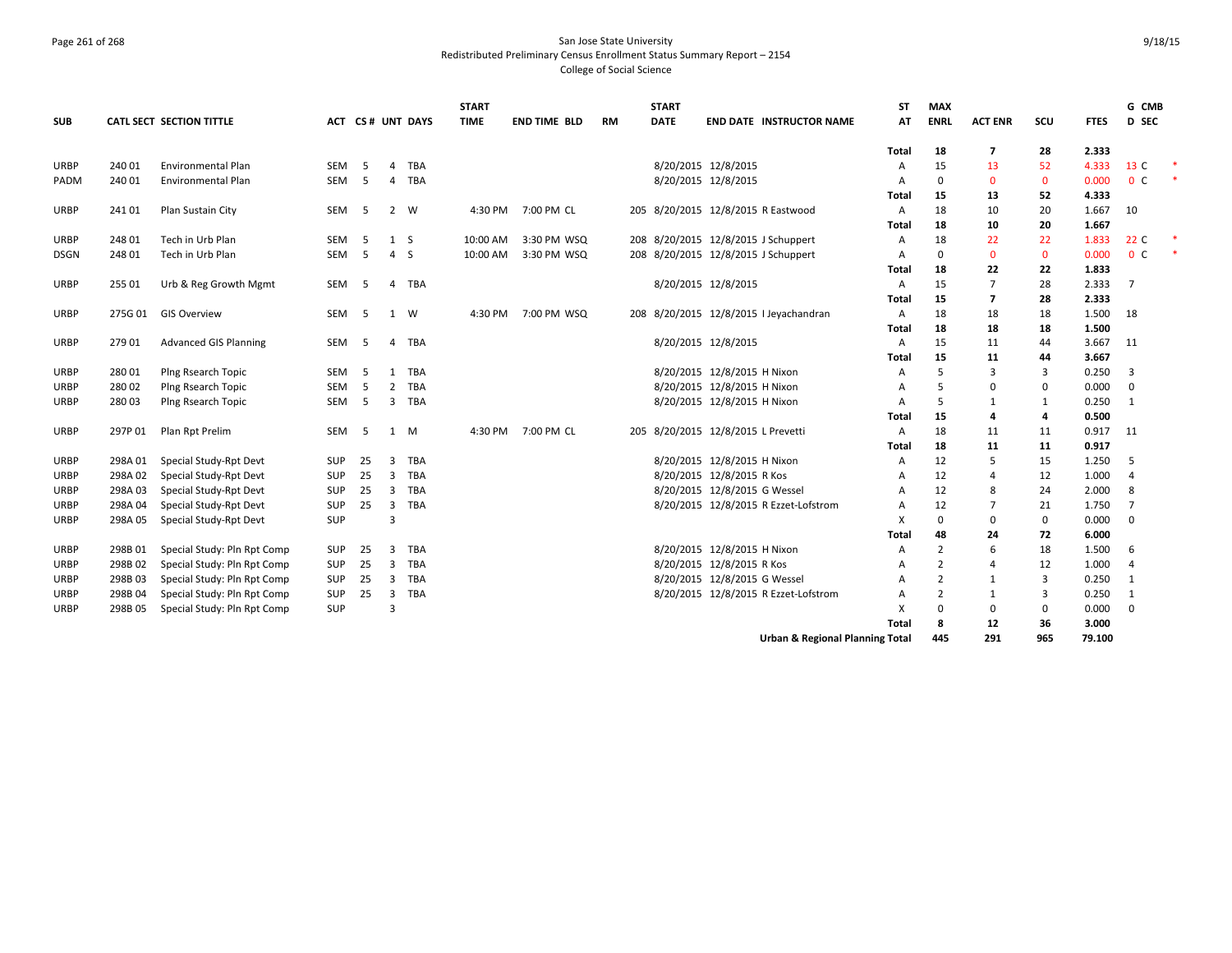### Page 261 of 268 San Jose State University Redistributed Preliminary Census Enrollment Status Summary Report – 2154 College of Social Science

|             |         |                              |            |     |                |                  | <b>START</b> |                     |    | <b>START</b> |                                            | ST             | <b>MAX</b>     |                |              |             | G CMB          |        |
|-------------|---------|------------------------------|------------|-----|----------------|------------------|--------------|---------------------|----|--------------|--------------------------------------------|----------------|----------------|----------------|--------------|-------------|----------------|--------|
| <b>SUB</b>  |         | CATL SECT SECTION TITTLE     |            |     |                | ACT CS# UNT DAYS | <b>TIME</b>  | <b>END TIME BLD</b> | RM | <b>DATE</b>  | <b>END DATE INSTRUCTOR NAME</b>            | AT             | <b>ENRL</b>    | <b>ACT ENR</b> | scu          | <b>FTES</b> | D SEC          |        |
|             |         |                              |            |     |                |                  |              |                     |    |              |                                            | Total          | 18             | 7              | 28           | 2.333       |                |        |
| <b>URBP</b> | 240 01  | <b>Environmental Plan</b>    | SEM        | -5  | $\overline{4}$ | TBA              |              |                     |    |              | 8/20/2015 12/8/2015                        | Α              | 15             | 13             | 52           | 4.333       | 13 C           | $\ast$ |
| PADM        | 240 01  | <b>Environmental Plan</b>    | SEM        | -5  | $\overline{4}$ | <b>TBA</b>       |              |                     |    |              | 8/20/2015 12/8/2015                        | A              | $\Omega$       | $\mathbf{0}$   | $\mathbf{0}$ | 0.000       | 0 <sup>c</sup> | $\ast$ |
|             |         |                              |            |     |                |                  |              |                     |    |              |                                            | Total          | 15             | 13             | 52           | 4.333       |                |        |
| URBP        | 241 01  | Plan Sustain City            | SEM        | - 5 | 2 W            |                  | 4:30 PM      | 7:00 PM CL          |    |              | 205 8/20/2015 12/8/2015 R Eastwood         | A              | 18             | 10             | 20           | 1.667       | 10             |        |
|             |         |                              |            |     |                |                  |              |                     |    |              |                                            | Total          | 18             | 10             | 20           | 1.667       |                |        |
| URBP        | 248 01  | Tech in Urb Plan             | SEM        | -5  | 1 S            |                  | 10:00 AM     | 3:30 PM WSQ         |    |              | 208 8/20/2015 12/8/2015 J Schuppert        | Α              | 18             | 22             | 22           | 1.833       | 22 C           | $\ast$ |
| <b>DSGN</b> | 248 01  | Tech in Urb Plan             | SEM        | .5  | 4S             |                  | 10:00 AM     | 3:30 PM WSQ         |    |              | 208 8/20/2015 12/8/2015 J Schuppert        | A              | $\mathbf 0$    | $\mathbf{0}$   | $\mathbf 0$  | 0.000       | 0 <sup>c</sup> | $\ast$ |
|             |         |                              |            |     |                |                  |              |                     |    |              |                                            | Total          | 18             | 22             | 22           | 1.833       |                |        |
| URBP        | 255 01  | Urb & Reg Growth Mgmt        | SEM        | -5  | $\overline{4}$ | TBA              |              |                     |    |              | 8/20/2015 12/8/2015                        | Α              | 15             | $\overline{7}$ | 28           | 2.333       | 7              |        |
|             |         |                              |            |     |                |                  |              |                     |    |              |                                            | Total          | 15             | $\overline{7}$ | 28           | 2.333       |                |        |
| <b>URBP</b> | 275G 01 | <b>GIS Overview</b>          | SEM        | -5  | 1 W            |                  | 4:30 PM      | 7:00 PM WSQ         |    |              | 208 8/20/2015 12/8/2015 I Jeyachandran     | Α              | 18             | 18             | 18           | 1.500       | 18             |        |
|             |         |                              |            |     |                |                  |              |                     |    |              |                                            | Total          | 18             | 18             | 18           | 1.500       |                |        |
| URBP        | 279 01  | <b>Advanced GIS Planning</b> | SEM        | -5  | $\overline{4}$ | TBA              |              |                     |    |              | 8/20/2015 12/8/2015                        | $\overline{A}$ | 15             | 11             | 44           | 3.667       | 11             |        |
|             |         |                              |            |     |                |                  |              |                     |    |              |                                            | Total          | 15             | 11             | 44           | 3.667       |                |        |
| <b>URBP</b> | 28001   | Plng Rsearch Topic           | SEM        | -5  | 1              | TBA              |              |                     |    |              | 8/20/2015 12/8/2015 H Nixon                | A              | 5              | 3              | 3            | 0.250       | 3              |        |
| <b>URBP</b> | 28002   | Plng Rsearch Topic           | SEM        | 5   | $\overline{2}$ | TBA              |              |                     |    |              | 8/20/2015 12/8/2015 H Nixon                | A              | 5              | 0              | 0            | 0.000       | $\mathbf 0$    |        |
| <b>URBP</b> | 28003   | Plng Rsearch Topic           | SEM        | 5   | $\overline{3}$ | TBA              |              |                     |    |              | 8/20/2015 12/8/2015 H Nixon                | A              | 5              | 1              | 1            | 0.250       | 1              |        |
|             |         |                              |            |     |                |                  |              |                     |    |              |                                            | Total          | 15             | 4              | 4            | 0.500       |                |        |
| <b>URBP</b> | 297P 01 | Plan Rpt Prelim              | SEM        | -5  | 1 M            |                  | 4:30 PM      | 7:00 PM CL          |    |              | 205 8/20/2015 12/8/2015 L Prevetti         | Α              | 18             | 11             | 11           | 0.917       | 11             |        |
|             |         |                              |            |     |                |                  |              |                     |    |              |                                            | Total          | 18             | 11             | 11           | 0.917       |                |        |
| URBP        | 298A 01 | Special Study-Rpt Devt       | SUP        | 25  | 3              | TBA              |              |                     |    |              | 8/20/2015 12/8/2015 H Nixon                | A              | 12             | 5              | 15           | 1.250       | 5              |        |
| URBP        | 298A02  | Special Study-Rpt Devt       | SUP        | 25  | $\overline{3}$ | <b>TBA</b>       |              |                     |    |              | 8/20/2015 12/8/2015 R Kos                  | A              | 12             | 4              | 12           | 1.000       | 4              |        |
| <b>URBP</b> | 298A03  | Special Study-Rpt Devt       | <b>SUP</b> | 25  | $\overline{3}$ | <b>TBA</b>       |              |                     |    |              | 8/20/2015 12/8/2015 G Wessel               | A              | 12             | 8              | 24           | 2.000       | 8              |        |
| URBP        | 298A 04 | Special Study-Rpt Devt       | SUP        | 25  | 3              | TBA              |              |                     |    |              | 8/20/2015 12/8/2015 R Ezzet-Lofstrom       | A              | 12             | $\overline{7}$ | 21           | 1.750       | 7              |        |
| URBP        | 298A05  | Special Study-Rpt Devt       | SUP        |     | $\overline{3}$ |                  |              |                     |    |              |                                            | X              | $\mathbf 0$    | $\mathbf 0$    | 0            | 0.000       | $\mathbf{0}$   |        |
|             |         |                              |            |     |                |                  |              |                     |    |              |                                            | Total          | 48             | 24             | 72           | 6.000       |                |        |
| <b>URBP</b> | 298B01  | Special Study: Pln Rpt Comp  | <b>SUP</b> | 25  | 3              | TBA              |              |                     |    |              | 8/20/2015 12/8/2015 H Nixon                | A              | 2              | 6              | 18           | 1.500       | 6              |        |
| URBP        | 298B02  | Special Study: Pln Rpt Comp  | SUP        | 25  | $\overline{3}$ | <b>TBA</b>       |              |                     |    |              | 8/20/2015 12/8/2015 R Kos                  | A              | 2              | $\overline{4}$ | 12           | 1.000       | 4              |        |
| <b>URBP</b> | 298B03  | Special Study: Pln Rpt Comp  | <b>SUP</b> | 25  | 3              | TBA              |              |                     |    |              | 8/20/2015 12/8/2015 G Wessel               | A              | 2              | 1              | 3            | 0.250       | 1              |        |
| URBP        | 298B 04 | Special Study: Pln Rpt Comp  | SUP        | 25  | $\overline{3}$ | <b>TBA</b>       |              |                     |    |              | 8/20/2015 12/8/2015 R Ezzet-Lofstrom       | A              | $\overline{2}$ | 1              | 3            | 0.250       | 1              |        |
| URBP        | 298B05  | Special Study: Pln Rpt Comp  | <b>SUP</b> |     | $\overline{3}$ |                  |              |                     |    |              |                                            | X              | $\Omega$       | $\mathbf 0$    | 0            | 0.000       | $\overline{0}$ |        |
|             |         |                              |            |     |                |                  |              |                     |    |              |                                            | <b>Total</b>   | 8              | 12             | 36           | 3.000       |                |        |
|             |         |                              |            |     |                |                  |              |                     |    |              | <b>Urban &amp; Regional Planning Total</b> |                | 445            | 291            | 965          | 79.100      |                |        |